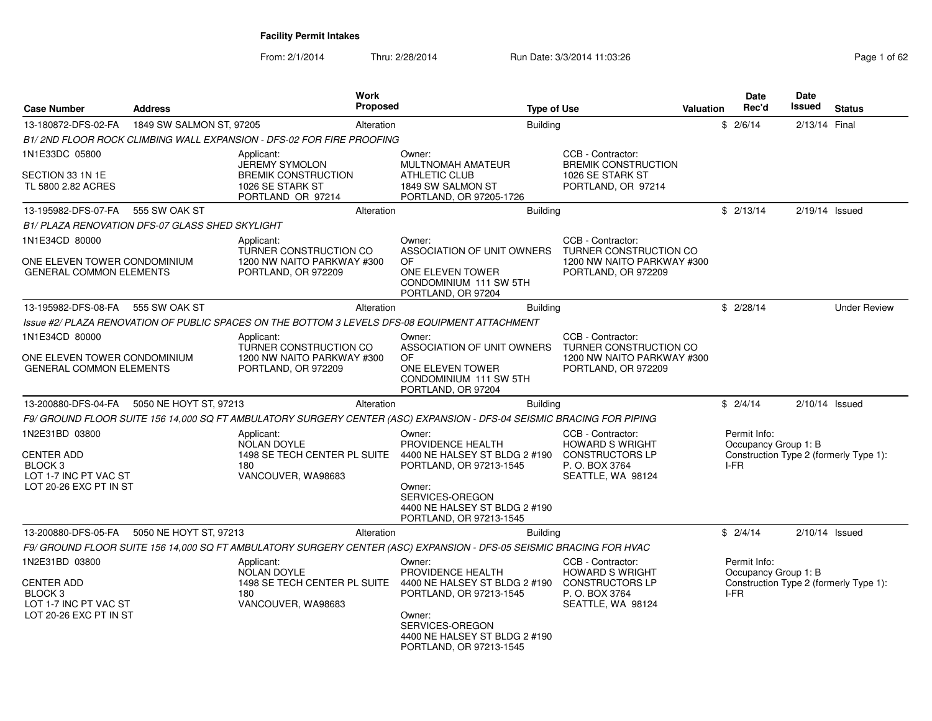From: 2/1/2014Thru: 2/28/2014 Run Date: 3/3/2014 11:03:26 Rage 1 of 62 of 62 of 62 of 62 of 62 of 62 of 62 of 62 of 62 of 62

| Page 1 of 62 |  |  |
|--------------|--|--|
|--------------|--|--|

| <b>Case Number</b>                                                                                           | <b>Address</b>                                  | Work<br>Proposed                                                                                                      |                                                                                                                                                                                  | <b>Type of Use</b>                                                                                           | <b>Valuation</b> | <b>Date</b><br>Rec'd                           | <b>Date</b><br><b>Issued</b> | <b>Status</b>                          |
|--------------------------------------------------------------------------------------------------------------|-------------------------------------------------|-----------------------------------------------------------------------------------------------------------------------|----------------------------------------------------------------------------------------------------------------------------------------------------------------------------------|--------------------------------------------------------------------------------------------------------------|------------------|------------------------------------------------|------------------------------|----------------------------------------|
| 13-180872-DFS-02-FA                                                                                          | 1849 SW SALMON ST, 97205                        | Alteration                                                                                                            | <b>Building</b>                                                                                                                                                                  |                                                                                                              |                  | \$2/6/14                                       | 2/13/14 Final                |                                        |
|                                                                                                              |                                                 | B1/2ND FLOOR ROCK CLIMBING WALL EXPANSION - DFS-02 FOR FIRE PROOFING                                                  |                                                                                                                                                                                  |                                                                                                              |                  |                                                |                              |                                        |
| 1N1E33DC 05800                                                                                               |                                                 | Applicant:                                                                                                            | Owner:                                                                                                                                                                           | CCB - Contractor:                                                                                            |                  |                                                |                              |                                        |
| SECTION 33 1N 1E<br>TL 5800 2.82 ACRES                                                                       |                                                 | <b>JEREMY SYMOLON</b><br><b>BREMIK CONSTRUCTION</b><br>1026 SE STARK ST<br>PORTLAND OR 97214                          | MULTNOMAH AMATEUR<br><b>ATHLETIC CLUB</b><br>1849 SW SALMON ST<br>PORTLAND, OR 97205-1726                                                                                        | <b>BREMIK CONSTRUCTION</b><br>1026 SE STARK ST<br>PORTLAND, OR 97214                                         |                  |                                                |                              |                                        |
| 13-195982-DFS-07-FA                                                                                          | 555 SW OAK ST                                   | Alteration                                                                                                            | Building                                                                                                                                                                         |                                                                                                              |                  | \$2/13/14                                      | $2/19/14$ Issued             |                                        |
|                                                                                                              | B1/ PLAZA RENOVATION DFS-07 GLASS SHED SKYLIGHT |                                                                                                                       |                                                                                                                                                                                  |                                                                                                              |                  |                                                |                              |                                        |
| 1N1E34CD 80000                                                                                               |                                                 | Applicant:                                                                                                            | Owner:                                                                                                                                                                           | CCB - Contractor:                                                                                            |                  |                                                |                              |                                        |
| ONE ELEVEN TOWER CONDOMINIUM<br><b>GENERAL COMMON ELEMENTS</b>                                               |                                                 | TURNER CONSTRUCTION CO<br>1200 NW NAITO PARKWAY #300<br>PORTLAND, OR 972209                                           | ASSOCIATION OF UNIT OWNERS<br>OF<br>ONE ELEVEN TOWER<br>CONDOMINIUM 111 SW 5TH<br>PORTLAND, OR 97204                                                                             | TURNER CONSTRUCTION CO<br>1200 NW NAITO PARKWAY #300<br>PORTLAND, OR 972209                                  |                  |                                                |                              |                                        |
| 13-195982-DFS-08-FA                                                                                          | 555 SW OAK ST                                   | Alteration                                                                                                            | <b>Building</b>                                                                                                                                                                  |                                                                                                              |                  | \$2/28/14                                      |                              | <b>Under Review</b>                    |
|                                                                                                              |                                                 | Issue #2/ PLAZA RENOVATION OF PUBLIC SPACES ON THE BOTTOM 3 LEVELS DFS-08 EQUIPMENT ATTACHMENT                        |                                                                                                                                                                                  |                                                                                                              |                  |                                                |                              |                                        |
| 1N1E34CD 80000                                                                                               |                                                 | Applicant:                                                                                                            | Owner:                                                                                                                                                                           | CCB - Contractor:                                                                                            |                  |                                                |                              |                                        |
| ONE ELEVEN TOWER CONDOMINIUM<br><b>GENERAL COMMON ELEMENTS</b>                                               |                                                 | TURNER CONSTRUCTION CO<br>1200 NW NAITO PARKWAY #300<br>PORTLAND, OR 972209                                           | ASSOCIATION OF UNIT OWNERS<br>OF.<br>ONE ELEVEN TOWER<br>CONDOMINIUM 111 SW 5TH<br>PORTLAND, OR 97204                                                                            | TURNER CONSTRUCTION CO<br>1200 NW NAITO PARKWAY #300<br>PORTLAND, OR 972209                                  |                  |                                                |                              |                                        |
| 13-200880-DFS-04-FA                                                                                          | 5050 NE HOYT ST, 97213                          | Alteration                                                                                                            | <b>Building</b>                                                                                                                                                                  |                                                                                                              |                  | \$2/4/14                                       | $2/10/14$ Issued             |                                        |
|                                                                                                              |                                                 | F9/ GROUND FLOOR SUITE 156 14,000 SQ FT AMBULATORY SURGERY CENTER (ASC) EXPANSION - DFS-04 SEISMIC BRACING FOR PIPING |                                                                                                                                                                                  |                                                                                                              |                  |                                                |                              |                                        |
| 1N2E31BD 03800<br><b>CENTER ADD</b><br>BLOCK <sub>3</sub><br>LOT 1-7 INC PT VAC ST<br>LOT 20-26 EXC PT IN ST |                                                 | Applicant:<br><b>NOLAN DOYLE</b><br>1498 SE TECH CENTER PL SUITE<br>180<br>VANCOUVER, WA98683                         | Owner:<br>PROVIDENCE HEALTH<br>4400 NE HALSEY ST BLDG 2 #190<br>PORTLAND, OR 97213-1545<br>Owner:<br>SERVICES-OREGON<br>4400 NE HALSEY ST BLDG 2 #190<br>PORTLAND, OR 97213-1545 | CCB - Contractor:<br><b>HOWARD S WRIGHT</b><br><b>CONSTRUCTORS LP</b><br>P. O. BOX 3764<br>SEATTLE, WA 98124 |                  | Permit Info:<br>Occupancy Group 1: B<br>I-FR   |                              | Construction Type 2 (formerly Type 1): |
| 13-200880-DFS-05-FA                                                                                          | 5050 NE HOYT ST, 97213                          | Alteration                                                                                                            | <b>Building</b>                                                                                                                                                                  |                                                                                                              |                  | \$2/4/14                                       | $2/10/14$ Issued             |                                        |
|                                                                                                              |                                                 | F9/ GROUND FLOOR SUITE 156 14,000 SQ FT AMBULATORY SURGERY CENTER (ASC) EXPANSION - DFS-05 SEISMIC BRACING FOR HVAC   |                                                                                                                                                                                  |                                                                                                              |                  |                                                |                              |                                        |
| 1N2E31BD 03800<br><b>CENTER ADD</b><br>BLOCK <sub>3</sub><br>LOT 1-7 INC PT VAC ST<br>LOT 20-26 EXC PT IN ST |                                                 | Applicant:<br><b>NOLAN DOYLE</b><br>1498 SE TECH CENTER PL SUITE<br>180<br>VANCOUVER, WA98683                         | Owner:<br>PROVIDENCE HEALTH<br>4400 NE HALSEY ST BLDG 2 #190<br>PORTLAND, OR 97213-1545<br>Owner:<br>SERVICES-OREGON<br>4400 NE HALSEY ST BLDG 2 #190<br>PORTLAND, OR 97213-1545 | CCB - Contractor:<br><b>HOWARD S WRIGHT</b><br><b>CONSTRUCTORS LP</b><br>P. O. BOX 3764<br>SEATTLE, WA 98124 |                  | Permit Info:<br>Occupancy Group 1: B<br>$I-FR$ |                              | Construction Type 2 (formerly Type 1): |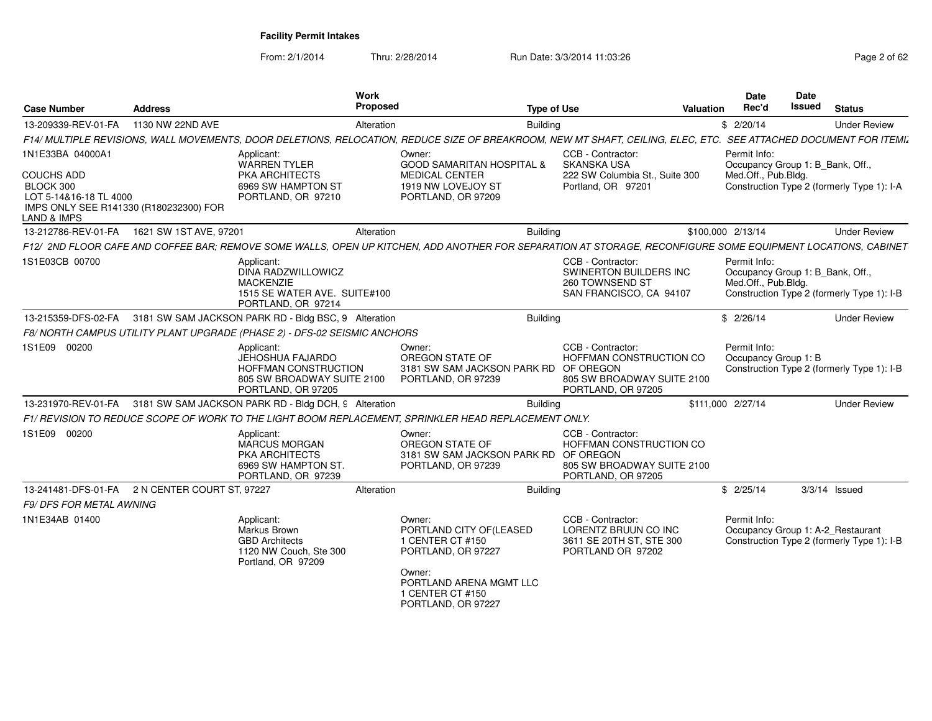From: 2/1/2014

| <b>Case Number</b>                                                                                                                               | <b>Address</b>             | <b>Work</b><br>Proposed                                                                                                                                           |                                                                                                                                       | <b>Type of Use</b> | <b>Valuation</b>                                                                                 | Date<br>Rec'd                                                           | <b>Date</b><br><b>Issued</b> | <b>Status</b>                                                                   |
|--------------------------------------------------------------------------------------------------------------------------------------------------|----------------------------|-------------------------------------------------------------------------------------------------------------------------------------------------------------------|---------------------------------------------------------------------------------------------------------------------------------------|--------------------|--------------------------------------------------------------------------------------------------|-------------------------------------------------------------------------|------------------------------|---------------------------------------------------------------------------------|
| 13-209339-REV-01-FA                                                                                                                              | 1130 NW 22ND AVE           | Alteration                                                                                                                                                        |                                                                                                                                       | <b>Building</b>    |                                                                                                  | \$2/20/14                                                               |                              | <b>Under Review</b>                                                             |
|                                                                                                                                                  |                            | F14/ MULTIPLE REVISIONS, WALL MOVEMENTS, DOOR DELETIONS, RELOCATION, REDUCE SIZE OF BREAKROOM, NEW MT SHAFT, CEILING, ELEC, ETC. SEE ATTACHED DOCUMENT FOR ITEMIL |                                                                                                                                       |                    |                                                                                                  |                                                                         |                              |                                                                                 |
| 1N1E33BA 04000A1<br><b>COUCHS ADD</b><br>BLOCK 300<br>LOT 5-14&16-18 TL 4000<br>IMPS ONLY SEE R141330 (R180232300) FOR<br><b>LAND &amp; IMPS</b> |                            | Applicant:<br><b>WARREN TYLER</b><br>PKA ARCHITECTS<br>6969 SW HAMPTON ST<br>PORTLAND, OR 97210                                                                   | Owner:<br><b>GOOD SAMARITAN HOSPITAL &amp;</b><br><b>MEDICAL CENTER</b><br>1919 NW LOVEJOY ST<br>PORTLAND, OR 97209                   |                    | CCB - Contractor:<br><b>SKANSKA USA</b><br>222 SW Columbia St., Suite 300<br>Portland, OR 97201  | Permit Info:<br>Occupancy Group 1: B_Bank, Off.,<br>Med.Off., Pub.Bldg. |                              | Construction Type 2 (formerly Type 1): I-A                                      |
| 13-212786-REV-01-FA                                                                                                                              | 1621 SW 1ST AVE, 97201     | Alteration                                                                                                                                                        |                                                                                                                                       | <b>Building</b>    |                                                                                                  | \$100,000 2/13/14                                                       |                              | <b>Under Review</b>                                                             |
|                                                                                                                                                  |                            | F12/ 2ND FLOOR CAFE AND COFFEE BAR; REMOVE SOME WALLS, OPEN UP KITCHEN, ADD ANOTHER FOR SEPARATION AT STORAGE, RECONFIGURE SOME EQUIPMENT LOCATIONS, CABINET      |                                                                                                                                       |                    |                                                                                                  |                                                                         |                              |                                                                                 |
| 1S1E03CB 00700                                                                                                                                   |                            | Applicant:<br>DINA RADZWILLOWICZ<br><b>MACKENZIE</b><br>1515 SE WATER AVE. SUITE#100<br>PORTLAND, OR 97214                                                        |                                                                                                                                       |                    | CCB - Contractor:<br><b>SWINERTON BUILDERS INC</b><br>260 TOWNSEND ST<br>SAN FRANCISCO, CA 94107 | Permit Info:<br>Occupancy Group 1: B Bank, Off.,<br>Med.Off., Pub.Bldg. |                              | Construction Type 2 (formerly Type 1): I-B                                      |
| 13-215359-DFS-02-FA                                                                                                                              |                            | 3181 SW SAM JACKSON PARK RD - Bldg BSC, 9 Alteration                                                                                                              |                                                                                                                                       | <b>Building</b>    |                                                                                                  | \$2/26/14                                                               |                              | <b>Under Review</b>                                                             |
|                                                                                                                                                  |                            | F8/NORTH CAMPUS UTILITY PLANT UPGRADE (PHASE 2) - DFS-02 SEISMIC ANCHORS                                                                                          |                                                                                                                                       |                    |                                                                                                  |                                                                         |                              |                                                                                 |
| 1S1E09 00200                                                                                                                                     |                            | Applicant:<br>JEHOSHUA FAJARDO<br><b>HOFFMAN CONSTRUCTION</b><br>805 SW BROADWAY SUITE 2100<br>PORTLAND, OR 97205                                                 | Owner:<br>OREGON STATE OF<br>3181 SW SAM JACKSON PARK RD OF OREGON<br>PORTLAND, OR 97239                                              |                    | CCB - Contractor:<br>HOFFMAN CONSTRUCTION CO<br>805 SW BROADWAY SUITE 2100<br>PORTLAND, OR 97205 | Permit Info:<br>Occupancy Group 1: B                                    |                              | Construction Type 2 (formerly Type 1): I-B                                      |
| 13-231970-REV-01-FA                                                                                                                              |                            | 3181 SW SAM JACKSON PARK RD - Bldg DCH, 9 Alteration                                                                                                              |                                                                                                                                       | <b>Building</b>    |                                                                                                  | \$111.000 2/27/14                                                       |                              | <b>Under Review</b>                                                             |
|                                                                                                                                                  |                            | F1/ REVISION TO REDUCE SCOPE OF WORK TO THE LIGHT BOOM REPLACEMENT, SPRINKLER HEAD REPLACEMENT ONLY.                                                              |                                                                                                                                       |                    |                                                                                                  |                                                                         |                              |                                                                                 |
| 1S1E09 00200                                                                                                                                     |                            | Applicant:<br><b>MARCUS MORGAN</b><br><b>PKA ARCHITECTS</b><br>6969 SW HAMPTON ST.<br>PORTLAND, OR 97239                                                          | Owner:<br>OREGON STATE OF<br>3181 SW SAM JACKSON PARK RD OF OREGON<br>PORTLAND, OR 97239                                              |                    | CCB - Contractor:<br>HOFFMAN CONSTRUCTION CO<br>805 SW BROADWAY SUITE 2100<br>PORTLAND, OR 97205 |                                                                         |                              |                                                                                 |
| 13-241481-DFS-01-FA                                                                                                                              | 2 N CENTER COURT ST. 97227 | Alteration                                                                                                                                                        |                                                                                                                                       | <b>Building</b>    |                                                                                                  | \$2/25/14                                                               |                              | $3/3/14$ Issued                                                                 |
| F9/ DFS FOR METAL AWNING                                                                                                                         |                            |                                                                                                                                                                   |                                                                                                                                       |                    |                                                                                                  |                                                                         |                              |                                                                                 |
| 1N1E34AB 01400                                                                                                                                   |                            | Applicant:<br>Markus Brown<br><b>GBD Architects</b><br>1120 NW Couch, Ste 300<br>Portland, OR 97209                                                               | Owner:<br>PORTLAND CITY OF (LEASED<br>1 CENTER CT #150<br>PORTLAND, OR 97227<br>Owner:<br>PORTLAND ARENA MGMT LLC<br>1 CENTER CT #150 |                    | CCB - Contractor:<br>LORENTZ BRUUN CO INC<br>3611 SE 20TH ST, STE 300<br>PORTLAND OR 97202       | Permit Info:                                                            |                              | Occupancy Group 1: A-2 Restaurant<br>Construction Type 2 (formerly Type 1): I-B |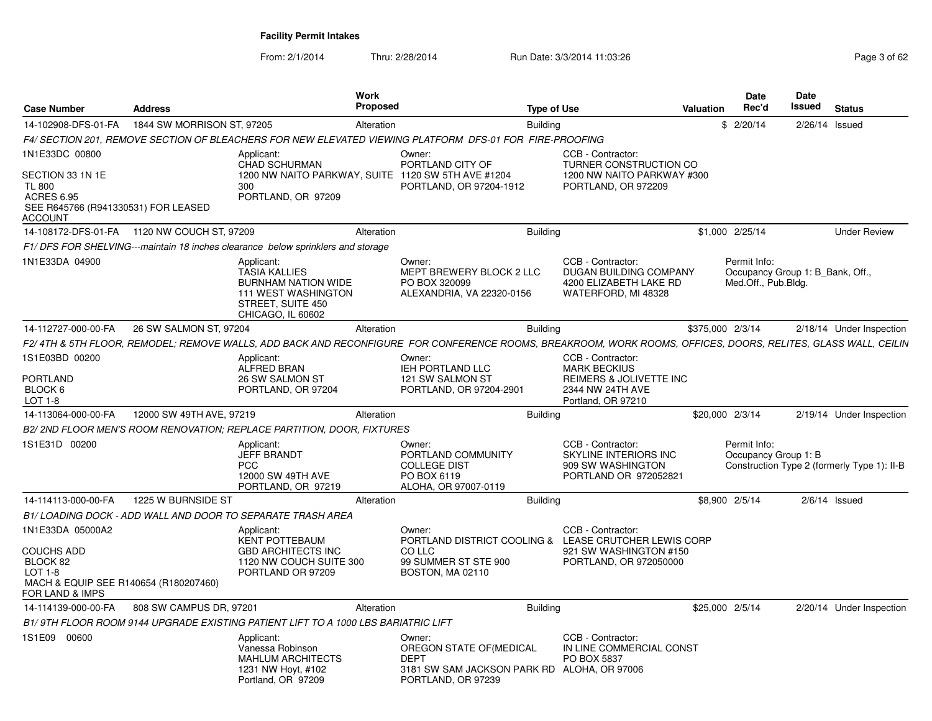| <b>Case Number</b>                                                                                                         | <b>Address</b>             | <b>Work</b>                                                                                                                              | <b>Proposed</b>                                                                                                                                               | <b>Type of Use</b> |                                                                                                                                | <b>Valuation</b> | Date<br>Rec'd                                                           | Date<br>Issued | <b>Status</b>                               |
|----------------------------------------------------------------------------------------------------------------------------|----------------------------|------------------------------------------------------------------------------------------------------------------------------------------|---------------------------------------------------------------------------------------------------------------------------------------------------------------|--------------------|--------------------------------------------------------------------------------------------------------------------------------|------------------|-------------------------------------------------------------------------|----------------|---------------------------------------------|
| 14-102908-DFS-01-FA                                                                                                        | 1844 SW MORRISON ST, 97205 |                                                                                                                                          | Alteration                                                                                                                                                    | <b>Building</b>    |                                                                                                                                |                  | \$2/20/14                                                               | 2/26/14        | Issued                                      |
|                                                                                                                            |                            |                                                                                                                                          | F4/ SECTION 201, REMOVE SECTION OF BLEACHERS FOR NEW ELEVATED VIEWING PLATFORM  DFS-01 FOR  FIRE-PROOFING                                                     |                    |                                                                                                                                |                  |                                                                         |                |                                             |
| 1N1E33DC 00800<br>SECTION 33 1N 1E<br><b>TL 800</b><br><b>ACRES 6.95</b><br>SEE R645766 (R941330531) FOR LEASED<br>ACCOUNT |                            | Applicant:<br><b>CHAD SCHURMAN</b><br>300<br>PORTLAND, OR 97209                                                                          | Owner:<br>PORTLAND CITY OF<br>1200 NW NAITO PARKWAY, SUITE 1120 SW 5TH AVE #1204<br>PORTLAND, OR 97204-1912                                                   |                    | CCB - Contractor:<br><b>TURNER CONSTRUCTION CO</b><br>1200 NW NAITO PARKWAY #300<br>PORTLAND, OR 972209                        |                  |                                                                         |                |                                             |
|                                                                                                                            |                            |                                                                                                                                          | Alteration                                                                                                                                                    | <b>Building</b>    |                                                                                                                                |                  | \$1,000 2/25/14                                                         |                | <b>Under Review</b>                         |
|                                                                                                                            |                            | F1/DFS FOR SHELVING---maintain 18 inches clearance below sprinklers and storage                                                          |                                                                                                                                                               |                    |                                                                                                                                |                  |                                                                         |                |                                             |
| 1N1E33DA 04900                                                                                                             |                            | Applicant:<br><b>TASIA KALLIES</b><br><b>BURNHAM NATION WIDE</b><br><b>111 WEST WASHINGTON</b><br>STREET, SUITE 450<br>CHICAGO, IL 60602 | Owner:<br><b>MEPT BREWERY BLOCK 2 LLC</b><br>PO BOX 320099<br>ALEXANDRIA, VA 22320-0156                                                                       |                    | CCB - Contractor:<br><b>DUGAN BUILDING COMPANY</b><br>4200 ELIZABETH LAKE RD<br>WATERFORD, MI 48328                            |                  | Permit Info:<br>Occupancy Group 1: B_Bank, Off.,<br>Med.Off., Pub.Bldg. |                |                                             |
| 14-112727-000-00-FA                                                                                                        | 26 SW SALMON ST, 97204     |                                                                                                                                          | Alteration                                                                                                                                                    | <b>Building</b>    |                                                                                                                                | \$375,000 2/3/14 |                                                                         |                | 2/18/14 Under Inspection                    |
|                                                                                                                            |                            |                                                                                                                                          | F2/4TH & 5TH FLOOR, REMODEL; REMOVE WALLS, ADD BACK AND RECONFIGURE  FOR CONFERENCE ROOMS, BREAKROOM, WORK ROOMS, OFFICES, DOORS, RELITES, GLASS WALL, CEILIN |                    |                                                                                                                                |                  |                                                                         |                |                                             |
| 1S1E03BD 00200<br>PORTLAND<br>BLOCK 6<br>$LOT 1-8$                                                                         |                            | Applicant:<br>ALFRED BRAN<br>26 SW SALMON ST<br>PORTLAND, OR 97204                                                                       | Owner:<br>IEH PORTLAND LLC<br>121 SW SALMON ST<br>PORTLAND, OR 97204-2901                                                                                     |                    | CCB - Contractor:<br><b>MARK BECKIUS</b><br>REIMERS & JOLIVETTE INC<br>2344 NW 24TH AVE<br>Portland, OR 97210                  |                  |                                                                         |                |                                             |
| 14-113064-000-00-FA                                                                                                        | 12000 SW 49TH AVE, 97219   |                                                                                                                                          | Alteration                                                                                                                                                    | <b>Building</b>    |                                                                                                                                |                  | \$20,000 2/3/14                                                         |                | 2/19/14 Under Inspection                    |
|                                                                                                                            |                            | B2/2ND FLOOR MEN'S ROOM RENOVATION; REPLACE PARTITION, DOOR, FIXTURES                                                                    |                                                                                                                                                               |                    |                                                                                                                                |                  |                                                                         |                |                                             |
| 1S1E31D 00200                                                                                                              |                            | Applicant:<br><b>JEFF BRANDT</b><br><b>PCC</b><br>12000 SW 49TH AVE<br>PORTLAND, OR 97219                                                | Owner:<br>PORTLAND COMMUNITY<br><b>COLLEGE DIST</b><br>PO BOX 6119<br>ALOHA, OR 97007-0119                                                                    |                    | CCB - Contractor:<br>SKYLINE INTERIORS INC<br>909 SW WASHINGTON<br>PORTLAND OR 972052821                                       |                  | Permit Info:<br>Occupancy Group 1: B                                    |                | Construction Type 2 (formerly Type 1): II-B |
| 14-114113-000-00-FA                                                                                                        | 1225 W BURNSIDE ST         |                                                                                                                                          | Alteration                                                                                                                                                    | Building           |                                                                                                                                |                  | \$8,900 2/5/14                                                          |                | $2/6/14$ Issued                             |
|                                                                                                                            |                            | B1/ LOADING DOCK - ADD WALL AND DOOR TO SEPARATE TRASH AREA                                                                              |                                                                                                                                                               |                    |                                                                                                                                |                  |                                                                         |                |                                             |
| 1N1E33DA 05000A2<br><b>COUCHS ADD</b><br>BLOCK 82<br>LOT 1-8<br>MACH & EQUIP SEE R140654 (R180207460)<br>FOR LAND & IMPS   |                            | Applicant:<br><b>KENT POTTEBAUM</b><br><b>GBD ARCHITECTS INC</b><br>1120 NW COUCH SUITE 300<br>PORTLAND OR 97209                         | Owner:<br>CO LLC<br>99 SUMMER ST STE 900<br>BOSTON, MA 02110                                                                                                  |                    | CCB - Contractor:<br>PORTLAND DISTRICT COOLING & LEASE CRUTCHER LEWIS CORP<br>921 SW WASHINGTON #150<br>PORTLAND, OR 972050000 |                  |                                                                         |                |                                             |
| 14-114139-000-00-FA                                                                                                        | 808 SW CAMPUS DR, 97201    |                                                                                                                                          | Alteration                                                                                                                                                    | <b>Building</b>    |                                                                                                                                |                  | \$25,000 2/5/14                                                         |                | 2/20/14 Under Inspection                    |
|                                                                                                                            |                            | B1/9TH FLOOR ROOM 9144 UPGRADE EXISTING PATIENT LIFT TO A 1000 LBS BARIATRIC LIFT                                                        |                                                                                                                                                               |                    |                                                                                                                                |                  |                                                                         |                |                                             |
| 1S1E09<br>00600                                                                                                            |                            | Applicant:<br>Vanessa Robinson<br><b>MAHLUM ARCHITECTS</b><br>1231 NW Hoyt, #102<br>Portland, OR 97209                                   | Owner:<br>OREGON STATE OF(MEDICAL<br><b>DEPT</b><br>3181 SW SAM JACKSON PARK RD ALOHA, OR 97006<br>PORTLAND, OR 97239                                         |                    | CCB - Contractor:<br>IN LINE COMMERCIAL CONST<br>PO BOX 5837                                                                   |                  |                                                                         |                |                                             |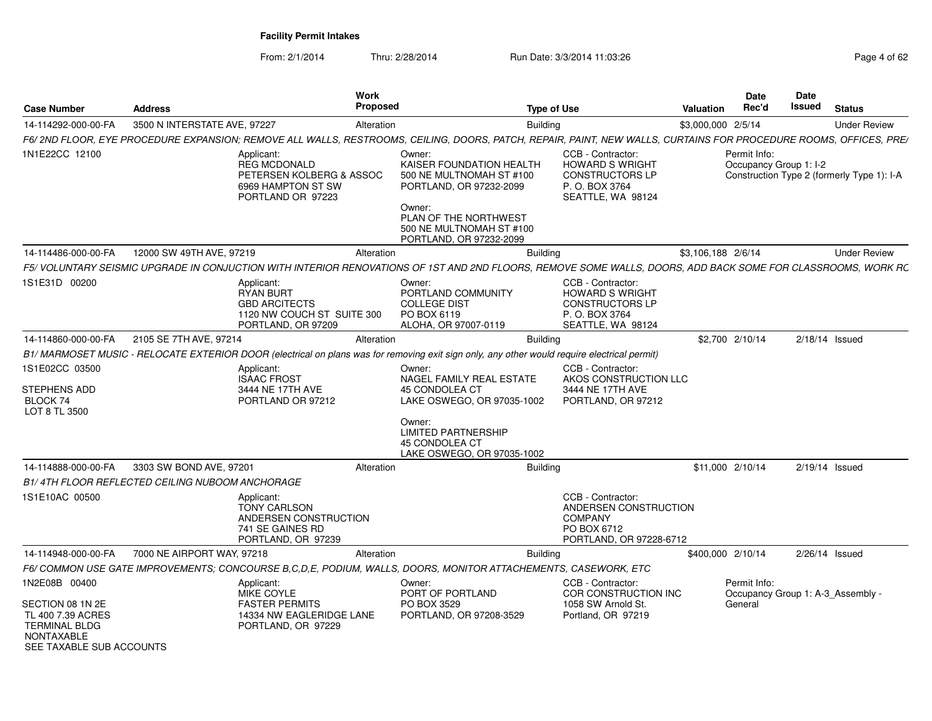From: 2/1/2014

Thru: 2/28/2014 Run Date: 3/3/2014 11:03:26 Rege 4 of 62

| <b>Case Number</b>                                                                                             | <b>Address</b>                                  | Work<br><b>Proposed</b>                                                                                                                                           |                                                                                                                                                                                     | <b>Type of Use</b>                                                                                           | Valuation          | Date<br>Rec'd                          | <b>Date</b><br>Issued | <b>Status</b>                              |
|----------------------------------------------------------------------------------------------------------------|-------------------------------------------------|-------------------------------------------------------------------------------------------------------------------------------------------------------------------|-------------------------------------------------------------------------------------------------------------------------------------------------------------------------------------|--------------------------------------------------------------------------------------------------------------|--------------------|----------------------------------------|-----------------------|--------------------------------------------|
| 14-114292-000-00-FA                                                                                            | 3500 N INTERSTATE AVE, 97227                    | Alteration                                                                                                                                                        |                                                                                                                                                                                     | Building                                                                                                     | \$3,000,000 2/5/14 |                                        |                       | <b>Under Review</b>                        |
|                                                                                                                |                                                 | F6/ 2ND FLOOR, EYE PROCEDURE EXPANSION; REMOVE ALL WALLS, RESTROOMS, CEILING, DOORS, PATCH, REPAIR, PAINT, NEW WALLS, CURTAINS FOR PROCEDURE ROOMS, OFFICES, PRE/ |                                                                                                                                                                                     |                                                                                                              |                    |                                        |                       |                                            |
| 1N1E22CC 12100                                                                                                 |                                                 | Applicant:<br><b>REG MCDONALD</b><br>PETERSEN KOLBERG & ASSOC<br>6969 HAMPTON ST SW<br>PORTLAND OR 97223                                                          | Owner:<br>KAISER FOUNDATION HEALTH<br>500 NE MULTNOMAH ST #100<br>PORTLAND, OR 97232-2099<br>Owner:<br>PLAN OF THE NORTHWEST<br>500 NE MULTNOMAH ST #100<br>PORTLAND, OR 97232-2099 | CCB - Contractor:<br><b>HOWARD S WRIGHT</b><br><b>CONSTRUCTORS LP</b><br>P. O. BOX 3764<br>SEATTLE, WA 98124 |                    | Permit Info:<br>Occupancy Group 1: I-2 |                       | Construction Type 2 (formerly Type 1): I-A |
| 14-114486-000-00-FA                                                                                            | 12000 SW 49TH AVE, 97219                        | Alteration                                                                                                                                                        |                                                                                                                                                                                     | <b>Building</b>                                                                                              | \$3,106,188 2/6/14 |                                        |                       | <b>Under Review</b>                        |
|                                                                                                                |                                                 | F5/ VOLUNTARY SEISMIC UPGRADE IN CONJUCTION WITH INTERIOR RENOVATIONS OF 1ST AND 2ND FLOORS, REMOVE SOME WALLS, DOORS, ADD BACK SOME FOR CLASSROOMS, WORK RC      |                                                                                                                                                                                     |                                                                                                              |                    |                                        |                       |                                            |
| 1S1E31D 00200                                                                                                  |                                                 | Applicant:<br>RYAN BURT<br><b>GBD ARCITECTS</b><br>1120 NW COUCH ST SUITE 300<br>PORTLAND, OR 97209                                                               | Owner:<br>PORTLAND COMMUNITY<br><b>COLLEGE DIST</b><br>PO BOX 6119<br>ALOHA, OR 97007-0119                                                                                          | CCB - Contractor:<br><b>HOWARD S WRIGHT</b><br><b>CONSTRUCTORS LP</b><br>P. O. BOX 3764<br>SEATTLE, WA 98124 |                    |                                        |                       |                                            |
| 14-114860-000-00-FA                                                                                            | 2105 SE 7TH AVE, 97214                          | Alteration                                                                                                                                                        |                                                                                                                                                                                     | <b>Building</b>                                                                                              |                    | \$2,700 2/10/14                        |                       | 2/18/14 Issued                             |
|                                                                                                                |                                                 | B1/ MARMOSET MUSIC - RELOCATE EXTERIOR DOOR (electrical on plans was for removing exit sign only, any other would require electrical permit)                      |                                                                                                                                                                                     |                                                                                                              |                    |                                        |                       |                                            |
| 1S1E02CC 03500<br>STEPHENS ADD<br>BLOCK 74<br>LOT 8 TL 3500                                                    |                                                 | Applicant:<br><b>ISAAC FROST</b><br>3444 NE 17TH AVE<br>PORTLAND OR 97212                                                                                         | Owner:<br>NAGEL FAMILY REAL ESTATE<br>45 CONDOLEA CT<br>LAKE OSWEGO, OR 97035-1002<br>Owner:<br><b>LIMITED PARTNERSHIP</b><br>45 CONDOLEA CT                                        | CCB - Contractor:<br>AKOS CONSTRUCTION LLC<br>3444 NE 17TH AVE<br>PORTLAND, OR 97212                         |                    |                                        |                       |                                            |
|                                                                                                                |                                                 |                                                                                                                                                                   | LAKE OSWEGO, OR 97035-1002                                                                                                                                                          |                                                                                                              |                    |                                        |                       |                                            |
| 14-114888-000-00-FA                                                                                            | 3303 SW BOND AVE, 97201                         | Alteration                                                                                                                                                        |                                                                                                                                                                                     | Building                                                                                                     |                    | \$11,000 2/10/14                       |                       | 2/19/14 Issued                             |
|                                                                                                                | B1/4TH FLOOR REFLECTED CEILING NUBOOM ANCHORAGE |                                                                                                                                                                   |                                                                                                                                                                                     |                                                                                                              |                    |                                        |                       |                                            |
| 1S1E10AC 00500                                                                                                 |                                                 | Applicant:<br><b>TONY CARLSON</b><br>ANDERSEN CONSTRUCTION<br>741 SE GAINES RD<br>PORTLAND, OR 97239                                                              |                                                                                                                                                                                     | CCB - Contractor:<br>ANDERSEN CONSTRUCTION<br>COMPANY<br>PO BOX 6712<br>PORTLAND, OR 97228-6712              |                    |                                        |                       |                                            |
| 14-114948-000-00-FA                                                                                            | 7000 NE AIRPORT WAY, 97218                      | Alteration                                                                                                                                                        |                                                                                                                                                                                     | Building                                                                                                     |                    | \$400,000 2/10/14                      |                       | 2/26/14 Issued                             |
|                                                                                                                |                                                 | F6/ COMMON USE GATE IMPROVEMENTS; CONCOURSE B, C, D, E, PODIUM, WALLS, DOORS, MONITOR ATTACHEMENTS, CASEWORK, ETC                                                 |                                                                                                                                                                                     |                                                                                                              |                    |                                        |                       |                                            |
| 1N2E08B 00400                                                                                                  |                                                 | Applicant:<br>MIKE COYLE                                                                                                                                          | Owner:<br>PORT OF PORTLAND                                                                                                                                                          | CCB - Contractor:<br>COR CONSTRUCTION INC                                                                    |                    | Permit Info:                           |                       | Occupancy Group 1: A-3_Assembly -          |
| SECTION 08 1N 2E<br>TL 400 7.39 ACRES<br><b>TERMINAL BLDG</b><br><b>NONTAXABLE</b><br>SEE TAXABLE SUB ACCOUNTS |                                                 | <b>FASTER PERMITS</b><br>14334 NW EAGLERIDGE LANE<br>PORTLAND, OR 97229                                                                                           | PO BOX 3529<br>PORTLAND, OR 97208-3529                                                                                                                                              | 1058 SW Arnold St.<br>Portland, OR 97219                                                                     |                    | General                                |                       |                                            |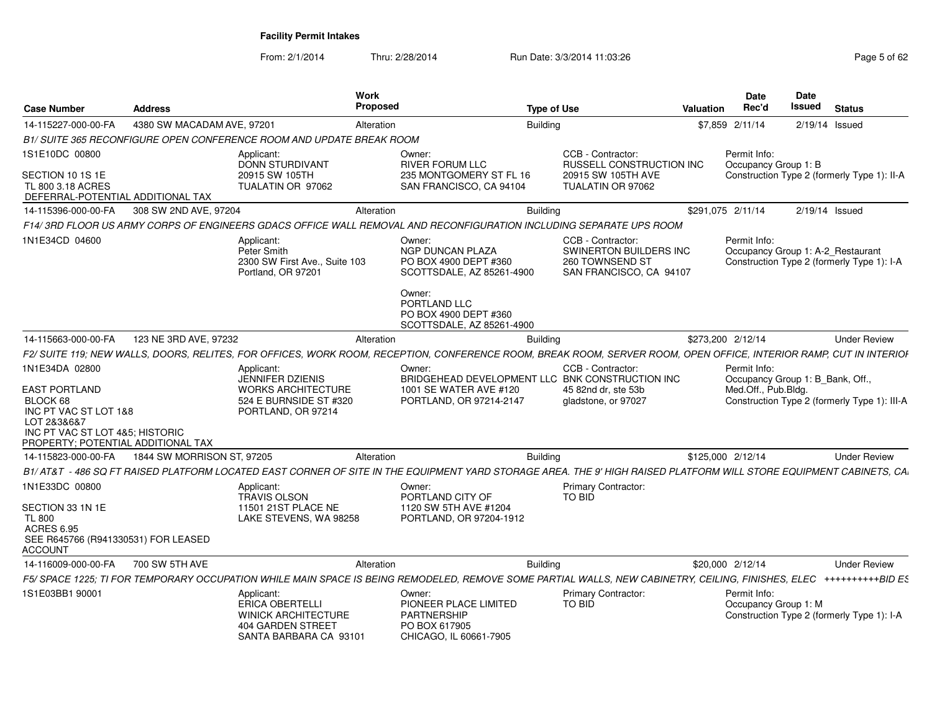| <b>Case Number</b>                                                                                                                                           | <b>Address</b>             |                                                                                                                                                                    | Work<br>Proposed                                                                                                                                                        | <b>Type of Use</b>                                                                                                 | Valuation                                         | <b>Date</b><br>Rec'd                                                    | <b>Date</b><br>Issued | <b>Status</b>                                                                   |
|--------------------------------------------------------------------------------------------------------------------------------------------------------------|----------------------------|--------------------------------------------------------------------------------------------------------------------------------------------------------------------|-------------------------------------------------------------------------------------------------------------------------------------------------------------------------|--------------------------------------------------------------------------------------------------------------------|---------------------------------------------------|-------------------------------------------------------------------------|-----------------------|---------------------------------------------------------------------------------|
| 14-115227-000-00-FA                                                                                                                                          | 4380 SW MACADAM AVE, 97201 |                                                                                                                                                                    | Alteration                                                                                                                                                              | <b>Building</b>                                                                                                    |                                                   | \$7.859 2/11/14                                                         | 2/19/14 Issued        |                                                                                 |
|                                                                                                                                                              |                            | B1/ SUITE 365 RECONFIGURE OPEN CONFERENCE ROOM AND UPDATE BREAK ROOM                                                                                               |                                                                                                                                                                         |                                                                                                                    |                                                   |                                                                         |                       |                                                                                 |
| 1S1E10DC 00800                                                                                                                                               |                            | Applicant:<br>DONN STURDIVANT                                                                                                                                      | Owner:<br><b>RIVER FORUM LLC</b>                                                                                                                                        | CCB - Contractor:                                                                                                  | RUSSELL CONSTRUCTION INC                          | Permit Info:<br>Occupancy Group 1: B                                    |                       |                                                                                 |
| SECTION 10 1S 1E<br>TL 800 3.18 ACRES<br>DEFERRAL-POTENTIAL ADDITIONAL TAX                                                                                   |                            | 20915 SW 105TH<br>TUALATIN OR 97062                                                                                                                                | 235 MONTGOMERY ST FL 16<br>SAN FRANCISCO, CA 94104                                                                                                                      | 20915 SW 105TH AVE<br>TUALATIN OR 97062                                                                            |                                                   |                                                                         |                       | Construction Type 2 (formerly Type 1): II-A                                     |
| 14-115396-000-00-FA                                                                                                                                          | 308 SW 2ND AVE, 97204      |                                                                                                                                                                    | Alteration                                                                                                                                                              | Building                                                                                                           | \$291,075 2/11/14                                 |                                                                         | 2/19/14 Issued        |                                                                                 |
|                                                                                                                                                              |                            | F14/ 3RD FLOOR US ARMY CORPS OF ENGINEERS GDACS OFFICE WALL REMOVAL AND RECONFIGURATION INCLUDING SEPARATE UPS ROOM                                                |                                                                                                                                                                         |                                                                                                                    |                                                   |                                                                         |                       |                                                                                 |
| 1N1E34CD 04600                                                                                                                                               |                            | Applicant:<br>Peter Smith<br>2300 SW First Ave., Suite 103<br>Portland, OR 97201                                                                                   | Owner:<br><b>NGP DUNCAN PLAZA</b><br>PO BOX 4900 DEPT #360<br>SCOTTSDALE, AZ 85261-4900<br>Owner:<br>PORTLAND LLC<br>PO BOX 4900 DEPT #360<br>SCOTTSDALE, AZ 85261-4900 | CCB - Contractor:<br>260 TOWNSEND ST                                                                               | SWINERTON BUILDERS INC<br>SAN FRANCISCO, CA 94107 | Permit Info:                                                            |                       | Occupancy Group 1: A-2_Restaurant<br>Construction Type 2 (formerly Type 1): I-A |
| 14-115663-000-00-FA                                                                                                                                          | 123 NE 3RD AVE, 97232      |                                                                                                                                                                    | Alteration                                                                                                                                                              | <b>Building</b>                                                                                                    | \$273,200 2/12/14                                 |                                                                         |                       | <b>Under Review</b>                                                             |
|                                                                                                                                                              |                            | F2/ SUITE 119; NEW WALLS, DOORS, RELITES, FOR OFFICES, WORK ROOM, RECEPTION, CONFERENCE ROOM, BREAK ROOM, SERVER ROOM, OPEN OFFICE, INTERIOR RAMP, CUT IN INTERIOF |                                                                                                                                                                         |                                                                                                                    |                                                   |                                                                         |                       |                                                                                 |
| 1N1E34DA 02800<br>EAST PORTLAND<br>BLOCK 68<br>INC PT VAC ST LOT 1&8<br>LOT 2&3&6&7<br>INC PT VAC ST LOT 4&5: HISTORIC<br>PROPERTY; POTENTIAL ADDITIONAL TAX |                            | Applicant:<br><b>JENNIFER DZIENIS</b><br><b>WORKS ARCHITECTURE</b><br>524 E BURNSIDE ST #320<br>PORTLAND, OR 97214                                                 | Owner:<br>1001 SE WATER AVE #120<br>PORTLAND, OR 97214-2147                                                                                                             | CCB - Contractor:<br>BRIDGEHEAD DEVELOPMENT LLC BNK CONSTRUCTION INC<br>45 82nd dr. ste 53b<br>gladstone, or 97027 |                                                   | Permit Info:<br>Occupancy Group 1: B_Bank, Off.,<br>Med.Off., Pub.Bldg. |                       | Construction Type 2 (formerly Type 1): III-A                                    |
| 14-115823-000-00-FA                                                                                                                                          | 1844 SW MORRISON ST, 97205 |                                                                                                                                                                    | Alteration                                                                                                                                                              | <b>Building</b>                                                                                                    | \$125,000 2/12/14                                 |                                                                         |                       | <b>Under Review</b>                                                             |
|                                                                                                                                                              |                            | B1/AT&T - 486 SQ FT RAISED PLATFORM LOCATED EAST CORNER OF SITE IN THE EQUIPMENT YARD STORAGE AREA. THE 9' HIGH RAISED PLATFORM WILL STORE EQUIPMENT CABINETS, CA  |                                                                                                                                                                         |                                                                                                                    |                                                   |                                                                         |                       |                                                                                 |
| 1N1E33DC 00800<br>SECTION 33 1N 1E<br><b>TL 800</b><br><b>ACRES 6.95</b><br>SEE R645766 (R941330531) FOR LEASED<br>ACCOUNT                                   |                            | Applicant:<br><b>TRAVIS OLSON</b><br>11501 21ST PLACE NE<br>LAKE STEVENS, WA 98258                                                                                 | Owner:<br>PORTLAND CITY OF<br>1120 SW 5TH AVE #1204<br>PORTLAND, OR 97204-1912                                                                                          | Primary Contractor:<br><b>TO BID</b>                                                                               |                                                   |                                                                         |                       |                                                                                 |
| 14-116009-000-00-FA                                                                                                                                          | 700 SW 5TH AVE             |                                                                                                                                                                    | Alteration                                                                                                                                                              | <b>Building</b>                                                                                                    |                                                   | \$20,000 2/12/14                                                        |                       | <b>Under Review</b>                                                             |
|                                                                                                                                                              |                            | F5/ SPACE 1225: TI FOR TEMPORARY OCCUPATION WHILE MAIN SPACE IS BEING REMODELED. REMOVE SOME PARTIAL WALLS. NEW CABINETRY. CEILING. FINISHES. ELEC *********BID ES |                                                                                                                                                                         |                                                                                                                    |                                                   |                                                                         |                       |                                                                                 |
| 1S1E03BB1 90001                                                                                                                                              |                            | Applicant:<br><b>ERICA OBERTELLI</b><br><b>WINICK ARCHITECTURE</b><br>404 GARDEN STREET<br>SANTA BARBARA CA 93101                                                  | Owner:<br>PIONEER PLACE LIMITED<br>PARTNERSHIP<br>PO BOX 617905<br>CHICAGO, IL 60661-7905                                                                               | Primary Contractor:<br>TO BID                                                                                      |                                                   | Permit Info:<br>Occupancy Group 1: M                                    |                       | Construction Type 2 (formerly Type 1): I-A                                      |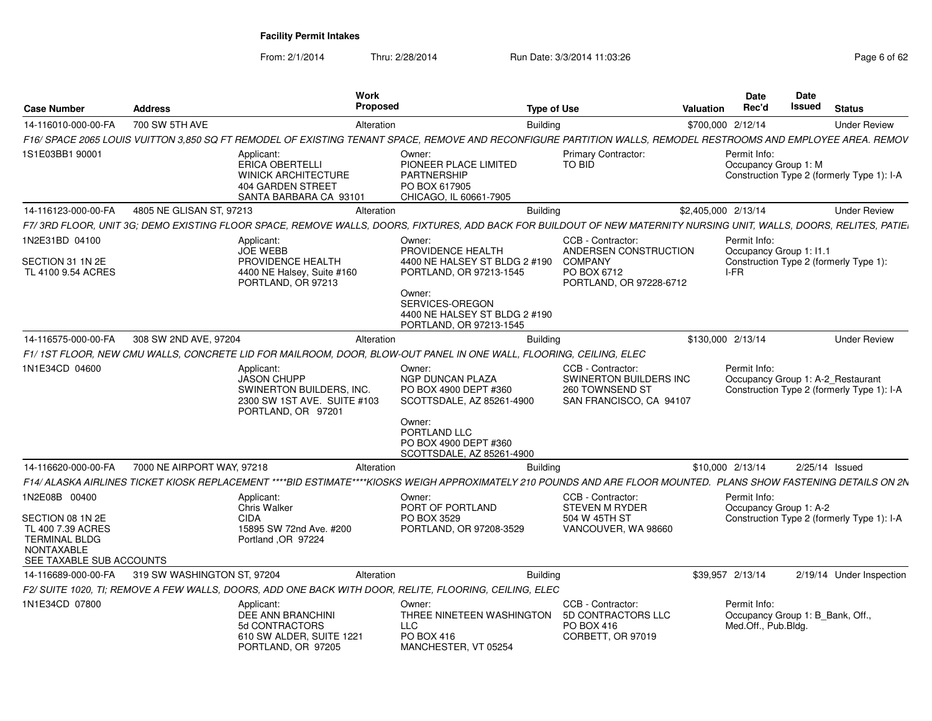From: 2/1/2014

| <b>Case Number</b>                                                                                      | <b>Address</b>              |                                                                                                            | Work<br><b>Proposed</b>                                                                                                                                            | <b>Type of Use</b>                                                                                     | Valuation           | <b>Date</b><br>Rec'd                                                                            | Date<br>Issued | <b>Status</b>  |                          |
|---------------------------------------------------------------------------------------------------------|-----------------------------|------------------------------------------------------------------------------------------------------------|--------------------------------------------------------------------------------------------------------------------------------------------------------------------|--------------------------------------------------------------------------------------------------------|---------------------|-------------------------------------------------------------------------------------------------|----------------|----------------|--------------------------|
| 14-116010-000-00-FA                                                                                     | 700 SW 5TH AVE              |                                                                                                            | Alteration                                                                                                                                                         | Building                                                                                               | \$700,000 2/12/14   |                                                                                                 |                |                | <b>Under Review</b>      |
|                                                                                                         |                             |                                                                                                            | F16/ SPACE 2065 LOUIS VUITTON 3,850 SQ FT REMODEL OF EXISTING TENANT SPACE, REMOVE AND RECONFIGURE PARTITION WALLS, REMODEL RESTROOMS AND EMPLOYEE AREA. REMOV     |                                                                                                        |                     |                                                                                                 |                |                |                          |
| 1S1E03BB1 90001                                                                                         |                             | Applicant:<br>ERICA OBERTELLI<br><b>WINICK ARCHITECTURE</b><br>404 GARDEN STREET<br>SANTA BARBARA CA 93101 | Owner:<br>PIONEER PLACE LIMITED<br><b>PARTNERSHIP</b><br>PO BOX 617905<br>CHICAGO, IL 60661-7905                                                                   | <b>Primary Contractor:</b><br>TO BID                                                                   |                     | Permit Info:<br>Occupancy Group 1: M<br>Construction Type 2 (formerly Type 1): I-A              |                |                |                          |
| 14-116123-000-00-FA                                                                                     | 4805 NE GLISAN ST, 97213    |                                                                                                            | Alteration                                                                                                                                                         | Building                                                                                               | \$2,405,000 2/13/14 |                                                                                                 |                |                | <b>Under Review</b>      |
|                                                                                                         |                             |                                                                                                            | F7/3RD FLOOR, UNIT 3G; DEMO EXISTING FLOOR SPACE, REMOVE WALLS, DOORS, FIXTURES, ADD BACK FOR BUILDOUT OF NEW MATERNITY NURSING UNIT, WALLS, DOORS, RELITES, PATIE |                                                                                                        |                     |                                                                                                 |                |                |                          |
| 1N2E31BD 04100<br>SECTION 31 1N 2E<br>TL 4100 9.54 ACRES                                                |                             | Applicant:<br><b>JOE WEBB</b><br>PROVIDENCE HEALTH<br>4400 NE Halsey, Suite #160<br>PORTLAND, OR 97213     | Owner:<br>PROVIDENCE HEALTH<br>4400 NE HALSEY ST BLDG 2 #190<br>PORTLAND, OR 97213-1545<br>Owner:                                                                  | CCB - Contractor:<br>ANDERSEN CONSTRUCTION<br><b>COMPANY</b><br>PO BOX 6712<br>PORTLAND, OR 97228-6712 |                     | Permit Info:<br>Occupancy Group 1: I1.1<br>Construction Type 2 (formerly Type 1):<br>I-FR       |                |                |                          |
|                                                                                                         |                             |                                                                                                            | SERVICES-OREGON<br>4400 NE HALSEY ST BLDG 2 #190<br>PORTLAND, OR 97213-1545                                                                                        |                                                                                                        |                     |                                                                                                 |                |                |                          |
| 14-116575-000-00-FA                                                                                     | 308 SW 2ND AVE, 97204       |                                                                                                            | Alteration                                                                                                                                                         | <b>Building</b>                                                                                        | \$130,000 2/13/14   |                                                                                                 |                |                | <b>Under Review</b>      |
|                                                                                                         |                             |                                                                                                            | F1/1ST FLOOR, NEW CMU WALLS, CONCRETE LID FOR MAILROOM, DOOR, BLOW-OUT PANEL IN ONE WALL, FLOORING, CEILING, ELEC                                                  |                                                                                                        |                     |                                                                                                 |                |                |                          |
| 1N1E34CD 04600                                                                                          |                             | Applicant:<br>JASON CHUPP<br>SWINERTON BUILDERS, INC.<br>2300 SW 1ST AVE. SUITE #103<br>PORTLAND, OR 97201 | Owner:<br><b>NGP DUNCAN PLAZA</b><br>PO BOX 4900 DEPT #360<br>SCOTTSDALE, AZ 85261-4900<br>Owner:                                                                  | CCB - Contractor:<br>SWINERTON BUILDERS INC<br>260 TOWNSEND ST<br>SAN FRANCISCO, CA 94107              |                     | Permit Info:<br>Occupancy Group 1: A-2 Restaurant<br>Construction Type 2 (formerly Type 1): I-A |                |                |                          |
|                                                                                                         |                             |                                                                                                            | PORTLAND LLC<br>PO BOX 4900 DEPT #360<br>SCOTTSDALE, AZ 85261-4900                                                                                                 |                                                                                                        |                     |                                                                                                 |                |                |                          |
| 14-116620-000-00-FA                                                                                     | 7000 NE AIRPORT WAY, 97218  |                                                                                                            | Alteration                                                                                                                                                         | <b>Building</b>                                                                                        |                     | \$10,000 2/13/14                                                                                |                | 2/25/14 Issued |                          |
|                                                                                                         |                             |                                                                                                            | F14/ ALASKA AIRLINES TICKET KIOSK REPLACEMENT ****BID ESTIMATE****KIOSKS WEIGH APPROXIMATELY 210 POUNDS AND ARE FLOOR MOUNTED. PLANS SHOW FASTENING DETAILS ON 2N  |                                                                                                        |                     |                                                                                                 |                |                |                          |
| 1N2E08B 00400                                                                                           |                             | Applicant:<br>Chris Walker                                                                                 | Owner:<br>PORT OF PORTLAND                                                                                                                                         | CCB - Contractor:<br><b>STEVEN M RYDER</b>                                                             |                     | Permit Info:<br>Occupancy Group 1: A-2                                                          |                |                |                          |
| SECTION 08 1N 2E<br>TL 400 7.39 ACRES<br><b>TERMINAL BLDG</b><br>NONTAXABLE<br>SEE TAXABLE SUB ACCOUNTS |                             | <b>CIDA</b><br>15895 SW 72nd Ave. #200<br>Portland , OR 97224                                              | PO BOX 3529<br>PORTLAND, OR 97208-3529                                                                                                                             | 504 W 45TH ST<br>VANCOUVER, WA 98660                                                                   |                     | Construction Type 2 (formerly Type 1): I-A                                                      |                |                |                          |
| 14-116689-000-00-FA                                                                                     | 319 SW WASHINGTON ST, 97204 |                                                                                                            | Alteration                                                                                                                                                         | <b>Building</b>                                                                                        |                     | \$39.957 2/13/14                                                                                |                |                | 2/19/14 Under Inspection |
|                                                                                                         |                             |                                                                                                            | F2/ SUITE 1020, TI; REMOVE A FEW WALLS, DOORS, ADD ONE BACK WITH DOOR, RELITE, FLOORING, CEILING, ELEC                                                             |                                                                                                        |                     |                                                                                                 |                |                |                          |
| 1N1E34CD 07800                                                                                          |                             | Applicant:<br>DEE ANN BRANCHINI<br>5d CONTRACTORS<br>610 SW ALDER, SUITE 1221<br>PORTLAND, OR 97205        | Owner:<br>THREE NINETEEN WASHINGTON<br><b>LLC</b><br>PO BOX 416<br>MANCHESTER. VT 05254                                                                            | CCB - Contractor:<br>5D CONTRACTORS LLC<br>PO BOX 416<br>CORBETT, OR 97019                             |                     | Permit Info:<br>Occupancy Group 1: B Bank, Off.,<br>Med.Off., Pub.Bldg.                         |                |                |                          |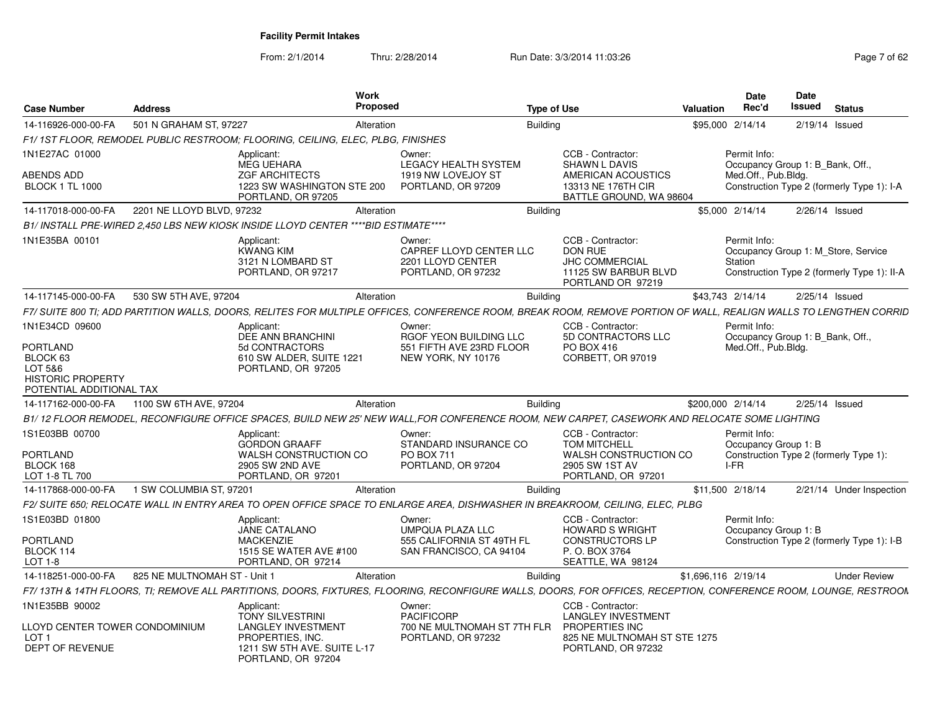| <b>Case Number</b>                                                                      | <b>Address</b>               |                                                                                                    | Work<br><b>Proposed</b> |                                                                                                                                                                   | <b>Type of Use</b>                                                                                        | <b>Valuation</b> | <b>Date</b><br>Rec'd                                                                                          | <b>Date</b><br>Issued | <b>Status</b>            |
|-----------------------------------------------------------------------------------------|------------------------------|----------------------------------------------------------------------------------------------------|-------------------------|-------------------------------------------------------------------------------------------------------------------------------------------------------------------|-----------------------------------------------------------------------------------------------------------|------------------|---------------------------------------------------------------------------------------------------------------|-----------------------|--------------------------|
| 14-116926-000-00-FA                                                                     | 501 N GRAHAM ST. 97227       |                                                                                                    | Alteration              | <b>Building</b>                                                                                                                                                   |                                                                                                           |                  | \$95,000 2/14/14                                                                                              | 2/19/14 Issued        |                          |
|                                                                                         |                              | F1/1ST FLOOR, REMODEL PUBLIC RESTROOM; FLOORING, CEILING, ELEC, PLBG, FINISHES                     |                         |                                                                                                                                                                   |                                                                                                           |                  |                                                                                                               |                       |                          |
| 1N1E27AC 01000<br>ABENDS ADD                                                            |                              | Applicant:<br><b>MEG UEHARA</b><br><b>ZGF ARCHITECTS</b>                                           |                         | Owner:<br><b>LEGACY HEALTH SYSTEM</b><br>1919 NW LOVEJOY ST                                                                                                       | CCB - Contractor:<br><b>SHAWN L DAVIS</b><br>AMERICAN ACOUSTICS                                           |                  | Permit Info:<br>Occupancy Group 1: B Bank, Off.<br>Med.Off., Pub.Bldg.                                        |                       |                          |
| <b>BLOCK 1 TL 1000</b>                                                                  |                              | 1223 SW WASHINGTON STE 200<br>PORTLAND, OR 97205                                                   |                         | PORTLAND, OR 97209                                                                                                                                                | 13313 NE 176TH CIR<br>BATTLE GROUND, WA 98604                                                             |                  | Construction Type 2 (formerly Type 1): I-A                                                                    |                       |                          |
| 14-117018-000-00-FA                                                                     | 2201 NE LLOYD BLVD, 97232    |                                                                                                    | Alteration              | <b>Building</b>                                                                                                                                                   |                                                                                                           |                  | \$5,000 2/14/14                                                                                               | 2/26/14 Issued        |                          |
|                                                                                         |                              | B1/ INSTALL PRE-WIRED 2.450 LBS NEW KIOSK INSIDE LLOYD CENTER ****BID ESTIMATE****                 |                         |                                                                                                                                                                   |                                                                                                           |                  |                                                                                                               |                       |                          |
| 1N1E35BA 00101                                                                          |                              | Applicant:<br><b>KWANG KIM</b><br>3121 N LOMBARD ST<br>PORTLAND, OR 97217                          |                         | Owner:<br>CAPREF LLOYD CENTER LLC<br>2201 LLOYD CENTER<br>PORTLAND, OR 97232                                                                                      | CCB - Contractor:<br><b>DON RUE</b><br><b>JHC COMMERCIAL</b><br>11125 SW BARBUR BLVD<br>PORTLAND OR 97219 |                  | Permit Info:<br>Occupancy Group 1: M Store, Service<br>Station<br>Construction Type 2 (formerly Type 1): II-A |                       |                          |
| 14-117145-000-00-FA                                                                     | 530 SW 5TH AVE, 97204        |                                                                                                    | Alteration              | <b>Building</b>                                                                                                                                                   |                                                                                                           |                  | \$43,743 2/14/14                                                                                              | 2/25/14 Issued        |                          |
|                                                                                         |                              |                                                                                                    |                         | F7/ SUITE 800 TI; ADD PARTITION WALLS, DOORS, RELITES FOR MULTIPLE OFFICES, CONFERENCE ROOM, BREAK ROOM, REMOVE PORTION OF WALL, REALIGN WALLS TO LENGTHEN CORRID |                                                                                                           |                  |                                                                                                               |                       |                          |
| 1N1E34CD 09600                                                                          |                              | Applicant:<br>DEE ANN BRANCHINI                                                                    |                         | Owner:<br>RGOF YEON BUILDING LLC                                                                                                                                  | CCB - Contractor:<br>5D CONTRACTORS LLC                                                                   |                  | Permit Info:<br>Occupancy Group 1: B Bank, Off.,                                                              |                       |                          |
| PORTLAND<br>BLOCK 63<br>LOT 5&6<br><b>HISTORIC PROPERTY</b><br>POTENTIAL ADDITIONAL TAX |                              | 5d CONTRACTORS<br>610 SW ALDER, SUITE 1221<br>PORTLAND, OR 97205                                   |                         | 551 FIFTH AVE 23RD FLOOR<br>NEW YORK, NY 10176                                                                                                                    | PO BOX 416<br>CORBETT, OR 97019                                                                           |                  | Med.Off., Pub.Bldg.                                                                                           |                       |                          |
| 14-117162-000-00-FA                                                                     | 1100 SW 6TH AVE, 97204       |                                                                                                    | Alteration              | <b>Building</b>                                                                                                                                                   |                                                                                                           |                  | \$200,000 2/14/14                                                                                             | 2/25/14 Issued        |                          |
|                                                                                         |                              |                                                                                                    |                         | B1/12 FLOOR REMODEL, RECONFIGURE OFFICE SPACES, BUILD NEW 25' NEW WALL,FOR CONFERENCE ROOM, NEW CARPET, CASEWORK AND RELOCATE SOME LIGHTING                       |                                                                                                           |                  |                                                                                                               |                       |                          |
| 1S1E03BB 00700<br>PORTLAND                                                              |                              | Applicant:<br><b>GORDON GRAAFF</b><br>WALSH CONSTRUCTION CO                                        |                         | Owner:<br>STANDARD INSURANCE CO<br>PO BOX 711                                                                                                                     | CCB - Contractor:<br><b>TOM MITCHELL</b><br>WALSH CONSTRUCTION CO                                         |                  | Permit Info:<br>Occupancy Group 1: B<br>Construction Type 2 (formerly Type 1):                                |                       |                          |
| BLOCK 168<br>LOT 1-8 TL 700                                                             |                              | 2905 SW 2ND AVE<br>PORTLAND, OR 97201                                                              |                         | PORTLAND, OR 97204                                                                                                                                                | 2905 SW 1ST AV<br>PORTLAND, OR 97201                                                                      |                  | I-FR                                                                                                          |                       |                          |
| 14-117868-000-00-FA                                                                     | 1 SW COLUMBIA ST, 97201      |                                                                                                    | Alteration              | <b>Building</b>                                                                                                                                                   |                                                                                                           |                  | \$11,500 2/18/14                                                                                              |                       | 2/21/14 Under Inspection |
|                                                                                         |                              |                                                                                                    |                         | F2/ SUITE 650: RELOCATE WALL IN ENTRY AREA TO OPEN OFFICE SPACE TO ENLARGE AREA. DISHWASHER IN BREAKROOM. CEILING. ELEC. PLBG                                     |                                                                                                           |                  |                                                                                                               |                       |                          |
| 1S1E03BD 01800                                                                          |                              | Applicant:<br><b>JANE CATALANO</b>                                                                 |                         | Owner:<br><b>UMPQUA PLAZA LLC</b>                                                                                                                                 | CCB - Contractor:<br><b>HOWARD S WRIGHT</b>                                                               |                  | Permit Info:<br>Occupancy Group 1: B                                                                          |                       |                          |
| PORTLAND<br>BLOCK 114<br>LOT 1-8                                                        |                              | <b>MACKENZIE</b><br>1515 SE WATER AVE #100<br>PORTLAND, OR 97214                                   |                         | 555 CALIFORNIA ST 49TH FL<br>SAN FRANCISCO, CA 94104                                                                                                              | <b>CONSTRUCTORS LP</b><br>P. O. BOX 3764<br>SEATTLE, WA 98124                                             |                  | Construction Type 2 (formerly Type 1): I-B                                                                    |                       |                          |
| 14-118251-000-00-FA                                                                     | 825 NE MULTNOMAH ST - Unit 1 |                                                                                                    | Alteration              | <b>Building</b>                                                                                                                                                   |                                                                                                           |                  | \$1,696,116 2/19/14                                                                                           |                       | <b>Under Review</b>      |
|                                                                                         |                              |                                                                                                    |                         | F7/ 13TH & 14TH FLOORS, TI; REMOVE ALL PARTITIONS, DOORS, FIXTURES, FLOORING, RECONFIGURE WALLS, DOORS, FOR OFFICES, RECEPTION, CONFERENCE ROOM, LOUNGE, RESTROON |                                                                                                           |                  |                                                                                                               |                       |                          |
| 1N1E35BB 90002                                                                          |                              | Applicant:<br><b>TONY SILVESTRINI</b>                                                              |                         | Owner:<br>PACIFICORP                                                                                                                                              | CCB - Contractor:<br><b>LANGLEY INVESTMENT</b>                                                            |                  |                                                                                                               |                       |                          |
| LLOYD CENTER TOWER CONDOMINIUM<br>LOT 1<br>DEPT OF REVENUE                              |                              | <b>LANGLEY INVESTMENT</b><br>PROPERTIES, INC.<br>1211 SW 5TH AVE. SUITE L-17<br>PORTLAND, OR 97204 |                         | 700 NE MULTNOMAH ST 7TH FLR<br>PORTLAND, OR 97232                                                                                                                 | PROPERTIES INC<br>825 NE MULTNOMAH ST STE 1275<br>PORTLAND, OR 97232                                      |                  |                                                                                                               |                       |                          |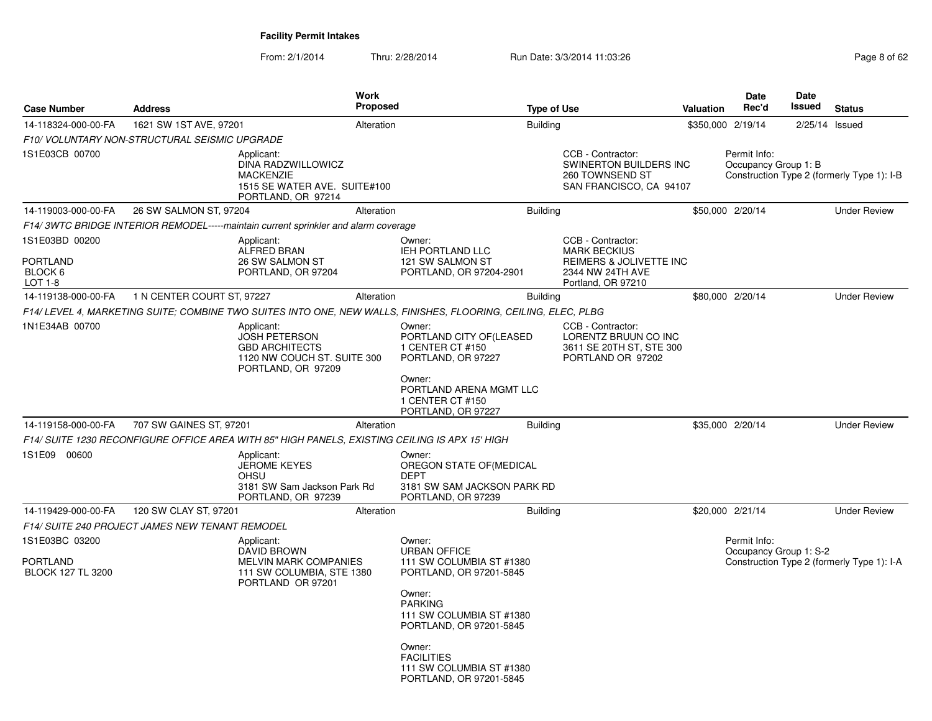| <b>Case Number</b>                              | <b>Address</b>             |                                                                                                                  | Work<br><b>Proposed</b> |                                                                                                                | <b>Type of Use</b> |                                                                                                  | Valuation         | Date<br>Rec'd                        | Date<br>Issued   | <b>Status</b>                              |
|-------------------------------------------------|----------------------------|------------------------------------------------------------------------------------------------------------------|-------------------------|----------------------------------------------------------------------------------------------------------------|--------------------|--------------------------------------------------------------------------------------------------|-------------------|--------------------------------------|------------------|--------------------------------------------|
| 14-118324-000-00-FA                             | 1621 SW 1ST AVE, 97201     |                                                                                                                  | Alteration              |                                                                                                                | <b>Building</b>    |                                                                                                  | \$350,000 2/19/14 |                                      | $2/25/14$ Issued |                                            |
| F10/ VOLUNTARY NON-STRUCTURAL SEISMIC UPGRADE   |                            |                                                                                                                  |                         |                                                                                                                |                    |                                                                                                  |                   |                                      |                  |                                            |
| 1S1E03CB 00700                                  |                            | Applicant:<br>DINA RADZWILLOWICZ<br><b>MACKENZIE</b><br>1515 SE WATER AVE. SUITE#100<br>PORTLAND, OR 97214       |                         |                                                                                                                |                    | CCB - Contractor:<br><b>SWINERTON BUILDERS INC</b><br>260 TOWNSEND ST<br>SAN FRANCISCO, CA 94107 |                   | Permit Info:<br>Occupancy Group 1: B |                  | Construction Type 2 (formerly Type 1): I-B |
| 14-119003-000-00-FA                             | 26 SW SALMON ST, 97204     |                                                                                                                  | Alteration              |                                                                                                                | <b>Building</b>    |                                                                                                  |                   | \$50,000 2/20/14                     |                  | <b>Under Review</b>                        |
|                                                 |                            | F14/3WTC BRIDGE INTERIOR REMODEL-----maintain current sprinkler and alarm coverage                               |                         |                                                                                                                |                    |                                                                                                  |                   |                                      |                  |                                            |
| 1S1E03BD 00200<br><b>PORTLAND</b><br>BLOCK 6    |                            | Applicant:<br>ALFRED BRAN<br>26 SW SALMON ST<br>PORTLAND, OR 97204                                               |                         | Owner:<br>IEH PORTLAND LLC<br>121 SW SALMON ST<br>PORTLAND, OR 97204-2901                                      |                    | CCB - Contractor:<br><b>MARK BECKIUS</b><br>REIMERS & JOLIVETTE INC<br>2344 NW 24TH AVE          |                   |                                      |                  |                                            |
| LOT 1-8                                         |                            |                                                                                                                  |                         |                                                                                                                |                    | Portland, OR 97210                                                                               |                   |                                      |                  |                                            |
| 14-119138-000-00-FA                             | 1 N CENTER COURT ST, 97227 |                                                                                                                  | Alteration              |                                                                                                                | <b>Building</b>    |                                                                                                  |                   | \$80,000 2/20/14                     |                  | <b>Under Review</b>                        |
|                                                 |                            |                                                                                                                  |                         | F14/ LEVEL 4, MARKETING SUITE; COMBINE TWO SUITES INTO ONE, NEW WALLS, FINISHES, FLOORING, CEILING, ELEC, PLBG |                    |                                                                                                  |                   |                                      |                  |                                            |
| 1N1E34AB 00700                                  |                            | Applicant:<br><b>JOSH PETERSON</b><br><b>GBD ARCHITECTS</b><br>1120 NW COUCH ST. SUITE 300<br>PORTLAND, OR 97209 |                         | Owner:<br>PORTLAND CITY OF(LEASED<br>1 CENTER CT #150<br>PORTLAND, OR 97227                                    |                    | CCB - Contractor:<br>LORENTZ BRUUN CO INC<br>3611 SE 20TH ST, STE 300<br>PORTLAND OR 97202       |                   |                                      |                  |                                            |
|                                                 |                            |                                                                                                                  |                         | Owner:<br>PORTLAND ARENA MGMT LLC<br>1 CENTER CT #150<br>PORTLAND, OR 97227                                    |                    |                                                                                                  |                   |                                      |                  |                                            |
| 14-119158-000-00-FA                             | 707 SW GAINES ST, 97201    |                                                                                                                  | Alteration              |                                                                                                                | <b>Building</b>    |                                                                                                  |                   | \$35,000 2/20/14                     |                  | <b>Under Review</b>                        |
|                                                 |                            | F14/ SUITE 1230 RECONFIGURE OFFICE AREA WITH 85" HIGH PANELS, EXISTING CEILING IS APX 15' HIGH                   |                         |                                                                                                                |                    |                                                                                                  |                   |                                      |                  |                                            |
| 1S1E09 00600                                    |                            | Applicant:<br><b>JEROME KEYES</b><br><b>OHSU</b><br>3181 SW Sam Jackson Park Rd<br>PORTLAND, OR 97239            |                         | Owner:<br>OREGON STATE OF (MEDICAL<br><b>DEPT</b><br>3181 SW SAM JACKSON PARK RD<br>PORTLAND, OR 97239         |                    |                                                                                                  |                   |                                      |                  |                                            |
| 14-119429-000-00-FA                             | 120 SW CLAY ST, 97201      |                                                                                                                  | Alteration              |                                                                                                                | <b>Building</b>    |                                                                                                  |                   | \$20,000 2/21/14                     |                  | <b>Under Review</b>                        |
| F14/ SUITE 240 PROJECT JAMES NEW TENANT REMODEL |                            |                                                                                                                  |                         |                                                                                                                |                    |                                                                                                  |                   |                                      |                  |                                            |
| 1S1E03BC 03200                                  |                            | Applicant:                                                                                                       |                         | Owner:                                                                                                         |                    |                                                                                                  |                   | Permit Info:                         |                  |                                            |
| <b>PORTLAND</b><br><b>BLOCK 127 TL 3200</b>     |                            | <b>DAVID BROWN</b><br>MELVIN MARK COMPANIES<br>111 SW COLUMBIA, STE 1380<br>PORTLAND OR 97201                    |                         | <b>URBAN OFFICE</b><br>111 SW COLUMBIA ST #1380<br>PORTLAND, OR 97201-5845<br>Owner:<br><b>PARKING</b>         |                    |                                                                                                  |                   | Occupancy Group 1: S-2               |                  | Construction Type 2 (formerly Type 1): I-A |
|                                                 |                            |                                                                                                                  |                         | 111 SW COLUMBIA ST #1380<br>PORTLAND, OR 97201-5845<br>Owner:<br><b>FACILITIES</b>                             |                    |                                                                                                  |                   |                                      |                  |                                            |
|                                                 |                            |                                                                                                                  |                         | 111 SW COLUMBIA ST #1380<br>PORTLAND, OR 97201-5845                                                            |                    |                                                                                                  |                   |                                      |                  |                                            |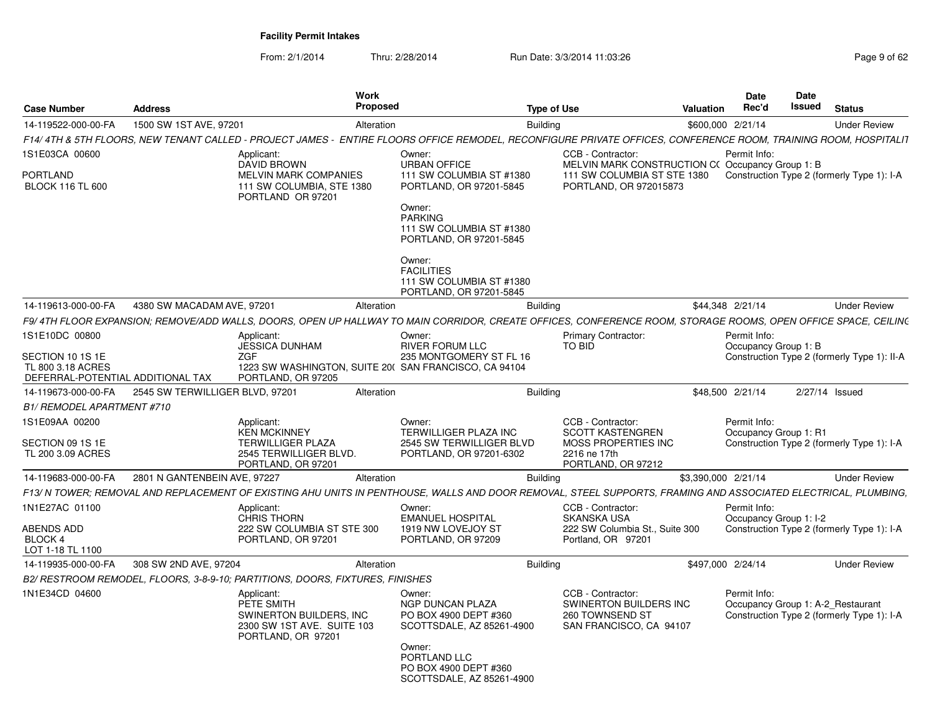| <b>Case Number</b>                                                         | <b>Address</b>                  |                                                                                                         | Work<br><b>Proposed</b> |                                                                                                                                                                  | <b>Type of Use</b> |                                                                                           | Valuation           | <b>Date</b><br>Rec'd                              | Date<br>Issued | <b>Status</b>                               |
|----------------------------------------------------------------------------|---------------------------------|---------------------------------------------------------------------------------------------------------|-------------------------|------------------------------------------------------------------------------------------------------------------------------------------------------------------|--------------------|-------------------------------------------------------------------------------------------|---------------------|---------------------------------------------------|----------------|---------------------------------------------|
| 14-119522-000-00-FA                                                        | 1500 SW 1ST AVE, 97201          |                                                                                                         | Alteration              |                                                                                                                                                                  | <b>Building</b>    |                                                                                           |                     | \$600,000 2/21/14                                 |                | <b>Under Review</b>                         |
|                                                                            |                                 |                                                                                                         |                         | F14/ 4TH & 5TH FLOORS, NEW TENANT CALLED - PROJECT JAMES - ENTIRE FLOORS OFFICE REMODEL, RECONFIGURE PRIVATE OFFICES, CONFERENCE ROOM, TRAINING ROOM, HOSPITALIT |                    |                                                                                           |                     |                                                   |                |                                             |
| IS1E03CA 00600                                                             |                                 | Applicant:<br><b>DAVID BROWN</b>                                                                        |                         | Owner:<br><b>URBAN OFFICE</b>                                                                                                                                    |                    | CCB - Contractor:<br>MELVIN MARK CONSTRUCTION C(Occupancy Group 1: B                      |                     | Permit Info:                                      |                |                                             |
| PORTLAND<br><b>BLOCK 116 TL 600</b>                                        |                                 | MELVIN MARK COMPANIES<br>111 SW COLUMBIA, STE 1380<br>PORTLAND OR 97201                                 |                         | 111 SW COLUMBIA ST #1380<br>PORTLAND, OR 97201-5845<br>Owner:<br><b>PARKING</b>                                                                                  |                    | 111 SW COLUMBIA ST STE 1380<br>PORTLAND, OR 972015873                                     |                     |                                                   |                | Construction Type 2 (formerly Type 1): I-A  |
|                                                                            |                                 |                                                                                                         |                         | 111 SW COLUMBIA ST #1380<br>PORTLAND, OR 97201-5845                                                                                                              |                    |                                                                                           |                     |                                                   |                |                                             |
|                                                                            |                                 |                                                                                                         |                         | Owner:<br><b>FACILITIES</b><br>111 SW COLUMBIA ST #1380<br>PORTLAND, OR 97201-5845                                                                               |                    |                                                                                           |                     |                                                   |                |                                             |
| 14-119613-000-00-FA                                                        | 4380 SW MACADAM AVE, 97201      |                                                                                                         | Alteration              |                                                                                                                                                                  | <b>Building</b>    |                                                                                           |                     | \$44,348 2/21/14                                  |                | <b>Under Review</b>                         |
|                                                                            |                                 |                                                                                                         |                         | F9/4TH FLOOR EXPANSION: REMOVE/ADD WALLS. DOORS. OPEN UP HALLWAY TO MAIN CORRIDOR. CREATE OFFICES. CONFERENCE ROOM. STORAGE ROOMS. OPEN OFFICE SPACE. CEILING    |                    |                                                                                           |                     |                                                   |                |                                             |
| IS1E10DC 00800                                                             |                                 | Applicant:<br><b>JESSICA DUNHAM</b>                                                                     |                         | Owner:<br>RIVER FORUM LLC                                                                                                                                        |                    | <b>Primary Contractor:</b><br>TO BID                                                      |                     | Permit Info:<br>Occupancy Group 1: B              |                |                                             |
| SECTION 10 1S 1E<br>TL 800 3.18 ACRES<br>DEFERRAL-POTENTIAL ADDITIONAL TAX |                                 | ZGF<br>PORTLAND, OR 97205                                                                               |                         | 235 MONTGOMERY ST FL 16<br>1223 SW WASHINGTON, SUITE 20( SAN FRANCISCO, CA 94104                                                                                 |                    |                                                                                           |                     |                                                   |                | Construction Type 2 (formerly Type 1): II-A |
| 14-119673-000-00-FA                                                        | 2545 SW TERWILLIGER BLVD, 97201 |                                                                                                         | Alteration              |                                                                                                                                                                  | <b>Building</b>    |                                                                                           |                     | \$48,500 2/21/14                                  | 2/27/14 Issued |                                             |
| B1/ REMODEL APARTMENT #710                                                 |                                 |                                                                                                         |                         |                                                                                                                                                                  |                    |                                                                                           |                     |                                                   |                |                                             |
| 1S1E09AA 00200                                                             |                                 | Applicant:<br><b>KEN MCKINNEY</b>                                                                       |                         | Owner:<br><b>TERWILLIGER PLAZA INC</b>                                                                                                                           |                    | CCB - Contractor:<br><b>SCOTT KASTENGREN</b>                                              |                     | Permit Info:<br>Occupancy Group 1: R1             |                |                                             |
| SECTION 09 1S 1E<br>TL 200 3.09 ACRES                                      |                                 | <b>TERWILLIGER PLAZA</b><br>2545 TERWILLIGER BLVD.<br>PORTLAND, OR 97201                                |                         | 2545 SW TERWILLIGER BLVD<br>PORTLAND, OR 97201-6302                                                                                                              |                    | MOSS PROPERTIES INC<br>2216 ne 17th<br>PORTLAND, OR 97212                                 |                     |                                                   |                | Construction Type 2 (formerly Type 1): I-A  |
| 14-119683-000-00-FA                                                        | 2801 N GANTENBEIN AVE, 97227    |                                                                                                         | Alteration              |                                                                                                                                                                  | <b>Building</b>    |                                                                                           | \$3.390.000 2/21/14 |                                                   |                | <b>Under Review</b>                         |
|                                                                            |                                 |                                                                                                         |                         | F13/ N TOWER; REMOVAL AND REPLACEMENT OF EXISTING AHU UNITS IN PENTHOUSE, WALLS AND DOOR REMOVAL, STEEL SUPPORTS, FRAMING AND ASSOCIATED ELECTRICAL, PLUMBING,   |                    |                                                                                           |                     |                                                   |                |                                             |
| 1N1E27AC 01100                                                             |                                 | Applicant:<br><b>CHRIS THORN</b>                                                                        |                         | Owner:<br><b>EMANUEL HOSPITAL</b>                                                                                                                                |                    | CCB - Contractor:<br><b>SKANSKA USA</b>                                                   |                     | Permit Info:<br>Occupancy Group 1: I-2            |                |                                             |
| ABENDS ADD<br>BLOCK 4<br>LOT 1-18 TL 1100                                  |                                 | 222 SW COLUMBIA ST STE 300<br>PORTLAND, OR 97201                                                        |                         | 1919 NW LOVEJOY ST<br>PORTLAND, OR 97209                                                                                                                         |                    | 222 SW Columbia St., Suite 300<br>Portland, OR 97201                                      |                     |                                                   |                | Construction Type 2 (formerly Type 1): I-A  |
| 14-119935-000-00-FA                                                        | 308 SW 2ND AVE, 97204           |                                                                                                         | Alteration              |                                                                                                                                                                  | <b>Building</b>    |                                                                                           |                     | \$497,000 2/24/14                                 |                | <b>Under Review</b>                         |
|                                                                            |                                 | B2/ RESTROOM REMODEL, FLOORS, 3-8-9-10; PARTITIONS, DOORS, FIXTURES, FINISHES                           |                         |                                                                                                                                                                  |                    |                                                                                           |                     |                                                   |                |                                             |
| 1N1E34CD 04600                                                             |                                 | Applicant:<br>PETE SMITH<br>SWINERTON BUILDERS, INC<br>2300 SW 1ST AVE. SUITE 103<br>PORTLAND, OR 97201 |                         | Owner:<br>NGP DUNCAN PLAZA<br>PO BOX 4900 DEPT #360<br>SCOTTSDALE, AZ 85261-4900                                                                                 |                    | CCB - Contractor:<br>SWINERTON BUILDERS INC<br>260 TOWNSEND ST<br>SAN FRANCISCO, CA 94107 |                     | Permit Info:<br>Occupancy Group 1: A-2 Restaurant |                | Construction Type 2 (formerly Type 1): I-A  |
|                                                                            |                                 |                                                                                                         |                         | Owner:<br>PORTLAND LLC<br>PO BOX 4900 DEPT #360<br>SCOTTSDALE, AZ 85261-4900                                                                                     |                    |                                                                                           |                     |                                                   |                |                                             |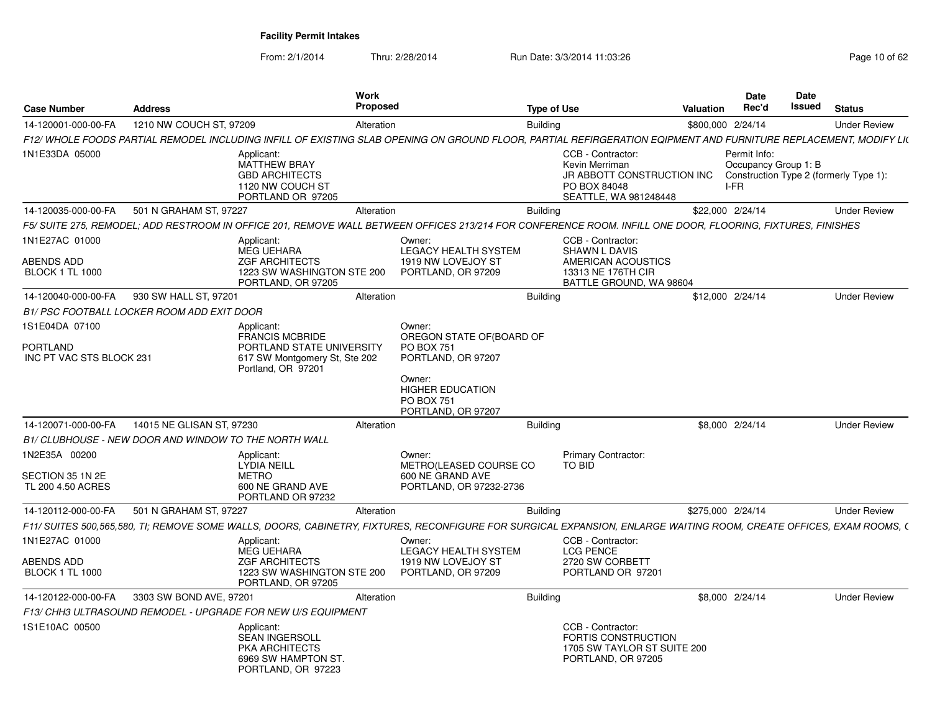| <b>Case Number</b>                                            | <b>Address</b>                                               |                                                                                                                          | Work<br><b>Proposed</b> |                                                                                                                                                                     | <b>Type of Use</b> |                                                                                                                                                   | Valuation         | <b>Date</b><br>Rec'd                         | Date<br>Issued | <b>Status</b>       |  |
|---------------------------------------------------------------|--------------------------------------------------------------|--------------------------------------------------------------------------------------------------------------------------|-------------------------|---------------------------------------------------------------------------------------------------------------------------------------------------------------------|--------------------|---------------------------------------------------------------------------------------------------------------------------------------------------|-------------------|----------------------------------------------|----------------|---------------------|--|
| 14-120001-000-00-FA                                           | 1210 NW COUCH ST, 97209                                      |                                                                                                                          | Alteration              |                                                                                                                                                                     | Building           |                                                                                                                                                   | \$800,000 2/24/14 |                                              |                | <b>Under Review</b> |  |
|                                                               |                                                              |                                                                                                                          |                         | F12/ WHOLE FOODS PARTIAL REMODEL INCLUDING INFILL OF EXISTING SLAB OPENING ON GROUND FLOOR, PARTIAL REFIRGERATION EQIPMENT AND FURNITURE REPLACEMENT, MODIFY LI(    |                    |                                                                                                                                                   |                   |                                              |                |                     |  |
| 1N1E33DA 05000                                                |                                                              | Applicant:<br>MATTHEW BRAY<br><b>GBD ARCHITECTS</b><br>1120 NW COUCH ST<br>PORTLAND OR 97205                             |                         |                                                                                                                                                                     |                    | CCB - Contractor:<br>Kevin Merriman<br>JR ABBOTT CONSTRUCTION INC Construction Type 2 (formerly Type 1):<br>PO BOX 84048<br>SEATTLE, WA 981248448 |                   | Permit Info:<br>Occupancy Group 1: B<br>I-FR |                |                     |  |
|                                                               | 14-120035-000-00-FA 501 N GRAHAM ST, 97227                   |                                                                                                                          | Alteration              |                                                                                                                                                                     | <b>Building</b>    |                                                                                                                                                   | \$22,000 2/24/14  |                                              |                | <b>Under Review</b> |  |
|                                                               |                                                              |                                                                                                                          |                         | F5/ SUITE 275, REMODEL; ADD RESTROOM IN OFFICE 201, REMOVE WALL BETWEEN OFFICES 213/214 FOR CONFERENCE ROOM. INFILL ONE DOOR, FLOORING, FIXTURES, FINISHES          |                    |                                                                                                                                                   |                   |                                              |                |                     |  |
| 1N1E27AC 01000<br>ABENDS ADD<br><b>BLOCK 1 TL 1000</b>        |                                                              | Applicant:<br>MEG UEHARA<br><b>ZGF ARCHITECTS</b><br>1223 SW WASHINGTON STE 200<br>PORTLAND, OR 97205                    |                         | Owner:<br><b>LEGACY HEALTH SYSTEM</b><br>1919 NW LOVEJOY ST<br>PORTLAND, OR 97209                                                                                   |                    | CCB - Contractor:<br><b>SHAWN L DAVIS</b><br>AMERICAN ACOUSTICS<br>13313 NE 176TH CIR<br>BATTLE GROUND, WA 98604                                  |                   |                                              |                |                     |  |
| 14-120040-000-00-FA                                           | 930 SW HALL ST, 97201                                        |                                                                                                                          | Alteration              |                                                                                                                                                                     | Building           |                                                                                                                                                   | \$12,000 2/24/14  |                                              |                | <b>Under Review</b> |  |
|                                                               | B1/ PSC FOOTBALL LOCKER ROOM ADD EXIT DOOR                   |                                                                                                                          |                         |                                                                                                                                                                     |                    |                                                                                                                                                   |                   |                                              |                |                     |  |
| 1S1E04DA 07100<br><b>PORTLAND</b><br>INC PT VAC STS BLOCK 231 |                                                              | Applicant:<br><b>FRANCIS MCBRIDE</b><br>PORTLAND STATE UNIVERSITY<br>617 SW Montgomery St, Ste 202<br>Portland, OR 97201 |                         | Owner:<br>OREGON STATE OF (BOARD OF<br><b>PO BOX 751</b><br>PORTLAND, OR 97207<br>Owner:<br><b>HIGHER EDUCATION</b><br><b>PO BOX 751</b><br>PORTLAND, OR 97207      |                    |                                                                                                                                                   |                   |                                              |                |                     |  |
| 14-120071-000-00-FA                                           | 14015 NE GLISAN ST, 97230                                    |                                                                                                                          | Alteration              |                                                                                                                                                                     | <b>Building</b>    |                                                                                                                                                   |                   | \$8,000 2/24/14                              |                | <b>Under Review</b> |  |
|                                                               | <b>B1/ CLUBHOUSE - NEW DOOR AND WINDOW TO THE NORTH WALL</b> |                                                                                                                          |                         |                                                                                                                                                                     |                    |                                                                                                                                                   |                   |                                              |                |                     |  |
| 1N2E35A 00200<br>SECTION 35 1N 2E<br>TL 200 4.50 ACRES        |                                                              | Applicant:<br>LYDIA NEILL<br><b>METRO</b><br>600 NE GRAND AVE                                                            |                         | Owner:<br>METRO(LEASED COURSE CO<br>600 NE GRAND AVE<br>PORTLAND, OR 97232-2736                                                                                     |                    | <b>Primary Contractor:</b><br>TO BID                                                                                                              |                   |                                              |                |                     |  |
|                                                               |                                                              | PORTLAND OR 97232                                                                                                        |                         |                                                                                                                                                                     |                    |                                                                                                                                                   |                   |                                              |                |                     |  |
| 14-120112-000-00-FA                                           | 501 N GRAHAM ST. 97227                                       |                                                                                                                          | Alteration              |                                                                                                                                                                     | <b>Building</b>    |                                                                                                                                                   | \$275,000 2/24/14 |                                              |                | <b>Under Review</b> |  |
|                                                               |                                                              |                                                                                                                          |                         | F11/ SUITES 500,565,580, TI; REMOVE SOME WALLS, DOORS, CABINETRY, FIXTURES, RECONFIGURE FOR SURGICAL EXPANSION, ENLARGE WAITING ROOM, CREATE OFFICES, EXAM ROOMS, ( |                    |                                                                                                                                                   |                   |                                              |                |                     |  |
| 1N1E27AC 01000                                                |                                                              | Applicant:<br>MEG UEHARA                                                                                                 |                         | Owner:<br>LEGACY HEALTH SYSTEM                                                                                                                                      |                    | CCB - Contractor:<br><b>LCG PENCE</b>                                                                                                             |                   |                                              |                |                     |  |
| ABENDS ADD<br><b>BLOCK 1 TL 1000</b>                          |                                                              | <b>ZGF ARCHITECTS</b><br>1223 SW WASHINGTON STE 200<br>PORTLAND, OR 97205                                                |                         | 1919 NW LOVEJOY ST<br>PORTLAND, OR 97209                                                                                                                            |                    | 2720 SW CORBETT<br>PORTLAND OR 97201                                                                                                              |                   |                                              |                |                     |  |
| 14-120122-000-00-FA                                           | 3303 SW BOND AVE, 97201                                      |                                                                                                                          | Alteration              |                                                                                                                                                                     | Building           |                                                                                                                                                   |                   | \$8,000 2/24/14                              |                | <b>Under Review</b> |  |
|                                                               |                                                              | F13/ CHH3 ULTRASOUND REMODEL - UPGRADE FOR NEW U/S EQUIPMENT                                                             |                         |                                                                                                                                                                     |                    |                                                                                                                                                   |                   |                                              |                |                     |  |
| 1S1E10AC 00500                                                |                                                              | Applicant:<br><b>SEAN INGERSOLL</b><br><b>PKA ARCHITECTS</b><br>6969 SW HAMPTON ST.<br>PORTLAND, OR 97223                |                         |                                                                                                                                                                     |                    | CCB - Contractor:<br><b>FORTIS CONSTRUCTION</b><br>1705 SW TAYLOR ST SUITE 200<br>PORTLAND, OR 97205                                              |                   |                                              |                |                     |  |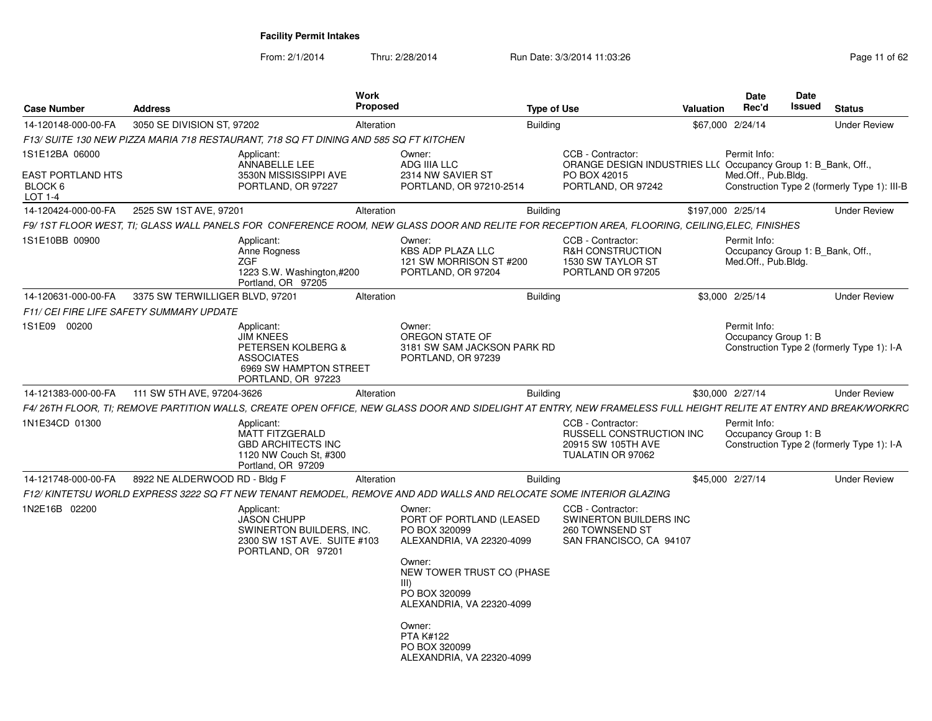From: 2/1/2014

| 3050 SE DIVISION ST, 97202<br><b>Building</b><br><b>Under Review</b><br>\$67,000 2/24/14<br>Alteration<br>F13/ SUITE 130 NEW PIZZA MARIA 718 RESTAURANT, 718 SQ FT DINING AND 585 SQ FT KITCHEN<br>Applicant:<br>CCB - Contractor:<br>Permit Info:<br>Owner:<br><b>ANNABELLE LEE</b><br>ADG IIIA LLC<br>ORANGE DESIGN INDUSTRIES LL( Occupancy Group 1: B Bank, Off.,<br>3530N MISSISSIPPI AVE<br>2314 NW SAVIER ST<br>Med.Off., Pub.Bldg.<br>PO BOX 42015<br>PORTLAND, OR 97227<br>PORTLAND, OR 97210-2514<br>PORTLAND, OR 97242<br>2525 SW 1ST AVE, 97201<br><b>Building</b><br>\$197,000 2/25/14<br><b>Under Review</b><br>Alteration<br>F9/ 1ST FLOOR WEST. TI: GLASS WALL PANELS FOR  CONFERENCE ROOM. NEW GLASS DOOR AND RELITE FOR RECEPTION AREA. FLOORING. CEILING.ELEC. FINISHES<br>CCB - Contractor:<br>Applicant:<br>Owner:<br>Permit Info:<br>Anne Rogness<br><b>KBS ADP PLAZA LLC</b><br><b>R&amp;H CONSTRUCTION</b><br>Occupancy Group 1: B Bank, Off.,<br>Med.Off., Pub.Bldg.<br><b>ZGF</b><br>121 SW MORRISON ST #200<br>1530 SW TAYLOR ST<br>1223 S.W. Washington,#200<br>PORTLAND, OR 97204<br>PORTLAND OR 97205<br>Portland, OR 97205<br>3375 SW TERWILLIGER BLVD, 97201<br><b>Building</b><br>\$3,000 2/25/14<br><b>Under Review</b><br>Alteration<br>F11/ CEI FIRE LIFE SAFETY SUMMARY UPDATE<br>Permit Info:<br>Applicant:<br>Owner:<br><b>JIM KNEES</b><br>OREGON STATE OF<br>Occupancy Group 1: B<br>PETERSEN KOLBERG &<br>3181 SW SAM JACKSON PARK RD<br>Construction Type 2 (formerly Type 1): I-A<br><b>ASSOCIATES</b><br>PORTLAND, OR 97239<br>6969 SW HAMPTON STREET<br>PORTLAND, OR 97223<br><b>Building</b><br>111 SW 5TH AVE, 97204-3626<br>\$30,000 2/27/14<br><b>Under Review</b><br>Alteration<br>CCB - Contractor:<br>Permit Info:<br>Applicant:<br><b>MATT FITZGERALD</b><br><b>RUSSELL CONSTRUCTION INC</b><br>Occupancy Group 1: B<br><b>GBD ARCHITECTS INC</b><br>20915 SW 105TH AVE<br>Construction Type 2 (formerly Type 1): I-A<br>TUALATIN OR 97062<br>1120 NW Couch St, #300<br>Portland, OR 97209<br>8922 NE ALDERWOOD RD - Bldg F<br><b>Building</b><br>\$45,000 2/27/14<br><b>Under Review</b><br>Alteration<br>F12/ KINTETSU WORLD EXPRESS 3222 SQ FT NEW TENANT REMODEL. REMOVE AND ADD WALLS AND RELOCATE SOME INTERIOR GLAZING<br>Applicant:<br>CCB - Contractor:<br>Owner:<br><b>JASON CHUPP</b><br>PORT OF PORTLAND (LEASED<br>SWINERTON BUILDERS INC<br>SWINERTON BUILDERS, INC.<br>PO BOX 320099<br>260 TOWNSEND ST<br>2300 SW 1ST AVE. SUITE #103<br>ALEXANDRIA, VA 22320-4099<br>SAN FRANCISCO, CA 94107<br>PORTLAND, OR 97201<br>Owner:<br>NEW TOWER TRUST CO (PHASE<br>$III$ )<br>PO BOX 320099<br>ALEXANDRIA, VA 22320-4099<br>Owner:<br><b>PTA K#122</b><br>PO BOX 320099 | <b>Case Number</b>                             | <b>Address</b> | Work<br><b>Proposed</b> | <b>Type of Use</b> | <b>Date</b><br>Rec'd<br><b>Valuation</b> | Date<br>Issued<br><b>Status</b> |
|------------------------------------------------------------------------------------------------------------------------------------------------------------------------------------------------------------------------------------------------------------------------------------------------------------------------------------------------------------------------------------------------------------------------------------------------------------------------------------------------------------------------------------------------------------------------------------------------------------------------------------------------------------------------------------------------------------------------------------------------------------------------------------------------------------------------------------------------------------------------------------------------------------------------------------------------------------------------------------------------------------------------------------------------------------------------------------------------------------------------------------------------------------------------------------------------------------------------------------------------------------------------------------------------------------------------------------------------------------------------------------------------------------------------------------------------------------------------------------------------------------------------------------------------------------------------------------------------------------------------------------------------------------------------------------------------------------------------------------------------------------------------------------------------------------------------------------------------------------------------------------------------------------------------------------------------------------------------------------------------------------------------------------------------------------------------------------------------------------------------------------------------------------------------------------------------------------------------------------------------------------------------------------------------------------------------------------------------------------------------------------------------------------------------------------------------------------------------------------------------------------------------------------------------------------------------------------------------------------------------------------------------------------------------------------------------------------------------------------------|------------------------------------------------|----------------|-------------------------|--------------------|------------------------------------------|---------------------------------|
|                                                                                                                                                                                                                                                                                                                                                                                                                                                                                                                                                                                                                                                                                                                                                                                                                                                                                                                                                                                                                                                                                                                                                                                                                                                                                                                                                                                                                                                                                                                                                                                                                                                                                                                                                                                                                                                                                                                                                                                                                                                                                                                                                                                                                                                                                                                                                                                                                                                                                                                                                                                                                                                                                                                                          | 14-120148-000-00-FA                            |                |                         |                    |                                          |                                 |
|                                                                                                                                                                                                                                                                                                                                                                                                                                                                                                                                                                                                                                                                                                                                                                                                                                                                                                                                                                                                                                                                                                                                                                                                                                                                                                                                                                                                                                                                                                                                                                                                                                                                                                                                                                                                                                                                                                                                                                                                                                                                                                                                                                                                                                                                                                                                                                                                                                                                                                                                                                                                                                                                                                                                          |                                                |                |                         |                    |                                          |                                 |
| Construction Type 2 (formerly Type 1): III-B<br>F4/26TH FLOOR, TI; REMOVE PARTITION WALLS, CREATE OPEN OFFICE, NEW GLASS DOOR AND SIDELIGHT AT ENTRY, NEW FRAMELESS FULL HEIGHT RELITE AT ENTRY AND BREAK/WORKRC                                                                                                                                                                                                                                                                                                                                                                                                                                                                                                                                                                                                                                                                                                                                                                                                                                                                                                                                                                                                                                                                                                                                                                                                                                                                                                                                                                                                                                                                                                                                                                                                                                                                                                                                                                                                                                                                                                                                                                                                                                                                                                                                                                                                                                                                                                                                                                                                                                                                                                                         | 1S1E12BA 06000                                 |                |                         |                    |                                          |                                 |
|                                                                                                                                                                                                                                                                                                                                                                                                                                                                                                                                                                                                                                                                                                                                                                                                                                                                                                                                                                                                                                                                                                                                                                                                                                                                                                                                                                                                                                                                                                                                                                                                                                                                                                                                                                                                                                                                                                                                                                                                                                                                                                                                                                                                                                                                                                                                                                                                                                                                                                                                                                                                                                                                                                                                          | <b>EAST PORTLAND HTS</b><br>BLOCK 6<br>LOT 1-4 |                |                         |                    |                                          |                                 |
|                                                                                                                                                                                                                                                                                                                                                                                                                                                                                                                                                                                                                                                                                                                                                                                                                                                                                                                                                                                                                                                                                                                                                                                                                                                                                                                                                                                                                                                                                                                                                                                                                                                                                                                                                                                                                                                                                                                                                                                                                                                                                                                                                                                                                                                                                                                                                                                                                                                                                                                                                                                                                                                                                                                                          | 14-120424-000-00-FA                            |                |                         |                    |                                          |                                 |
|                                                                                                                                                                                                                                                                                                                                                                                                                                                                                                                                                                                                                                                                                                                                                                                                                                                                                                                                                                                                                                                                                                                                                                                                                                                                                                                                                                                                                                                                                                                                                                                                                                                                                                                                                                                                                                                                                                                                                                                                                                                                                                                                                                                                                                                                                                                                                                                                                                                                                                                                                                                                                                                                                                                                          |                                                |                |                         |                    |                                          |                                 |
|                                                                                                                                                                                                                                                                                                                                                                                                                                                                                                                                                                                                                                                                                                                                                                                                                                                                                                                                                                                                                                                                                                                                                                                                                                                                                                                                                                                                                                                                                                                                                                                                                                                                                                                                                                                                                                                                                                                                                                                                                                                                                                                                                                                                                                                                                                                                                                                                                                                                                                                                                                                                                                                                                                                                          | 1S1E10BB 00900                                 |                |                         |                    |                                          |                                 |
|                                                                                                                                                                                                                                                                                                                                                                                                                                                                                                                                                                                                                                                                                                                                                                                                                                                                                                                                                                                                                                                                                                                                                                                                                                                                                                                                                                                                                                                                                                                                                                                                                                                                                                                                                                                                                                                                                                                                                                                                                                                                                                                                                                                                                                                                                                                                                                                                                                                                                                                                                                                                                                                                                                                                          | 14-120631-000-00-FA                            |                |                         |                    |                                          |                                 |
|                                                                                                                                                                                                                                                                                                                                                                                                                                                                                                                                                                                                                                                                                                                                                                                                                                                                                                                                                                                                                                                                                                                                                                                                                                                                                                                                                                                                                                                                                                                                                                                                                                                                                                                                                                                                                                                                                                                                                                                                                                                                                                                                                                                                                                                                                                                                                                                                                                                                                                                                                                                                                                                                                                                                          |                                                |                |                         |                    |                                          |                                 |
|                                                                                                                                                                                                                                                                                                                                                                                                                                                                                                                                                                                                                                                                                                                                                                                                                                                                                                                                                                                                                                                                                                                                                                                                                                                                                                                                                                                                                                                                                                                                                                                                                                                                                                                                                                                                                                                                                                                                                                                                                                                                                                                                                                                                                                                                                                                                                                                                                                                                                                                                                                                                                                                                                                                                          | 1S1E09 00200                                   |                |                         |                    |                                          |                                 |
|                                                                                                                                                                                                                                                                                                                                                                                                                                                                                                                                                                                                                                                                                                                                                                                                                                                                                                                                                                                                                                                                                                                                                                                                                                                                                                                                                                                                                                                                                                                                                                                                                                                                                                                                                                                                                                                                                                                                                                                                                                                                                                                                                                                                                                                                                                                                                                                                                                                                                                                                                                                                                                                                                                                                          | 14-121383-000-00-FA                            |                |                         |                    |                                          |                                 |
|                                                                                                                                                                                                                                                                                                                                                                                                                                                                                                                                                                                                                                                                                                                                                                                                                                                                                                                                                                                                                                                                                                                                                                                                                                                                                                                                                                                                                                                                                                                                                                                                                                                                                                                                                                                                                                                                                                                                                                                                                                                                                                                                                                                                                                                                                                                                                                                                                                                                                                                                                                                                                                                                                                                                          |                                                |                |                         |                    |                                          |                                 |
|                                                                                                                                                                                                                                                                                                                                                                                                                                                                                                                                                                                                                                                                                                                                                                                                                                                                                                                                                                                                                                                                                                                                                                                                                                                                                                                                                                                                                                                                                                                                                                                                                                                                                                                                                                                                                                                                                                                                                                                                                                                                                                                                                                                                                                                                                                                                                                                                                                                                                                                                                                                                                                                                                                                                          | 1N1E34CD 01300                                 |                |                         |                    |                                          |                                 |
|                                                                                                                                                                                                                                                                                                                                                                                                                                                                                                                                                                                                                                                                                                                                                                                                                                                                                                                                                                                                                                                                                                                                                                                                                                                                                                                                                                                                                                                                                                                                                                                                                                                                                                                                                                                                                                                                                                                                                                                                                                                                                                                                                                                                                                                                                                                                                                                                                                                                                                                                                                                                                                                                                                                                          | 14-121748-000-00-FA                            |                |                         |                    |                                          |                                 |
|                                                                                                                                                                                                                                                                                                                                                                                                                                                                                                                                                                                                                                                                                                                                                                                                                                                                                                                                                                                                                                                                                                                                                                                                                                                                                                                                                                                                                                                                                                                                                                                                                                                                                                                                                                                                                                                                                                                                                                                                                                                                                                                                                                                                                                                                                                                                                                                                                                                                                                                                                                                                                                                                                                                                          |                                                |                |                         |                    |                                          |                                 |
| ALEXANDRIA, VA 22320-4099                                                                                                                                                                                                                                                                                                                                                                                                                                                                                                                                                                                                                                                                                                                                                                                                                                                                                                                                                                                                                                                                                                                                                                                                                                                                                                                                                                                                                                                                                                                                                                                                                                                                                                                                                                                                                                                                                                                                                                                                                                                                                                                                                                                                                                                                                                                                                                                                                                                                                                                                                                                                                                                                                                                | 1N2E16B 02200                                  |                |                         |                    |                                          |                                 |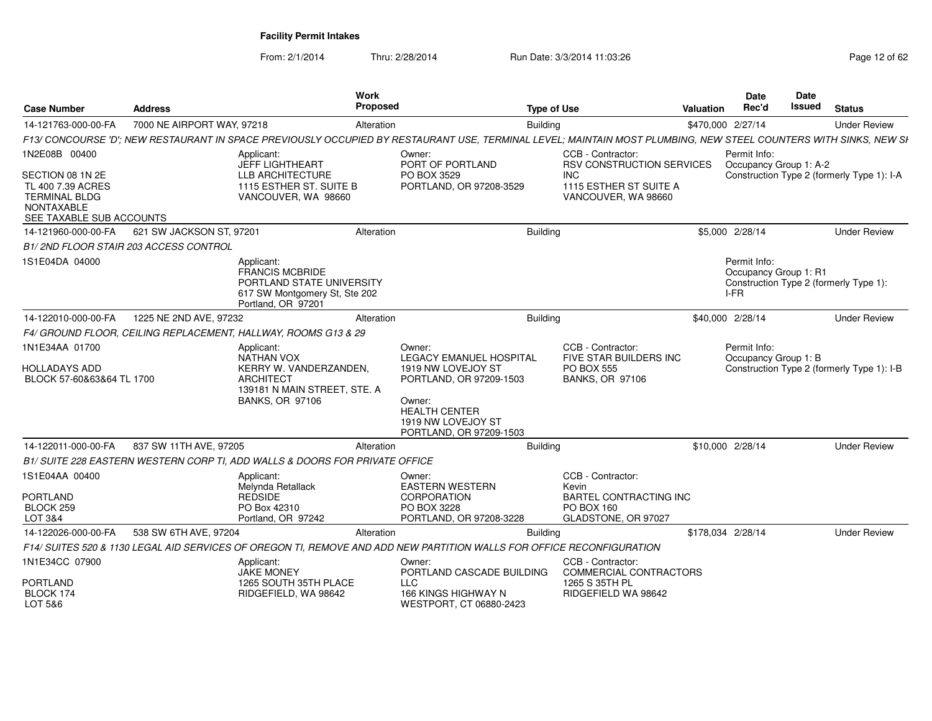| <b>Case Number</b>                                                                                                              | <b>Address</b>             |                                                                                                                                  | Work<br>Propose |                                                                                                                                                                              | <b>Type of Use</b>                                                                                                                                               | Valuation         | Date<br>Rec'd                          | Date<br>Issued<br><b>Status</b>            |
|---------------------------------------------------------------------------------------------------------------------------------|----------------------------|----------------------------------------------------------------------------------------------------------------------------------|-----------------|------------------------------------------------------------------------------------------------------------------------------------------------------------------------------|------------------------------------------------------------------------------------------------------------------------------------------------------------------|-------------------|----------------------------------------|--------------------------------------------|
| 14-121763-000-00-FA                                                                                                             | 7000 NE AIRPORT WAY, 97218 |                                                                                                                                  | Alteration      |                                                                                                                                                                              | <b>Building</b>                                                                                                                                                  | \$470,000 2/27/14 |                                        | <b>Under Review</b>                        |
|                                                                                                                                 |                            |                                                                                                                                  |                 |                                                                                                                                                                              | F13/ CONCOURSE 'D'; NEW RESTAURANT IN SPACE PREVIOUSLY OCCUPIED BY RESTAURANT USE, TERMINAL LEVEL; MAINTAIN MOST PLUMBING, NEW STEEL COUNTERS WITH SINKS, NEW SI |                   |                                        |                                            |
| 1N2E08B 00400<br>SECTION 08 1N 2E<br>TL 400 7.39 ACRES<br><b>TERMINAL BLDG</b><br><b>NONTAXABLE</b><br>SEE TAXABLE SUB ACCOUNTS |                            | Applicant:<br>JEFF LIGHTHEART<br><b>LLB ARCHITECTURE</b><br>1115 ESTHER ST. SUITE B<br>VANCOUVER, WA 98660                       |                 | Owner:<br>PORT OF PORTLAND<br>PO BOX 3529<br>PORTLAND, OR 97208-3529                                                                                                         | CCB - Contractor:<br><b>RSV CONSTRUCTION SERVICES</b><br><b>INC</b><br>1115 ESTHER ST SUITE A<br>VANCOUVER, WA 98660                                             |                   | Permit Info:<br>Occupancy Group 1: A-2 | Construction Type 2 (formerly Type 1): I-A |
| 14-121960-000-00-FA   621 SW JACKSON ST, 97201                                                                                  |                            |                                                                                                                                  | Alteration      |                                                                                                                                                                              | <b>Building</b>                                                                                                                                                  | \$5,000 2/28/14   |                                        | <b>Under Review</b>                        |
| B1/2ND FLOOR STAIR 203 ACCESS CONTROL                                                                                           |                            |                                                                                                                                  |                 |                                                                                                                                                                              |                                                                                                                                                                  |                   |                                        |                                            |
| 1S1E04DA 04000                                                                                                                  |                            | Applicant:<br><b>FRANCIS MCBRIDE</b><br>PORTLAND STATE UNIVERSITY<br>617 SW Montgomery St, Ste 202<br>Portland, OR 97201         |                 |                                                                                                                                                                              |                                                                                                                                                                  | I-FR              | Permit Info:<br>Occupancy Group 1: R1  | Construction Type 2 (formerly Type 1):     |
| 14-122010-000-00-FA 1225 NE 2ND AVE, 97232                                                                                      |                            |                                                                                                                                  | Alteration      |                                                                                                                                                                              | Building                                                                                                                                                         | \$40,000 2/28/14  |                                        | <b>Under Review</b>                        |
|                                                                                                                                 |                            | F4/ GROUND FLOOR, CEILING REPLACEMENT, HALLWAY, ROOMS G13 & 29                                                                   |                 |                                                                                                                                                                              |                                                                                                                                                                  |                   |                                        |                                            |
| 1N1E34AA 01700<br><b>HOLLADAYS ADD</b><br>BLOCK 57-60&63&64 TL 1700                                                             |                            | Applicant:<br>NATHAN VOX<br>KERRY W. VANDERZANDEN.<br><b>ARCHITECT</b><br>139181 N MAIN STREET, STE. A<br><b>BANKS, OR 97106</b> |                 | Owner:<br><b>LEGACY EMANUEL HOSPITAL</b><br>1919 NW LOVEJOY ST<br>PORTLAND, OR 97209-1503<br>Owner:<br><b>HEALTH CENTER</b><br>1919 NW LOVEJOY ST<br>PORTLAND, OR 97209-1503 | CCB - Contractor:<br>FIVE STAR BUILDERS INC<br><b>PO BOX 555</b><br><b>BANKS, OR 97106</b>                                                                       |                   | Permit Info:<br>Occupancy Group 1: B   | Construction Type 2 (formerly Type 1): I-B |
| 14-122011-000-00-FA 837 SW 11TH AVE, 97205                                                                                      |                            |                                                                                                                                  | Alteration      |                                                                                                                                                                              | Building                                                                                                                                                         | \$10,000 2/28/14  |                                        | <b>Under Review</b>                        |
|                                                                                                                                 |                            | B1/ SUITE 228 EASTERN WESTERN CORP TI, ADD WALLS & DOORS FOR PRIVATE OFFICE                                                      |                 |                                                                                                                                                                              |                                                                                                                                                                  |                   |                                        |                                            |
| 1S1E04AA 00400<br>PORTLAND<br>BLOCK 259<br>LOT 3&4                                                                              |                            | Applicant:<br>Melvnda Retallack<br><b>REDSIDE</b><br>PO Box 42310<br>Portland, OR 97242                                          |                 | Owner:<br><b>EASTERN WESTERN</b><br><b>CORPORATION</b><br>PO BOX 3228<br>PORTLAND, OR 97208-3228                                                                             | CCB - Contractor:<br>Kevin<br>BARTEL CONTRACTING INC<br>PO BOX 160<br>GLADSTONE, OR 97027                                                                        |                   |                                        |                                            |
| 14-122026-000-00-FA                                                                                                             | 538 SW 6TH AVE, 97204      |                                                                                                                                  | Alteration      |                                                                                                                                                                              | <b>Building</b>                                                                                                                                                  | \$178,034 2/28/14 |                                        | <b>Under Review</b>                        |
|                                                                                                                                 |                            |                                                                                                                                  |                 |                                                                                                                                                                              | F14/ SUITES 520 & 1130 LEGAL AID SERVICES OF OREGON TI, REMOVE AND ADD NEW PARTITION WALLS FOR OFFICE RECONFIGURATION                                            |                   |                                        |                                            |
| 1N1E34CC 07900<br><b>PORTLAND</b><br>BLOCK 174<br>LOT 5&6                                                                       |                            | Applicant:<br><b>JAKE MONEY</b><br>1265 SOUTH 35TH PLACE<br>RIDGEFIELD, WA 98642                                                 |                 | Owner:<br>PORTLAND CASCADE BUILDING<br>LLC.<br>166 KINGS HIGHWAY N<br>WESTPORT, CT 06880-2423                                                                                | CCB - Contractor<br>COMMERCIAL CONTRACTORS<br>1265 S 35TH PL<br>RIDGEFIELD WA 98642                                                                              |                   |                                        |                                            |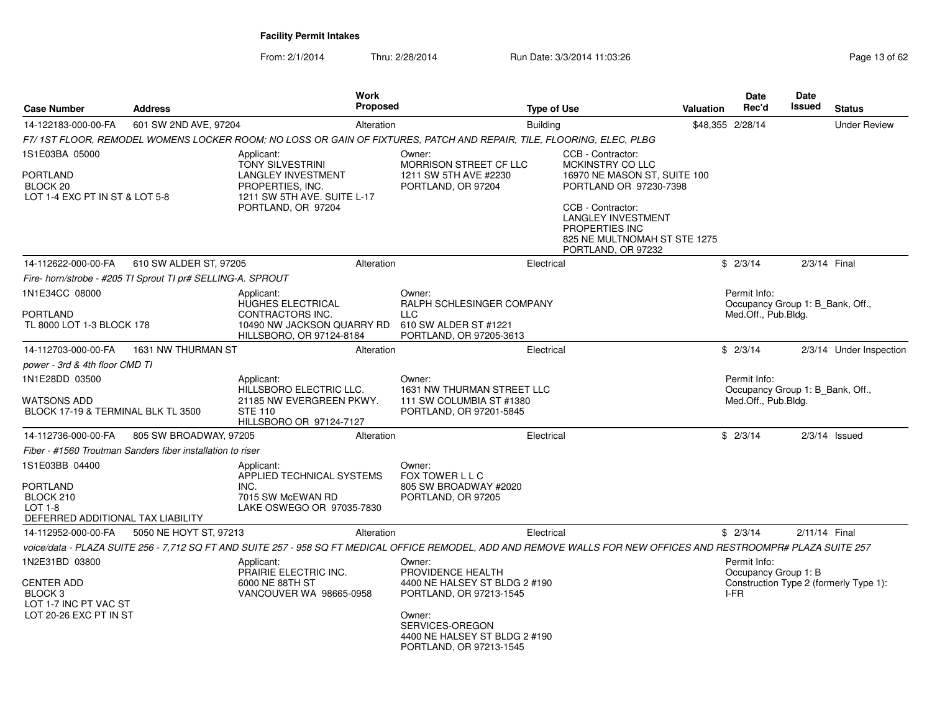| <b>Case Number</b><br><b>Address</b>                                                                                                                                                       |                                                             | Work<br><b>Proposed</b>                                                                                                                                                          |            | <b>Type of Use</b>                                                                                                                                                |                 | Valuation                                                                                                                                                                        | <b>Date</b><br>Rec'd                         | Date<br>Issued                                                          | <b>Status</b>                          |                         |
|--------------------------------------------------------------------------------------------------------------------------------------------------------------------------------------------|-------------------------------------------------------------|----------------------------------------------------------------------------------------------------------------------------------------------------------------------------------|------------|-------------------------------------------------------------------------------------------------------------------------------------------------------------------|-----------------|----------------------------------------------------------------------------------------------------------------------------------------------------------------------------------|----------------------------------------------|-------------------------------------------------------------------------|----------------------------------------|-------------------------|
| 14-122183-000-00-FA                                                                                                                                                                        | 601 SW 2ND AVE, 97204                                       |                                                                                                                                                                                  | Alteration |                                                                                                                                                                   | <b>Building</b> |                                                                                                                                                                                  |                                              | \$48,355 2/28/14                                                        |                                        | <b>Under Review</b>     |
|                                                                                                                                                                                            |                                                             |                                                                                                                                                                                  |            | F7/1ST FLOOR, REMODEL WOMENS LOCKER ROOM; NO LOSS OR GAIN OF FIXTURES, PATCH AND REPAIR, TILE, FLOORING, ELEC, PLBG                                               |                 |                                                                                                                                                                                  |                                              |                                                                         |                                        |                         |
| 1S1E03BA 05000                                                                                                                                                                             |                                                             | Applicant:<br><b>TONY SILVESTRINI</b>                                                                                                                                            |            | Owner:<br>MORRISON STREET CF LLC                                                                                                                                  |                 | CCB - Contractor:<br><b>MCKINSTRY CO LLC</b>                                                                                                                                     |                                              |                                                                         |                                        |                         |
| <b>PORTLAND</b><br>BLOCK <sub>20</sub><br>LOT 1-4 EXC PT IN ST & LOT 5-8                                                                                                                   |                                                             | <b>LANGLEY INVESTMENT</b><br>PROPERTIES, INC.<br>1211 SW 5TH AVE. SUITE L-17<br>PORTLAND, OR 97204                                                                               |            | 1211 SW 5TH AVE #2230<br>PORTLAND, OR 97204                                                                                                                       |                 | 16970 NE MASON ST, SUITE 100<br>PORTLAND OR 97230-7398<br>CCB - Contractor:<br><b>LANGLEY INVESTMENT</b><br>PROPERTIES INC<br>825 NE MULTNOMAH ST STE 1275<br>PORTLAND, OR 97232 |                                              |                                                                         |                                        |                         |
| 14-112622-000-00-FA                                                                                                                                                                        | 610 SW ALDER ST, 97205                                      |                                                                                                                                                                                  | Alteration |                                                                                                                                                                   | Electrical      |                                                                                                                                                                                  |                                              | \$2/3/14                                                                | 2/3/14 Final                           |                         |
|                                                                                                                                                                                            | Fire- horn/strobe - #205 TI Sprout TI pr# SELLING-A. SPROUT |                                                                                                                                                                                  |            |                                                                                                                                                                   |                 |                                                                                                                                                                                  |                                              |                                                                         |                                        |                         |
| 1N1E34CC 08000<br>PORTLAND<br>TL 8000 LOT 1-3 BLOCK 178                                                                                                                                    |                                                             | Applicant:<br><b>HUGHES ELECTRICAL</b><br>CONTRACTORS INC.<br>10490 NW JACKSON QUARRY RD<br>HILLSBORO, OR 97124-8184                                                             |            | Owner:<br>RALPH SCHLESINGER COMPANY<br><b>LLC</b><br>610 SW ALDER ST #1221<br>PORTLAND, OR 97205-3613                                                             |                 |                                                                                                                                                                                  |                                              | Permit Info:<br>Occupancy Group 1: B_Bank, Off.,<br>Med.Off., Pub.Bldg. |                                        |                         |
| 14-112703-000-00-FA                                                                                                                                                                        | 1631 NW THURMAN ST                                          |                                                                                                                                                                                  | Alteration |                                                                                                                                                                   | Electrical      |                                                                                                                                                                                  |                                              | \$2/3/14                                                                |                                        | 2/3/14 Under Inspection |
| power - 3rd & 4th floor CMD TI                                                                                                                                                             |                                                             |                                                                                                                                                                                  |            |                                                                                                                                                                   |                 |                                                                                                                                                                                  |                                              |                                                                         |                                        |                         |
| 1N1E28DD 03500<br>WATSONS ADD<br>BLOCK 17-19 & TERMINAL BLK TL 3500                                                                                                                        |                                                             | Applicant:<br>HILLSBORO ELECTRIC LLC.<br>21185 NW EVERGREEN PKWY.<br><b>STE 110</b><br>HILLSBORO OR 97124-7127                                                                   |            | Owner:<br>1631 NW THURMAN STREET LLC<br>111 SW COLUMBIA ST #1380<br>PORTLAND, OR 97201-5845                                                                       |                 |                                                                                                                                                                                  |                                              | Permit Info:<br>Occupancy Group 1: B Bank, Off.,<br>Med.Off., Pub.Bldg. |                                        |                         |
| 14-112736-000-00-FA                                                                                                                                                                        | 805 SW BROADWAY, 97205                                      |                                                                                                                                                                                  | Alteration |                                                                                                                                                                   | Electrical      |                                                                                                                                                                                  |                                              | \$2/3/14                                                                |                                        | $2/3/14$ Issued         |
|                                                                                                                                                                                            | Fiber - #1560 Troutman Sanders fiber installation to riser  |                                                                                                                                                                                  |            |                                                                                                                                                                   |                 |                                                                                                                                                                                  |                                              |                                                                         |                                        |                         |
| 1S1E03BB 04400<br><b>PORTLAND</b><br>BLOCK 210<br>$LOT 1-8$<br>DEFERRED ADDITIONAL TAX LIABILITY                                                                                           |                                                             | Applicant:<br>APPLIED TECHNICAL SYSTEMS<br>INC.<br>7015 SW McEWAN RD<br>LAKE OSWEGO OR 97035-7830                                                                                |            | Owner:<br>FOX TOWER L L C<br>805 SW BROADWAY #2020<br>PORTLAND, OR 97205                                                                                          |                 |                                                                                                                                                                                  |                                              |                                                                         |                                        |                         |
| 14-112952-000-00-FA                                                                                                                                                                        | 5050 NE HOYT ST, 97213                                      |                                                                                                                                                                                  | Alteration |                                                                                                                                                                   | Electrical      |                                                                                                                                                                                  |                                              | \$2/3/14                                                                | 2/11/14 Final                          |                         |
|                                                                                                                                                                                            |                                                             |                                                                                                                                                                                  |            | voice/data - PLAZA SUITE 256 - 7,712 SQ FT AND SUITE 257 - 958 SQ FT MEDICAL OFFICE REMODEL, ADD AND REMOVE WALLS FOR NEW OFFICES AND RESTROOMPR# PLAZA SUITE 257 |                 |                                                                                                                                                                                  |                                              |                                                                         |                                        |                         |
| 1N2E31BD 03800<br>Applicant:<br>PRAIRIE ELECTRIC INC.<br>CENTER ADD<br>6000 NE 88TH ST<br>BLOCK <sub>3</sub><br>VANCOUVER WA 98665-0958<br>LOT 1-7 INC PT VAC ST<br>LOT 20-26 EXC PT IN ST |                                                             | Owner:<br>PROVIDENCE HEALTH<br>4400 NE HALSEY ST BLDG 2 #190<br>PORTLAND, OR 97213-1545<br>Owner:<br>SERVICES-OREGON<br>4400 NE HALSEY ST BLDG 2 #190<br>PORTLAND, OR 97213-1545 |            |                                                                                                                                                                   |                 |                                                                                                                                                                                  | Permit Info:<br>Occupancy Group 1: B<br>I-FR |                                                                         | Construction Type 2 (formerly Type 1): |                         |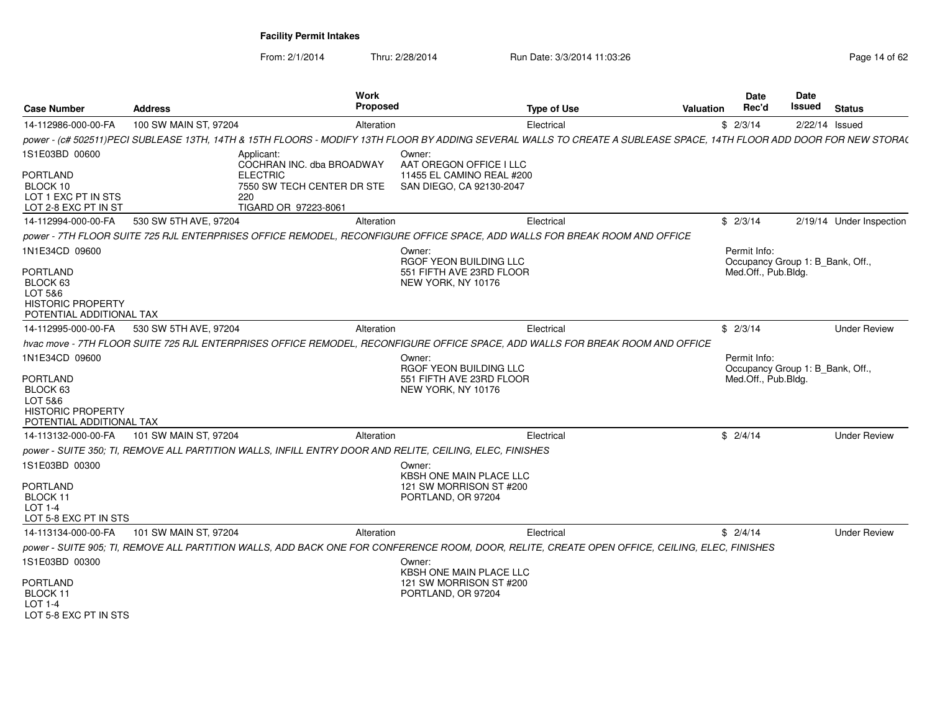| <b>Case Number</b>                                                                                               | <b>Address</b>                       | <b>Work</b><br>Proposed                                                                                                                                              | <b>Type of Use</b>        | Valuation | Date<br>Rec'd                                                           | <b>Date</b><br>Issued | <b>Status</b>            |
|------------------------------------------------------------------------------------------------------------------|--------------------------------------|----------------------------------------------------------------------------------------------------------------------------------------------------------------------|---------------------------|-----------|-------------------------------------------------------------------------|-----------------------|--------------------------|
| 14-112986-000-00-FA                                                                                              | 100 SW MAIN ST, 97204                | Alteration                                                                                                                                                           | Electrical                |           | \$2/3/14                                                                |                       | $2/22/14$ Issued         |
|                                                                                                                  |                                      | power - (c# 502511)PECI SUBLEASE 13TH, 14TH & 15TH FLOORS - MODIFY 13TH FLOOR BY ADDING SEVERAL WALLS TO CREATE A SUBLEASE SPACE, 14TH FLOOR ADD DOOR FOR NEW STORA( |                           |           |                                                                         |                       |                          |
| 1S1E03BD 00600<br>PORTLAND<br>BLOCK 10<br>LOT 1 EXC PT IN STS                                                    | Applicant:<br><b>ELECTRIC</b><br>220 | Owner:<br>COCHRAN INC. dba BROADWAY<br>AAT OREGON OFFICE I LLC<br>7550 SW TECH CENTER DR STE<br>SAN DIEGO, CA 92130-2047                                             | 11455 EL CAMINO REAL #200 |           |                                                                         |                       |                          |
| LOT 2-8 EXC PT IN ST                                                                                             |                                      | TIGARD OR 97223-8061                                                                                                                                                 |                           |           |                                                                         |                       |                          |
| 14-112994-000-00-FA                                                                                              | 530 SW 5TH AVE, 97204                | Alteration                                                                                                                                                           | Electrical                |           | \$2/3/14                                                                |                       | 2/19/14 Under Inspection |
|                                                                                                                  |                                      | power - 7TH FLOOR SUITE 725 RJL ENTERPRISES OFFICE REMODEL. RECONFIGURE OFFICE SPACE, ADD WALLS FOR BREAK ROOM AND OFFICE                                            |                           |           |                                                                         |                       |                          |
| 1N1E34CD 09600<br><b>PORTLAND</b><br>BLOCK 63<br>LOT 5&6<br><b>HISTORIC PROPERTY</b><br>POTENTIAL ADDITIONAL TAX |                                      | Owner:<br>RGOF YEON BUILDING LLC<br>551 FIFTH AVE 23RD FLOOR<br>NEW YORK, NY 10176                                                                                   |                           |           | Permit Info:<br>Occupancy Group 1: B_Bank, Off.,<br>Med.Off., Pub.Bldg. |                       |                          |
| 14-112995-000-00-FA                                                                                              | 530 SW 5TH AVE, 97204                | Alteration                                                                                                                                                           | Electrical                |           | \$2/3/14                                                                |                       | <b>Under Review</b>      |
|                                                                                                                  |                                      | hvac move - 7TH FLOOR SUITE 725 RJL ENTERPRISES OFFICE REMODEL, RECONFIGURE OFFICE SPACE, ADD WALLS FOR BREAK ROOM AND OFFICE                                        |                           |           |                                                                         |                       |                          |
| 1N1E34CD 09600<br><b>PORTLAND</b><br>BLOCK 63<br>LOT 5&6<br><b>HISTORIC PROPERTY</b>                             |                                      | Owner:<br>RGOF YEON BUILDING LLC<br>551 FIFTH AVE 23RD FLOOR<br>NEW YORK, NY 10176                                                                                   |                           |           | Permit Info:<br>Occupancy Group 1: B_Bank, Off.,<br>Med.Off., Pub.Bldg. |                       |                          |
| POTENTIAL ADDITIONAL TAX                                                                                         |                                      |                                                                                                                                                                      |                           |           |                                                                         |                       |                          |
| 14-113132-000-00-FA                                                                                              | 101 SW MAIN ST, 97204                | Alteration                                                                                                                                                           | Electrical                |           | \$2/4/14                                                                |                       | <b>Under Review</b>      |
|                                                                                                                  |                                      | power - SUITE 350; TI, REMOVE ALL PARTITION WALLS, INFILL ENTRY DOOR AND RELITE, CEILING, ELEC, FINISHES                                                             |                           |           |                                                                         |                       |                          |
| 1S1E03BD 00300<br>PORTLAND<br>BLOCK 11<br>LOT 1-4<br>LOT 5-8 EXC PT IN STS                                       |                                      | Owner:<br>KBSH ONE MAIN PLACE LLC<br>121 SW MORRISON ST #200<br>PORTLAND, OR 97204                                                                                   |                           |           |                                                                         |                       |                          |
| 14-113134-000-00-FA                                                                                              | 101 SW MAIN ST, 97204                | Alteration                                                                                                                                                           | Electrical                |           | \$2/4/14                                                                |                       | <b>Under Review</b>      |
|                                                                                                                  |                                      | power - SUITE 905: TI, REMOVE ALL PARTITION WALLS, ADD BACK ONE FOR CONFERENCE ROOM, DOOR, RELITE, CREATE OPEN OFFICE, CEILING, ELEC, FINISHES                       |                           |           |                                                                         |                       |                          |
| 1S1E03BD 00300<br><b>PORTLAND</b><br>BLOCK 11<br>LOT 1-4<br>LOT 5-8 FXC PT IN STS                                |                                      | Owner:<br>KBSH ONE MAIN PLACE LLC<br>121 SW MORRISON ST #200<br>PORTLAND, OR 97204                                                                                   |                           |           |                                                                         |                       |                          |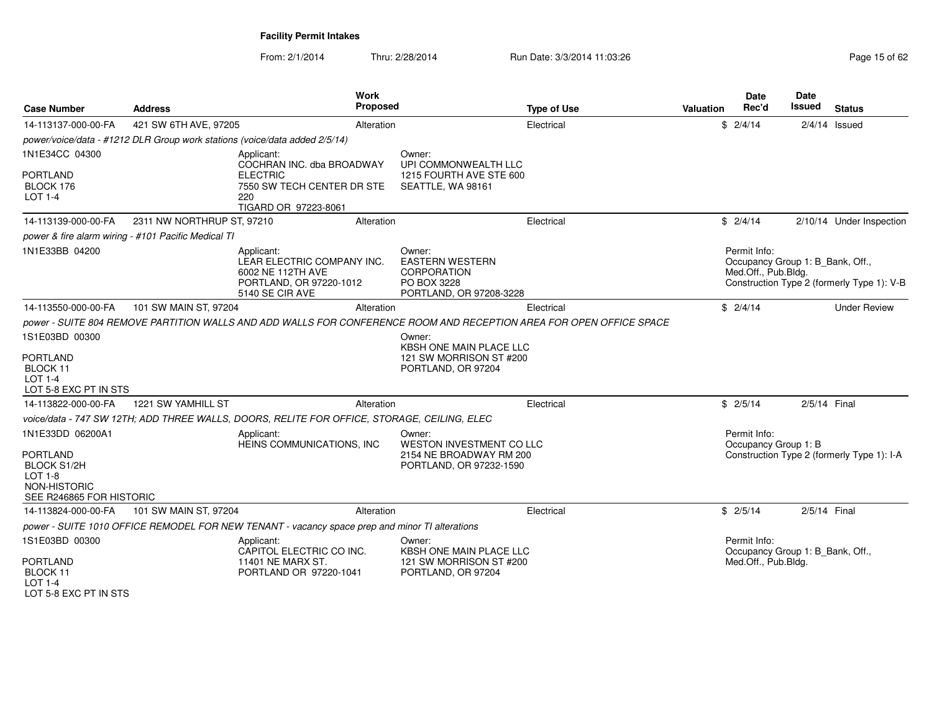From: 2/1/2014Thru: 2/28/2014 Run Date: 3/3/2014 11:03:26 Run Date: 3/3/2014 11:03:26

| <b>Case Number</b>                                                                                                      | <b>Address</b>                                      | Work<br><b>Proposed</b>                                                                                                 |                                                                                           | <b>Type of Use</b> | Valuation | <b>Date</b><br>Rec'd                                                    | <b>Date</b><br>Issued | <b>Status</b>                              |
|-------------------------------------------------------------------------------------------------------------------------|-----------------------------------------------------|-------------------------------------------------------------------------------------------------------------------------|-------------------------------------------------------------------------------------------|--------------------|-----------|-------------------------------------------------------------------------|-----------------------|--------------------------------------------|
| 14-113137-000-00-FA                                                                                                     | 421 SW 6TH AVE, 97205                               | Alteration                                                                                                              |                                                                                           | Electrical         |           | \$2/4/14                                                                |                       | $2/4/14$ Issued                            |
|                                                                                                                         |                                                     | power/voice/data - #1212 DLR Group work stations (voice/data added 2/5/14)                                              |                                                                                           |                    |           |                                                                         |                       |                                            |
| 1N1E34CC 04300<br><b>PORTLAND</b><br>BLOCK 176<br>LOT 1-4                                                               |                                                     | Applicant:<br>COCHRAN INC. dba BROADWAY<br><b>ELECTRIC</b><br>7550 SW TECH CENTER DR STE<br>220<br>TIGARD OR 97223-8061 | Owner:<br>UPI COMMONWEALTH LLC<br>1215 FOURTH AVE STE 600<br>SEATTLE, WA 98161            |                    |           |                                                                         |                       |                                            |
| 14-113139-000-00-FA                                                                                                     | 2311 NW NORTHRUP ST, 97210                          | Alteration                                                                                                              |                                                                                           | Electrical         |           | \$2/4/14                                                                |                       | 2/10/14 Under Inspection                   |
|                                                                                                                         | power & fire alarm wiring - #101 Pacific Medical TI |                                                                                                                         |                                                                                           |                    |           |                                                                         |                       |                                            |
| 1N1E33BB 04200                                                                                                          |                                                     | Applicant:<br>LEAR ELECTRIC COMPANY INC.<br>6002 NE 112TH AVE<br>PORTLAND, OR 97220-1012<br>5140 SE CIR AVE             | Owner:<br><b>EASTERN WESTERN</b><br>CORPORATION<br>PO BOX 3228<br>PORTLAND, OR 97208-3228 |                    |           | Permit Info:<br>Occupancy Group 1: B_Bank, Off.,<br>Med.Off., Pub.Bldg. |                       | Construction Type 2 (formerly Type 1): V-B |
| 14-113550-000-00-FA                                                                                                     | 101 SW MAIN ST, 97204                               | Alteration                                                                                                              |                                                                                           | Electrical         |           | \$2/4/14                                                                |                       | <b>Under Review</b>                        |
|                                                                                                                         |                                                     | power - SUITE 804 REMOVE PARTITION WALLS AND ADD WALLS FOR CONFERENCE ROOM AND RECEPTION AREA FOR OPEN OFFICE SPACE     |                                                                                           |                    |           |                                                                         |                       |                                            |
| 1S1E03BD 00300<br><b>PORTLAND</b><br>BLOCK 11<br>LOT 1-4<br>LOT 5-8 EXC PT IN STS                                       |                                                     |                                                                                                                         | Owner:<br><b>KBSH ONE MAIN PLACE LLC</b><br>121 SW MORRISON ST #200<br>PORTLAND, OR 97204 |                    |           |                                                                         |                       |                                            |
| 14-113822-000-00-FA                                                                                                     | 1221 SW YAMHILL ST                                  | Alteration                                                                                                              |                                                                                           | Electrical         |           | \$2/5/14                                                                | 2/5/14 Final          |                                            |
|                                                                                                                         |                                                     | voice/data - 747 SW 12TH; ADD THREE WALLS, DOORS, RELITE FOR OFFICE, STORAGE, CEILING, ELEC                             |                                                                                           |                    |           |                                                                         |                       |                                            |
| 1N1E33DD 06200A1<br><b>PORTLAND</b><br><b>BLOCK S1/2H</b><br><b>LOT 1-8</b><br>NON-HISTORIC<br>SEE R246865 FOR HISTORIC |                                                     | Applicant:<br>HEINS COMMUNICATIONS, INC                                                                                 | Owner:<br>WESTON INVESTMENT CO LLC<br>2154 NE BROADWAY RM 200<br>PORTLAND, OR 97232-1590  |                    |           | Permit Info:<br>Occupancy Group 1: B                                    |                       | Construction Type 2 (formerly Type 1): I-A |
| 14-113824-000-00-FA                                                                                                     | 101 SW MAIN ST, 97204                               | Alteration                                                                                                              |                                                                                           | Electrical         |           | \$2/5/14                                                                | 2/5/14 Final          |                                            |
|                                                                                                                         |                                                     | power - SUITE 1010 OFFICE REMODEL FOR NEW TENANT - vacancy space prep and minor TI alterations                          |                                                                                           |                    |           |                                                                         |                       |                                            |
| 1S1E03BD 00300                                                                                                          |                                                     | Applicant:<br>CAPITOL ELECTRIC CO INC.                                                                                  | Owner:<br>KBSH ONE MAIN PLACE LLC                                                         |                    |           | Permit Info:<br>Occupancy Group 1: B_Bank, Off.,                        |                       |                                            |
| <b>PORTLAND</b><br>BLOCK 11<br>LOT 1-4                                                                                  |                                                     | 11401 NE MARX ST.<br>PORTLAND OR 97220-1041                                                                             | 121 SW MORRISON ST #200<br>PORTLAND, OR 97204                                             |                    |           | Med.Off., Pub.Bldg.                                                     |                       |                                            |

LOT 5-8 EXC PT IN STS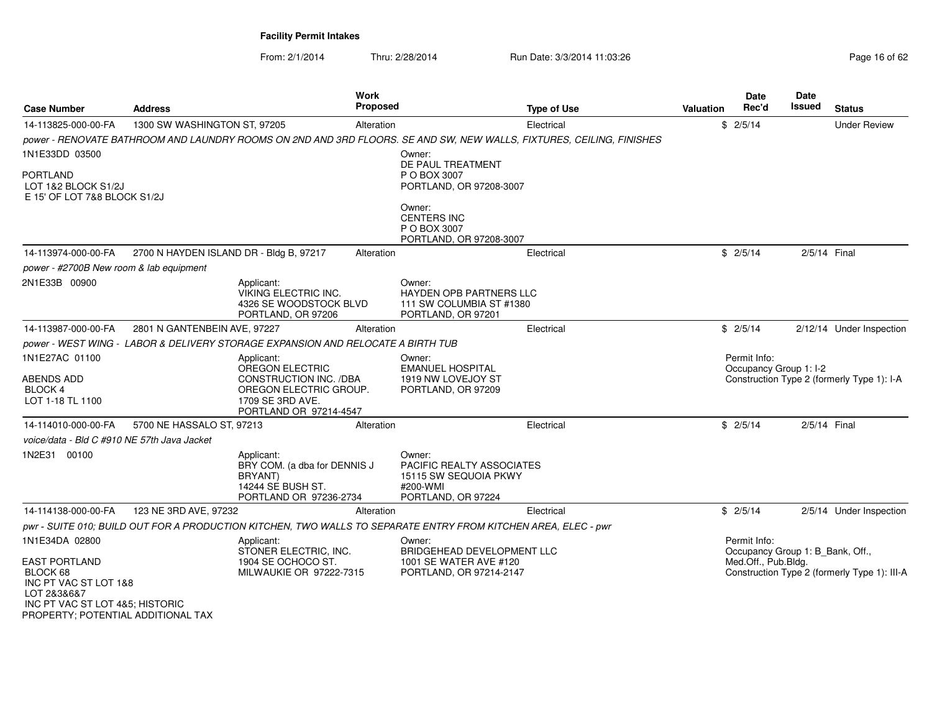| <b>Case Number</b>                                                                                                                                                                                                                                          | Address                                 |                                                                                                                                 | Work<br>Proposed |                                                                                                                | <b>Type of Use</b>                                                                                                      | Valuation | <b>Date</b><br>Rec'd                   | <b>Date</b><br>Issued | <b>Status</b>                              |
|-------------------------------------------------------------------------------------------------------------------------------------------------------------------------------------------------------------------------------------------------------------|-----------------------------------------|---------------------------------------------------------------------------------------------------------------------------------|------------------|----------------------------------------------------------------------------------------------------------------|-------------------------------------------------------------------------------------------------------------------------|-----------|----------------------------------------|-----------------------|--------------------------------------------|
| 14-113825-000-00-FA                                                                                                                                                                                                                                         | 1300 SW WASHINGTON ST, 97205            |                                                                                                                                 | Alteration       |                                                                                                                | Electrical                                                                                                              |           | \$2/5/14                               |                       | <b>Under Review</b>                        |
|                                                                                                                                                                                                                                                             |                                         |                                                                                                                                 |                  |                                                                                                                | power - RENOVATE BATHROOM AND LAUNDRY ROOMS ON 2ND AND 3RD FLOORS. SE AND SW, NEW WALLS, FIXTURES, CEILING, FINISHES    |           |                                        |                       |                                            |
| 1N1E33DD 03500                                                                                                                                                                                                                                              |                                         |                                                                                                                                 |                  | Owner:                                                                                                         |                                                                                                                         |           |                                        |                       |                                            |
| <b>PORTLAND</b><br>LOT 1&2 BLOCK S1/2J<br>E 15' OF LOT 7&8 BLOCK S1/2J                                                                                                                                                                                      |                                         |                                                                                                                                 |                  | DE PAUL TREATMENT<br>P O BOX 3007<br>PORTLAND, OR 97208-3007                                                   |                                                                                                                         |           |                                        |                       |                                            |
|                                                                                                                                                                                                                                                             |                                         |                                                                                                                                 |                  | Owner:<br><b>CENTERS INC</b><br>P O BOX 3007<br>PORTLAND, OR 97208-3007                                        |                                                                                                                         |           |                                        |                       |                                            |
| 14-113974-000-00-FA                                                                                                                                                                                                                                         | 2700 N HAYDEN ISLAND DR - Bldg B, 97217 |                                                                                                                                 | Alteration       |                                                                                                                | Electrical                                                                                                              |           | \$2/5/14                               | 2/5/14 Final          |                                            |
| power - #2700B New room & lab equipment                                                                                                                                                                                                                     |                                         |                                                                                                                                 |                  |                                                                                                                |                                                                                                                         |           |                                        |                       |                                            |
| 2N1E33B 00900                                                                                                                                                                                                                                               |                                         | Applicant:<br><b>VIKING ELECTRIC INC.</b><br>4326 SE WOODSTOCK BLVD<br>PORTLAND, OR 97206                                       |                  | Owner:<br><b>HAYDEN OPB PARTNERS LLC</b><br>111 SW COLUMBIA ST #1380<br>PORTLAND, OR 97201                     |                                                                                                                         |           |                                        |                       |                                            |
| 14-113987-000-00-FA                                                                                                                                                                                                                                         | 2801 N GANTENBEIN AVE, 97227            |                                                                                                                                 | Alteration       |                                                                                                                | Electrical                                                                                                              |           | \$2/5/14                               |                       | 2/12/14 Under Inspection                   |
|                                                                                                                                                                                                                                                             |                                         | power - WEST WING - LABOR & DELIVERY STORAGE EXPANSION AND RELOCATE A BIRTH TUB                                                 |                  |                                                                                                                |                                                                                                                         |           |                                        |                       |                                            |
| 1N1E27AC 01100<br>ABENDS ADD<br><b>BLOCK 4</b><br>LOT 1-18 TL 1100                                                                                                                                                                                          |                                         | Applicant:<br>OREGON ELECTRIC<br>CONSTRUCTION INC. /DBA<br>OREGON ELECTRIC GROUP.<br>1709 SE 3RD AVE.<br>PORTLAND OR 97214-4547 |                  | Owner:<br><b>EMANUEL HOSPITAL</b><br>1919 NW LOVEJOY ST<br>PORTLAND, OR 97209                                  |                                                                                                                         |           | Permit Info:<br>Occupancy Group 1: I-2 |                       | Construction Type 2 (formerly Type 1): I-A |
| 14-114010-000-00-FA                                                                                                                                                                                                                                         | 5700 NE HASSALO ST, 97213               |                                                                                                                                 | Alteration       |                                                                                                                | Electrical                                                                                                              |           | \$2/5/14                               | 2/5/14 Final          |                                            |
| voice/data - Bld C #910 NE 57th Java Jacket                                                                                                                                                                                                                 |                                         |                                                                                                                                 |                  |                                                                                                                |                                                                                                                         |           |                                        |                       |                                            |
| 1N2E31 00100                                                                                                                                                                                                                                                |                                         | Applicant:<br>BRY COM. (a dba for DENNIS J<br><b>BRYANT</b> )<br>14244 SE BUSH ST.<br>PORTLAND OR 97236-2734                    |                  | Owner:<br>PACIFIC REALTY ASSOCIATES<br>15115 SW SEQUOIA PKWY<br>#200-WMI<br>PORTLAND, OR 97224                 |                                                                                                                         |           |                                        |                       |                                            |
| 14-114138-000-00-FA                                                                                                                                                                                                                                         | 123 NE 3RD AVE, 97232                   |                                                                                                                                 | Alteration       |                                                                                                                | Electrical                                                                                                              |           | \$2/5/14                               |                       | 2/5/14 Under Inspection                    |
|                                                                                                                                                                                                                                                             |                                         |                                                                                                                                 |                  | pwr - SUITE 010; BUILD OUT FOR A PRODUCTION KITCHEN, TWO WALLS TO SEPARATE ENTRY FROM KITCHEN AREA, ELEC - pwr |                                                                                                                         |           |                                        |                       |                                            |
| 1N1E34DA 02800<br>Applicant:<br>STONER ELECTRIC, INC.<br><b>EAST PORTLAND</b><br>1904 SE OCHOCO ST.<br>BLOCK 68<br>MILWAUKIE OR 97222-7315<br>INC PT VAC ST LOT 1&8<br>LOT 2&3&6&7<br>INC PT VAC ST LOT 4&5: HISTORIC<br>PROPERTY; POTENTIAL ADDITIONAL TAX |                                         |                                                                                                                                 |                  | Owner:<br>BRIDGEHEAD DEVELOPMENT LLC<br>1001 SE WATER AVE #120<br>PORTLAND, OR 97214-2147                      | Permit Info:<br>Occupancy Group 1: B_Bank, Off.,<br>Med.Off., Pub.Bldg.<br>Construction Type 2 (formerly Type 1): III-A |           |                                        |                       |                                            |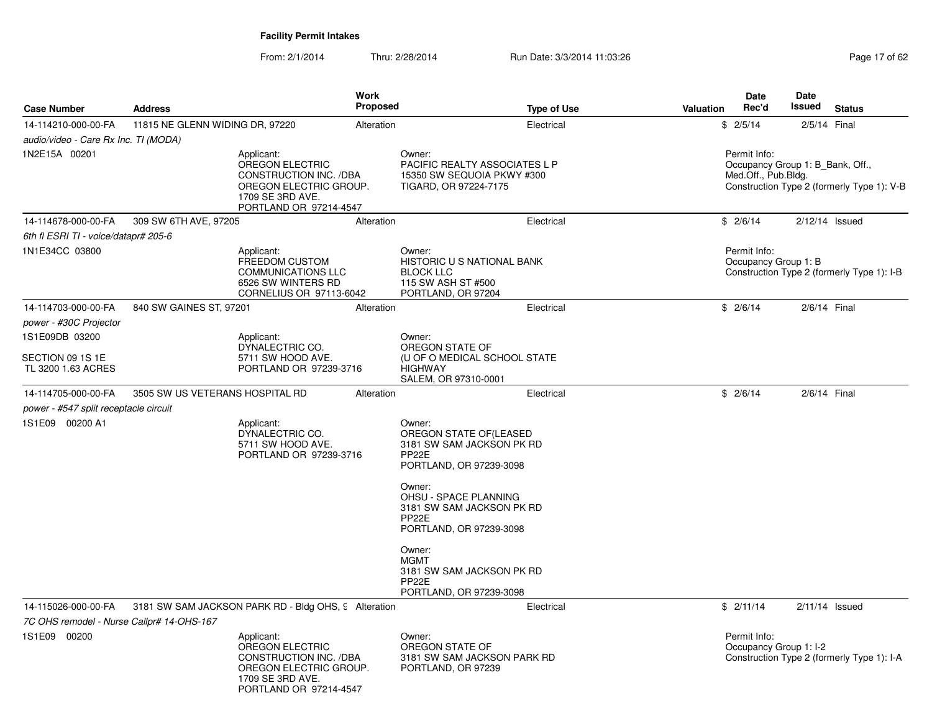| <b>Case Number</b>                        | <b>Address</b>                  |                                                                                                                                 | <b>Work</b><br>Proposed |                                                                                                                                                                                                                                         | <b>Type of Use</b> | <b>Valuation</b> | <b>Date</b><br>Rec'd                                                    | Date<br>Issued | <b>Status</b>                              |
|-------------------------------------------|---------------------------------|---------------------------------------------------------------------------------------------------------------------------------|-------------------------|-----------------------------------------------------------------------------------------------------------------------------------------------------------------------------------------------------------------------------------------|--------------------|------------------|-------------------------------------------------------------------------|----------------|--------------------------------------------|
| 14-114210-000-00-FA                       | 11815 NE GLENN WIDING DR, 97220 |                                                                                                                                 | Alteration              |                                                                                                                                                                                                                                         | Electrical         |                  | \$2/5/14                                                                |                | 2/5/14 Final                               |
| audio/video - Care Rx Inc. TI (MODA)      |                                 |                                                                                                                                 |                         |                                                                                                                                                                                                                                         |                    |                  |                                                                         |                |                                            |
| 1N2E15A 00201                             |                                 | Applicant:<br>OREGON ELECTRIC<br>CONSTRUCTION INC. /DBA<br>OREGON ELECTRIC GROUP.<br>1709 SE 3RD AVE.<br>PORTLAND OR 97214-4547 |                         | Owner:<br>PACIFIC REALTY ASSOCIATES L P<br>15350 SW SEQUOIA PKWY #300<br>TIGARD, OR 97224-7175                                                                                                                                          |                    |                  | Permit Info:<br>Occupancy Group 1: B_Bank, Off.,<br>Med.Off., Pub.Bldg. |                | Construction Type 2 (formerly Type 1): V-B |
| 14-114678-000-00-FA                       | 309 SW 6TH AVE, 97205           |                                                                                                                                 | Alteration              |                                                                                                                                                                                                                                         | Electrical         |                  | \$2/6/14                                                                |                | $2/12/14$ Issued                           |
| 6th fl ESRI TI - voice/datapr# 205-6      |                                 |                                                                                                                                 |                         |                                                                                                                                                                                                                                         |                    |                  |                                                                         |                |                                            |
| 1N1E34CC 03800                            |                                 | Applicant:<br>FREEDOM CUSTOM<br><b>COMMUNICATIONS LLC</b><br>6526 SW WINTERS RD<br>CORNELIUS OR 97113-6042                      |                         | Owner:<br>HISTORIC U S NATIONAL BANK<br><b>BLOCK LLC</b><br>115 SW ASH ST #500<br>PORTLAND, OR 97204                                                                                                                                    |                    |                  | Permit Info:<br>Occupancy Group 1: B                                    |                | Construction Type 2 (formerly Type 1): I-B |
| 14-114703-000-00-FA                       | 840 SW GAINES ST, 97201         |                                                                                                                                 | Alteration              |                                                                                                                                                                                                                                         | Electrical         |                  | \$2/6/14                                                                |                | 2/6/14 Final                               |
| power - #30C Projector                    |                                 |                                                                                                                                 |                         |                                                                                                                                                                                                                                         |                    |                  |                                                                         |                |                                            |
| 1S1E09DB 03200                            |                                 | Applicant:                                                                                                                      |                         | Owner:                                                                                                                                                                                                                                  |                    |                  |                                                                         |                |                                            |
| SECTION 09 1S 1E<br>TL 3200 1.63 ACRES    |                                 | DYNALECTRIC CO.<br>5711 SW HOOD AVE.<br>PORTLAND OR 97239-3716                                                                  |                         | OREGON STATE OF<br>(U OF O MEDICAL SCHOOL STATE<br><b>HIGHWAY</b><br>SALEM, OR 97310-0001                                                                                                                                               |                    |                  |                                                                         |                |                                            |
| 14-114705-000-00-FA                       | 3505 SW US VETERANS HOSPITAL RD |                                                                                                                                 | Alteration              |                                                                                                                                                                                                                                         | Electrical         |                  | \$2/6/14                                                                |                | 2/6/14 Final                               |
| power - #547 split receptacle circuit     |                                 |                                                                                                                                 |                         |                                                                                                                                                                                                                                         |                    |                  |                                                                         |                |                                            |
| 1S1E09 00200 A1                           |                                 | Applicant:<br>DYNALECTRIC CO.<br>5711 SW HOOD AVE.<br>PORTLAND OR 97239-3716                                                    |                         | Owner:<br>OREGON STATE OF (LEASED<br>3181 SW SAM JACKSON PK RD<br>PP <sub>22</sub> E<br>PORTLAND, OR 97239-3098<br>Owner:<br><b>OHSU - SPACE PLANNING</b><br>3181 SW SAM JACKSON PK RD<br>PP <sub>22</sub> E<br>PORTLAND, OR 97239-3098 |                    |                  |                                                                         |                |                                            |
|                                           |                                 |                                                                                                                                 |                         | Owner:<br><b>MGMT</b><br>3181 SW SAM JACKSON PK RD<br>PP <sub>22</sub> E<br>PORTLAND, OR 97239-3098                                                                                                                                     |                    |                  |                                                                         |                |                                            |
| 14-115026-000-00-FA                       |                                 | 3181 SW SAM JACKSON PARK RD - Bldg OHS, 9 Alteration                                                                            |                         |                                                                                                                                                                                                                                         | Electrical         |                  | \$2/11/14                                                               |                | $2/11/14$ Issued                           |
| 7C OHS remodel - Nurse Callpr# 14-OHS-167 |                                 |                                                                                                                                 |                         |                                                                                                                                                                                                                                         |                    |                  |                                                                         |                |                                            |
| 1S1E09 00200                              |                                 | Applicant:<br>OREGON ELECTRIC<br>CONSTRUCTION INC. /DBA<br>OREGON ELECTRIC GROUP.<br>1709 SE 3RD AVE.<br>PORTLAND OR 97214-4547 |                         | Owner:<br>OREGON STATE OF<br>3181 SW SAM JACKSON PARK RD<br>PORTLAND, OR 97239                                                                                                                                                          |                    |                  | Permit Info:<br>Occupancy Group 1: I-2                                  |                | Construction Type 2 (formerly Type 1): I-A |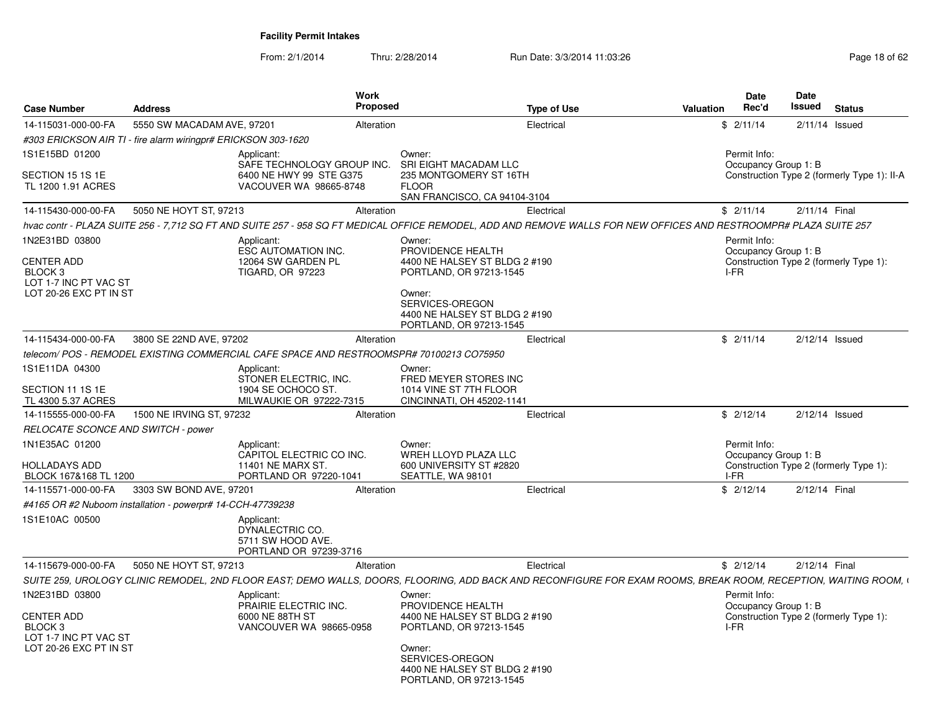| <b>Case Number</b>                                                                         | <b>Address</b>             | <b>Work</b><br><b>Proposed</b>                                                                                                                                    |                                                                                                                                                   | <b>Type of Use</b> | Valuation | Date<br>Rec'd                        | Date<br><b>Issued</b> | <b>Status</b>                               |
|--------------------------------------------------------------------------------------------|----------------------------|-------------------------------------------------------------------------------------------------------------------------------------------------------------------|---------------------------------------------------------------------------------------------------------------------------------------------------|--------------------|-----------|--------------------------------------|-----------------------|---------------------------------------------|
| 14-115031-000-00-FA                                                                        | 5550 SW MACADAM AVE, 97201 | Alteration                                                                                                                                                        |                                                                                                                                                   | Electrical         |           | \$2/11/14                            |                       | $2/11/14$ Issued                            |
| #303 ERICKSON AIR TI - fire alarm wiringpr# ERICKSON 303-1620                              |                            |                                                                                                                                                                   |                                                                                                                                                   |                    |           |                                      |                       |                                             |
| 1S1E15BD 01200                                                                             |                            | Applicant:                                                                                                                                                        | Owner:                                                                                                                                            |                    |           | Permit Info:                         |                       |                                             |
| SECTION 15 1S 1E<br>TL 1200 1.91 ACRES                                                     |                            | SAFE TECHNOLOGY GROUP INC.<br>6400 NE HWY 99 STE G375<br>VACOUVER WA 98665-8748                                                                                   | SRI EIGHT MACADAM LLC<br>235 MONTGOMERY ST 16TH<br><b>FLOOR</b><br>SAN FRANCISCO, CA 94104-3104                                                   |                    |           | Occupancy Group 1: B                 |                       | Construction Type 2 (formerly Type 1): II-A |
| 14-115430-000-00-FA                                                                        | 5050 NE HOYT ST, 97213     | Alteration                                                                                                                                                        |                                                                                                                                                   | Electrical         |           | \$2/11/14                            | 2/11/14 Final         |                                             |
|                                                                                            |                            | hvac contr - PLAZA SUITE 256 - 7,712 SQ FT AND SUITE 257 - 958 SQ FT MEDICAL OFFICE REMODEL, ADD AND REMOVE WALLS FOR NEW OFFICES AND RESTROOMPR# PLAZA SUITE 257 |                                                                                                                                                   |                    |           |                                      |                       |                                             |
| 1N2E31BD 03800                                                                             |                            | Applicant:<br>ESC AUTOMATION INC.                                                                                                                                 | Owner:<br>PROVIDENCE HEALTH                                                                                                                       |                    |           | Permit Info:<br>Occupancy Group 1: B |                       |                                             |
| <b>CENTER ADD</b><br>BLOCK <sub>3</sub><br>LOT 1-7 INC PT VAC ST<br>LOT 20-26 EXC PT IN ST |                            | 12064 SW GARDEN PL<br>TIGARD, OR 97223                                                                                                                            | 4400 NE HALSEY ST BLDG 2 #190<br>PORTLAND, OR 97213-1545<br>Owner:<br>SERVICES-OREGON<br>4400 NE HALSEY ST BLDG 2 #190<br>PORTLAND, OR 97213-1545 |                    | I-FR      |                                      |                       | Construction Type 2 (formerly Type 1):      |
| 14-115434-000-00-FA                                                                        | 3800 SE 22ND AVE, 97202    | Alteration                                                                                                                                                        |                                                                                                                                                   | Electrical         |           | \$2/11/14                            |                       | $2/12/14$ Issued                            |
|                                                                                            |                            | telecom/POS - REMODEL EXISTING COMMERCIAL CAFE SPACE AND RESTROOMSPR# 70100213 CO75950                                                                            |                                                                                                                                                   |                    |           |                                      |                       |                                             |
| 1S1E11DA 04300<br>SECTION 11 1S 1E                                                         |                            | Applicant:<br>STONER ELECTRIC, INC.<br>1904 SE OCHOCO ST.                                                                                                         | Owner:<br>FRED MEYER STORES INC<br>1014 VINE ST 7TH FLOOR                                                                                         |                    |           |                                      |                       |                                             |
| TL 4300 5.37 ACRES                                                                         |                            | MILWAUKIE OR 97222-7315                                                                                                                                           | CINCINNATI, OH 45202-1141                                                                                                                         |                    |           |                                      |                       |                                             |
| 14-115555-000-00-FA                                                                        | 1500 NE IRVING ST, 97232   | Alteration                                                                                                                                                        |                                                                                                                                                   | Electrical         |           | \$2/12/14                            |                       | $2/12/14$ Issued                            |
| RELOCATE SCONCE AND SWITCH - power                                                         |                            |                                                                                                                                                                   |                                                                                                                                                   |                    |           |                                      |                       |                                             |
| 1N1E35AC 01200<br><b>HOLLADAYS ADD</b><br>BLOCK 167&168 TL 1200                            |                            | Applicant:<br>CAPITOL ELECTRIC CO INC.<br>11401 NE MARX ST.<br>PORTLAND OR 97220-1041                                                                             | Owner:<br>WREH LLOYD PLAZA LLC<br>600 UNIVERSITY ST #2820<br>SEATTLE, WA 98101                                                                    |                    | I-FR      | Permit Info:<br>Occupancy Group 1: B |                       | Construction Type 2 (formerly Type 1):      |
| 14-115571-000-00-FA                                                                        | 3303 SW BOND AVE, 97201    | Alteration                                                                                                                                                        |                                                                                                                                                   | Electrical         |           | \$2/12/14                            | 2/12/14 Final         |                                             |
| #4165 OR #2 Nuboom installation - powerpr# 14-CCH-47739238                                 |                            |                                                                                                                                                                   |                                                                                                                                                   |                    |           |                                      |                       |                                             |
| 1S1E10AC 00500                                                                             |                            | Applicant:<br>DYNALECTRIC CO.<br>5711 SW HOOD AVE.<br>PORTLAND OR 97239-3716                                                                                      |                                                                                                                                                   |                    |           |                                      |                       |                                             |
| 14-115679-000-00-FA                                                                        | 5050 NE HOYT ST, 97213     | Alteration                                                                                                                                                        |                                                                                                                                                   | Electrical         |           | \$2/12/14                            | 2/12/14 Final         |                                             |
|                                                                                            |                            | SUITE 259, UROLOGY CLINIC REMODEL, 2ND FLOOR EAST; DEMO WALLS, DOORS, FLOORING, ADD BACK AND RECONFIGURE FOR EXAM ROOMS, BREAK ROOM, RECEPTION, WAITING ROOM, \   |                                                                                                                                                   |                    |           |                                      |                       |                                             |
| 1N2E31BD 03800<br><b>CENTER ADD</b><br>BLOCK <sub>3</sub><br>LOT 1-7 INC PT VAC ST         |                            | Applicant:<br>PRAIRIE ELECTRIC INC.<br>6000 NE 88TH ST<br>VANCOUVER WA 98665-0958                                                                                 | Owner:<br>PROVIDENCE HEALTH<br>4400 NE HALSEY ST BLDG 2 #190<br>PORTLAND, OR 97213-1545                                                           |                    | I-FR      | Permit Info:<br>Occupancy Group 1: B |                       | Construction Type 2 (formerly Type 1):      |
| LOT 20-26 EXC PT IN ST                                                                     |                            |                                                                                                                                                                   | Owner:<br>SERVICES-OREGON<br>4400 NE HALSEY ST BLDG 2 #190<br>PORTLAND, OR 97213-1545                                                             |                    |           |                                      |                       |                                             |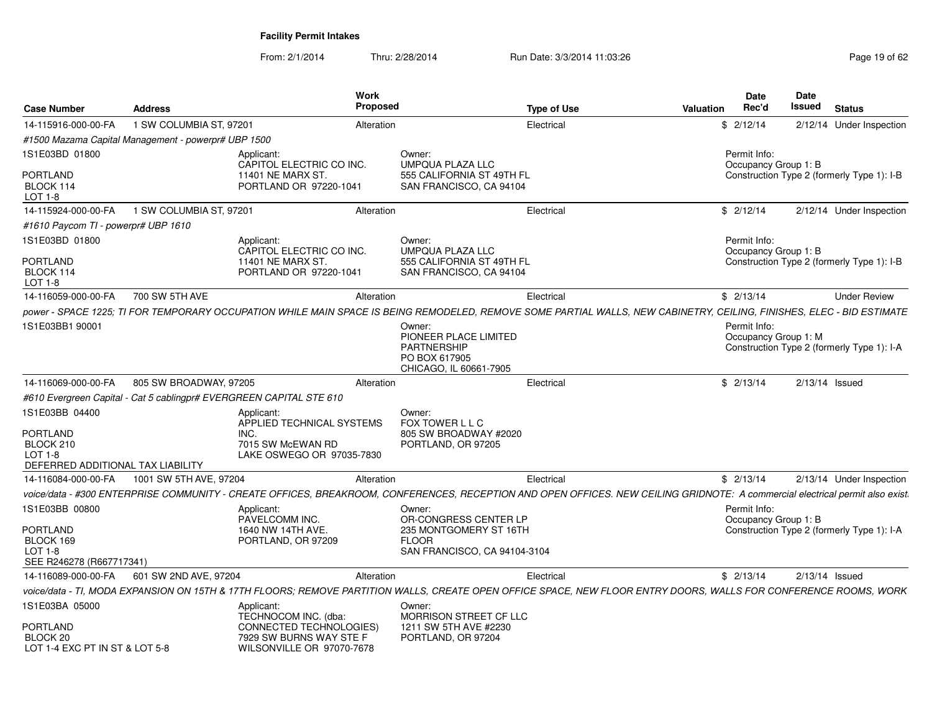| <b>Case Number</b>                                                  | <b>Address</b>                                                      | Work<br><b>Proposed</b>                                                         |                                                                                                  | <b>Type of Use</b><br>Valuation                                                                                                                                               | <b>Date</b><br>Rec'd                 | <b>Date</b><br>Issued | <b>Status</b>                              |
|---------------------------------------------------------------------|---------------------------------------------------------------------|---------------------------------------------------------------------------------|--------------------------------------------------------------------------------------------------|-------------------------------------------------------------------------------------------------------------------------------------------------------------------------------|--------------------------------------|-----------------------|--------------------------------------------|
| 14-115916-000-00-FA                                                 | 1 SW COLUMBIA ST, 97201                                             | Alteration                                                                      |                                                                                                  | Electrical                                                                                                                                                                    | \$2/12/14                            |                       | 2/12/14 Under Inspection                   |
|                                                                     | #1500 Mazama Capital Management - powerpr# UBP 1500                 |                                                                                 |                                                                                                  |                                                                                                                                                                               |                                      |                       |                                            |
| 1S1E03BD 01800                                                      |                                                                     | Applicant:<br>CAPITOL ELECTRIC CO INC.                                          | Owner:<br><b>UMPQUA PLAZA LLC</b>                                                                |                                                                                                                                                                               | Permit Info:<br>Occupancy Group 1: B |                       |                                            |
| <b>PORTLAND</b><br>BLOCK 114<br>LOT 1-8                             |                                                                     | 11401 NE MARX ST.<br>PORTLAND OR 97220-1041                                     | 555 CALIFORNIA ST 49TH FL<br>SAN FRANCISCO, CA 94104                                             |                                                                                                                                                                               |                                      |                       | Construction Type 2 (formerly Type 1): I-B |
| 14-115924-000-00-FA                                                 | 1 SW COLUMBIA ST, 97201                                             | Alteration                                                                      |                                                                                                  | Electrical                                                                                                                                                                    | \$2/12/14                            |                       | 2/12/14 Under Inspection                   |
| #1610 Paycom TI - powerpr# UBP 1610                                 |                                                                     |                                                                                 |                                                                                                  |                                                                                                                                                                               |                                      |                       |                                            |
| 1S1E03BD 01800                                                      |                                                                     | Applicant:<br>CAPITOL ELECTRIC CO INC.                                          | Owner:<br>UMPQUA PLAZA LLC                                                                       |                                                                                                                                                                               | Permit Info:<br>Occupancy Group 1: B |                       |                                            |
| PORTLAND<br>BLOCK 114<br>LOT 1-8                                    |                                                                     | 11401 NE MARX ST.<br>PORTLAND OR 97220-1041                                     | 555 CALIFORNIA ST 49TH FL<br>SAN FRANCISCO, CA 94104                                             |                                                                                                                                                                               |                                      |                       | Construction Type 2 (formerly Type 1): I-B |
| 14-116059-000-00-FA                                                 | 700 SW 5TH AVE                                                      | Alteration                                                                      |                                                                                                  | Electrical                                                                                                                                                                    | \$2/13/14                            |                       | <b>Under Review</b>                        |
|                                                                     |                                                                     |                                                                                 |                                                                                                  | power - SPACE 1225; TI FOR TEMPORARY OCCUPATION WHILE MAIN SPACE IS BEING REMODELED, REMOVE SOME PARTIAL WALLS, NEW CABINETRY, CEILING, FINISHES, ELEC - BID ESTIMATE         |                                      |                       |                                            |
| 1S1E03BB1 90001                                                     |                                                                     |                                                                                 | Owner:<br>PIONEER PLACE LIMITED<br><b>PARTNERSHIP</b><br>PO BOX 617905<br>CHICAGO, IL 60661-7905 |                                                                                                                                                                               | Permit Info:<br>Occupancy Group 1: M |                       | Construction Type 2 (formerly Type 1): I-A |
| 14-116069-000-00-FA                                                 | 805 SW BROADWAY, 97205                                              | Alteration                                                                      |                                                                                                  | Electrical                                                                                                                                                                    | \$2/13/14                            |                       | $2/13/14$ Issued                           |
|                                                                     | #610 Evergreen Capital - Cat 5 cablingpr# EVERGREEN CAPITAL STE 610 |                                                                                 |                                                                                                  |                                                                                                                                                                               |                                      |                       |                                            |
| 1S1E03BB 04400<br><b>PORTLAND</b><br>BLOCK 210                      |                                                                     | Applicant:<br>APPLIED TECHNICAL SYSTEMS<br>INC.<br>7015 SW McEWAN RD            | Owner:<br>FOX TOWER L L C<br>805 SW BROADWAY #2020<br>PORTLAND, OR 97205                         |                                                                                                                                                                               |                                      |                       |                                            |
| <b>LOT 1-8</b><br>DEFERRED ADDITIONAL TAX LIABILITY                 |                                                                     | LAKE OSWEGO OR 97035-7830                                                       |                                                                                                  |                                                                                                                                                                               |                                      |                       |                                            |
| 14-116084-000-00-FA                                                 | 1001 SW 5TH AVE, 97204                                              | Alteration                                                                      |                                                                                                  | Electrical                                                                                                                                                                    | \$2/13/14                            |                       | 2/13/14 Under Inspection                   |
|                                                                     |                                                                     |                                                                                 |                                                                                                  | voice/data - #300 ENTERPRISE COMMUNITY - CREATE OFFICES, BREAKROOM, CONFERENCES, RECEPTION AND OPEN OFFICES. NEW CEILING GRIDNOTE: A commercial electrical permit also exist. |                                      |                       |                                            |
| 1S1E03BB 00800                                                      |                                                                     | Applicant:<br>PAVELCOMM INC.                                                    | Owner:<br>OR-CONGRESS CENTER LP                                                                  |                                                                                                                                                                               | Permit Info:<br>Occupancy Group 1: B |                       |                                            |
| PORTLAND<br>BLOCK 169<br><b>LOT 1-8</b><br>SEE R246278 (R667717341) |                                                                     | 1640 NW 14TH AVE.<br>PORTLAND, OR 97209                                         | 235 MONTGOMERY ST 16TH<br><b>FLOOR</b><br>SAN FRANCISCO, CA 94104-3104                           |                                                                                                                                                                               |                                      |                       | Construction Type 2 (formerly Type 1): I-A |
| 14-116089-000-00-FA                                                 | 601 SW 2ND AVE, 97204                                               | Alteration                                                                      |                                                                                                  | Electrical                                                                                                                                                                    | \$2/13/14                            |                       | 2/13/14 Issued                             |
|                                                                     |                                                                     |                                                                                 |                                                                                                  | voice/data - TI, MODA EXPANSION ON 15TH & 17TH FLOORS; REMOVE PARTITION WALLS, CREATE OPEN OFFICE SPACE, NEW FLOOR ENTRY DOORS, WALLS FOR CONFERENCE ROOMS, WORK              |                                      |                       |                                            |
| 1S1E03BA 05000                                                      |                                                                     | Applicant:<br>TECHNOCOM INC. (dba:                                              | Owner:<br>MORRISON STREET CF LLC                                                                 |                                                                                                                                                                               |                                      |                       |                                            |
| PORTLAND<br>BLOCK 20<br>LOT 1-4 EXC PT IN ST & LOT 5-8              |                                                                     | CONNECTED TECHNOLOGIES)<br>7929 SW BURNS WAY STE F<br>WILSONVILLE OR 97070-7678 | 1211 SW 5TH AVE #2230<br>PORTLAND, OR 97204                                                      |                                                                                                                                                                               |                                      |                       |                                            |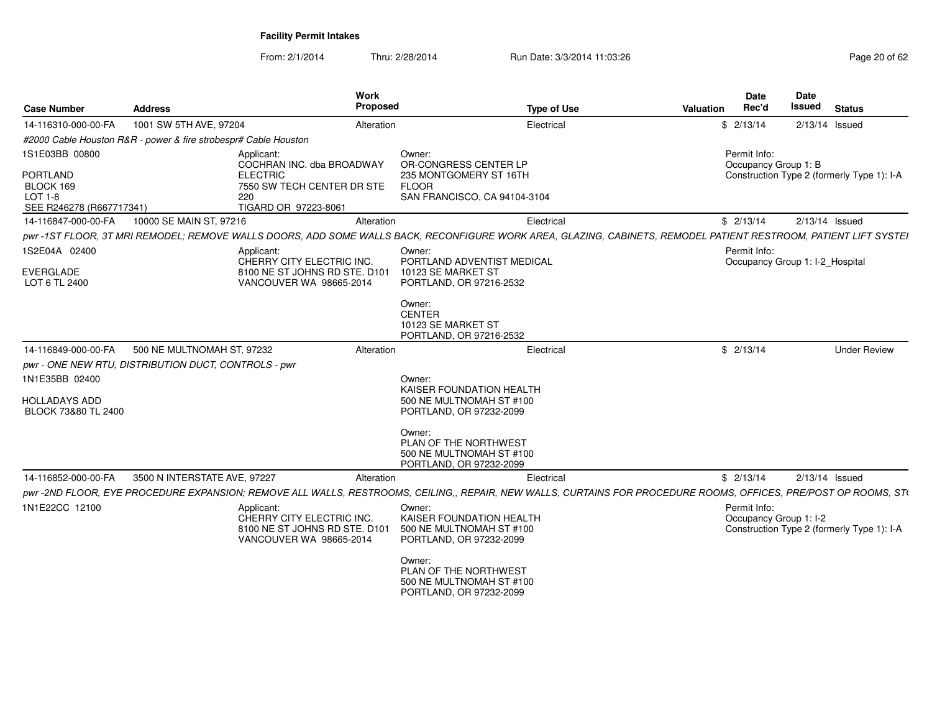| <b>Case Number</b>                                                                    | <b>Address</b>                                                  | <b>Work</b><br>Proposed                                                                                                 | <b>Type of Use</b>                                                                                                                                                            | <b>Valuation</b> | <b>Date</b><br>Rec'd                            | Date<br><b>Issued</b> | <b>Status</b>                              |
|---------------------------------------------------------------------------------------|-----------------------------------------------------------------|-------------------------------------------------------------------------------------------------------------------------|-------------------------------------------------------------------------------------------------------------------------------------------------------------------------------|------------------|-------------------------------------------------|-----------------------|--------------------------------------------|
| 14-116310-000-00-FA                                                                   | 1001 SW 5TH AVE, 97204                                          | Alteration                                                                                                              | Electrical                                                                                                                                                                    |                  | \$2/13/14                                       |                       | $2/13/14$ Issued                           |
|                                                                                       | #2000 Cable Houston R&R - power & fire strobespr# Cable Houston |                                                                                                                         |                                                                                                                                                                               |                  |                                                 |                       |                                            |
| 1S1E03BB 00800<br><b>PORTLAND</b><br>BLOCK 169<br>LOT 1-8<br>SEE R246278 (R667717341) |                                                                 | Applicant:<br>COCHRAN INC. dba BROADWAY<br><b>ELECTRIC</b><br>7550 SW TECH CENTER DR STE<br>220<br>TIGARD OR 97223-8061 | Owner:<br>OR-CONGRESS CENTER LP<br>235 MONTGOMERY ST 16TH<br><b>FLOOR</b><br>SAN FRANCISCO, CA 94104-3104                                                                     |                  | Permit Info:<br>Occupancy Group 1: B            |                       | Construction Type 2 (formerly Type 1): I-A |
| 14-116847-000-00-FA                                                                   | 10000 SE MAIN ST, 97216                                         | Alteration                                                                                                              | Electrical                                                                                                                                                                    |                  | \$2/13/14                                       |                       | $2/13/14$ Issued                           |
|                                                                                       |                                                                 |                                                                                                                         | pwr-1ST FLOOR, 3T MRI REMODEL; REMOVE WALLS DOORS, ADD SOME WALLS BACK, RECONFIGURE WORK AREA, GLAZING, CABINETS, REMODEL PATIENT RESTROOM, PATIENT LIFT SYSTEI               |                  |                                                 |                       |                                            |
| 1S2E04A 02400<br><b>EVERGLADE</b><br>LOT 6 TL 2400                                    |                                                                 | Applicant:<br>CHERRY CITY ELECTRIC INC.<br>8100 NE ST JOHNS RD STE, D101<br>VANCOUVER WA 98665-2014                     | Owner:<br>PORTLAND ADVENTIST MEDICAL<br>10123 SE MARKET ST<br>PORTLAND, OR 97216-2532<br>Owner:                                                                               |                  | Permit Info:<br>Occupancy Group 1: I-2 Hospital |                       |                                            |
|                                                                                       |                                                                 |                                                                                                                         | <b>CENTER</b><br>10123 SE MARKET ST<br>PORTLAND, OR 97216-2532                                                                                                                |                  |                                                 |                       |                                            |
| 14-116849-000-00-FA                                                                   | 500 NE MULTNOMAH ST, 97232                                      | Alteration                                                                                                              | Electrical                                                                                                                                                                    |                  | \$2/13/14                                       |                       | <b>Under Review</b>                        |
|                                                                                       | pwr - ONE NEW RTU, DISTRIBUTION DUCT, CONTROLS - pwr            |                                                                                                                         |                                                                                                                                                                               |                  |                                                 |                       |                                            |
| 1N1E35BB 02400                                                                        |                                                                 |                                                                                                                         | Owner:<br>KAISER FOUNDATION HEALTH                                                                                                                                            |                  |                                                 |                       |                                            |
| <b>HOLLADAYS ADD</b><br>BLOCK 73&80 TL 2400                                           |                                                                 |                                                                                                                         | 500 NE MULTNOMAH ST #100<br>PORTLAND, OR 97232-2099                                                                                                                           |                  |                                                 |                       |                                            |
|                                                                                       |                                                                 |                                                                                                                         | Owner:<br>PLAN OF THE NORTHWEST<br>500 NE MULTNOMAH ST #100<br>PORTLAND, OR 97232-2099                                                                                        |                  |                                                 |                       |                                            |
| 14-116852-000-00-FA                                                                   | 3500 N INTERSTATE AVE, 97227                                    | Alteration                                                                                                              | Electrical<br>pwr-2ND FLOOR, EYE PROCEDURE EXPANSION; REMOVE ALL WALLS, RESTROOMS, CEILING,, REPAIR, NEW WALLS, CURTAINS FOR PROCEDURE ROOMS, OFFICES, PRE/POST OP ROOMS, ST( |                  | \$2/13/14                                       |                       | $2/13/14$ Issued                           |
| 1N1E22CC 12100                                                                        |                                                                 | Applicant:<br>CHERRY CITY ELECTRIC INC.<br>8100 NE ST JOHNS RD STE, D101<br>VANCOUVER WA 98665-2014                     | Owner:<br>KAISER FOUNDATION HEALTH<br>500 NE MULTNOMAH ST #100<br>PORTLAND, OR 97232-2099<br>Owner:                                                                           |                  | Permit Info:<br>Occupancy Group 1: I-2          |                       | Construction Type 2 (formerly Type 1): I-A |
|                                                                                       |                                                                 |                                                                                                                         | PLAN OF THE NORTHWEST<br>500 NE MULTNOMAH ST #100<br>PORTLAND, OR 97232-2099                                                                                                  |                  |                                                 |                       |                                            |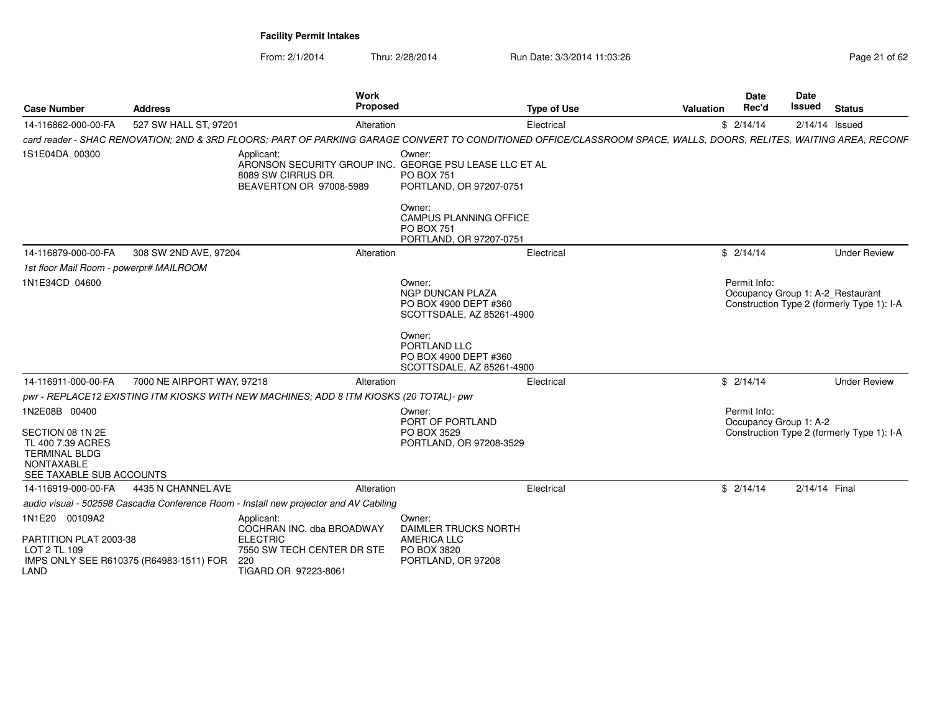| <b>Case Number</b>                                                                                                       | <b>Address</b>                          | Work<br>Proposed                                                                                                                                                   |                                                                                                                                                                  | <b>Type of Use</b> | <b>Valuation</b> | Date<br>Rec'd                          | Date<br>Issued | <b>Status</b>                                                                   |
|--------------------------------------------------------------------------------------------------------------------------|-----------------------------------------|--------------------------------------------------------------------------------------------------------------------------------------------------------------------|------------------------------------------------------------------------------------------------------------------------------------------------------------------|--------------------|------------------|----------------------------------------|----------------|---------------------------------------------------------------------------------|
| 14-116862-000-00-FA                                                                                                      | 527 SW HALL ST, 97201                   | Alteration                                                                                                                                                         |                                                                                                                                                                  | Electrical         |                  | \$2/14/14                              |                | $2/14/14$ Issued                                                                |
|                                                                                                                          |                                         | card reader - SHAC RENOVATION; 2ND & 3RD FLOORS; PART OF PARKING GARAGE CONVERT TO CONDITIONED OFFICE/CLASSROOM SPACE, WALLS, DOORS, RELITES, WAITING AREA, RECONF |                                                                                                                                                                  |                    |                  |                                        |                |                                                                                 |
| 1S1E04DA 00300                                                                                                           |                                         | Applicant:<br>ARONSON SECURITY GROUP INC. GEORGE PSU LEASE LLC ET AL<br>8089 SW CIRRUS DR.<br>BEAVERTON OR 97008-5989                                              | Owner:<br><b>PO BOX 751</b><br>PORTLAND, OR 97207-0751<br>Owner:<br><b>CAMPUS PLANNING OFFICE</b><br><b>PO BOX 751</b>                                           |                    |                  |                                        |                |                                                                                 |
|                                                                                                                          |                                         |                                                                                                                                                                    | PORTLAND, OR 97207-0751                                                                                                                                          |                    |                  |                                        |                |                                                                                 |
| 14-116879-000-00-FA                                                                                                      | 308 SW 2ND AVE, 97204                   | Alteration                                                                                                                                                         |                                                                                                                                                                  | Electrical         |                  | \$2/14/14                              |                | <b>Under Review</b>                                                             |
| 1st floor Mail Room - powerpr# MAILROOM                                                                                  |                                         |                                                                                                                                                                    |                                                                                                                                                                  |                    |                  |                                        |                |                                                                                 |
| 1N1E34CD 04600                                                                                                           |                                         |                                                                                                                                                                    | Owner:<br>NGP DUNCAN PLAZA<br>PO BOX 4900 DEPT #360<br>SCOTTSDALE, AZ 85261-4900<br>Owner:<br>PORTLAND LLC<br>PO BOX 4900 DEPT #360<br>SCOTTSDALE, AZ 85261-4900 |                    |                  | Permit Info:                           |                | Occupancy Group 1: A-2_Restaurant<br>Construction Type 2 (formerly Type 1): I-A |
| 14-116911-000-00-FA                                                                                                      | 7000 NE AIRPORT WAY, 97218              | Alteration                                                                                                                                                         |                                                                                                                                                                  | Electrical         |                  | \$2/14/14                              |                | <b>Under Review</b>                                                             |
|                                                                                                                          |                                         | pwr - REPLACE12 EXISTING ITM KIOSKS WITH NEW MACHINES; ADD 8 ITM KIOSKS (20 TOTAL)- pwr                                                                            |                                                                                                                                                                  |                    |                  |                                        |                |                                                                                 |
| 1N2E08B 00400<br>SECTION 08 1N 2E<br>TL 400 7.39 ACRES<br><b>TERMINAL BLDG</b><br>NONTAXABLE<br>SEE TAXABLE SUB ACCOUNTS |                                         |                                                                                                                                                                    | Owner:<br>PORT OF PORTLAND<br>PO BOX 3529<br>PORTLAND, OR 97208-3529                                                                                             |                    |                  | Permit Info:<br>Occupancy Group 1: A-2 |                | Construction Type 2 (formerly Type 1): I-A                                      |
| 14-116919-000-00-FA                                                                                                      | 4435 N CHANNEL AVE                      | Alteration                                                                                                                                                         |                                                                                                                                                                  | Electrical         |                  | \$2/14/14                              | 2/14/14 Final  |                                                                                 |
|                                                                                                                          |                                         | audio visual - 502598 Cascadia Conference Room - Install new projector and AV Cabiling                                                                             |                                                                                                                                                                  |                    |                  |                                        |                |                                                                                 |
| 1N1E20 00109A2<br>PARTITION PLAT 2003-38<br>LOT 2 TL 109<br>LAND                                                         | IMPS ONLY SEE R610375 (R64983-1511) FOR | Applicant:<br>COCHRAN INC. dba BROADWAY<br><b>ELECTRIC</b><br>7550 SW TECH CENTER DR STE<br>220<br>TIGARD OR 97223-8061                                            | Owner<br><b>DAIMLER TRUCKS NORTH</b><br><b>AMERICA LLC</b><br>PO BOX 3820<br>PORTLAND, OR 97208                                                                  |                    |                  |                                        |                |                                                                                 |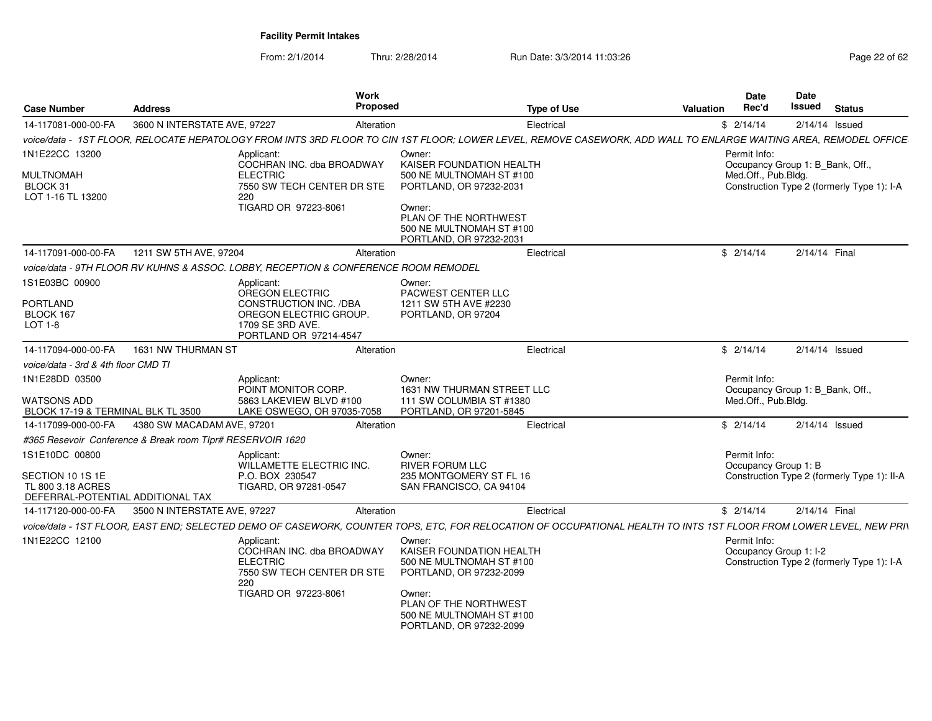| <b>Case Number</b>                                                  | <b>Address</b>                                             | Work<br>Proposed                                                                                                                                                   |                                                                                                  | <b>Type of Use</b> | <b>Valuation</b> | Date<br>Rec'd                        | <b>Date</b><br>Issued            | <b>Status</b>                               |
|---------------------------------------------------------------------|------------------------------------------------------------|--------------------------------------------------------------------------------------------------------------------------------------------------------------------|--------------------------------------------------------------------------------------------------|--------------------|------------------|--------------------------------------|----------------------------------|---------------------------------------------|
| 14-117081-000-00-FA                                                 | 3600 N INTERSTATE AVE, 97227                               | Alteration                                                                                                                                                         |                                                                                                  | Electrical         |                  | \$2/14/14                            |                                  | $2/14/14$ Issued                            |
|                                                                     |                                                            | voice/data - 1ST FLOOR, RELOCATE HEPATOLOGY FROM INTS 3RD FLOOR TO CIN 1ST FLOOR; LOWER LEVEL, REMOVE CASEWORK, ADD WALL TO ENLARGE WAITING AREA, REMODEL OFFICE   |                                                                                                  |                    |                  |                                      |                                  |                                             |
| 1N1E22CC 13200                                                      |                                                            | Applicant:<br>COCHRAN INC. dba BROADWAY                                                                                                                            | Owner:<br>KAISER FOUNDATION HEALTH                                                               |                    |                  | Permit Info:                         |                                  |                                             |
| MULTNOMAH<br>BLOCK 31<br>LOT 1-16 TL 13200                          |                                                            | <b>ELECTRIC</b><br>7550 SW TECH CENTER DR STE<br>220<br>TIGARD OR 97223-8061                                                                                       | 500 NE MULTNOMAH ST #100<br>PORTLAND, OR 97232-2031                                              |                    |                  | Med.Off., Pub.Bldg.                  | Occupancy Group 1: B Bank, Off., | Construction Type 2 (formerly Type 1): I-A  |
|                                                                     |                                                            |                                                                                                                                                                    | Owner:<br>PLAN OF THE NORTHWEST<br>500 NE MULTNOMAH ST #100<br>PORTLAND, OR 97232-2031           |                    |                  |                                      |                                  |                                             |
| 14-117091-000-00-FA                                                 | 1211 SW 5TH AVE, 97204                                     | Alteration                                                                                                                                                         |                                                                                                  | Electrical         |                  | \$2/14/14                            | 2/14/14 Final                    |                                             |
|                                                                     |                                                            | voice/data - 9TH FLOOR RV KUHNS & ASSOC. LOBBY, RECEPTION & CONFERENCE ROOM REMODEL                                                                                |                                                                                                  |                    |                  |                                      |                                  |                                             |
| 1S1E03BC 00900<br>PORTLAND<br>BLOCK 167<br>LOT $1-8$                |                                                            | Applicant:<br>OREGON ELECTRIC<br><b>CONSTRUCTION INC. /DBA</b><br>OREGON ELECTRIC GROUP.<br>1709 SE 3RD AVE.<br>PORTLAND OR 97214-4547                             | Owner:<br><b>PACWEST CENTER LLC</b><br>1211 SW 5TH AVE #2230<br>PORTLAND, OR 97204               |                    |                  |                                      |                                  |                                             |
| 14-117094-000-00-FA                                                 | 1631 NW THURMAN ST                                         | Alteration                                                                                                                                                         |                                                                                                  | Electrical         |                  | \$2/14/14                            |                                  | $2/14/14$ Issued                            |
| voice/data - 3rd & 4th floor CMD TI                                 |                                                            |                                                                                                                                                                    |                                                                                                  |                    |                  |                                      |                                  |                                             |
| 1N1E28DD 03500<br>WATSONS ADD<br>BLOCK 17-19 & TERMINAL BLK TL 3500 |                                                            | Applicant:<br>POINT MONITOR CORP.<br>5863 LAKEVIEW BLVD #100<br>LAKE OSWEGO, OR 97035-7058                                                                         | Owner:<br>1631 NW THURMAN STREET LLC<br>111 SW COLUMBIA ST #1380<br>PORTLAND, OR 97201-5845      |                    |                  | Permit Info:<br>Med.Off., Pub.Bldg.  | Occupancy Group 1: B_Bank, Off., |                                             |
| 14-117099-000-00-FA                                                 | 4380 SW MACADAM AVE, 97201                                 | Alteration                                                                                                                                                         |                                                                                                  | Electrical         |                  | \$2/14/14                            |                                  | $2/14/14$ Issued                            |
|                                                                     | #365 Resevoir Conference & Break room TIpr# RESERVOIR 1620 |                                                                                                                                                                    |                                                                                                  |                    |                  |                                      |                                  |                                             |
| 1S1E10DC 00800<br>SECTION 10 1S 1E                                  |                                                            | Applicant:<br>WILLAMETTE ELECTRIC INC.<br>P.O. BOX 230547                                                                                                          | Owner:<br><b>RIVER FORUM LLC</b><br>235 MONTGOMERY ST FL 16                                      |                    |                  | Permit Info:<br>Occupancy Group 1: B |                                  | Construction Type 2 (formerly Type 1): II-A |
| TL 800 3.18 ACRES<br>DEFERRAL-POTENTIAL ADDITIONAL TAX              |                                                            | TIGARD, OR 97281-0547                                                                                                                                              | SAN FRANCISCO, CA 94104                                                                          |                    |                  |                                      |                                  |                                             |
| 14-117120-000-00-FA                                                 | 3500 N INTERSTATE AVE, 97227                               | Alteration                                                                                                                                                         |                                                                                                  | Electrical         |                  | \$2/14/14                            | 2/14/14 Final                    |                                             |
|                                                                     |                                                            | voice/data - 1ST FLOOR, EAST END; SELECTED DEMO OF CASEWORK, COUNTER TOPS, ETC, FOR RELOCATION OF OCCUPATIONAL HEALTH TO INTS 1ST FLOOR FROM LOWER LEVEL, NEW PRI\ |                                                                                                  |                    |                  |                                      |                                  |                                             |
| 1N1E22CC 12100                                                      |                                                            | Applicant:<br>COCHRAN INC. dba BROADWAY<br><b>ELECTRIC</b><br>7550 SW TECH CENTER DR STE<br>220                                                                    | Owner:<br><b>KAISER FOUNDATION HEALTH</b><br>500 NE MULTNOMAH ST #100<br>PORTLAND, OR 97232-2099 |                    |                  | Permit Info:                         | Occupancy Group 1: I-2           | Construction Type 2 (formerly Type 1): I-A  |
|                                                                     |                                                            | TIGARD OR 97223-8061                                                                                                                                               | Owner:<br>PLAN OF THE NORTHWEST<br>500 NE MULTNOMAH ST #100<br>PORTLAND, OR 97232-2099           |                    |                  |                                      |                                  |                                             |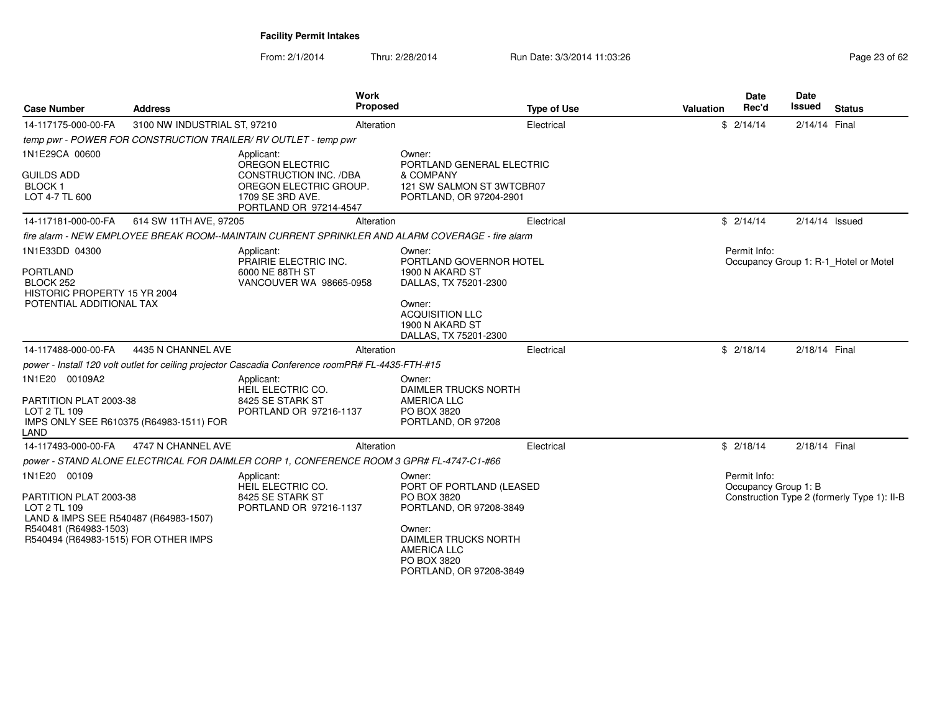| <b>Case Number</b>                                                                                                                                               | <b>Address</b>                          | <b>Work</b><br><b>Proposed</b>                                                                                                         |                                                                                                                                                                                       | <b>Type of Use</b> | Valuation | <b>Date</b><br>Rec'd                 | <b>Date</b><br>Issued | <b>Status</b>                               |
|------------------------------------------------------------------------------------------------------------------------------------------------------------------|-----------------------------------------|----------------------------------------------------------------------------------------------------------------------------------------|---------------------------------------------------------------------------------------------------------------------------------------------------------------------------------------|--------------------|-----------|--------------------------------------|-----------------------|---------------------------------------------|
| 14-117175-000-00-FA                                                                                                                                              | 3100 NW INDUSTRIAL ST, 97210            | Alteration                                                                                                                             |                                                                                                                                                                                       | Electrical         |           | \$2/14/14                            | 2/14/14 Final         |                                             |
|                                                                                                                                                                  |                                         | temp pwr - POWER FOR CONSTRUCTION TRAILER/ RV OUTLET - temp pwr                                                                        |                                                                                                                                                                                       |                    |           |                                      |                       |                                             |
| 1N1E29CA 00600<br><b>GUILDS ADD</b><br><b>BLOCK1</b><br>LOT 4-7 TL 600                                                                                           |                                         | Applicant:<br><b>OREGON ELECTRIC</b><br>CONSTRUCTION INC. /DBA<br>OREGON ELECTRIC GROUP.<br>1709 SE 3RD AVE.<br>PORTLAND OR 97214-4547 | Owner:<br>PORTLAND GENERAL ELECTRIC<br>& COMPANY<br>121 SW SALMON ST 3WTCBR07<br>PORTLAND, OR 97204-2901                                                                              |                    |           |                                      |                       |                                             |
| 14-117181-000-00-FA                                                                                                                                              | 614 SW 11TH AVE, 97205                  | Alteration                                                                                                                             |                                                                                                                                                                                       | Electrical         |           | \$2/14/14                            | $2/14/14$ Issued      |                                             |
|                                                                                                                                                                  |                                         | fire alarm - NEW EMPLOYEE BREAK ROOM--MAINTAIN CURRENT SPRINKLER AND ALARM COVERAGE - fire alarm                                       |                                                                                                                                                                                       |                    |           |                                      |                       |                                             |
| 1N1E33DD 04300<br><b>PORTLAND</b><br>BLOCK 252<br>HISTORIC PROPERTY 15 YR 2004<br>POTENTIAL ADDITIONAL TAX                                                       |                                         | Applicant:<br>PRAIRIE ELECTRIC INC.<br>6000 NE 88TH ST<br>VANCOUVER WA 98665-0958                                                      | Owner:<br>PORTLAND GOVERNOR HOTEL<br>1900 N AKARD ST<br>DALLAS, TX 75201-2300<br>Owner:<br><b>ACQUISITION LLC</b><br>1900 N AKARD ST<br>DALLAS, TX 75201-2300                         |                    |           | Permit Info:                         |                       | Occupancy Group 1: R-1_Hotel or Motel       |
| 14-117488-000-00-FA                                                                                                                                              | 4435 N CHANNEL AVE                      | Alteration                                                                                                                             |                                                                                                                                                                                       | Electrical         |           | \$2/18/14                            | 2/18/14 Final         |                                             |
|                                                                                                                                                                  |                                         | power - Install 120 volt outlet for ceiling projector Cascadia Conference roomPR# FL-4435-FTH-#15                                      |                                                                                                                                                                                       |                    |           |                                      |                       |                                             |
| 1N1E20 00109A2<br>PARTITION PLAT 2003-38<br>LOT 2 TL 109<br>LAND                                                                                                 | IMPS ONLY SEE R610375 (R64983-1511) FOR | Applicant:<br>HEIL ELECTRIC CO.<br>8425 SE STARK ST<br>PORTLAND OR 97216-1137                                                          | Owner:<br><b>DAIMLER TRUCKS NORTH</b><br><b>AMERICA LLC</b><br>PO BOX 3820<br>PORTLAND, OR 97208                                                                                      |                    |           |                                      |                       |                                             |
| 14-117493-000-00-FA                                                                                                                                              | 4747 N CHANNEL AVE                      | Alteration                                                                                                                             |                                                                                                                                                                                       | Electrical         |           | \$2/18/14                            | 2/18/14 Final         |                                             |
|                                                                                                                                                                  |                                         | power - STAND ALONE ELECTRICAL FOR DAIMLER CORP 1, CONFERENCE ROOM 3 GPR# FL-4747-C1-#66                                               |                                                                                                                                                                                       |                    |           |                                      |                       |                                             |
| 1N1E20 00109<br>PARTITION PLAT 2003-38<br>LOT 2 TL 109<br>LAND & IMPS SEE R540487 (R64983-1507)<br>R540481 (R64983-1503)<br>R540494 (R64983-1515) FOR OTHER IMPS |                                         | Applicant:<br>HEIL ELECTRIC CO.<br>8425 SE STARK ST<br>PORTLAND OR 97216-1137                                                          | Owner:<br>PORT OF PORTLAND (LEASED<br>PO BOX 3820<br>PORTLAND, OR 97208-3849<br>Owner:<br><b>DAIMLER TRUCKS NORTH</b><br><b>AMERICA LLC</b><br>PO BOX 3820<br>PORTLAND, OR 97208-3849 |                    |           | Permit Info:<br>Occupancy Group 1: B |                       | Construction Type 2 (formerly Type 1): II-B |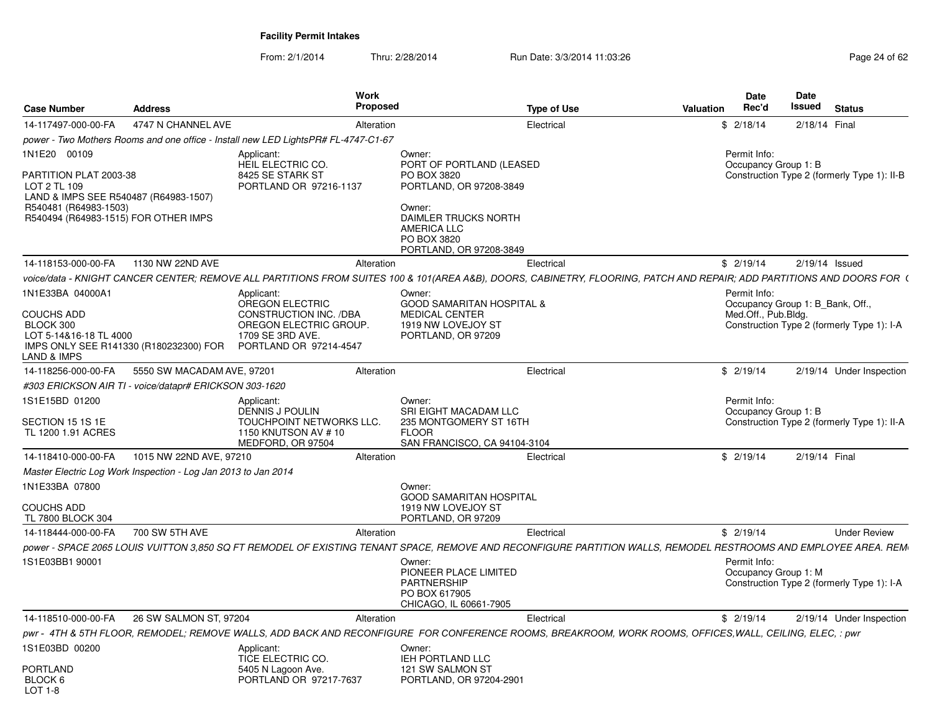| <b>Case Number</b>                                                                                                                               | <b>Address</b>                                                 | Work<br><b>Proposed</b>                                                                                                                                               |                                                                                                                                          | <b>Type of Use</b> | <b>Date</b><br>Rec'd<br>Valuation    | <b>Date</b><br><b>Issued</b><br><b>Status</b> |
|--------------------------------------------------------------------------------------------------------------------------------------------------|----------------------------------------------------------------|-----------------------------------------------------------------------------------------------------------------------------------------------------------------------|------------------------------------------------------------------------------------------------------------------------------------------|--------------------|--------------------------------------|-----------------------------------------------|
| 14-117497-000-00-FA                                                                                                                              | 4747 N CHANNEL AVE                                             | Alteration                                                                                                                                                            |                                                                                                                                          | Electrical         | \$2/18/14                            | 2/18/14 Final                                 |
|                                                                                                                                                  |                                                                | power - Two Mothers Rooms and one office - Install new LED LightsPR# FL-4747-C1-67                                                                                    |                                                                                                                                          |                    |                                      |                                               |
| 1N1E20 00109                                                                                                                                     |                                                                | Applicant:<br>HEIL ELECTRIC CO.                                                                                                                                       | Owner:<br>PORT OF PORTLAND (LEASED                                                                                                       |                    | Permit Info:<br>Occupancy Group 1: B |                                               |
| PARTITION PLAT 2003-38<br>LOT 2 TL 109<br>LAND & IMPS SEE R540487 (R64983-1507)<br>R540481 (R64983-1503)<br>R540494 (R64983-1515) FOR OTHER IMPS |                                                                | 8425 SE STARK ST<br>PORTLAND OR 97216-1137                                                                                                                            | PO BOX 3820<br>PORTLAND, OR 97208-3849<br>Owner:<br>DAIMLER TRUCKS NORTH<br><b>AMERICA LLC</b><br>PO BOX 3820<br>PORTLAND, OR 97208-3849 |                    |                                      | Construction Type 2 (formerly Type 1): II-B   |
| 14-118153-000-00-FA                                                                                                                              | 1130 NW 22ND AVE                                               | Alteration                                                                                                                                                            |                                                                                                                                          | Electrical         | \$2/19/14                            | 2/19/14 Issued                                |
|                                                                                                                                                  |                                                                | voice/data - KNIGHT CANCER CENTER; REMOVE ALL PARTITIONS FROM SUITES 100 & 101(AREA A&B), DOORS, CABINETRY, FLOORING, PATCH AND REPAIR; ADD PARTITIONS AND DOORS FOR( |                                                                                                                                          |                    |                                      |                                               |
| 1N1E33BA 04000A1                                                                                                                                 |                                                                | Applicant:<br>OREGON ELECTRIC                                                                                                                                         | Owner:<br><b>GOOD SAMARITAN HOSPITAL &amp;</b>                                                                                           |                    | Permit Info:                         | Occupancy Group 1: B_Bank, Off.,              |
| <b>COUCHS ADD</b><br>BLOCK 300<br>LOT 5-14&16-18 TL 4000<br>IMPS ONLY SEE R141330 (R180232300) FOR<br>_AND & IMPS                                |                                                                | CONSTRUCTION INC. /DBA<br>OREGON ELECTRIC GROUP.<br>1709 SE 3RD AVE.<br>PORTLAND OR 97214-4547                                                                        | <b>MEDICAL CENTER</b><br>1919 NW LOVEJOY ST<br>PORTLAND, OR 97209                                                                        |                    | Med.Off., Pub.Bldg.                  | Construction Type 2 (formerly Type 1): I-A    |
| 14-118256-000-00-FA                                                                                                                              | 5550 SW MACADAM AVE, 97201                                     | Alteration                                                                                                                                                            |                                                                                                                                          | Electrical         | \$2/19/14                            | 2/19/14 Under Inspection                      |
|                                                                                                                                                  | #303 ERICKSON AIR TI - voice/datapr# ERICKSON 303-1620         |                                                                                                                                                                       |                                                                                                                                          |                    |                                      |                                               |
| 1S1E15BD 01200                                                                                                                                   |                                                                | Applicant:<br>DENNIS J POULIN                                                                                                                                         | Owner:<br>SRI EIGHT MACADAM LLC                                                                                                          |                    | Permit Info:<br>Occupancy Group 1: B |                                               |
| SECTION 15 1S 1E<br>TL 1200 1.91 ACRES                                                                                                           |                                                                | TOUCHPOINT NETWORKS LLC.<br>1150 KNUTSON AV #10<br>MEDFORD, OR 97504                                                                                                  | 235 MONTGOMERY ST 16TH<br><b>FLOOR</b><br>SAN FRANCISCO, CA 94104-3104                                                                   |                    |                                      | Construction Type 2 (formerly Type 1): II-A   |
| 14-118410-000-00-FA                                                                                                                              | 1015 NW 22ND AVE, 97210                                        | Alteration                                                                                                                                                            |                                                                                                                                          | Electrical         | \$2/19/14                            | 2/19/14 Final                                 |
|                                                                                                                                                  | Master Electric Log Work Inspection - Log Jan 2013 to Jan 2014 |                                                                                                                                                                       |                                                                                                                                          |                    |                                      |                                               |
| 1N1E33BA 07800                                                                                                                                   |                                                                |                                                                                                                                                                       | Owner:<br><b>GOOD SAMARITAN HOSPITAL</b>                                                                                                 |                    |                                      |                                               |
| <b>COUCHS ADD</b><br>TL 7800 BLOCK 304                                                                                                           |                                                                |                                                                                                                                                                       | 1919 NW LOVEJOY ST<br>PORTLAND, OR 97209                                                                                                 |                    |                                      |                                               |
| 14-118444-000-00-FA                                                                                                                              | 700 SW 5TH AVE                                                 | Alteration                                                                                                                                                            |                                                                                                                                          | Electrical         | \$2/19/14                            | <b>Under Review</b>                           |
|                                                                                                                                                  |                                                                | power - SPACE 2065 LOUIS VUITTON 3,850 SQ FT REMODEL OF EXISTING TENANT SPACE, REMOVE AND RECONFIGURE PARTITION WALLS, REMODEL RESTROOMS AND EMPLOYEE AREA. REM-      |                                                                                                                                          |                    |                                      |                                               |
| 1S1E03BB1 90001                                                                                                                                  |                                                                |                                                                                                                                                                       | Owner:<br>PIONEER PLACE LIMITED<br>PARTNERSHIP<br>PO BOX 617905<br>CHICAGO, IL 60661-7905                                                |                    | Permit Info:<br>Occupancy Group 1: M | Construction Type 2 (formerly Type 1): I-A    |
| 14-118510-000-00-FA                                                                                                                              | 26 SW SALMON ST, 97204                                         | Alteration                                                                                                                                                            |                                                                                                                                          | Electrical         | \$2/19/14                            | 2/19/14 Under Inspection                      |
|                                                                                                                                                  |                                                                | pwr - 4TH & 5TH FLOOR, REMODEL; REMOVE WALLS, ADD BACK AND RECONFIGURE FOR CONFERENCE ROOMS, BREAKROOM, WORK ROOMS, OFFICES,WALL, CEILING, ELEC, : pwr                |                                                                                                                                          |                    |                                      |                                               |
| 1S1E03BD 00200<br>PORTLAND<br>BLOCK 6<br>$IOT 1-8$                                                                                               |                                                                | Applicant:<br>TICE ELECTRIC CO.<br>5405 N Lagoon Ave.<br>PORTLAND OR 97217-7637                                                                                       | Owner:<br>IEH PORTLAND LLC<br>121 SW SALMON ST<br>PORTLAND, OR 97204-2901                                                                |                    |                                      |                                               |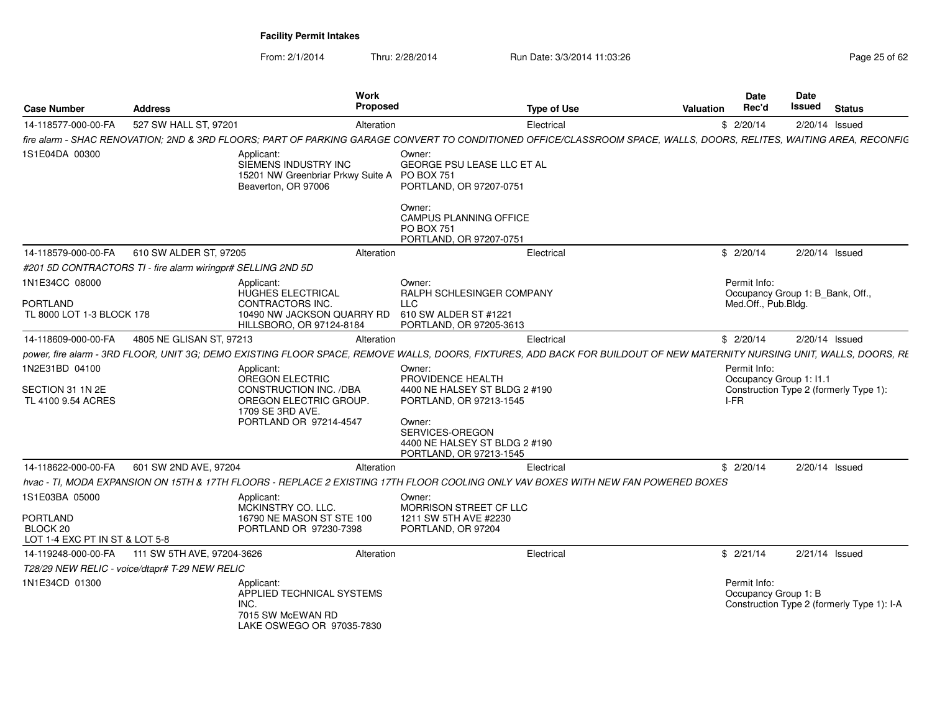| <b>Case Number</b>                                                       | <b>Address</b>                                               | Work<br>Proposed                                                                                                                                                        |                                                                                                                                                                                  | <b>Type of Use</b> | Valuation | <b>Date</b><br>Rec'd                 | Date<br>Issued<br><b>Status</b>                                   |
|--------------------------------------------------------------------------|--------------------------------------------------------------|-------------------------------------------------------------------------------------------------------------------------------------------------------------------------|----------------------------------------------------------------------------------------------------------------------------------------------------------------------------------|--------------------|-----------|--------------------------------------|-------------------------------------------------------------------|
| 14-118577-000-00-FA                                                      | 527 SW HALL ST, 97201                                        | Alteration                                                                                                                                                              |                                                                                                                                                                                  | Electrical         |           | \$2/20/14                            | 2/20/14 Issued                                                    |
|                                                                          |                                                              | fire alarm - SHAC RENOVATION; 2ND & 3RD FLOORS; PART OF PARKING GARAGE CONVERT TO CONDITIONED OFFICE/CLASSROOM SPACE, WALLS, DOORS, RELITES, WAITING AREA, RECONFIG     |                                                                                                                                                                                  |                    |           |                                      |                                                                   |
| 1S1E04DA 00300                                                           |                                                              | Applicant:<br>SIEMENS INDUSTRY INC<br>15201 NW Greenbriar Prkwy Suite A PO BOX 751<br>Beaverton, OR 97006                                                               | Owner:<br><b>GEORGE PSU LEASE LLC ET AL</b><br>PORTLAND, OR 97207-0751<br>Owner:<br>CAMPUS PLANNING OFFICE<br>PO BOX 751<br>PORTLAND, OR 97207-0751                              |                    |           |                                      |                                                                   |
| 14-118579-000-00-FA                                                      | 610 SW ALDER ST, 97205                                       | Alteration                                                                                                                                                              |                                                                                                                                                                                  | Electrical         |           | \$2/20/14                            | 2/20/14 Issued                                                    |
|                                                                          | #201 5D CONTRACTORS TI - fire alarm wiringpr# SELLING 2ND 5D |                                                                                                                                                                         |                                                                                                                                                                                  |                    |           |                                      |                                                                   |
| 1N1E34CC 08000<br><b>PORTLAND</b><br>TL 8000 LOT 1-3 BLOCK 178           |                                                              | Applicant:<br>HUGHES ELECTRICAL<br>CONTRACTORS INC.<br>10490 NW JACKSON QUARRY RD<br>HILLSBORO, OR 97124-8184                                                           | Owner:<br>RALPH SCHLESINGER COMPANY<br><b>LLC</b><br>610 SW ALDER ST #1221<br>PORTLAND, OR 97205-3613                                                                            |                    |           | Permit Info:<br>Med.Off., Pub.Bldg.  | Occupancy Group 1: B_Bank, Off.,                                  |
| 14-118609-000-00-FA                                                      | 4805 NE GLISAN ST, 97213                                     | Alteration                                                                                                                                                              |                                                                                                                                                                                  | Electrical         |           | \$2/20/14                            | 2/20/14 Issued                                                    |
|                                                                          |                                                              | power, fire alarm - 3RD FLOOR, UNIT 3G; DEMO EXISTING FLOOR SPACE, REMOVE WALLS, DOORS, FIXTURES, ADD BACK FOR BUILDOUT OF NEW MATERNITY NURSING UNIT, WALLS, DOORS, RE |                                                                                                                                                                                  |                    |           |                                      |                                                                   |
| 1N2E31BD 04100<br>SECTION 31 1N 2E<br>TL 4100 9.54 ACRES                 |                                                              | Applicant:<br>OREGON ELECTRIC<br>CONSTRUCTION INC. /DBA<br>OREGON ELECTRIC GROUP<br>1709 SE 3RD AVE.<br>PORTLAND OR 97214-4547                                          | Owner:<br>PROVIDENCE HEALTH<br>4400 NE HALSEY ST BLDG 2 #190<br>PORTLAND, OR 97213-1545<br>Owner:<br>SERVICES-OREGON<br>4400 NE HALSEY ST BLDG 2 #190<br>PORTLAND, OR 97213-1545 |                    |           | Permit Info:<br>I-FR                 | Occupancy Group 1: I1.1<br>Construction Type 2 (formerly Type 1): |
| 14-118622-000-00-FA                                                      | 601 SW 2ND AVE, 97204                                        | Alteration                                                                                                                                                              |                                                                                                                                                                                  | Electrical         |           | \$2/20/14                            | 2/20/14 Issued                                                    |
|                                                                          |                                                              | hvac - TI, MODA EXPANSION ON 15TH & 17TH FLOORS - REPLACE 2 EXISTING 17TH FLOOR COOLING ONLY VAV BOXES WITH NEW FAN POWERED BOXES                                       |                                                                                                                                                                                  |                    |           |                                      |                                                                   |
| 1S1E03BA 05000<br>PORTLAND<br>BLOCK 20<br>LOT 1-4 EXC PT IN ST & LOT 5-8 |                                                              | Applicant:<br>MCKINSTRY CO. LLC.<br>16790 NE MASON ST STE 100<br>PORTLAND OR 97230-7398                                                                                 | Owner:<br>MORRISON STREET CF LLC<br>1211 SW 5TH AVE #2230<br>PORTLAND, OR 97204                                                                                                  |                    |           |                                      |                                                                   |
| 14-119248-000-00-FA                                                      | 111 SW 5TH AVE, 97204-3626                                   | Alteration                                                                                                                                                              |                                                                                                                                                                                  | Electrical         |           | \$2/21/14                            | 2/21/14 Issued                                                    |
|                                                                          | T28/29 NEW RELIC - voice/dtapr# T-29 NEW RELIC               |                                                                                                                                                                         |                                                                                                                                                                                  |                    |           |                                      |                                                                   |
| 1N1E34CD 01300                                                           |                                                              | Applicant:<br>APPLIED TECHNICAL SYSTEMS<br>INC.<br>7015 SW McEWAN RD<br>LAKE OSWEGO OR 97035-7830                                                                       |                                                                                                                                                                                  |                    |           | Permit Info:<br>Occupancy Group 1: B | Construction Type 2 (formerly Type 1): I-A                        |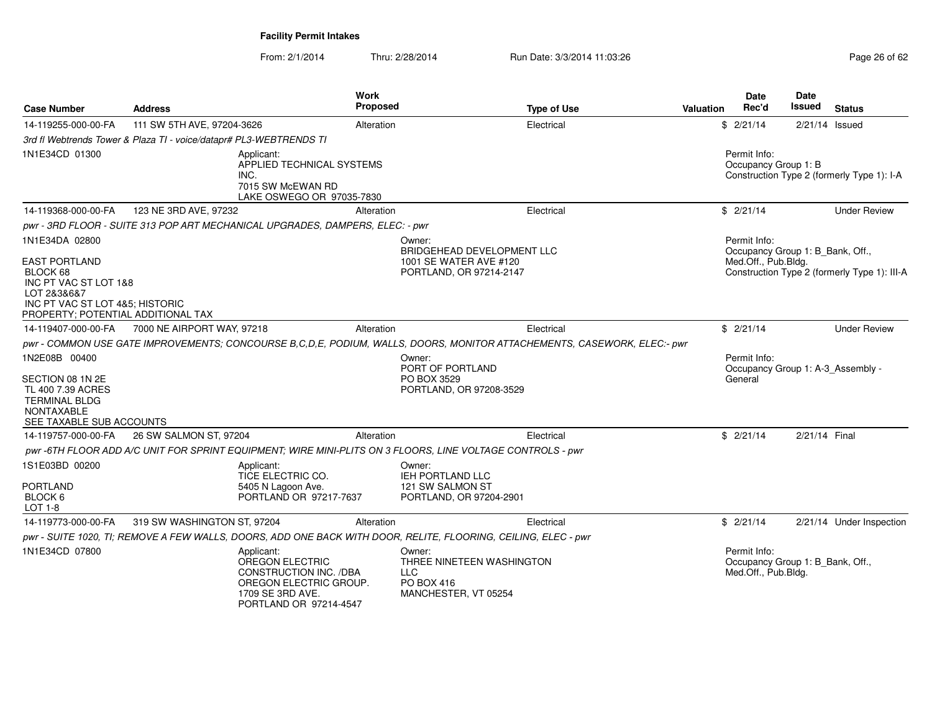| <b>Case Number</b>                                                                                                                                | <b>Address</b>                                                                | <b>Work</b><br><b>Proposed</b>                                                                                                                   | <b>Type of Use</b>                                                                                                      | <b>Valuation</b> | Date<br>Rec'd                                                           | Date<br>Issued   | <b>Status</b>                                |
|---------------------------------------------------------------------------------------------------------------------------------------------------|-------------------------------------------------------------------------------|--------------------------------------------------------------------------------------------------------------------------------------------------|-------------------------------------------------------------------------------------------------------------------------|------------------|-------------------------------------------------------------------------|------------------|----------------------------------------------|
| 14-119255-000-00-FA                                                                                                                               | 111 SW 5TH AVE, 97204-3626                                                    | Alteration                                                                                                                                       | Electrical                                                                                                              |                  | \$2/21/14                                                               | $2/21/14$ Issued |                                              |
|                                                                                                                                                   | 3rd fl Webtrends Tower & Plaza TI - voice/datapr# PL3-WEBTRENDS TI            |                                                                                                                                                  |                                                                                                                         |                  |                                                                         |                  |                                              |
| 1N1E34CD 01300                                                                                                                                    | Applicant:<br>INC.                                                            | APPLIED TECHNICAL SYSTEMS<br>7015 SW McEWAN RD<br>LAKE OSWEGO OR 97035-7830                                                                      |                                                                                                                         |                  | Permit Info:<br>Occupancy Group 1: B                                    |                  | Construction Type 2 (formerly Type 1): I-A   |
| 14-119368-000-00-FA                                                                                                                               | 123 NE 3RD AVE, 97232                                                         | Alteration                                                                                                                                       | Electrical                                                                                                              |                  | \$2/21/14                                                               |                  | <b>Under Review</b>                          |
|                                                                                                                                                   | pwr - 3RD FLOOR - SUITE 313 POP ART MECHANICAL UPGRADES, DAMPERS, ELEC: - pwr |                                                                                                                                                  |                                                                                                                         |                  |                                                                         |                  |                                              |
| 1N1E34DA 02800                                                                                                                                    |                                                                               | Owner:                                                                                                                                           |                                                                                                                         |                  | Permit Info:                                                            |                  |                                              |
| <b>EAST PORTLAND</b><br>BLOCK 68<br>INC PT VAC ST LOT 1&8<br>LOT 2&3&6&7<br>INC PT VAC ST LOT 4&5; HISTORIC<br>PROPERTY; POTENTIAL ADDITIONAL TAX |                                                                               |                                                                                                                                                  | <b>BRIDGEHEAD DEVELOPMENT LLC</b><br>1001 SE WATER AVE #120<br>PORTLAND, OR 97214-2147                                  |                  | Occupancy Group 1: B Bank, Off.,<br>Med.Off., Pub.Bldg.                 |                  | Construction Type 2 (formerly Type 1): III-A |
| 14-119407-000-00-FA                                                                                                                               | 7000 NE AIRPORT WAY, 97218                                                    | Alteration                                                                                                                                       | Electrical                                                                                                              |                  | \$2/21/14                                                               |                  | <b>Under Review</b>                          |
|                                                                                                                                                   |                                                                               |                                                                                                                                                  | pwr - COMMON USE GATE IMPROVEMENTS; CONCOURSE B,C,D,E, PODIUM, WALLS, DOORS, MONITOR ATTACHEMENTS, CASEWORK, ELEC:- pwr |                  |                                                                         |                  |                                              |
| 1N2E08B 00400<br>SECTION 08 1N 2E<br>TL 400 7.39 ACRES<br><b>TERMINAL BLDG</b><br><b>NONTAXABLE</b><br>SEE TAXABLE SUB ACCOUNTS                   |                                                                               | Owner:                                                                                                                                           | PORT OF PORTLAND<br>PO BOX 3529<br>PORTLAND, OR 97208-3529                                                              |                  | Permit Info:<br>Occupancy Group 1: A-3_Assembly -<br>General            |                  |                                              |
| 14-119757-000-00-FA                                                                                                                               | 26 SW SALMON ST, 97204                                                        | Alteration                                                                                                                                       | Electrical                                                                                                              |                  | \$2/21/14                                                               | 2/21/14 Final    |                                              |
|                                                                                                                                                   |                                                                               |                                                                                                                                                  | pwr-6TH FLOOR ADD A/C UNIT FOR SPRINT EQUIPMENT; WIRE MINI-PLITS ON 3 FLOORS, LINE VOLTAGE CONTROLS - pwr               |                  |                                                                         |                  |                                              |
| 1S1E03BD 00200<br><b>PORTLAND</b><br>BLOCK 6<br><b>LOT 1-8</b>                                                                                    | Applicant:                                                                    | Owner:<br>TICE ELECTRIC CO.<br>5405 N Lagoon Ave.<br>PORTLAND OR 97217-7637                                                                      | <b>IEH PORTLAND LLC</b><br>121 SW SALMON ST<br>PORTLAND, OR 97204-2901                                                  |                  |                                                                         |                  |                                              |
| 14-119773-000-00-FA                                                                                                                               | 319 SW WASHINGTON ST, 97204                                                   | Alteration                                                                                                                                       | Electrical                                                                                                              |                  | \$2/21/14                                                               |                  | 2/21/14 Under Inspection                     |
|                                                                                                                                                   |                                                                               |                                                                                                                                                  | pwr - SUITE 1020, TI; REMOVE A FEW WALLS, DOORS, ADD ONE BACK WITH DOOR, RELITE, FLOORING, CEILING, ELEC - pwr          |                  |                                                                         |                  |                                              |
| 1N1E34CD 07800                                                                                                                                    | Applicant:                                                                    | Owner:<br><b>OREGON ELECTRIC</b><br>CONSTRUCTION INC. /DBA<br><b>LLC</b><br>OREGON ELECTRIC GROUP.<br>1709 SE 3RD AVE.<br>PORTLAND OR 97214-4547 | THREE NINETEEN WASHINGTON<br><b>PO BOX 416</b><br>MANCHESTER, VT 05254                                                  |                  | Permit Info:<br>Occupancy Group 1: B_Bank, Off.,<br>Med.Off., Pub.Bldg. |                  |                                              |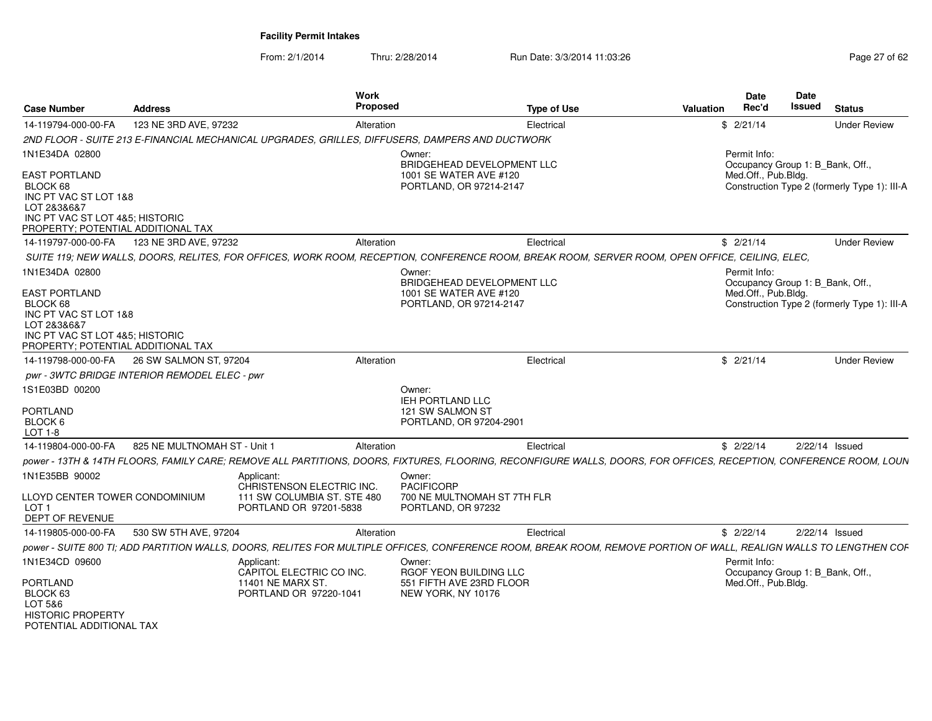From: 2/1/2014Thru: 2/28/2014 Run Date: 3/3/2014 11:03:26 Run Date: 3/3/2014 11:03:26

| <b>Case Number</b>                                                                                                                                | <b>Address</b>                                | Work<br>Proposed                                                                                |                                                                                           | <b>Type of Use</b>                                                                                                                                                 | Valuation | Date<br>Rec'd                                                           | <b>Date</b><br>Issued | <b>Status</b>                                |
|---------------------------------------------------------------------------------------------------------------------------------------------------|-----------------------------------------------|-------------------------------------------------------------------------------------------------|-------------------------------------------------------------------------------------------|--------------------------------------------------------------------------------------------------------------------------------------------------------------------|-----------|-------------------------------------------------------------------------|-----------------------|----------------------------------------------|
| 14-119794-000-00-FA                                                                                                                               | 123 NE 3RD AVE, 97232                         | Alteration                                                                                      |                                                                                           | Electrical                                                                                                                                                         |           | \$2/21/14                                                               |                       | <b>Under Review</b>                          |
|                                                                                                                                                   |                                               | 2ND FLOOR - SUITE 213 E-FINANCIAL MECHANICAL UPGRADES, GRILLES, DIFFUSERS, DAMPERS AND DUCTWORK |                                                                                           |                                                                                                                                                                    |           |                                                                         |                       |                                              |
| 1N1E34DA 02800<br><b>EAST PORTLAND</b><br>BLOCK 68<br>INC PT VAC ST LOT 1&8                                                                       |                                               |                                                                                                 | Owner:<br>BRIDGEHEAD DEVELOPMENT LLC<br>1001 SE WATER AVE #120<br>PORTLAND, OR 97214-2147 |                                                                                                                                                                    |           | Permit Info:<br>Occupancy Group 1: B_Bank, Off.,<br>Med.Off., Pub.Bldg. |                       | Construction Type 2 (formerly Type 1): III-A |
| LOT 2838687<br>INC PT VAC ST LOT 4&5; HISTORIC<br>PROPERTY; POTENTIAL ADDITIONAL TAX                                                              |                                               |                                                                                                 |                                                                                           |                                                                                                                                                                    |           |                                                                         |                       |                                              |
| 14-119797-000-00-FA                                                                                                                               | 123 NE 3RD AVE, 97232                         | Alteration                                                                                      |                                                                                           | Electrical                                                                                                                                                         |           | \$2/21/14                                                               |                       | <b>Under Review</b>                          |
|                                                                                                                                                   |                                               |                                                                                                 |                                                                                           | SUITE 119; NEW WALLS, DOORS, RELITES, FOR OFFICES, WORK ROOM, RECEPTION, CONFERENCE ROOM, BREAK ROOM, SERVER ROOM, OPEN OFFICE, CEILING, ELEC,                     |           |                                                                         |                       |                                              |
| 1N1E34DA 02800                                                                                                                                    |                                               |                                                                                                 | Owner:                                                                                    |                                                                                                                                                                    |           | Permit Info:                                                            |                       |                                              |
|                                                                                                                                                   |                                               |                                                                                                 | BRIDGEHEAD DEVELOPMENT LLC                                                                |                                                                                                                                                                    |           | Occupancy Group 1: B_Bank, Off.                                         |                       |                                              |
| <b>EAST PORTLAND</b><br>BLOCK 68<br>INC PT VAC ST LOT 1&8<br>LOT 2&3&6&7<br>INC PT VAC ST LOT 4&5; HISTORIC<br>PROPERTY; POTENTIAL ADDITIONAL TAX |                                               |                                                                                                 | 1001 SE WATER AVE #120<br>PORTLAND, OR 97214-2147                                         |                                                                                                                                                                    |           | Med.Off., Pub.Bldg.                                                     |                       | Construction Type 2 (formerly Type 1): III-A |
| 14-119798-000-00-FA                                                                                                                               | 26 SW SALMON ST, 97204                        | Alteration                                                                                      |                                                                                           | Electrical                                                                                                                                                         |           | \$2/21/14                                                               |                       | <b>Under Review</b>                          |
|                                                                                                                                                   | pwr - 3WTC BRIDGE INTERIOR REMODEL ELEC - pwr |                                                                                                 |                                                                                           |                                                                                                                                                                    |           |                                                                         |                       |                                              |
| 1S1E03BD 00200<br><b>PORTLAND</b><br>BLOCK 6<br><b>LOT 1-8</b>                                                                                    |                                               |                                                                                                 | Owner:<br><b>IEH PORTLAND LLC</b><br>121 SW SALMON ST<br>PORTLAND, OR 97204-2901          |                                                                                                                                                                    |           |                                                                         |                       |                                              |
| 14-119804-000-00-FA                                                                                                                               | 825 NE MULTNOMAH ST - Unit 1                  | Alteration                                                                                      |                                                                                           | Electrical                                                                                                                                                         |           | \$2/22/14                                                               |                       | $2/22/14$ Issued                             |
|                                                                                                                                                   |                                               |                                                                                                 |                                                                                           | power - 13TH & 14TH FLOORS, FAMILY CARE; REMOVE ALL PARTITIONS, DOORS, FIXTURES, FLOORING, RECONFIGURE WALLS, DOORS, FOR OFFICES, RECEPTION, CONFERENCE ROOM, LOUN |           |                                                                         |                       |                                              |
| 1N1E35BB 90002                                                                                                                                    |                                               | Applicant:<br>CHRISTENSON ELECTRIC INC.                                                         | Owner:<br><b>PACIFICORP</b>                                                               |                                                                                                                                                                    |           |                                                                         |                       |                                              |
| LLOYD CENTER TOWER CONDOMINIUM<br>LOT <sub>1</sub><br>DEPT OF REVENUE                                                                             |                                               | 111 SW COLUMBIA ST. STE 480<br>PORTLAND OR 97201-5838                                           | 700 NE MULTNOMAH ST 7TH FLR<br>PORTLAND, OR 97232                                         |                                                                                                                                                                    |           |                                                                         |                       |                                              |
| 14-119805-000-00-FA                                                                                                                               | 530 SW 5TH AVE, 97204                         | Alteration                                                                                      |                                                                                           | Electrical                                                                                                                                                         |           | \$2/22/14                                                               |                       | 2/22/14 Issued                               |
|                                                                                                                                                   |                                               |                                                                                                 |                                                                                           | power - SUITE 800 TI; ADD PARTITION WALLS, DOORS, RELITES FOR MULTIPLE OFFICES, CONFERENCE ROOM, BREAK ROOM, REMOVE PORTION OF WALL, REALIGN WALLS TO LENGTHEN COF |           |                                                                         |                       |                                              |
| 1N1E34CD 09600                                                                                                                                    |                                               | Applicant:<br>CAPITOL ELECTRIC CO INC.                                                          | Owner:<br>RGOF YEON BUILDING LLC                                                          |                                                                                                                                                                    |           | Permit Info:<br>Occupancy Group 1: B Bank, Off.,                        |                       |                                              |
| <b>PORTLAND</b><br>BLOCK 63<br>LOT 5&6<br><b>HISTORIC PROPERTY</b>                                                                                |                                               | 11401 NE MARX ST.<br>PORTLAND OR 97220-1041                                                     | 551 FIFTH AVE 23RD FLOOR<br>NEW YORK, NY 10176                                            |                                                                                                                                                                    |           | Med.Off., Pub.Bldg.                                                     |                       |                                              |

POTENTIAL ADDITIONAL TAX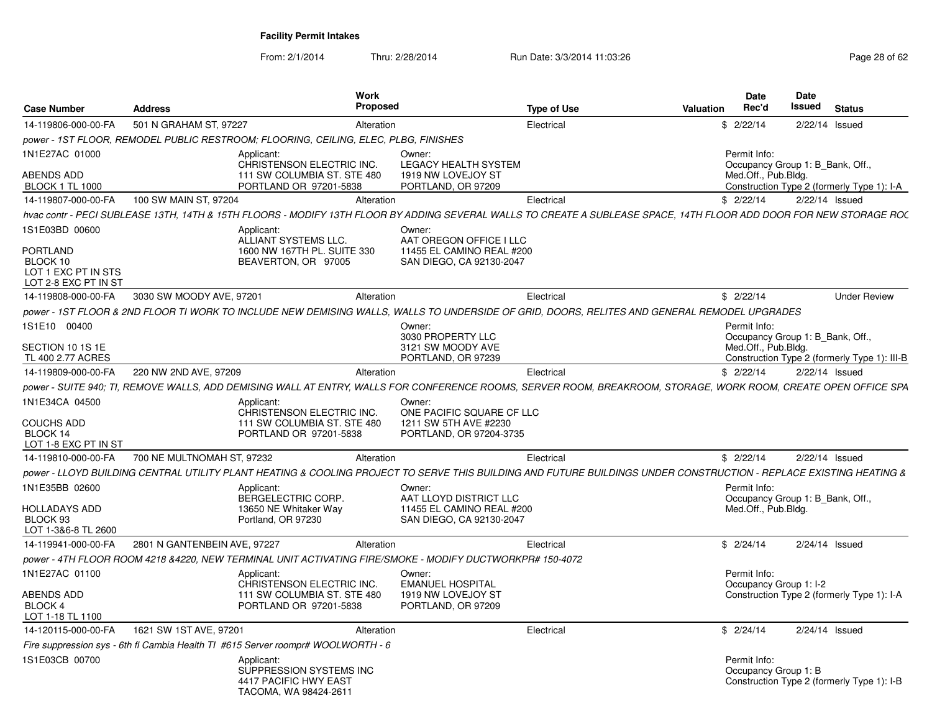| <b>Case Number</b>                                                                           | <b>Address</b>               | <b>Work</b><br><b>Proposed</b>                                                                                                                                      |                                                                                            | <b>Type of Use</b> | Valuation | <b>Date</b><br>Rec'd                   | Date<br>Issued<br><b>Status</b>                                                |
|----------------------------------------------------------------------------------------------|------------------------------|---------------------------------------------------------------------------------------------------------------------------------------------------------------------|--------------------------------------------------------------------------------------------|--------------------|-----------|----------------------------------------|--------------------------------------------------------------------------------|
| 14-119806-000-00-FA                                                                          | 501 N GRAHAM ST, 97227       | Alteration                                                                                                                                                          |                                                                                            | Electrical         |           | \$2/22/14                              | 2/22/14 Issued                                                                 |
|                                                                                              |                              | power - 1ST FLOOR, REMODEL PUBLIC RESTROOM; FLOORING, CEILING, ELEC, PLBG, FINISHES                                                                                 |                                                                                            |                    |           |                                        |                                                                                |
| 1N1E27AC 01000<br>ABENDS ADD<br><b>BLOCK 1 TL 1000</b>                                       |                              | Applicant:<br>CHRISTENSON ELECTRIC INC.<br>111 SW COLUMBIA ST. STE 480<br>PORTLAND OR 97201-5838                                                                    | Owner:<br><b>LEGACY HEALTH SYSTEM</b><br>1919 NW LOVEJOY ST<br>PORTLAND, OR 97209          |                    |           | Permit Info:<br>Med.Off., Pub.Bldg.    | Occupancy Group 1: B_Bank, Off.,<br>Construction Type 2 (formerly Type 1): I-A |
| 14-119807-000-00-FA                                                                          | 100 SW MAIN ST, 97204        | Alteration                                                                                                                                                          |                                                                                            | Electrical         |           | \$2/22/14                              | 2/22/14 Issued                                                                 |
|                                                                                              |                              | hvac contr - PECI SUBLEASE 13TH, 14TH & 15TH FLOORS - MODIFY 13TH FLOOR BY ADDING SEVERAL WALLS TO CREATE A SUBLEASE SPACE, 14TH FLOOR ADD DOOR FOR NEW STORAGE ROC |                                                                                            |                    |           |                                        |                                                                                |
| 1S1E03BD 00600<br><b>PORTLAND</b><br>BLOCK 10<br>LOT 1 EXC PT IN STS<br>LOT 2-8 EXC PT IN ST |                              | Applicant:<br>ALLIANT SYSTEMS LLC.<br>1600 NW 167TH PL, SUITE 330<br>BEAVERTON, OR 97005                                                                            | Owner:<br>AAT OREGON OFFICE I LLC<br>11455 EL CAMINO REAL #200<br>SAN DIEGO, CA 92130-2047 |                    |           |                                        |                                                                                |
| 14-119808-000-00-FA                                                                          | 3030 SW MOODY AVE, 97201     | Alteration                                                                                                                                                          |                                                                                            | Electrical         |           | \$2/22/14                              | <b>Under Review</b>                                                            |
|                                                                                              |                              | power - 1ST FLOOR & 2ND FLOOR TI WORK TO INCLUDE NEW DEMISING WALLS, WALLS TO UNDERSIDE OF GRID, DOORS, RELITES AND GENERAL REMODEL UPGRADES                        |                                                                                            |                    |           |                                        |                                                                                |
| 1S1E10 00400                                                                                 |                              |                                                                                                                                                                     | Owner:<br>3030 PROPERTY LLC                                                                |                    |           | Permit Info:                           | Occupancy Group 1: B Bank, Off.,                                               |
| SECTION 10 1S 1E<br>TL 400 2.77 ACRES                                                        |                              |                                                                                                                                                                     | 3121 SW MOODY AVE<br>PORTLAND, OR 97239                                                    |                    |           | Med.Off., Pub.Bldg.                    | Construction Type 2 (formerly Type 1): III-B                                   |
| 14-119809-000-00-FA                                                                          | 220 NW 2ND AVE, 97209        | Alteration                                                                                                                                                          |                                                                                            | Electrical         |           | \$2/22/14                              | $2/22/14$ Issued                                                               |
|                                                                                              |                              | power - SUITE 940; TI, REMOVE WALLS, ADD DEMISING WALL AT ENTRY, WALLS FOR CONFERENCE ROOMS, SERVER ROOM, BREAKROOM, STORAGE, WORK ROOM, CREATE OPEN OFFICE SPA     |                                                                                            |                    |           |                                        |                                                                                |
| 1N1E34CA 04500<br>COUCHS ADD<br>BLOCK 14<br>LOT 1-8 EXC PT IN ST                             |                              | Applicant:<br>CHRISTENSON ELECTRIC INC.<br>111 SW COLUMBIA ST. STE 480<br>PORTLAND OR 97201-5838                                                                    | Owner:<br>ONE PACIFIC SQUARE CF LLC<br>1211 SW 5TH AVE #2230<br>PORTLAND, OR 97204-3735    |                    |           |                                        |                                                                                |
| 14-119810-000-00-FA                                                                          | 700 NE MULTNOMAH ST, 97232   | Alteration                                                                                                                                                          |                                                                                            | Electrical         |           | \$2/22/14                              | 2/22/14 Issued                                                                 |
|                                                                                              |                              | power - LLOYD BUILDING CENTRAL UTILITY PLANT HEATING & COOLING PROJECT TO SERVE THIS BUILDING AND FUTURE BUILDINGS UNDER CONSTRUCTION - REPLACE EXISTING HEATING &  |                                                                                            |                    |           |                                        |                                                                                |
| 1N1E35BB 02600<br><b>HOLLADAYS ADD</b><br>BLOCK <sub>93</sub><br>LOT 1-3&6-8 TL 2600         |                              | Applicant:<br>BERGELECTRIC CORP.<br>13650 NE Whitaker Way<br>Portland, OR 97230                                                                                     | Owner:<br>AAT LLOYD DISTRICT LLC<br>11455 EL CAMINO REAL #200<br>SAN DIEGO, CA 92130-2047  |                    |           | Permit Info:<br>Med.Off., Pub.Bldg.    | Occupancy Group 1: B Bank, Off.,                                               |
| 14-119941-000-00-FA                                                                          | 2801 N GANTENBEIN AVE, 97227 | Alteration                                                                                                                                                          |                                                                                            | Electrical         |           | \$2/24/14                              | $2/24/14$ Issued                                                               |
|                                                                                              |                              | 000 power - 4TH FLOOR ROOM 4218 &4220. NEW TERMINAL UNIT ACTIVATING FIRE/SMOKE - MODIFY DUCTWORKPR#                                                                 |                                                                                            |                    |           |                                        |                                                                                |
| 1N1E27AC 01100                                                                               |                              | Applicant:<br>CHRISTENSON ELECTRIC INC.                                                                                                                             | Owner:<br><b>EMANUEL HOSPITAL</b>                                                          |                    |           | Permit Info:<br>Occupancy Group 1: I-2 |                                                                                |
| ABENDS ADD<br>BLOCK 4<br>LOT 1-18 TL 1100                                                    |                              | 111 SW COLUMBIA ST. STE 480<br>PORTLAND OR 97201-5838                                                                                                               | 1919 NW LOVEJOY ST<br>PORTLAND, OR 97209                                                   |                    |           |                                        | Construction Type 2 (formerly Type 1): I-A                                     |
| 14-120115-000-00-FA                                                                          | 1621 SW 1ST AVE, 97201       | Alteration                                                                                                                                                          |                                                                                            | Electrical         |           | \$2/24/14                              | 2/24/14 Issued                                                                 |
|                                                                                              |                              | Fire suppression sys - 6th fl Cambia Health TI #615 Server roompr# WOOLWORTH - 6                                                                                    |                                                                                            |                    |           |                                        |                                                                                |
| 1S1E03CB 00700                                                                               |                              | Applicant:<br>SUPPRESSION SYSTEMS INC<br>4417 PACIFIC HWY EAST<br>TACOMA, WA 98424-2611                                                                             |                                                                                            |                    |           | Permit Info:<br>Occupancy Group 1: B   | Construction Type 2 (formerly Type 1): I-B                                     |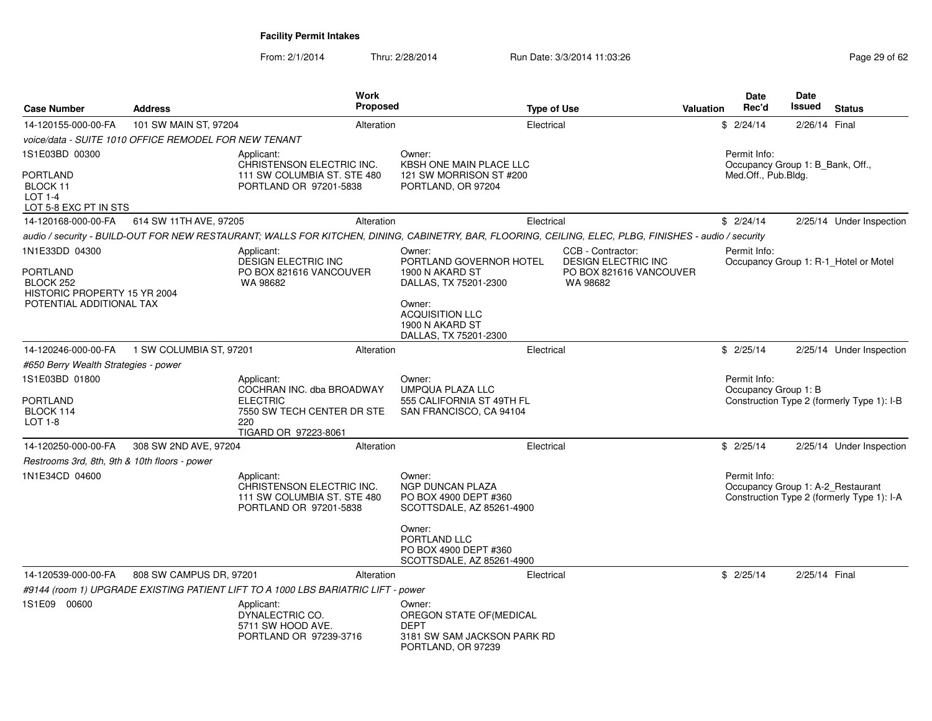| <b>Case Number</b>                                                | <b>Address</b>                                        | <b>Work</b><br><b>Proposed</b>                                                                                                                         |                                                                                                        | <b>Type of Use</b>                              | Valuation               | <b>Date</b><br>Rec'd                 | Date<br>Issued                   | <b>Status</b>                                                                   |
|-------------------------------------------------------------------|-------------------------------------------------------|--------------------------------------------------------------------------------------------------------------------------------------------------------|--------------------------------------------------------------------------------------------------------|-------------------------------------------------|-------------------------|--------------------------------------|----------------------------------|---------------------------------------------------------------------------------|
| 14-120155-000-00-FA                                               | 101 SW MAIN ST, 97204                                 | Alteration                                                                                                                                             |                                                                                                        | Electrical                                      |                         | \$2/24/14                            | 2/26/14 Final                    |                                                                                 |
|                                                                   | voice/data - SUITE 1010 OFFICE REMODEL FOR NEW TENANT |                                                                                                                                                        |                                                                                                        |                                                 |                         |                                      |                                  |                                                                                 |
| 1S1E03BD 00300                                                    |                                                       | Applicant:<br>CHRISTENSON ELECTRIC INC.                                                                                                                | Owner:<br><b>KBSH ONE MAIN PLACE LLC</b>                                                               |                                                 |                         | Permit Info:                         | Occupancy Group 1: B Bank, Off., |                                                                                 |
| <b>PORTLAND</b><br>BLOCK 11<br>$LOT 1-4$<br>LOT 5-8 EXC PT IN STS |                                                       | 111 SW COLUMBIA ST. STE 480<br>PORTLAND OR 97201-5838                                                                                                  | 121 SW MORRISON ST #200<br>PORTLAND, OR 97204                                                          |                                                 |                         | Med.Off., Pub.Bldg.                  |                                  |                                                                                 |
| 14-120168-000-00-FA                                               | 614 SW 11TH AVE, 97205                                | Alteration                                                                                                                                             |                                                                                                        | Electrical                                      |                         | \$2/24/14                            |                                  | 2/25/14 Under Inspection                                                        |
|                                                                   |                                                       | audio / security - BUILD-OUT FOR NEW RESTAURANT; WALLS FOR KITCHEN, DINING, CABINETRY, BAR, FLOORING, CEILING, ELEC, PLBG, FINISHES - audio / security |                                                                                                        |                                                 |                         |                                      |                                  |                                                                                 |
| 1N1E33DD 04300                                                    |                                                       | Applicant:<br>DESIGN ELECTRIC INC                                                                                                                      | Owner:<br>PORTLAND GOVERNOR HOTEL                                                                      | CCB - Contractor:<br><b>DESIGN ELECTRIC INC</b> |                         | Permit Info:                         |                                  | Occupancy Group 1: R-1 Hotel or Motel                                           |
| PORTLAND<br>BLOCK 252<br>HISTORIC PROPERTY 15 YR 2004             |                                                       | PO BOX 821616 VANCOUVER<br>WA 98682                                                                                                                    | 1900 N AKARD ST<br>DALLAS, TX 75201-2300                                                               | WA 98682                                        | PO BOX 821616 VANCOUVER |                                      |                                  |                                                                                 |
| POTENTIAL ADDITIONAL TAX                                          |                                                       |                                                                                                                                                        | Owner:<br><b>ACQUISITION LLC</b><br>1900 N AKARD ST<br>DALLAS, TX 75201-2300                           |                                                 |                         |                                      |                                  |                                                                                 |
| 14-120246-000-00-FA                                               | 1 SW COLUMBIA ST, 97201                               | Alteration                                                                                                                                             |                                                                                                        | Electrical                                      |                         | \$2/25/14                            |                                  | 2/25/14 Under Inspection                                                        |
| #650 Berry Wealth Strategies - power                              |                                                       |                                                                                                                                                        |                                                                                                        |                                                 |                         |                                      |                                  |                                                                                 |
| 1S1E03BD 01800<br><b>PORTLAND</b><br>BLOCK 114<br>LOT 1-8         |                                                       | Applicant:<br>COCHRAN INC. dba BROADWAY<br><b>ELECTRIC</b><br>7550 SW TECH CENTER DR STE<br>220<br>TIGARD OR 97223-8061                                | Owner:<br><b>UMPQUA PLAZA LLC</b><br>555 CALIFORNIA ST 49TH FL<br>SAN FRANCISCO, CA 94104              |                                                 |                         | Permit Info:<br>Occupancy Group 1: B |                                  | Construction Type 2 (formerly Type 1): I-B                                      |
| 14-120250-000-00-FA                                               | 308 SW 2ND AVE, 97204                                 | Alteration                                                                                                                                             |                                                                                                        | Electrical                                      |                         | \$2/25/14                            |                                  | 2/25/14 Under Inspection                                                        |
| Restrooms 3rd, 8th, 9th & 10th floors - power                     |                                                       |                                                                                                                                                        |                                                                                                        |                                                 |                         |                                      |                                  |                                                                                 |
| 1N1E34CD 04600                                                    |                                                       | Applicant:<br>CHRISTENSON ELECTRIC INC.<br>111 SW COLUMBIA ST. STE 480<br>PORTLAND OR 97201-5838                                                       | Owner:<br><b>NGP DUNCAN PLAZA</b><br>PO BOX 4900 DEPT #360<br>SCOTTSDALE, AZ 85261-4900                |                                                 |                         | Permit Info:                         |                                  | Occupancy Group 1: A-2 Restaurant<br>Construction Type 2 (formerly Type 1): I-A |
|                                                                   |                                                       |                                                                                                                                                        | Owner:<br>PORTLAND LLC<br>PO BOX 4900 DEPT #360<br>SCOTTSDALE, AZ 85261-4900                           |                                                 |                         |                                      |                                  |                                                                                 |
| 14-120539-000-00-FA                                               | 808 SW CAMPUS DR, 97201                               | Alteration                                                                                                                                             |                                                                                                        | Electrical                                      |                         | \$2/25/14                            | 2/25/14 Final                    |                                                                                 |
|                                                                   |                                                       | #9144 (room 1) UPGRADE EXISTING PATIENT LIFT TO A 1000 LBS BARIATRIC LIFT - power                                                                      |                                                                                                        |                                                 |                         |                                      |                                  |                                                                                 |
| 1S1E09 00600                                                      |                                                       | Applicant:<br>DYNALECTRIC CO.<br>5711 SW HOOD AVE.<br>PORTLAND OR 97239-3716                                                                           | Owner:<br>OREGON STATE OF (MEDICAL<br><b>DEPT</b><br>3181 SW SAM JACKSON PARK RD<br>PORTLAND, OR 97239 |                                                 |                         |                                      |                                  |                                                                                 |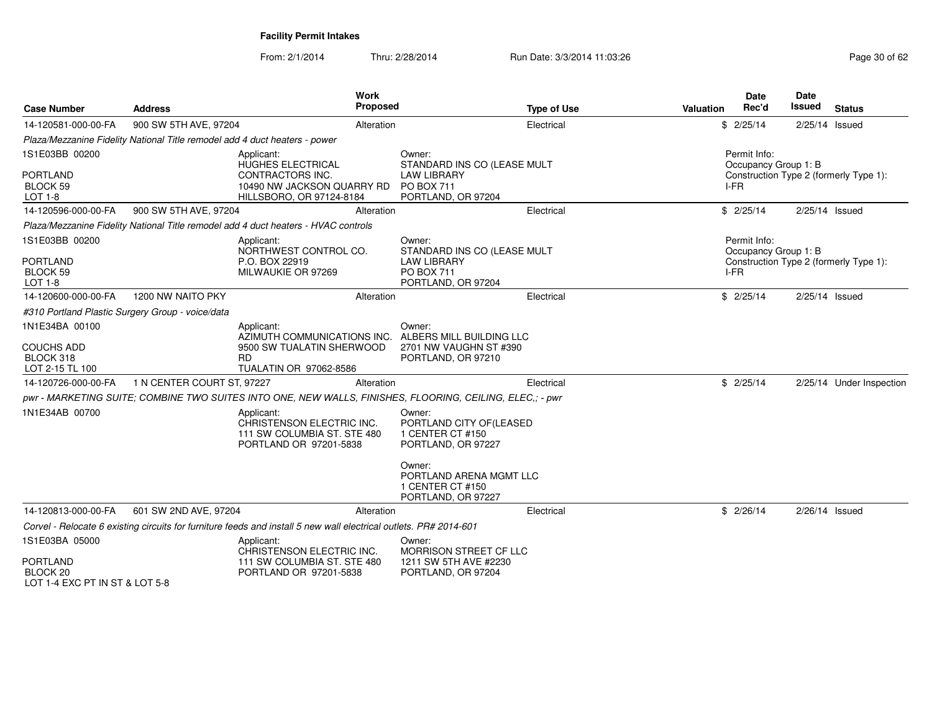| <b>Case Number</b>                                                  | <b>Address</b>                                                             | <b>Work</b><br><b>Proposed</b>                                                                                       |                                                                                                        | <b>Type of Use</b> | Valuation | <b>Date</b><br>Rec'd                         | Date<br>Issued | <b>Status</b>                          |
|---------------------------------------------------------------------|----------------------------------------------------------------------------|----------------------------------------------------------------------------------------------------------------------|--------------------------------------------------------------------------------------------------------|--------------------|-----------|----------------------------------------------|----------------|----------------------------------------|
| 14-120581-000-00-FA                                                 | 900 SW 5TH AVE, 97204                                                      | Alteration                                                                                                           |                                                                                                        | Electrical         |           | \$2/25/14                                    | 2/25/14 Issued |                                        |
|                                                                     | Plaza/Mezzanine Fidelity National Title remodel add 4 duct heaters - power |                                                                                                                      |                                                                                                        |                    |           |                                              |                |                                        |
| 1S1E03BB 00200<br><b>PORTLAND</b><br><b>BLOCK 59</b><br>LOT 1-8     |                                                                            | Applicant:<br>HUGHES ELECTRICAL<br><b>CONTRACTORS INC.</b><br>10490 NW JACKSON QUARRY RD<br>HILLSBORO, OR 97124-8184 | Owner:<br>STANDARD INS CO (LEASE MULT<br><b>LAW LIBRARY</b><br>PO BOX 711<br>PORTLAND, OR 97204        |                    |           | Permit Info:<br>Occupancy Group 1: B<br>I-FR |                | Construction Type 2 (formerly Type 1): |
| 14-120596-000-00-FA                                                 | 900 SW 5TH AVE, 97204                                                      | Alteration                                                                                                           |                                                                                                        | Electrical         |           | \$2/25/14                                    | 2/25/14 Issued |                                        |
|                                                                     |                                                                            | Plaza/Mezzanine Fidelity National Title remodel add 4 duct heaters - HVAC controls                                   |                                                                                                        |                    |           |                                              |                |                                        |
| 1S1E03BB 00200<br><b>PORTLAND</b><br><b>BLOCK 59</b><br>LOT 1-8     |                                                                            | Applicant:<br>NORTHWEST CONTROL CO.<br>P.O. BOX 22919<br>MILWAUKIE OR 97269                                          | Owner:<br>STANDARD INS CO (LEASE MULT<br><b>LAW LIBRARY</b><br><b>PO BOX 711</b><br>PORTLAND, OR 97204 |                    |           | Permit Info:<br>Occupancy Group 1: B<br>I-FR |                | Construction Type 2 (formerly Type 1): |
| 14-120600-000-00-FA                                                 | 1200 NW NAITO PKY                                                          | Alteration                                                                                                           |                                                                                                        | Electrical         |           | \$2/25/14                                    | 2/25/14 Issued |                                        |
|                                                                     | #310 Portland Plastic Surgery Group - voice/data                           |                                                                                                                      |                                                                                                        |                    |           |                                              |                |                                        |
| 1N1E34BA 00100<br><b>COUCHS ADD</b><br>BLOCK 318<br>LOT 2-15 TL 100 |                                                                            | Applicant:<br>AZIMUTH COMMUNICATIONS INC.<br>9500 SW TUALATIN SHERWOOD<br><b>RD</b><br>TUALATIN OR 97062-8586        | Owner:<br>ALBERS MILL BUILDING LLC<br>2701 NW VAUGHN ST #390<br>PORTLAND, OR 97210                     |                    |           |                                              |                |                                        |
| 14-120726-000-00-FA                                                 | 1 N CENTER COURT ST. 97227                                                 | Alteration                                                                                                           |                                                                                                        | Electrical         |           | \$2/25/14                                    |                | 2/25/14 Under Inspection               |
|                                                                     |                                                                            | pwr - MARKETING SUITE: COMBINE TWO SUITES INTO ONE, NEW WALLS, FINISHES, FLOORING, CEILING, ELEC.: - pwr             |                                                                                                        |                    |           |                                              |                |                                        |
| 1N1E34AB 00700                                                      |                                                                            | Applicant:<br>CHRISTENSON ELECTRIC INC.<br>111 SW COLUMBIA ST. STE 480<br>PORTLAND OR 97201-5838                     | Owner:<br>PORTLAND CITY OF(LEASED<br>1 CENTER CT #150<br>PORTLAND, OR 97227<br>Owner:                  |                    |           |                                              |                |                                        |
|                                                                     |                                                                            |                                                                                                                      | PORTLAND ARENA MGMT LLC<br>1 CENTER CT #150<br>PORTLAND, OR 97227                                      |                    |           |                                              |                |                                        |
| 14-120813-000-00-FA                                                 | 601 SW 2ND AVE, 97204                                                      | Alteration                                                                                                           |                                                                                                        | Electrical         |           | \$2/26/14                                    | 2/26/14 Issued |                                        |
|                                                                     |                                                                            | Corvel - Relocate 6 existing circuits for furniture feeds and install 5 new wall electrical outlets. PR# 2014-601    |                                                                                                        |                    |           |                                              |                |                                        |
| 1S1E03BA 05000                                                      |                                                                            | Applicant:<br>CHRISTENSON ELECTRIC INC.                                                                              | Owner:<br>MORRISON STREET CF LLC                                                                       |                    |           |                                              |                |                                        |
| <b>PORTLAND</b><br>BLOCK 20<br>LOT 1-4 EXC PT IN ST & LOT 5-8       |                                                                            | 111 SW COLUMBIA ST. STE 480<br>PORTLAND OR 97201-5838                                                                | 1211 SW 5TH AVE #2230<br>PORTLAND, OR 97204                                                            |                    |           |                                              |                |                                        |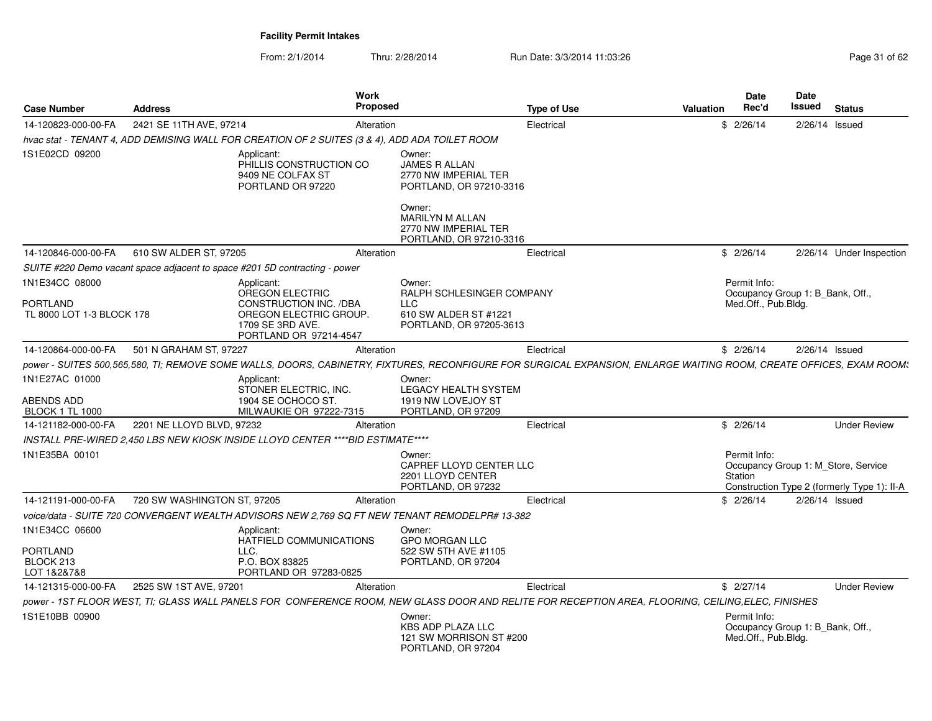| <b>Case Number</b>                                             | <b>Address</b>              | Work                                                                                                                            | Proposed                                                                                                                                                            | <b>Type of Use</b> | Valuation | <b>Date</b><br><b>Rec'd</b>         | <b>Date</b><br>Issued<br><b>Status</b>                                             |
|----------------------------------------------------------------|-----------------------------|---------------------------------------------------------------------------------------------------------------------------------|---------------------------------------------------------------------------------------------------------------------------------------------------------------------|--------------------|-----------|-------------------------------------|------------------------------------------------------------------------------------|
| 14-120823-000-00-FA                                            | 2421 SE 11TH AVE, 97214     |                                                                                                                                 | Alteration                                                                                                                                                          | Electrical         | \$2/26/14 |                                     | 2/26/14 Issued                                                                     |
|                                                                |                             | hvac stat - TENANT 4, ADD DEMISING WALL FOR CREATION OF 2 SUITES (3 & 4), ADD ADA TOILET ROOM                                   |                                                                                                                                                                     |                    |           |                                     |                                                                                    |
| 1S1E02CD 09200                                                 |                             | Applicant:<br>PHILLIS CONSTRUCTION CO<br>9409 NE COLFAX ST<br>PORTLAND OR 97220                                                 | Owner:<br>JAMES R ALLAN<br>2770 NW IMPERIAL TER<br>PORTLAND, OR 97210-3316                                                                                          |                    |           |                                     |                                                                                    |
|                                                                |                             |                                                                                                                                 | Owner:<br><b>MARILYN M ALLAN</b><br>2770 NW IMPERIAL TER<br>PORTLAND, OR 97210-3316                                                                                 |                    |           |                                     |                                                                                    |
| 14-120846-000-00-FA                                            | 610 SW ALDER ST, 97205      |                                                                                                                                 | Alteration                                                                                                                                                          | Electrical         | \$2/26/14 |                                     | 2/26/14 Under Inspection                                                           |
|                                                                |                             | SUITE #220 Demo vacant space adjacent to space #201 5D contracting - power                                                      |                                                                                                                                                                     |                    |           |                                     |                                                                                    |
| 1N1E34CC 08000<br><b>PORTLAND</b><br>TL 8000 LOT 1-3 BLOCK 178 |                             | Applicant:<br>OREGON ELECTRIC<br>CONSTRUCTION INC. /DBA<br>OREGON ELECTRIC GROUP.<br>1709 SE 3RD AVE.<br>PORTLAND OR 97214-4547 | Owner:<br>RALPH SCHLESINGER COMPANY<br><b>LLC</b><br>610 SW ALDER ST #1221<br>PORTLAND, OR 97205-3613                                                               |                    |           | Permit Info:<br>Med.Off., Pub.Bldg. | Occupancy Group 1: B_Bank, Off.,                                                   |
| 14-120864-000-00-FA                                            | 501 N GRAHAM ST, 97227      |                                                                                                                                 | Alteration                                                                                                                                                          | Electrical         | \$2/26/14 |                                     | 2/26/14 Issued                                                                     |
|                                                                |                             |                                                                                                                                 | power - SUITES 500,565,580, TI; REMOVE SOME WALLS, DOORS, CABINETRY, FIXTURES, RECONFIGURE FOR SURGICAL EXPANSION, ENLARGE WAITING ROOM, CREATE OFFICES, EXAM ROOM: |                    |           |                                     |                                                                                    |
| 1N1E27AC 01000<br>ABENDS ADD<br><b>BLOCK 1 TL 1000</b>         |                             | Applicant:<br>STONER ELECTRIC, INC.<br>1904 SE OCHOCO ST.<br>MILWAUKIE OR 97222-7315                                            | Owner:<br>LEGACY HEALTH SYSTEM<br>1919 NW LOVEJOY ST<br>PORTLAND, OR 97209                                                                                          |                    |           |                                     |                                                                                    |
| 14-121182-000-00-FA                                            | 2201 NE LLOYD BLVD, 97232   |                                                                                                                                 | Alteration                                                                                                                                                          | Electrical         | \$2/26/14 |                                     | <b>Under Review</b>                                                                |
|                                                                |                             | INSTALL PRE-WIRED 2.450 LBS NEW KIOSK INSIDE LLOYD CENTER ****BID ESTIMATE****                                                  |                                                                                                                                                                     |                    |           |                                     |                                                                                    |
| 1N1E35BA 00101                                                 |                             |                                                                                                                                 | Owner:                                                                                                                                                              |                    |           | Permit Info:                        |                                                                                    |
|                                                                |                             |                                                                                                                                 | CAPREF LLOYD CENTER LLC<br>2201 LLOYD CENTER<br>PORTLAND, OR 97232                                                                                                  |                    | Station   |                                     | Occupancy Group 1: M_Store, Service<br>Construction Type 2 (formerly Type 1): II-A |
| 14-121191-000-00-FA                                            | 720 SW WASHINGTON ST, 97205 |                                                                                                                                 | Alteration                                                                                                                                                          | Electrical         | \$2/26/14 |                                     | 2/26/14 Issued                                                                     |
|                                                                |                             |                                                                                                                                 | voice/data - SUITE 720 CONVERGENT WEALTH ADVISORS NEW 2,769 SQ FT NEW TENANT REMODELPR# 13-382                                                                      |                    |           |                                     |                                                                                    |
| 1N1E34CC 06600                                                 |                             | Applicant:                                                                                                                      | Owner:                                                                                                                                                              |                    |           |                                     |                                                                                    |
| <b>PORTLAND</b><br>BLOCK 213<br>LOT 1&2&7&8                    |                             | HATFIELD COMMUNICATIONS<br>LLC.<br>P.O. BOX 83825<br>PORTLAND OR 97283-0825                                                     | <b>GPO MORGAN LLC</b><br>522 SW 5TH AVE #1105<br>PORTLAND, OR 97204                                                                                                 |                    |           |                                     |                                                                                    |
| 14-121315-000-00-FA                                            | 2525 SW 1ST AVE, 97201      |                                                                                                                                 | Alteration                                                                                                                                                          | Electrical         | \$2/27/14 |                                     | <b>Under Review</b>                                                                |
|                                                                |                             |                                                                                                                                 | power - 1ST FLOOR WEST, TI; GLASS WALL PANELS FOR CONFERENCE ROOM, NEW GLASS DOOR AND RELITE FOR RECEPTION AREA, FLOORING, CEILING,ELEC, FINISHES                   |                    |           |                                     |                                                                                    |
| 1S1E10BB 00900                                                 |                             |                                                                                                                                 | Owner:<br>KBS ADP PLAZA LLC<br>121 SW MORRISON ST #200<br>PORTLAND, OR 97204                                                                                        |                    |           | Permit Info:<br>Med.Off., Pub.Bldg. | Occupancy Group 1: B_Bank, Off.,                                                   |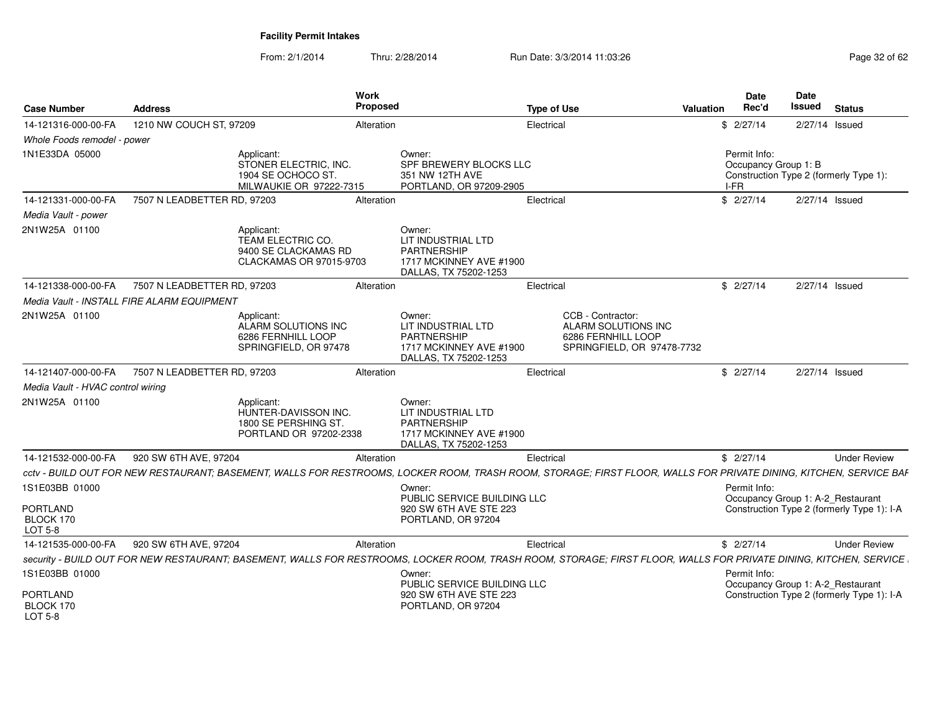| <b>Case Number</b>                      | <b>Address</b>                             |                                                                                      | Work<br><b>Proposed</b> |                                                                                                                                                                   | <b>Type of Use</b> |                                                                                              | <b>Valuation</b> | <b>Date</b><br>Rec'd                         | <b>Date</b><br>Issued | <b>Status</b>                                                                   |
|-----------------------------------------|--------------------------------------------|--------------------------------------------------------------------------------------|-------------------------|-------------------------------------------------------------------------------------------------------------------------------------------------------------------|--------------------|----------------------------------------------------------------------------------------------|------------------|----------------------------------------------|-----------------------|---------------------------------------------------------------------------------|
| 14-121316-000-00-FA                     | 1210 NW COUCH ST, 97209                    |                                                                                      | Alteration              |                                                                                                                                                                   | Electrical         |                                                                                              |                  | \$2/27/14                                    |                       | 2/27/14 Issued                                                                  |
| Whole Foods remodel - power             |                                            |                                                                                      |                         |                                                                                                                                                                   |                    |                                                                                              |                  |                                              |                       |                                                                                 |
| 1N1E33DA 05000                          |                                            | Applicant:<br>STONER ELECTRIC. INC.<br>1904 SE OCHOCO ST.<br>MILWAUKIE OR 97222-7315 |                         | Owner:<br>SPF BREWERY BLOCKS LLC<br>351 NW 12TH AVE<br>PORTLAND, OR 97209-2905                                                                                    |                    |                                                                                              |                  | Permit Info:<br>Occupancy Group 1: B<br>I-FR |                       | Construction Type 2 (formerly Type 1):                                          |
| 14-121331-000-00-FA                     | 7507 N LEADBETTER RD, 97203                |                                                                                      | Alteration              |                                                                                                                                                                   | Electrical         |                                                                                              |                  | \$2/27/14                                    |                       | 2/27/14 Issued                                                                  |
| Media Vault - power                     |                                            |                                                                                      |                         |                                                                                                                                                                   |                    |                                                                                              |                  |                                              |                       |                                                                                 |
| 2N1W25A 01100                           |                                            | Applicant:<br>TEAM ELECTRIC CO.<br>9400 SE CLACKAMAS RD<br>CLACKAMAS OR 97015-9703   |                         | Owner:<br>LIT INDUSTRIAL LTD<br><b>PARTNERSHIP</b><br>1717 MCKINNEY AVE #1900<br>DALLAS, TX 75202-1253                                                            |                    |                                                                                              |                  |                                              |                       |                                                                                 |
| 14-121338-000-00-FA                     | 7507 N LEADBETTER RD, 97203                |                                                                                      | Alteration              |                                                                                                                                                                   | Electrical         |                                                                                              |                  | \$2/27/14                                    |                       | 2/27/14 Issued                                                                  |
|                                         | Media Vault - INSTALL FIRE ALARM EQUIPMENT |                                                                                      |                         |                                                                                                                                                                   |                    |                                                                                              |                  |                                              |                       |                                                                                 |
| 2N1W25A 01100                           |                                            | Applicant:<br>ALARM SOLUTIONS INC<br>6286 FERNHILL LOOP<br>SPRINGFIELD, OR 97478     |                         | Owner:<br>LIT INDUSTRIAL LTD<br><b>PARTNERSHIP</b><br>1717 MCKINNEY AVE #1900<br>DALLAS, TX 75202-1253                                                            |                    | CCB - Contractor:<br>ALARM SOLUTIONS INC<br>6286 FERNHILL LOOP<br>SPRINGFIELD, OR 97478-7732 |                  |                                              |                       |                                                                                 |
| 14-121407-000-00-FA                     | 7507 N LEADBETTER RD. 97203                |                                                                                      | Alteration              |                                                                                                                                                                   | Electrical         |                                                                                              |                  | \$2/27/14                                    |                       | 2/27/14 Issued                                                                  |
| Media Vault - HVAC control wiring       |                                            |                                                                                      |                         |                                                                                                                                                                   |                    |                                                                                              |                  |                                              |                       |                                                                                 |
| 2N1W25A 01100                           |                                            | Applicant:<br>HUNTER-DAVISSON INC.<br>1800 SE PERSHING ST.<br>PORTLAND OR 97202-2338 |                         | Owner:<br>LIT INDUSTRIAL LTD<br><b>PARTNERSHIP</b><br>1717 MCKINNEY AVE #1900<br>DALLAS, TX 75202-1253                                                            |                    |                                                                                              |                  |                                              |                       |                                                                                 |
| 14-121532-000-00-FA                     | 920 SW 6TH AVE, 97204                      |                                                                                      | Alteration              |                                                                                                                                                                   | Electrical         |                                                                                              |                  | \$2/27/14                                    |                       | <b>Under Review</b>                                                             |
|                                         |                                            |                                                                                      |                         | cctv - BUILD OUT FOR NEW RESTAURANT; BASEMENT, WALLS FOR RESTROOMS, LOCKER ROOM, TRASH ROOM, STORAGE; FIRST FLOOR, WALLS FOR PRIVATE DINING, KITCHEN, SERVICE BAF |                    |                                                                                              |                  |                                              |                       |                                                                                 |
| 1S1E03BB 01000<br><b>PORTLAND</b>       |                                            |                                                                                      |                         | Owner:<br>PUBLIC SERVICE BUILDING LLC<br>920 SW 6TH AVE STE 223                                                                                                   |                    |                                                                                              |                  | Permit Info:                                 |                       | Occupancy Group 1: A-2_Restaurant<br>Construction Type 2 (formerly Type 1): I-A |
| BLOCK 170<br>LOT 5-8                    |                                            |                                                                                      |                         | PORTLAND, OR 97204                                                                                                                                                |                    |                                                                                              |                  |                                              |                       |                                                                                 |
| 14-121535-000-00-FA                     | 920 SW 6TH AVE, 97204                      |                                                                                      | Alteration              |                                                                                                                                                                   | Electrical         |                                                                                              |                  | \$2/27/14                                    |                       | <b>Under Review</b>                                                             |
|                                         |                                            |                                                                                      |                         | security - BUILD OUT FOR NEW RESTAURANT; BASEMENT, WALLS FOR RESTROOMS, LOCKER ROOM, TRASH ROOM, STORAGE; FIRST FLOOR, WALLS FOR PRIVATE DINING, KITCHEN, SERVICE |                    |                                                                                              |                  |                                              |                       |                                                                                 |
| 1S1E03BB 01000                          |                                            |                                                                                      |                         | Owner:<br>PUBLIC SERVICE BUILDING LLC                                                                                                                             |                    |                                                                                              |                  | Permit Info:                                 |                       | Occupancy Group 1: A-2_Restaurant                                               |
| <b>PORTLAND</b><br>BLOCK 170<br>LOT 5-8 |                                            |                                                                                      |                         | 920 SW 6TH AVE STE 223<br>PORTLAND, OR 97204                                                                                                                      |                    |                                                                                              |                  |                                              |                       | Construction Type 2 (formerly Type 1): I-A                                      |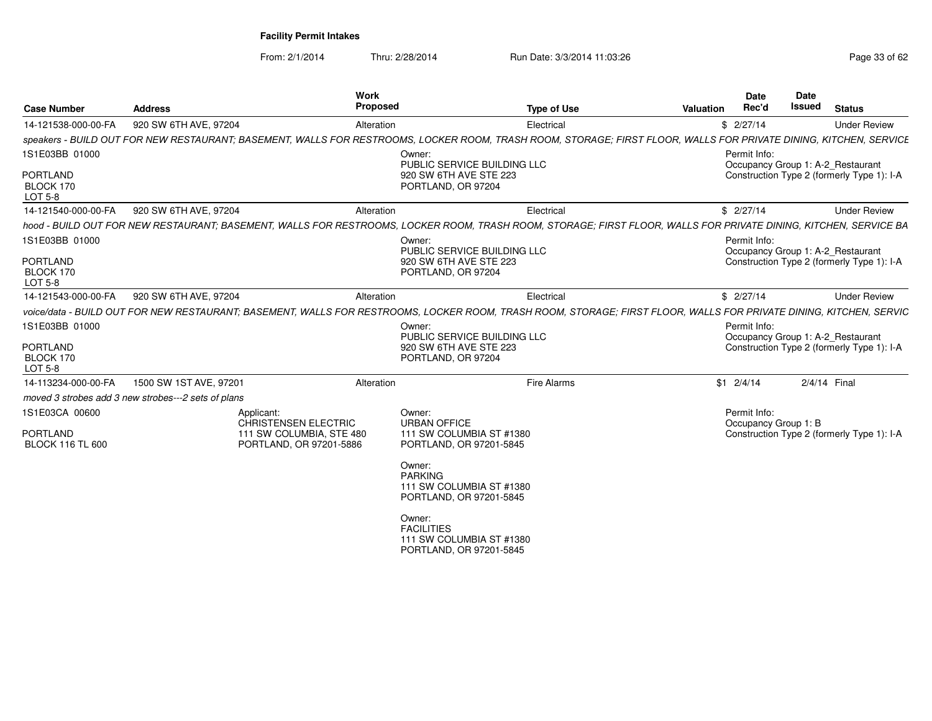| <b>Case Number</b>                             | <b>Address</b>                                      | Work<br>Proposed                                                                                                                                                   |                                                                                    | <b>Type of Use</b> | Valuation | <b>Date</b><br>Rec'd                 | Date<br><b>Issued</b> | <b>Status</b>                              |
|------------------------------------------------|-----------------------------------------------------|--------------------------------------------------------------------------------------------------------------------------------------------------------------------|------------------------------------------------------------------------------------|--------------------|-----------|--------------------------------------|-----------------------|--------------------------------------------|
| 14-121538-000-00-FA                            | 920 SW 6TH AVE, 97204                               | Alteration                                                                                                                                                         |                                                                                    | Electrical         |           | \$2/27/14                            |                       | <b>Under Review</b>                        |
|                                                |                                                     | speakers - BUILD OUT FOR NEW RESTAURANT; BASEMENT, WALLS FOR RESTROOMS, LOCKER ROOM, TRASH ROOM, STORAGE; FIRST FLOOR, WALLS FOR PRIVATE DINING, KITCHEN, SERVICE  |                                                                                    |                    |           |                                      |                       |                                            |
| 1S1E03BB 01000<br><b>PORTLAND</b>              |                                                     |                                                                                                                                                                    | Owner:<br>PUBLIC SERVICE BUILDING LLC<br>920 SW 6TH AVE STE 223                    |                    |           | Permit Info:                         |                       | Occupancy Group 1: A-2_Restaurant          |
| BLOCK 170<br><b>LOT 5-8</b>                    |                                                     |                                                                                                                                                                    | PORTLAND, OR 97204                                                                 |                    |           |                                      |                       | Construction Type 2 (formerly Type 1): I-A |
| 14-121540-000-00-FA                            | 920 SW 6TH AVE, 97204                               | Alteration                                                                                                                                                         |                                                                                    | Electrical         |           | \$2/27/14                            |                       | <b>Under Review</b>                        |
|                                                |                                                     | hood - BUILD OUT FOR NEW RESTAURANT; BASEMENT, WALLS FOR RESTROOMS, LOCKER ROOM, TRASH ROOM, STORAGE; FIRST FLOOR, WALLS FOR PRIVATE DINING, KITCHEN, SERVICE BA   |                                                                                    |                    |           |                                      |                       |                                            |
| 1S1E03BB 01000                                 |                                                     |                                                                                                                                                                    | Owner:<br>PUBLIC SERVICE BUILDING LLC                                              |                    |           | Permit Info:                         |                       | Occupancy Group 1: A-2 Restaurant          |
| <b>PORTLAND</b><br>BLOCK 170<br>LOT 5-8        |                                                     |                                                                                                                                                                    | 920 SW 6TH AVE STE 223<br>PORTLAND, OR 97204                                       |                    |           |                                      |                       | Construction Type 2 (formerly Type 1): I-A |
| 14-121543-000-00-FA                            | 920 SW 6TH AVE, 97204                               | Alteration                                                                                                                                                         |                                                                                    | Electrical         |           | \$2/27/14                            |                       | <b>Under Review</b>                        |
|                                                |                                                     | voice/data - BUILD OUT FOR NEW RESTAURANT; BASEMENT, WALLS FOR RESTROOMS, LOCKER ROOM, TRASH ROOM, STORAGE; FIRST FLOOR, WALLS FOR PRIVATE DINING, KITCHEN, SERVIC |                                                                                    |                    |           |                                      |                       |                                            |
| 1S1E03BB 01000                                 |                                                     |                                                                                                                                                                    | Owner:<br>PUBLIC SERVICE BUILDING LLC                                              |                    |           | Permit Info:                         |                       | Occupancy Group 1: A-2_Restaurant          |
| <b>PORTLAND</b><br>BLOCK 170<br><b>LOT 5-8</b> |                                                     |                                                                                                                                                                    | 920 SW 6TH AVE STE 223<br>PORTLAND, OR 97204                                       |                    |           |                                      |                       | Construction Type 2 (formerly Type 1): I-A |
| 14-113234-000-00-FA                            | 1500 SW 1ST AVE, 97201                              | Alteration                                                                                                                                                         |                                                                                    | <b>Fire Alarms</b> |           | $$1 \t2/4/14$                        |                       | 2/4/14 Final                               |
|                                                | moved 3 strobes add 3 new strobes---2 sets of plans |                                                                                                                                                                    |                                                                                    |                    |           |                                      |                       |                                            |
| 1S1E03CA 00600                                 |                                                     | Applicant:<br><b>CHRISTENSEN ELECTRIC</b>                                                                                                                          | Owner:<br><b>URBAN OFFICE</b>                                                      |                    |           | Permit Info:<br>Occupancy Group 1: B |                       |                                            |
| <b>PORTLAND</b><br><b>BLOCK 116 TL 600</b>     |                                                     | 111 SW COLUMBIA, STE 480<br>PORTLAND, OR 97201-5886                                                                                                                | 111 SW COLUMBIA ST #1380<br>PORTLAND, OR 97201-5845                                |                    |           |                                      |                       | Construction Type 2 (formerly Type 1): I-A |
|                                                |                                                     |                                                                                                                                                                    | Owner:<br><b>PARKING</b><br>111 SW COLUMBIA ST #1380<br>PORTLAND, OR 97201-5845    |                    |           |                                      |                       |                                            |
|                                                |                                                     |                                                                                                                                                                    | Owner:<br><b>FACILITIES</b><br>111 SW COLUMBIA ST #1380<br>PORTLAND, OR 97201-5845 |                    |           |                                      |                       |                                            |
|                                                |                                                     |                                                                                                                                                                    |                                                                                    |                    |           |                                      |                       |                                            |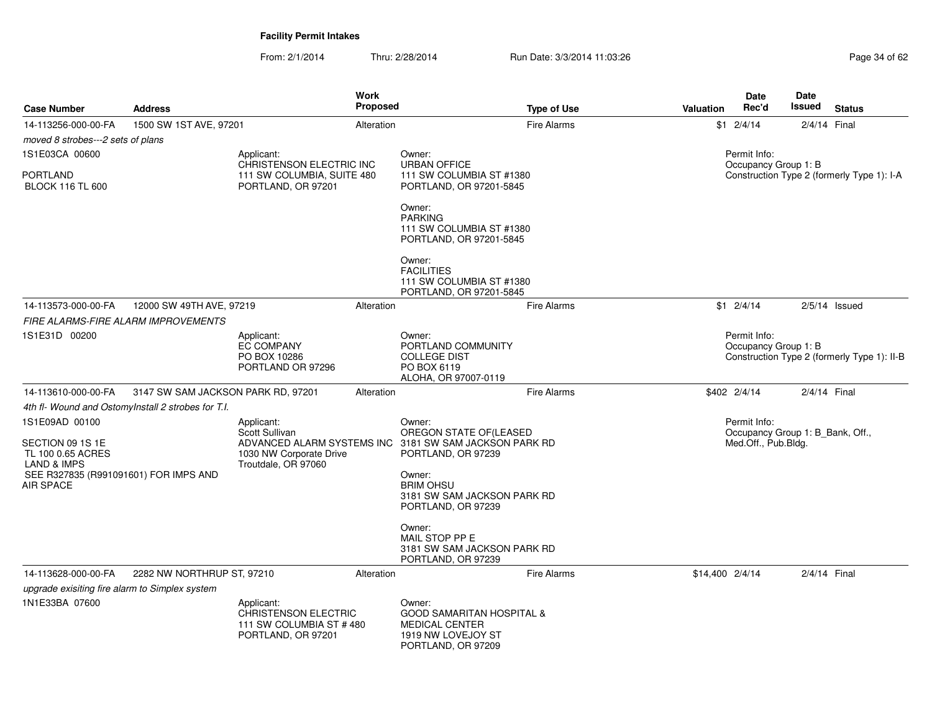| <b>Case Number</b>                                                                  | <b>Address</b>                                     | <b>Work</b><br><b>Proposed</b>                                                                                    |                                                                                                              | <b>Type of Use</b> | <b>Valuation</b>                                                   | <b>Date</b><br>Rec'd                                                    | <b>Date</b><br><b>Issued</b> | <b>Status</b>                               |
|-------------------------------------------------------------------------------------|----------------------------------------------------|-------------------------------------------------------------------------------------------------------------------|--------------------------------------------------------------------------------------------------------------|--------------------|--------------------------------------------------------------------|-------------------------------------------------------------------------|------------------------------|---------------------------------------------|
| 14-113256-000-00-FA<br>moved 8 strobes---2 sets of plans                            | 1500 SW 1ST AVE, 97201                             | Alteration                                                                                                        |                                                                                                              | <b>Fire Alarms</b> |                                                                    | $$1 \t2/4/14$                                                           |                              | 2/4/14 Final                                |
| 1S1E03CA 00600                                                                      |                                                    | Applicant:<br>CHRISTENSON ELECTRIC INC                                                                            | Owner:<br><b>URBAN OFFICE</b>                                                                                |                    |                                                                    | Permit Info:                                                            |                              |                                             |
| <b>PORTLAND</b><br><b>BLOCK 116 TL 600</b>                                          |                                                    | 111 SW COLUMBIA, SUITE 480<br>PORTLAND, OR 97201                                                                  | 111 SW COLUMBIA ST #1380<br>PORTLAND, OR 97201-5845                                                          |                    | Occupancy Group 1: B<br>Construction Type 2 (formerly Type 1): I-A |                                                                         |                              |                                             |
|                                                                                     |                                                    |                                                                                                                   | Owner:<br><b>PARKING</b><br>111 SW COLUMBIA ST #1380<br>PORTLAND, OR 97201-5845                              |                    |                                                                    |                                                                         |                              |                                             |
|                                                                                     |                                                    |                                                                                                                   | Owner:<br><b>FACILITIES</b><br>111 SW COLUMBIA ST #1380<br>PORTLAND, OR 97201-5845                           |                    |                                                                    |                                                                         |                              |                                             |
| 14-113573-000-00-FA                                                                 | 12000 SW 49TH AVE, 97219                           | Alteration                                                                                                        |                                                                                                              | <b>Fire Alarms</b> |                                                                    | $$1 \t2/4/14$                                                           |                              | $2/5/14$ Issued                             |
|                                                                                     | <b>FIRE ALARMS-FIRE ALARM IMPROVEMENTS</b>         |                                                                                                                   |                                                                                                              |                    |                                                                    |                                                                         |                              |                                             |
| 1S1E31D 00200                                                                       |                                                    | Applicant:<br><b>EC COMPANY</b><br>PO BOX 10286<br>PORTLAND OR 97296                                              | Owner:<br>PORTLAND COMMUNITY<br><b>COLLEGE DIST</b><br>PO BOX 6119<br>ALOHA, OR 97007-0119                   |                    |                                                                    | Permit Info:<br>Occupancy Group 1: B                                    |                              | Construction Type 2 (formerly Type 1): II-B |
| 14-113610-000-00-FA                                                                 | 3147 SW SAM JACKSON PARK RD, 97201                 | Alteration                                                                                                        |                                                                                                              | <b>Fire Alarms</b> |                                                                    | \$402 2/4/14                                                            |                              | 2/4/14 Final                                |
|                                                                                     | 4th fl- Wound and OstomyInstall 2 strobes for T.I. |                                                                                                                   |                                                                                                              |                    |                                                                    |                                                                         |                              |                                             |
| 1S1E09AD 00100<br>SECTION 09 1S 1E<br>TL 100 0.65 ACRES                             |                                                    | Applicant:<br>Scott Sullivan<br>ADVANCED ALARM SYSTEMS INC 3181 SW SAM JACKSON PARK RD<br>1030 NW Corporate Drive | Owner:<br>OREGON STATE OF (LEASED<br>PORTLAND, OR 97239                                                      |                    |                                                                    | Permit Info:<br>Occupancy Group 1: B_Bank, Off.,<br>Med.Off., Pub.Bldg. |                              |                                             |
| <b>LAND &amp; IMPS</b><br>SEE R327835 (R991091601) FOR IMPS AND<br><b>AIR SPACE</b> |                                                    | Troutdale, OR 97060                                                                                               | Owner:<br><b>BRIM OHSU</b><br>3181 SW SAM JACKSON PARK RD<br>PORTLAND, OR 97239                              |                    |                                                                    |                                                                         |                              |                                             |
|                                                                                     |                                                    |                                                                                                                   | Owner:<br>MAIL STOP PP E<br>3181 SW SAM JACKSON PARK RD<br>PORTLAND, OR 97239                                |                    |                                                                    |                                                                         |                              |                                             |
| 14-113628-000-00-FA                                                                 | 2282 NW NORTHRUP ST, 97210                         | Alteration                                                                                                        |                                                                                                              | <b>Fire Alarms</b> | \$14,400 2/4/14                                                    |                                                                         |                              | 2/4/14 Final                                |
| upgrade exisiting fire alarm to Simplex system                                      |                                                    |                                                                                                                   |                                                                                                              |                    |                                                                    |                                                                         |                              |                                             |
| 1N1E33BA 07600                                                                      |                                                    | Applicant:<br><b>CHRISTENSON ELECTRIC</b><br>111 SW COLUMBIA ST #480<br>PORTLAND, OR 97201                        | Owner:<br><b>GOOD SAMARITAN HOSPITAL &amp;</b><br>MEDICAL CENTER<br>1919 NW LOVEJOY ST<br>PORTLAND, OR 97209 |                    |                                                                    |                                                                         |                              |                                             |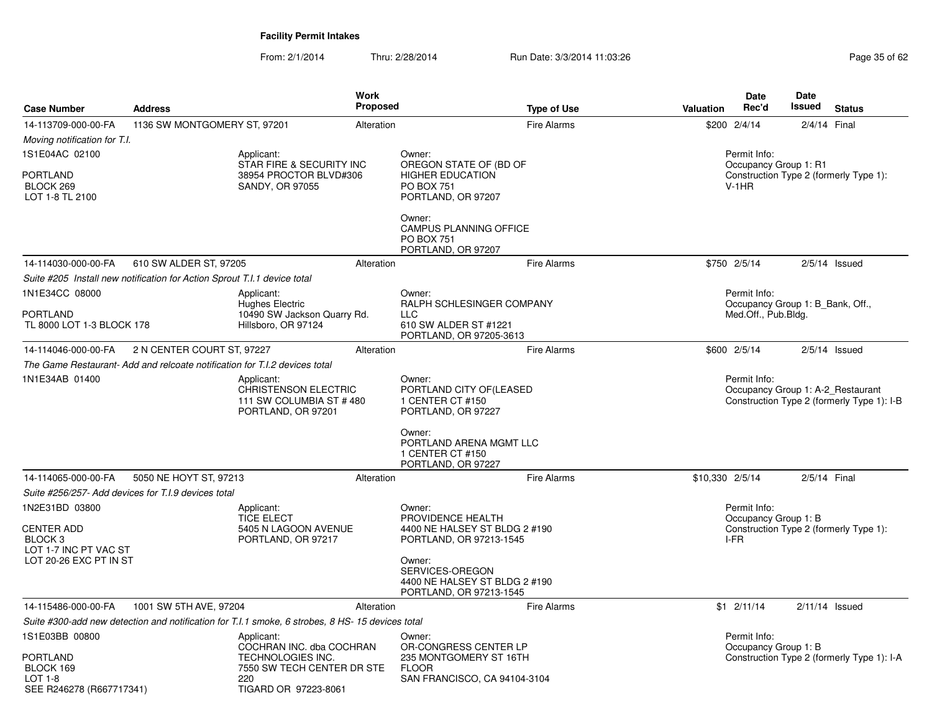| <b>Case Number</b>                                                                                           | <b>Address</b>                                                             | Work<br><b>Proposed</b>                                                                                                  |                                                                                                                                                                                  | <b>Type of Use</b><br><b>Valuation</b> | Date<br>Rec'd                                    | Date<br><b>Issued</b><br><b>Status</b>                                          |
|--------------------------------------------------------------------------------------------------------------|----------------------------------------------------------------------------|--------------------------------------------------------------------------------------------------------------------------|----------------------------------------------------------------------------------------------------------------------------------------------------------------------------------|----------------------------------------|--------------------------------------------------|---------------------------------------------------------------------------------|
| 14-113709-000-00-FA                                                                                          | 1136 SW MONTGOMERY ST, 97201                                               | Alteration                                                                                                               |                                                                                                                                                                                  | <b>Fire Alarms</b>                     | \$200 2/4/14                                     | 2/4/14 Final                                                                    |
| Moving notification for T.I.                                                                                 |                                                                            |                                                                                                                          |                                                                                                                                                                                  |                                        |                                                  |                                                                                 |
| 1S1E04AC 02100<br><b>PORTLAND</b><br>BLOCK 269<br>LOT 1-8 TL 2100                                            |                                                                            | Applicant:<br>STAR FIRE & SECURITY INC<br>38954 PROCTOR BLVD#306<br>SANDY, OR 97055                                      | Owner:<br>OREGON STATE OF (BD OF<br><b>HIGHER EDUCATION</b><br><b>PO BOX 751</b><br>PORTLAND, OR 97207                                                                           |                                        | Permit Info:<br>Occupancy Group 1: R1<br>$V-1HR$ | Construction Type 2 (formerly Type 1):                                          |
|                                                                                                              |                                                                            |                                                                                                                          | Owner:<br>CAMPUS PLANNING OFFICE<br><b>PO BOX 751</b><br>PORTLAND, OR 97207                                                                                                      |                                        |                                                  |                                                                                 |
| 14-114030-000-00-FA                                                                                          | 610 SW ALDER ST, 97205                                                     | Alteration                                                                                                               |                                                                                                                                                                                  | <b>Fire Alarms</b>                     | \$750 2/5/14                                     | $2/5/14$ Issued                                                                 |
|                                                                                                              | Suite #205 Install new notification for Action Sprout T.I.1 device total   |                                                                                                                          |                                                                                                                                                                                  |                                        |                                                  |                                                                                 |
| 1N1E34CC 08000<br><b>PORTLAND</b><br>TL 8000 LOT 1-3 BLOCK 178                                               |                                                                            | Applicant:<br>Hughes Electric<br>10490 SW Jackson Quarry Rd.<br>Hillsboro, OR 97124                                      | Owner:<br>RALPH SCHLESINGER COMPANY<br>LLC<br>610 SW ALDER ST #1221<br>PORTLAND, OR 97205-3613                                                                                   |                                        | Permit Info:<br>Med.Off., Pub.Bldg.              | Occupancy Group 1: B_Bank, Off.,                                                |
| 14-114046-000-00-FA                                                                                          | 2 N CENTER COURT ST, 97227                                                 | Alteration                                                                                                               |                                                                                                                                                                                  | <b>Fire Alarms</b>                     | \$600 2/5/14                                     | $2/5/14$ Issued                                                                 |
|                                                                                                              | The Game Restaurant- Add and relcoate notification for T.I.2 devices total |                                                                                                                          |                                                                                                                                                                                  |                                        |                                                  |                                                                                 |
| 1N1E34AB 01400                                                                                               |                                                                            | Applicant:<br>CHRISTENSON ELECTRIC<br>111 SW COLUMBIA ST #480<br>PORTLAND, OR 97201                                      | Owner:<br>PORTLAND CITY OF(LEASED<br>1 CENTER CT #150<br>PORTLAND, OR 97227                                                                                                      |                                        | Permit Info:                                     | Occupancy Group 1: A-2_Restaurant<br>Construction Type 2 (formerly Type 1): I-B |
|                                                                                                              |                                                                            |                                                                                                                          | Owner:<br>PORTLAND ARENA MGMT LLC<br>1 CENTER CT #150<br>PORTLAND, OR 97227                                                                                                      |                                        |                                                  |                                                                                 |
| 14-114065-000-00-FA                                                                                          | 5050 NE HOYT ST, 97213                                                     | Alteration                                                                                                               |                                                                                                                                                                                  | <b>Fire Alarms</b>                     | \$10,330 2/5/14                                  | 2/5/14 Final                                                                    |
|                                                                                                              | Suite #256/257- Add devices for T.I.9 devices total                        |                                                                                                                          |                                                                                                                                                                                  |                                        |                                                  |                                                                                 |
| 1N2E31BD 03800<br><b>CENTER ADD</b><br>BLOCK <sub>3</sub><br>LOT 1-7 INC PT VAC ST<br>LOT 20-26 EXC PT IN ST |                                                                            | Applicant:<br><b>TICE ELECT</b><br>5405 N LAGOON AVENUE<br>PORTLAND, OR 97217                                            | Owner:<br>PROVIDENCE HEALTH<br>4400 NE HALSEY ST BLDG 2 #190<br>PORTLAND, OR 97213-1545<br>Owner:<br>SERVICES-OREGON<br>4400 NE HALSEY ST BLDG 2 #190<br>PORTLAND, OR 97213-1545 |                                        | Permit Info:<br>Occupancy Group 1: B<br>I-FR     | Construction Type 2 (formerly Type 1):                                          |
| 14-115486-000-00-FA                                                                                          | 1001 SW 5TH AVE, 97204                                                     | Alteration                                                                                                               |                                                                                                                                                                                  | <b>Fire Alarms</b>                     | $$1 \t2/11/14$                                   | $2/11/14$ Issued                                                                |
|                                                                                                              |                                                                            | Suite #300-add new detection and notification for T.I.1 smoke, 6 strobes, 8 HS-15 devices total                          |                                                                                                                                                                                  |                                        |                                                  |                                                                                 |
| 1S1E03BB 00800<br><b>PORTLAND</b><br>BLOCK 169<br>$LOT 1-8$<br>SEE R246278 (R667717341)                      |                                                                            | Applicant:<br>COCHRAN INC. dba COCHRAN<br>TECHNOLOGIES INC.<br>7550 SW TECH CENTER DR STE<br>220<br>TIGARD OR 97223-8061 | Owner:<br>OR-CONGRESS CENTER LP<br>235 MONTGOMERY ST 16TH<br><b>FLOOR</b><br>SAN FRANCISCO, CA 94104-3104                                                                        |                                        | Permit Info:<br>Occupancy Group 1: B             | Construction Type 2 (formerly Type 1): I-A                                      |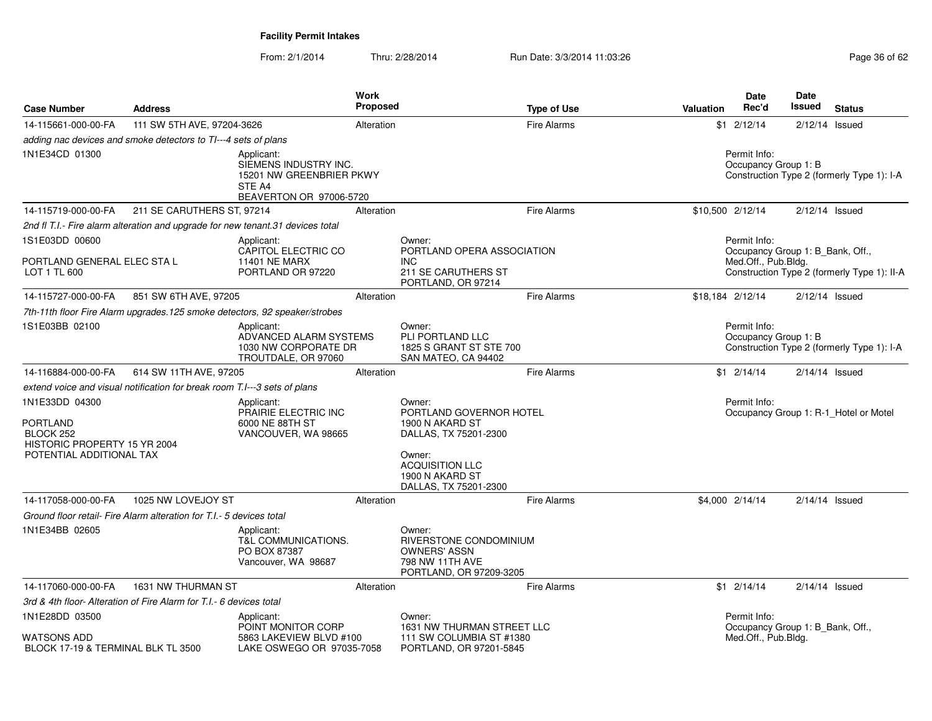| <b>Case Number</b>                                                                                         | <b>Address</b>                                                       |                                                                                                                                                                     | Work<br><b>Proposed</b> |                                                                                                                                                               | <b>Type of Use</b>                                                                 | <b>Valuation</b>                                      | <b>Date</b><br>Rec'd                                                    | <b>Date</b><br>Issued | <b>Status</b>                               |
|------------------------------------------------------------------------------------------------------------|----------------------------------------------------------------------|---------------------------------------------------------------------------------------------------------------------------------------------------------------------|-------------------------|---------------------------------------------------------------------------------------------------------------------------------------------------------------|------------------------------------------------------------------------------------|-------------------------------------------------------|-------------------------------------------------------------------------|-----------------------|---------------------------------------------|
| 14-115661-000-00-FA                                                                                        | 111 SW 5TH AVE, 97204-3626                                           |                                                                                                                                                                     | Alteration              |                                                                                                                                                               | Fire Alarms                                                                        |                                                       | $$1 \t2/12/14$                                                          | 2/12/14               | Issued                                      |
|                                                                                                            | adding nac devices and smoke detectors to TI---4 sets of plans       |                                                                                                                                                                     |                         |                                                                                                                                                               |                                                                                    |                                                       |                                                                         |                       |                                             |
| 1N1E34CD 01300                                                                                             |                                                                      | Applicant:<br>SIEMENS INDUSTRY INC.<br>15201 NW GREENBRIER PKWY<br>STE A4<br>BEAVERTON OR 97006-5720                                                                |                         |                                                                                                                                                               |                                                                                    |                                                       | Permit Info:<br>Occupancy Group 1: B                                    |                       | Construction Type 2 (formerly Type 1): I-A  |
| 14-115719-000-00-FA                                                                                        | 211 SE CARUTHERS ST, 97214                                           |                                                                                                                                                                     | Alteration              |                                                                                                                                                               | <b>Fire Alarms</b>                                                                 | \$10,500 2/12/14                                      |                                                                         |                       | $2/12/14$ Issued                            |
|                                                                                                            |                                                                      | 2nd fl T.I.- Fire alarm alteration and upgrade for new tenant.31 devices total                                                                                      |                         |                                                                                                                                                               |                                                                                    |                                                       |                                                                         |                       |                                             |
| 1S1E03DD 00600<br>PORTLAND GENERAL ELEC STA L<br>LOT 1 TL 600                                              |                                                                      | Applicant:<br>CAPITOL ELECTRIC CO<br><b>11401 NE MARX</b><br>PORTLAND OR 97220                                                                                      |                         | Owner:<br>PORTLAND OPERA ASSOCIATION<br><b>INC</b><br><b>211 SE CARUTHERS ST</b><br>PORTLAND, OR 97214                                                        |                                                                                    |                                                       | Permit Info:<br>Occupancy Group 1: B_Bank, Off.,<br>Med.Off., Pub.Bldg. |                       | Construction Type 2 (formerly Type 1): II-A |
| 14-115727-000-00-FA                                                                                        | 851 SW 6TH AVE, 97205                                                |                                                                                                                                                                     | Alteration              |                                                                                                                                                               | <b>Fire Alarms</b>                                                                 | \$18,184 2/12/14                                      |                                                                         |                       | $2/12/14$ Issued                            |
|                                                                                                            |                                                                      | 7th-11th floor Fire Alarm upgrades. 125 smoke detectors, 92 speaker/strobes                                                                                         |                         |                                                                                                                                                               |                                                                                    |                                                       |                                                                         |                       |                                             |
| 1S1E03BB 02100                                                                                             |                                                                      | Owner:<br>Applicant:<br>PLI PORTLAND LLC<br>ADVANCED ALARM SYSTEMS<br>1030 NW CORPORATE DR<br>1825 S GRANT ST STE 700<br>TROUTDALE, OR 97060<br>SAN MATEO, CA 94402 |                         |                                                                                                                                                               | Permit Info:<br>Occupancy Group 1: B<br>Construction Type 2 (formerly Type 1): I-A |                                                       |                                                                         |                       |                                             |
| 14-116884-000-00-FA                                                                                        | 614 SW 11TH AVE, 97205                                               |                                                                                                                                                                     | Alteration              |                                                                                                                                                               | <b>Fire Alarms</b>                                                                 |                                                       | $$1 \t2/14/14$                                                          |                       | $2/14/14$ Issued                            |
| extend voice and visual notification for break room T.I---3 sets of plans                                  |                                                                      |                                                                                                                                                                     |                         |                                                                                                                                                               |                                                                                    |                                                       |                                                                         |                       |                                             |
| 1N1E33DD 04300<br><b>PORTLAND</b><br>BLOCK 252<br>HISTORIC PROPERTY 15 YR 2004<br>POTENTIAL ADDITIONAL TAX |                                                                      | Applicant:<br>PRAIRIE ELECTRIC INC<br>6000 NE 88TH ST<br>VANCOUVER, WA 98665                                                                                        |                         | Owner:<br>PORTLAND GOVERNOR HOTEL<br>1900 N AKARD ST<br>DALLAS, TX 75201-2300<br>Owner:<br><b>ACQUISITION LLC</b><br>1900 N AKARD ST<br>DALLAS, TX 75201-2300 |                                                                                    | Permit Info:<br>Occupancy Group 1: R-1_Hotel or Motel |                                                                         |                       |                                             |
| 14-117058-000-00-FA                                                                                        | 1025 NW LOVEJOY ST                                                   |                                                                                                                                                                     | Alteration              |                                                                                                                                                               | <b>Fire Alarms</b>                                                                 |                                                       | \$4,000 2/14/14                                                         |                       | $2/14/14$ Issued                            |
|                                                                                                            | Ground floor retail- Fire Alarm alteration for T.I.- 5 devices total |                                                                                                                                                                     |                         |                                                                                                                                                               |                                                                                    |                                                       |                                                                         |                       |                                             |
| 1N1E34BB 02605                                                                                             |                                                                      | Applicant:<br>T&L COMMUNICATIONS.<br>PO BOX 87387<br>Vancouver, WA 98687                                                                                            |                         | Owner:<br>RIVERSTONE CONDOMINIUM<br><b>OWNERS' ASSN</b><br>798 NW 11TH AVE<br>PORTLAND, OR 97209-3205                                                         |                                                                                    |                                                       |                                                                         |                       |                                             |
| 14-117060-000-00-FA                                                                                        | 1631 NW THURMAN ST                                                   |                                                                                                                                                                     | Alteration              |                                                                                                                                                               | <b>Fire Alarms</b>                                                                 |                                                       | $$1 \quad 2/14/14$                                                      |                       | $2/14/14$ Issued                            |
| 3rd & 4th floor- Alteration of Fire Alarm for T.I. - 6 devices total                                       |                                                                      |                                                                                                                                                                     |                         |                                                                                                                                                               |                                                                                    |                                                       |                                                                         |                       |                                             |
| 1N1E28DD 03500<br>WATSONS ADD<br>BLOCK 17-19 & TERMINAL BLK TL 3500                                        |                                                                      | Applicant:<br>POINT MONITOR CORP<br>5863 LAKEVIEW BLVD #100<br>LAKE OSWEGO OR 97035-7058                                                                            |                         | Owner:<br>1631 NW THURMAN STREET LLC<br>111 SW COLUMBIA ST #1380<br>PORTLAND, OR 97201-5845                                                                   |                                                                                    |                                                       | Permit Info:<br>Occupancy Group 1: B Bank, Off.,<br>Med.Off., Pub.Bldg. |                       |                                             |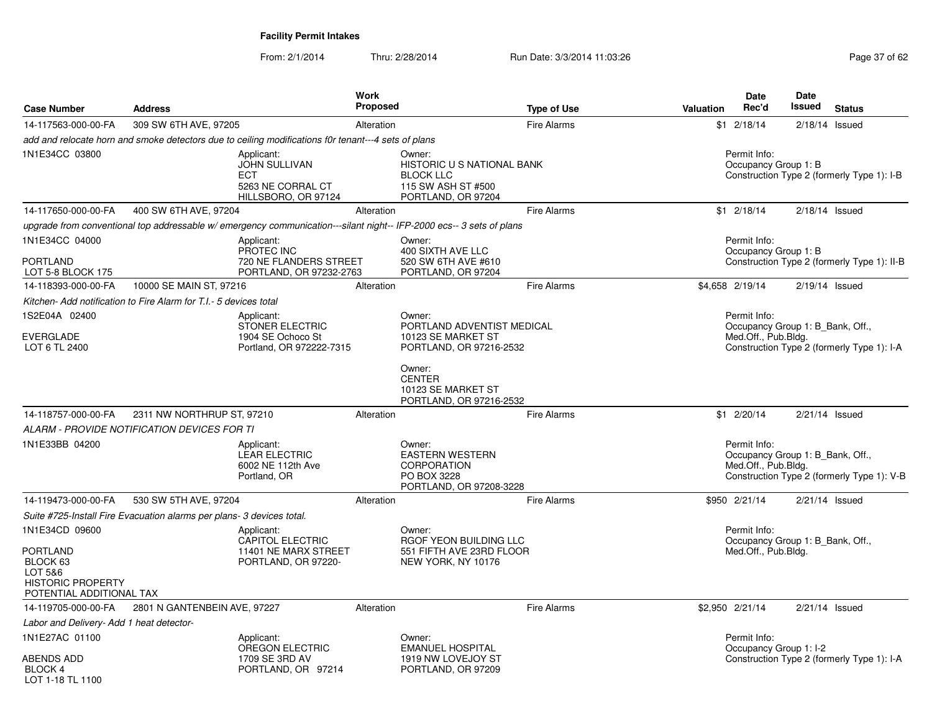|                                                                                                |                                                                                                                      | <b>Work</b><br><b>Proposed</b>                    |                                                                               | Date<br>Rec'd                        | <b>Date</b><br><b>Issued</b>                                                   |
|------------------------------------------------------------------------------------------------|----------------------------------------------------------------------------------------------------------------------|---------------------------------------------------|-------------------------------------------------------------------------------|--------------------------------------|--------------------------------------------------------------------------------|
| <b>Case Number</b>                                                                             | <b>Address</b>                                                                                                       |                                                   | <b>Type of Use</b>                                                            | Valuation                            | <b>Status</b>                                                                  |
| 14-117563-000-00-FA                                                                            | 309 SW 6TH AVE, 97205                                                                                                | Alteration                                        | <b>Fire Alarms</b>                                                            | $$1 \t2/18/14$                       | $2/18/14$ Issued                                                               |
|                                                                                                | add and relocate horn and smoke detectors due to ceiling modifications f0r tenant---4 sets of plans                  |                                                   |                                                                               |                                      |                                                                                |
| 1N1E34CC 03800                                                                                 | Applicant:<br>JOHN SULLIVAN<br><b>ECT</b><br>5263 NE CORRAL CT<br>HILLSBORO, OR 97124                                | Owner:<br><b>BLOCK LLC</b>                        | <b>HISTORIC U S NATIONAL BANK</b><br>115 SW ASH ST #500<br>PORTLAND, OR 97204 | Permit Info:<br>Occupancy Group 1: B | Construction Type 2 (formerly Type 1): I-B                                     |
| 14-117650-000-00-FA                                                                            | 400 SW 6TH AVE, 97204                                                                                                | Alteration                                        | <b>Fire Alarms</b>                                                            | $$1$ 2/18/14                         | $2/18/14$ Issued                                                               |
|                                                                                                | upgrade from conventional top addressable w/ emergency communication---silant night-- IFP-2000 ecs-- 3 sets of plans |                                                   |                                                                               |                                      |                                                                                |
| 1N1E34CC 04000                                                                                 | Applicant:<br>PROTEC INC                                                                                             | Owner:<br>400 SIXTH AVE LLC                       |                                                                               | Permit Info:<br>Occupancy Group 1: B |                                                                                |
| <b>PORTLAND</b><br>LOT 5-8 BLOCK 175                                                           |                                                                                                                      | 720 NE FLANDERS STREET<br>PORTLAND, OR 97232-2763 | 520 SW 6TH AVE #610<br>PORTLAND, OR 97204                                     |                                      | Construction Type 2 (formerly Type 1): II-B                                    |
| 14-118393-000-00-FA                                                                            | 10000 SE MAIN ST, 97216                                                                                              | Alteration                                        | <b>Fire Alarms</b>                                                            | \$4,658 2/19/14                      | $2/19/14$ Issued                                                               |
|                                                                                                | Kitchen- Add notification to Fire Alarm for T.I.- 5 devices total                                                    |                                                   |                                                                               |                                      |                                                                                |
| 1S2E04A 02400                                                                                  | Applicant:<br>STONER ELECTRIC                                                                                        | Owner:                                            | PORTLAND ADVENTIST MEDICAL                                                    | Permit Info:                         | Occupancy Group 1: B_Bank, Off.,                                               |
| <b>EVERGLADE</b><br>LOT 6 TL 2400                                                              | 1904 SE Ochoco St<br>Portland, OR 972222-7315                                                                        |                                                   | 10123 SE MARKET ST<br>PORTLAND, OR 97216-2532                                 | Med.Off., Pub.Bldg.                  | Construction Type 2 (formerly Type 1): I-A                                     |
|                                                                                                |                                                                                                                      | Owner:<br><b>CENTER</b>                           | 10123 SE MARKET ST<br>PORTLAND, OR 97216-2532                                 |                                      |                                                                                |
| 14-118757-000-00-FA                                                                            | 2311 NW NORTHRUP ST, 97210                                                                                           | Alteration                                        | <b>Fire Alarms</b>                                                            | $$1$ 2/20/14                         | 2/21/14 Issued                                                                 |
|                                                                                                | ALARM - PROVIDE NOTIFICATION DEVICES FOR TI                                                                          |                                                   |                                                                               |                                      |                                                                                |
| 1N1E33BB 04200                                                                                 | Applicant:<br><b>LEAR ELECTRIC</b><br>6002 NE 112th Ave<br>Portland, OR                                              | Owner:<br><b>CORPORATION</b><br>PO BOX 3228       | <b>EASTERN WESTERN</b><br>PORTLAND, OR 97208-3228                             | Permit Info:<br>Med.Off., Pub.Bldg.  | Occupancy Group 1: B_Bank, Off.,<br>Construction Type 2 (formerly Type 1): V-B |
| 14-119473-000-00-FA                                                                            | 530 SW 5TH AVE, 97204                                                                                                | Alteration                                        | <b>Fire Alarms</b>                                                            | \$950 2/21/14                        | $2/21/14$ Issued                                                               |
|                                                                                                | Suite #725-Install Fire Evacuation alarms per plans- 3 devices total.                                                |                                                   |                                                                               |                                      |                                                                                |
| 1N1E34CD 09600                                                                                 | Applicant:<br><b>CAPITOL ELECTRIC</b>                                                                                | Owner:                                            | RGOF YEON BUILDING LLC                                                        | Permit Info:                         | Occupancy Group 1: B_Bank, Off.,                                               |
| <b>PORTLAND</b><br>BLOCK 63<br>LOT 5&6<br><b>HISTORIC PROPERTY</b><br>POTENTIAL ADDITIONAL TAX | 11401 NE MARX STREET<br>PORTLAND, OR 97220-                                                                          |                                                   | 551 FIFTH AVE 23RD FLOOR<br>NEW YORK, NY 10176                                | Med.Off., Pub.Bldg.                  |                                                                                |
| 14-119705-000-00-FA                                                                            | 2801 N GANTENBEIN AVE, 97227                                                                                         | Alteration                                        | <b>Fire Alarms</b>                                                            | \$2,950 2/21/14                      | $2/21/14$ Issued                                                               |
| Labor and Delivery- Add 1 heat detector-                                                       |                                                                                                                      |                                                   |                                                                               |                                      |                                                                                |
| 1N1E27AC 01100                                                                                 | Applicant:<br>OREGON ELECTRIC                                                                                        | Owner:                                            | <b>EMANUEL HOSPITAL</b>                                                       | Permit Info:                         | Occupancy Group 1: I-2                                                         |
| <b>ABENDS ADD</b><br>BLOCK 4<br>LOT 1-18 TL 1100                                               | 1709 SE 3RD AV<br>PORTLAND, OR 97214                                                                                 |                                                   | 1919 NW LOVEJOY ST<br>PORTLAND, OR 97209                                      |                                      | Construction Type 2 (formerly Type 1): I-A                                     |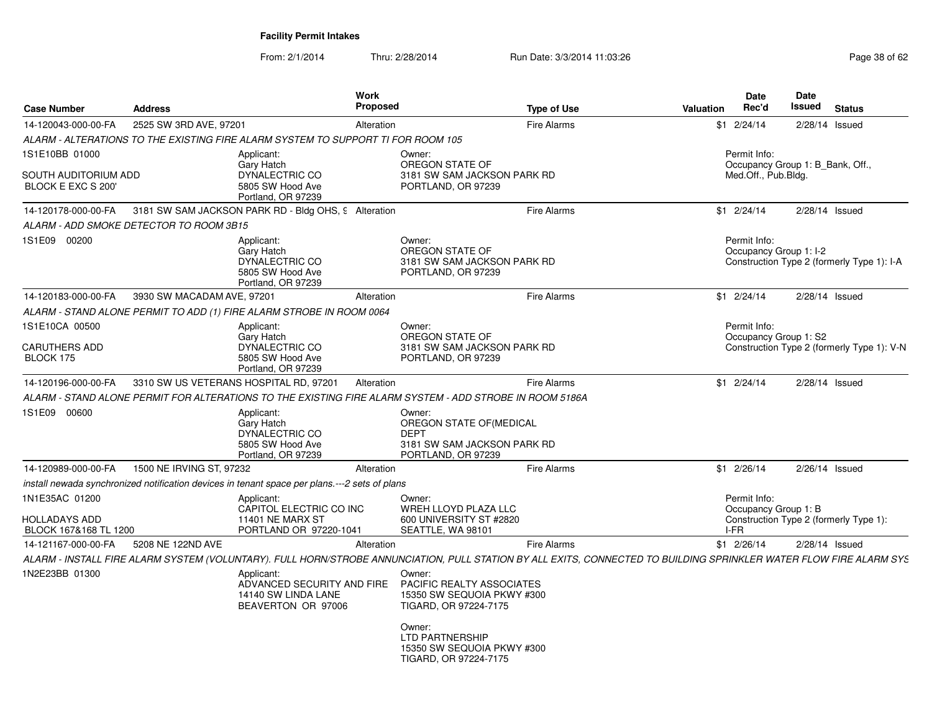| <b>Case Number</b>                                           | <b>Address</b>                          |                                                                                               | <b>Work</b><br><b>Proposed</b> | <b>Type of Use</b>                                                                                                                                                 | Valuation |                                                                         | <b>Date</b><br>Rec'd                 | <b>Date</b><br><b>Issued</b> | <b>Status</b>                              |  |
|--------------------------------------------------------------|-----------------------------------------|-----------------------------------------------------------------------------------------------|--------------------------------|--------------------------------------------------------------------------------------------------------------------------------------------------------------------|-----------|-------------------------------------------------------------------------|--------------------------------------|------------------------------|--------------------------------------------|--|
| 14-120043-000-00-FA                                          | 2525 SW 3RD AVE, 97201                  |                                                                                               | Alteration                     | Fire Alarms                                                                                                                                                        |           |                                                                         | $$1 \t2/24/14$                       | $2/28/14$ Issued             |                                            |  |
|                                                              |                                         | ALARM - ALTERATIONS TO THE EXISTING FIRE ALARM SYSTEM TO SUPPORT TI FOR ROOM 105              |                                |                                                                                                                                                                    |           |                                                                         |                                      |                              |                                            |  |
| 1S1E10BB 01000<br>SOUTH AUDITORIUM ADD<br>BLOCK E EXC S 200' |                                         | Applicant:<br>Gary Hatch<br>DYNALECTRIC CO<br>5805 SW Hood Ave<br>Portland, OR 97239          |                                | Owner:<br>OREGON STATE OF<br>3181 SW SAM JACKSON PARK RD<br>PORTLAND, OR 97239                                                                                     |           | Permit Info:<br>Occupancy Group 1: B_Bank, Off.,<br>Med.Off., Pub.Bldg. |                                      |                              |                                            |  |
| 14-120178-000-00-FA                                          |                                         | 3181 SW SAM JACKSON PARK RD - Bldg OHS, 9 Alteration                                          |                                | <b>Fire Alarms</b>                                                                                                                                                 |           |                                                                         | $$1 \t2/24/14$                       | $2/28/14$ Issued             |                                            |  |
|                                                              | ALARM - ADD SMOKE DETECTOR TO ROOM 3B15 |                                                                                               |                                |                                                                                                                                                                    |           |                                                                         |                                      |                              |                                            |  |
| 1S1E09 00200                                                 |                                         | Applicant:<br>Gary Hatch<br>DYNALECTRIC CO<br>5805 SW Hood Ave<br>Portland, OR 97239          |                                | Owner:<br>OREGON STATE OF<br>3181 SW SAM JACKSON PARK RD<br>PORTLAND, OR 97239                                                                                     |           |                                                                         | Permit Info:                         | Occupancy Group 1: I-2       | Construction Type 2 (formerly Type 1): I-A |  |
| 14-120183-000-00-FA                                          | 3930 SW MACADAM AVE, 97201              |                                                                                               | Alteration                     | <b>Fire Alarms</b>                                                                                                                                                 |           |                                                                         | $$1 \t2/24/14$                       | 2/28/14 Issued               |                                            |  |
|                                                              |                                         | ALARM - STAND ALONE PERMIT TO ADD (1) FIRE ALARM STROBE IN ROOM 0064                          |                                |                                                                                                                                                                    |           |                                                                         |                                      |                              |                                            |  |
| 1S1E10CA 00500                                               |                                         | Applicant:                                                                                    |                                | Owner:                                                                                                                                                             |           |                                                                         | Permit Info:                         |                              |                                            |  |
| <b>CARUTHERS ADD</b><br>BLOCK 175                            |                                         | Gary Hatch<br>DYNALECTRIC CO<br>5805 SW Hood Ave<br>Portland, OR 97239                        |                                | OREGON STATE OF<br>3181 SW SAM JACKSON PARK RD<br>PORTLAND, OR 97239                                                                                               |           |                                                                         |                                      | Occupancy Group 1: S2        | Construction Type 2 (formerly Type 1): V-N |  |
| 14-120196-000-00-FA                                          |                                         | 3310 SW US VETERANS HOSPITAL RD, 97201                                                        | Alteration                     | <b>Fire Alarms</b>                                                                                                                                                 |           |                                                                         | $$1 \t2/24/14$                       | $2/28/14$ Issued             |                                            |  |
|                                                              |                                         |                                                                                               |                                | ALARM - STAND ALONE PERMIT FOR ALTERATIONS TO THE EXISTING FIRE ALARM SYSTEM - ADD STROBE IN ROOM 5186A                                                            |           |                                                                         |                                      |                              |                                            |  |
| 1S1E09 00600                                                 |                                         | Applicant:<br>Gary Hatch<br>DYNALECTRIC CO<br>5805 SW Hood Ave<br>Portland, OR 97239          |                                | Owner:<br>OREGON STATE OF (MEDICAL<br><b>DEPT</b><br>3181 SW SAM JACKSON PARK RD<br>PORTLAND, OR 97239                                                             |           |                                                                         |                                      |                              |                                            |  |
| 14-120989-000-00-FA                                          | 1500 NE IRVING ST, 97232                |                                                                                               | Alteration                     | <b>Fire Alarms</b>                                                                                                                                                 |           |                                                                         | $$1 \t2/26/14$                       | $2/26/14$ Issued             |                                            |  |
|                                                              |                                         | install newada synchronized notification devices in tenant space per plans.---2 sets of plans |                                |                                                                                                                                                                    |           |                                                                         |                                      |                              |                                            |  |
| 1N1E35AC 01200                                               |                                         | Applicant:<br>CAPITOL ELECTRIC CO INC                                                         |                                | Owner:<br>WREH LLOYD PLAZA LLC                                                                                                                                     |           |                                                                         | Permit Info:<br>Occupancy Group 1: B |                              |                                            |  |
| <b>HOLLADAYS ADD</b><br>BLOCK 167&168 TL 1200                |                                         | 11401 NE MARX ST<br>PORTLAND OR 97220-1041                                                    |                                | 600 UNIVERSITY ST #2820<br>SEATTLE, WA 98101                                                                                                                       |           | I-FR                                                                    |                                      |                              | Construction Type 2 (formerly Type 1):     |  |
| 14-121167-000-00-FA                                          | 5208 NE 122ND AVE                       |                                                                                               | Alteration                     | <b>Fire Alarms</b>                                                                                                                                                 |           |                                                                         | $$1 \t2/26/14$                       | $2/28/14$ Issued             |                                            |  |
|                                                              |                                         |                                                                                               |                                | ALARM - INSTALL FIRE ALARM SYSTEM (VOLUNTARY). FULL HORN/STROBE ANNUNCIATION, PULL STATION BY ALL EXITS, CONNECTED TO BUILDING SPRINKLER WATER FLOW FIRE ALARM SYS |           |                                                                         |                                      |                              |                                            |  |
| 1N2E23BB 01300                                               |                                         | Applicant:<br>ADVANCED SECURITY AND FIRE<br>14140 SW LINDA LANE<br>BEAVERTON OR 97006         |                                | Owner:<br>PACIFIC REALTY ASSOCIATES<br>15350 SW SEQUOIA PKWY #300<br>TIGARD, OR 97224-7175                                                                         |           |                                                                         |                                      |                              |                                            |  |
|                                                              |                                         |                                                                                               |                                | Owner:<br><b>LTD PARTNERSHIP</b><br>15350 SW SEQUOIA PKWY #300<br>TIGARD, OR 97224-7175                                                                            |           |                                                                         |                                      |                              |                                            |  |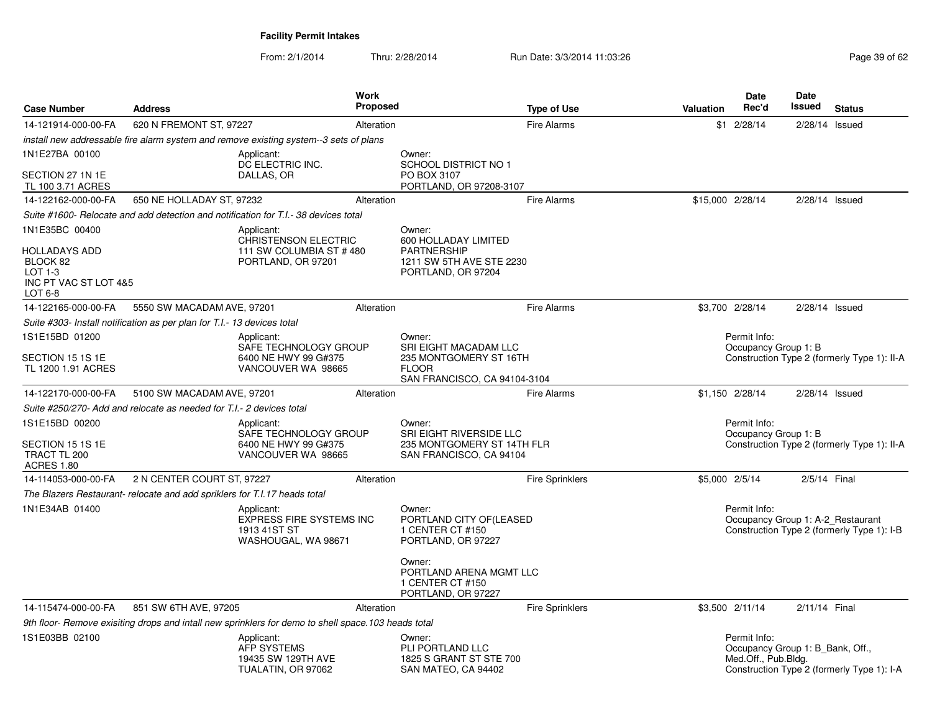| <b>Case Number</b>                                                                | <b>Address</b>                                                                                      | Work<br><b>Proposed</b> |                                                                                              | <b>Type of Use</b>     | Valuation                                   | <b>Date</b><br>Rec'd                                                    | Date<br><b>Issued</b> | <b>Status</b>                               |
|-----------------------------------------------------------------------------------|-----------------------------------------------------------------------------------------------------|-------------------------|----------------------------------------------------------------------------------------------|------------------------|---------------------------------------------|-------------------------------------------------------------------------|-----------------------|---------------------------------------------|
| 14-121914-000-00-FA                                                               | 620 N FREMONT ST, 97227                                                                             | Alteration              |                                                                                              | <b>Fire Alarms</b>     |                                             | $$1 \t2/28/14$                                                          | 2/28/14               | Issued                                      |
|                                                                                   | install new addressable fire alarm system and remove existing system--3 sets of plans               |                         |                                                                                              |                        |                                             |                                                                         |                       |                                             |
| 1N1E27BA 00100                                                                    | Applicant:<br>DC ELECTRIC INC.                                                                      |                         | Owner:<br>SCHOOL DISTRICT NO 1                                                               |                        |                                             |                                                                         |                       |                                             |
| SECTION 27 1N 1E<br>TL 100 3.71 ACRES                                             | DALLAS, OR                                                                                          |                         | PO BOX 3107<br>PORTLAND, OR 97208-3107                                                       |                        |                                             |                                                                         |                       |                                             |
| 14-122162-000-00-FA                                                               | 650 NE HOLLADAY ST, 97232                                                                           | Alteration              |                                                                                              | <b>Fire Alarms</b>     | \$15,000 2/28/14                            |                                                                         | $2/28/14$ Issued      |                                             |
|                                                                                   | Suite #1600- Relocate and add detection and notification for T.I.- 38 devices total                 |                         |                                                                                              |                        |                                             |                                                                         |                       |                                             |
| 1N1E35BC 00400                                                                    | Applicant:                                                                                          |                         | Owner:                                                                                       |                        |                                             |                                                                         |                       |                                             |
| <b>HOLLADAYS ADD</b><br>BLOCK 82<br>$LOT 1-3$<br>INC PT VAC ST LOT 4&5<br>LOT 6-8 | <b>CHRISTENSON ELECTRIC</b><br>111 SW COLUMBIA ST #480<br>PORTLAND, OR 97201                        |                         | 600 HOLLADAY LIMITED<br><b>PARTNERSHIP</b><br>1211 SW 5TH AVE STE 2230<br>PORTLAND, OR 97204 |                        |                                             |                                                                         |                       |                                             |
| 14-122165-000-00-FA                                                               | 5550 SW MACADAM AVE, 97201                                                                          | Alteration              |                                                                                              | <b>Fire Alarms</b>     |                                             | \$3,700 2/28/14                                                         | 2/28/14 Issued        |                                             |
|                                                                                   | Suite #303- Install notification as per plan for T.I.- 13 devices total                             |                         |                                                                                              |                        |                                             |                                                                         |                       |                                             |
| 1S1E15BD 01200                                                                    | Applicant:<br>SAFE TECHNOLOGY GROUP                                                                 |                         | Owner:<br>SRI EIGHT MACADAM LLC                                                              |                        |                                             | Permit Info:<br>Occupancy Group 1: B                                    |                       |                                             |
| SECTION 15 1S 1E<br>TL 1200 1.91 ACRES                                            | 6400 NE HWY 99 G#375<br>VANCOUVER WA 98665                                                          |                         | 235 MONTGOMERY ST 16TH<br><b>FLOOR</b><br>SAN FRANCISCO, CA 94104-3104                       |                        | Construction Type 2 (formerly Type 1): II-A |                                                                         |                       |                                             |
| 14-122170-000-00-FA                                                               | 5100 SW MACADAM AVE, 97201                                                                          | Alteration              |                                                                                              | <b>Fire Alarms</b>     |                                             | \$1,150 2/28/14                                                         | 2/28/14 Issued        |                                             |
|                                                                                   | Suite #250/270- Add and relocate as needed for T.I.- 2 devices total                                |                         |                                                                                              |                        |                                             |                                                                         |                       |                                             |
| 1S1E15BD 00200                                                                    | Applicant:<br>SAFE TECHNOLOGY GROUP                                                                 |                         | Owner:<br>SRI EIGHT RIVERSIDE LLC                                                            |                        |                                             | Permit Info:<br>Occupancy Group 1: B                                    |                       |                                             |
| SECTION 15 1S 1E<br>TRACT TL 200<br><b>ACRES 1.80</b>                             | 6400 NE HWY 99 G#375<br>VANCOUVER WA 98665                                                          |                         | 235 MONTGOMERY ST 14TH FLR<br>SAN FRANCISCO, CA 94104                                        |                        |                                             |                                                                         |                       | Construction Type 2 (formerly Type 1): II-A |
| 14-114053-000-00-FA                                                               | 2 N CENTER COURT ST, 97227                                                                          | Alteration              |                                                                                              | <b>Fire Sprinklers</b> | \$5,000 2/5/14                              |                                                                         | 2/5/14 Final          |                                             |
|                                                                                   | The Blazers Restaurant- relocate and add spriklers for T.I.17 heads total                           |                         |                                                                                              |                        |                                             |                                                                         |                       |                                             |
| 1N1E34AB 01400                                                                    | Applicant:<br><b>EXPRESS FIRE SYSTEMS INC</b><br>1913 41ST ST<br>WASHOUGAL, WA 98671                |                         | Owner:<br>PORTLAND CITY OF (LEASED<br>1 CENTER CT #150<br>PORTLAND, OR 97227                 |                        |                                             | Permit Info:<br>Occupancy Group 1: A-2 Restaurant                       |                       | Construction Type 2 (formerly Type 1): I-B  |
|                                                                                   |                                                                                                     |                         | Owner:<br>PORTLAND ARENA MGMT LLC<br>1 CENTER CT #150<br>PORTLAND, OR 97227                  |                        |                                             |                                                                         |                       |                                             |
| 14-115474-000-00-FA                                                               | 851 SW 6TH AVE, 97205                                                                               | Alteration              |                                                                                              | Fire Sprinklers        |                                             | \$3,500 2/11/14                                                         | 2/11/14 Final         |                                             |
|                                                                                   | 9th floor- Remove exisiting drops and intall new sprinklers for demo to shell space.103 heads total |                         |                                                                                              |                        |                                             |                                                                         |                       |                                             |
| 1S1E03BB 02100                                                                    | Applicant:<br>AFP SYSTEMS<br>19435 SW 129TH AVE<br>TUALATIN, OR 97062                               |                         | Owner:<br>PLI PORTLAND LLC<br>1825 S GRANT ST STE 700<br>SAN MATEO, CA 94402                 |                        |                                             | Permit Info:<br>Occupancy Group 1: B_Bank, Off.,<br>Med.Off., Pub.Bldg. |                       | Construction Type 2 (formerly Type 1): I-A  |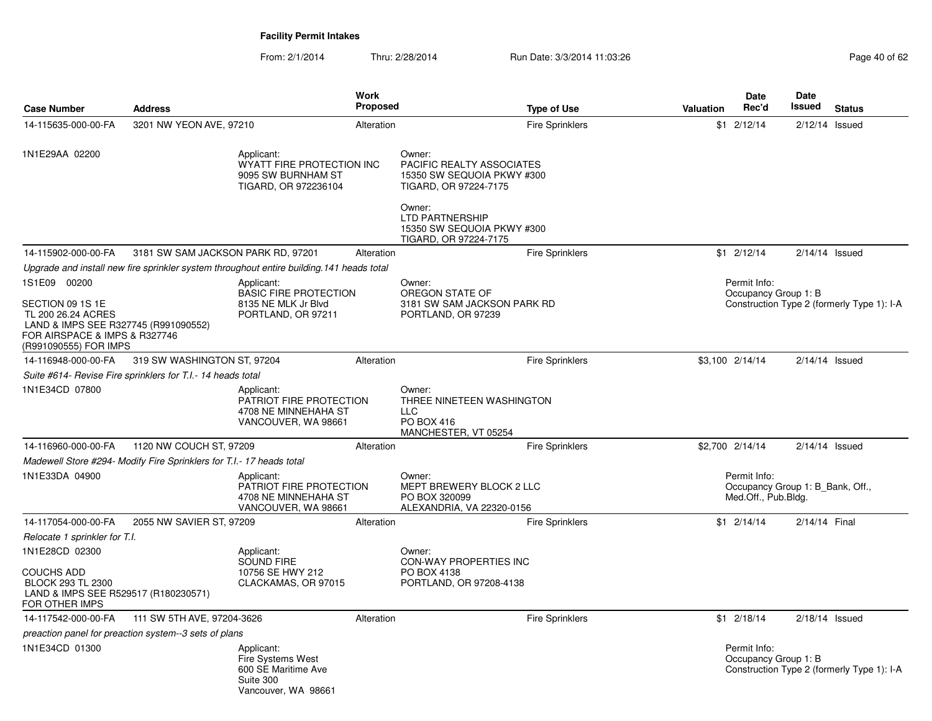| <b>Case Number</b>                                                                                                                                       | <b>Address</b>                                                                        |                                                                                            | Work<br><b>Proposed</b> | <b>Type of Use</b>                                                                                                             | <b>Valuation</b> | Date<br>Rec'd                        | <b>Date</b><br>Issued<br><b>Status</b>     |  |
|----------------------------------------------------------------------------------------------------------------------------------------------------------|---------------------------------------------------------------------------------------|--------------------------------------------------------------------------------------------|-------------------------|--------------------------------------------------------------------------------------------------------------------------------|------------------|--------------------------------------|--------------------------------------------|--|
| 14-115635-000-00-FA                                                                                                                                      | 3201 NW YEON AVE, 97210                                                               |                                                                                            | Alteration              | <b>Fire Sprinklers</b>                                                                                                         |                  | $$1 \t2/12/14$                       | $2/12/14$ Issued                           |  |
| 1N1E29AA 02200                                                                                                                                           | Applicant:<br>WYATT FIRE PROTECTION INC<br>9095 SW BURNHAM ST<br>TIGARD, OR 972236104 |                                                                                            |                         | Owner:<br>PACIFIC REALTY ASSOCIATES<br>15350 SW SEQUOIA PKWY #300<br>TIGARD, OR 97224-7175<br>Owner:<br><b>LTD PARTNERSHIP</b> |                  |                                      |                                            |  |
|                                                                                                                                                          |                                                                                       |                                                                                            |                         | 15350 SW SEQUOIA PKWY #300<br>TIGARD, OR 97224-7175                                                                            |                  |                                      |                                            |  |
| 14-115902-000-00-FA                                                                                                                                      | 3181 SW SAM JACKSON PARK RD, 97201                                                    |                                                                                            | Alteration              | <b>Fire Sprinklers</b>                                                                                                         |                  | $$1 \quad 2/12/14$                   | $2/14/14$ Issued                           |  |
|                                                                                                                                                          |                                                                                       | Upgrade and install new fire sprinkler system throughout entire building. 141 heads total  |                         |                                                                                                                                |                  |                                      |                                            |  |
| 1S1E09 00200<br>SECTION 09 1S 1E<br>TL 200 26.24 ACRES<br>LAND & IMPS SEE R327745 (R991090552)<br>FOR AIRSPACE & IMPS & R327746<br>(R991090555) FOR IMPS |                                                                                       | Applicant:<br><b>BASIC FIRE PROTECTION</b><br>8135 NE MLK Jr Blvd<br>PORTLAND, OR 97211    |                         | Owner:<br>OREGON STATE OF<br>3181 SW SAM JACKSON PARK RD<br>PORTLAND, OR 97239                                                 |                  | Permit Info:<br>Occupancy Group 1: B | Construction Type 2 (formerly Type 1): I-A |  |
| 14-116948-000-00-FA                                                                                                                                      | 319 SW WASHINGTON ST, 97204                                                           |                                                                                            | Alteration              | <b>Fire Sprinklers</b>                                                                                                         |                  | \$3,100 2/14/14                      | $2/14/14$ Issued                           |  |
|                                                                                                                                                          | Suite #614- Revise Fire sprinklers for T.I.- 14 heads total                           |                                                                                            |                         |                                                                                                                                |                  |                                      |                                            |  |
| 1N1E34CD 07800                                                                                                                                           |                                                                                       | Applicant:<br>PATRIOT FIRE PROTECTION<br>4708 NE MINNEHAHA ST<br>VANCOUVER, WA 98661       |                         | Owner:<br>THREE NINETEEN WASHINGTON<br><b>LLC</b><br>PO BOX 416<br>MANCHESTER, VT 05254                                        |                  |                                      |                                            |  |
| 14-116960-000-00-FA                                                                                                                                      | 1120 NW COUCH ST, 97209                                                               |                                                                                            | Alteration              | <b>Fire Sprinklers</b>                                                                                                         |                  | \$2,700 2/14/14                      | $2/14/14$ Issued                           |  |
|                                                                                                                                                          | Madewell Store #294- Modify Fire Sprinklers for T.I.- 17 heads total                  |                                                                                            |                         |                                                                                                                                |                  |                                      |                                            |  |
| 1N1E33DA 04900                                                                                                                                           |                                                                                       | Applicant:<br>PATRIOT FIRE PROTECTION<br>4708 NE MINNEHAHA ST<br>VANCOUVER, WA 98661       |                         | Owner:<br>MEPT BREWERY BLOCK 2 LLC<br>PO BOX 320099<br>ALEXANDRIA, VA 22320-0156                                               |                  | Permit Info:<br>Med.Off., Pub.Bldg.  | Occupancy Group 1: B Bank, Off.,           |  |
| 14-117054-000-00-FA                                                                                                                                      | 2055 NW SAVIER ST, 97209                                                              |                                                                                            | Alteration              | <b>Fire Sprinklers</b>                                                                                                         |                  | $$1$ 2/14/14                         | 2/14/14 Final                              |  |
| Relocate 1 sprinkler for T.I.                                                                                                                            |                                                                                       |                                                                                            |                         |                                                                                                                                |                  |                                      |                                            |  |
| 1N1E28CD 02300                                                                                                                                           |                                                                                       | Applicant:<br>SOUND FIRE                                                                   |                         | Owner:<br>CON-WAY PROPERTIES INC                                                                                               |                  |                                      |                                            |  |
| <b>COUCHS ADD</b><br>BLOCK 293 TL 2300<br>LAND & IMPS SEE R529517 (R180230571)<br>FOR OTHER IMPS                                                         |                                                                                       | 10756 SE HWY 212<br>CLACKAMAS, OR 97015                                                    |                         | PO BOX 4138<br>PORTLAND, OR 97208-4138                                                                                         |                  |                                      |                                            |  |
| 14-117542-000-00-FA                                                                                                                                      | 111 SW 5TH AVE, 97204-3626                                                            |                                                                                            | Alteration              | <b>Fire Sprinklers</b>                                                                                                         |                  | $$1 \t2/18/14$                       | $2/18/14$ Issued                           |  |
|                                                                                                                                                          | preaction panel for preaction system--3 sets of plans                                 |                                                                                            |                         |                                                                                                                                |                  |                                      |                                            |  |
| 1N1E34CD 01300                                                                                                                                           |                                                                                       | Applicant:<br>Fire Systems West<br>600 SE Maritime Ave<br>Suite 300<br>Vancouver, WA 98661 |                         |                                                                                                                                |                  | Permit Info:<br>Occupancy Group 1: B | Construction Type 2 (formerly Type 1): I-A |  |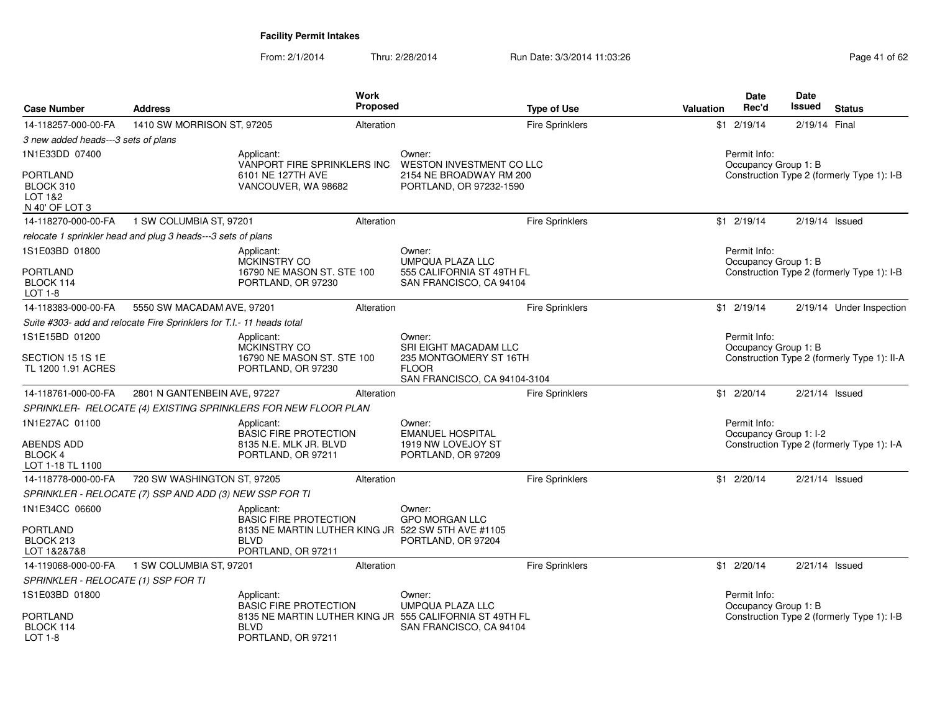| <b>Case Number</b>                                        | <b>Address</b>                                                        |                                                                                         | Work<br>Proposed |                                                                                    | <b>Type of Use</b>     | Valuation | Date<br>Rec'd                          | Date<br>Issued   | <b>Status</b>                               |
|-----------------------------------------------------------|-----------------------------------------------------------------------|-----------------------------------------------------------------------------------------|------------------|------------------------------------------------------------------------------------|------------------------|-----------|----------------------------------------|------------------|---------------------------------------------|
| 14-118257-000-00-FA                                       | 1410 SW MORRISON ST, 97205                                            |                                                                                         | Alteration       |                                                                                    | <b>Fire Sprinklers</b> |           | $$1 \t2/19/14$                         | 2/19/14 Final    |                                             |
| 3 new added heads---3 sets of plans                       |                                                                       |                                                                                         |                  |                                                                                    |                        |           |                                        |                  |                                             |
| 1N1E33DD 07400                                            |                                                                       | Applicant:<br>VANPORT FIRE SPRINKLERS INC                                               |                  | Owner:<br>WESTON INVESTMENT CO LLC                                                 |                        |           | Permit Info:<br>Occupancy Group 1: B   |                  |                                             |
| <b>PORTLAND</b><br>BLOCK 310<br>LOT 1&2<br>N 40' OF LOT 3 |                                                                       | 6101 NE 127TH AVE<br>VANCOUVER, WA 98682                                                |                  | 2154 NE BROADWAY RM 200<br>PORTLAND, OR 97232-1590                                 |                        |           |                                        |                  | Construction Type 2 (formerly Type 1): I-B  |
| 14-118270-000-00-FA                                       | 1 SW COLUMBIA ST, 97201                                               |                                                                                         | Alteration       |                                                                                    | Fire Sprinklers        |           | $$1 \t2/19/14$                         | $2/19/14$ Issued |                                             |
|                                                           | relocate 1 sprinkler head and plug 3 heads---3 sets of plans          |                                                                                         |                  |                                                                                    |                        |           |                                        |                  |                                             |
| 1S1E03BD 01800                                            |                                                                       | Applicant:<br>MCKINSTRY CO                                                              |                  | Owner:<br><b>UMPQUA PLAZA LLC</b>                                                  |                        |           | Permit Info:<br>Occupancy Group 1: B   |                  |                                             |
| <b>PORTLAND</b><br>BLOCK 114<br>$LOT 1-8$                 |                                                                       | 16790 NE MASON ST. STE 100<br>PORTLAND, OR 97230                                        |                  | 555 CALIFORNIA ST 49TH FL<br>SAN FRANCISCO, CA 94104                               |                        |           |                                        |                  | Construction Type 2 (formerly Type 1): I-B  |
| 14-118383-000-00-FA                                       | 5550 SW MACADAM AVE, 97201                                            |                                                                                         | Alteration       |                                                                                    | Fire Sprinklers        |           | $$1$ 2/19/14                           |                  | 2/19/14 Under Inspection                    |
|                                                           | Suite #303- add and relocate Fire Sprinklers for T.I.- 11 heads total |                                                                                         |                  |                                                                                    |                        |           |                                        |                  |                                             |
| 1S1E15BD 01200                                            |                                                                       | Applicant:<br>MCKINSTRY CO                                                              |                  | Owner:<br>SRI EIGHT MACADAM LLC                                                    |                        |           | Permit Info:<br>Occupancy Group 1: B   |                  |                                             |
| SECTION 15 1S 1E<br>TL 1200 1.91 ACRES                    |                                                                       | 16790 NE MASON ST. STE 100<br>PORTLAND, OR 97230                                        |                  | 235 MONTGOMERY ST 16TH<br><b>FLOOR</b><br>SAN FRANCISCO, CA 94104-3104             |                        |           |                                        |                  | Construction Type 2 (formerly Type 1): II-A |
| 14-118761-000-00-FA                                       | 2801 N GANTENBEIN AVE, 97227                                          |                                                                                         | Alteration       |                                                                                    | Fire Sprinklers        |           | $$1 \t2/20/14$                         |                  | $2/21/14$ Issued                            |
|                                                           |                                                                       | SPRINKLER- RELOCATE (4) EXISTING SPRINKLERS FOR NEW FLOOR PLAN                          |                  |                                                                                    |                        |           |                                        |                  |                                             |
| 1N1E27AC 01100                                            |                                                                       | Applicant:<br><b>BASIC FIRE PROTECTION</b>                                              |                  | Owner:<br><b>EMANUEL HOSPITAL</b>                                                  |                        |           | Permit Info:<br>Occupancy Group 1: I-2 |                  |                                             |
| <b>ABENDS ADD</b><br><b>BLOCK 4</b><br>LOT 1-18 TL 1100   |                                                                       | 8135 N.E. MLK JR. BLVD<br>PORTLAND, OR 97211                                            |                  | 1919 NW LOVEJOY ST<br>PORTLAND, OR 97209                                           |                        |           |                                        |                  | Construction Type 2 (formerly Type 1): I-A  |
| 14-118778-000-00-FA                                       | 720 SW WASHINGTON ST, 97205                                           |                                                                                         | Alteration       |                                                                                    | <b>Fire Sprinklers</b> |           | $$1 \t2/20/14$                         |                  | $2/21/14$ Issued                            |
|                                                           | SPRINKLER - RELOCATE (7) SSP AND ADD (3) NEW SSP FOR TI               |                                                                                         |                  |                                                                                    |                        |           |                                        |                  |                                             |
| 1N1E34CC 06600                                            |                                                                       | Applicant:<br><b>BASIC FIRE PROTECTION</b>                                              |                  | Owner:<br><b>GPO MORGAN LLC</b>                                                    |                        |           |                                        |                  |                                             |
| <b>PORTLAND</b><br>BLOCK 213<br>LOT 1&2&7&8               |                                                                       | 8135 NE MARTIN LUTHER KING JR 522 SW 5TH AVE #1105<br><b>BLVD</b><br>PORTLAND, OR 97211 |                  | PORTLAND, OR 97204                                                                 |                        |           |                                        |                  |                                             |
| 14-119068-000-00-FA                                       | 1 SW COLUMBIA ST, 97201                                               |                                                                                         | Alteration       |                                                                                    | <b>Fire Sprinklers</b> |           | $$1 \t2/20/14$                         |                  | $2/21/14$ Issued                            |
| SPRINKLER - RELOCATE (1) SSP FOR TI                       |                                                                       |                                                                                         |                  |                                                                                    |                        |           |                                        |                  |                                             |
| 1S1E03BD 01800                                            |                                                                       | Applicant:<br><b>BASIC FIRE PROTECTION</b>                                              |                  | Owner:<br><b>UMPQUA PLAZA LLC</b>                                                  |                        |           | Permit Info:<br>Occupancy Group 1: B   |                  |                                             |
| <b>PORTLAND</b><br>BLOCK 114<br>LOT 1-8                   |                                                                       | <b>BLVD</b><br>PORTLAND, OR 97211                                                       |                  | 8135 NE MARTIN LUTHER KING JR 555 CALIFORNIA ST 49TH FL<br>SAN FRANCISCO, CA 94104 |                        |           |                                        |                  | Construction Type 2 (formerly Type 1): I-B  |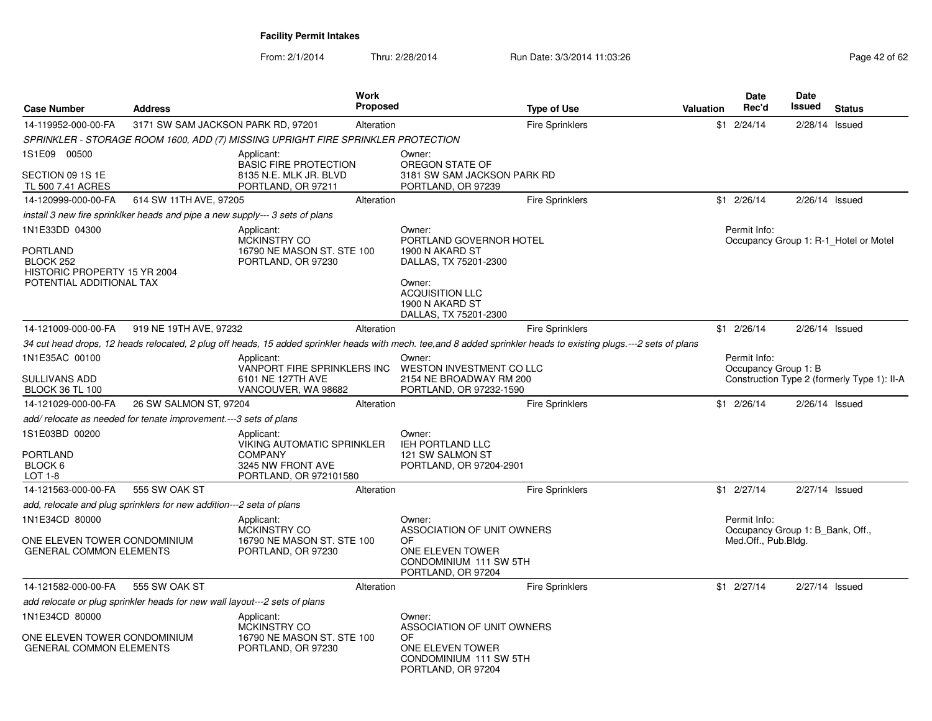| <b>Case Number</b>                                                                                  | <b>Address</b>                     |                                                                                                           | Work<br>Proposed |                                                                                                                                                               | <b>Type of Use</b>                                                                                                                                                 | <b>Valuation</b> | Date<br>Rec'd                                                           | <b>Date</b><br><b>Issued</b> | <b>Status</b>                               |
|-----------------------------------------------------------------------------------------------------|------------------------------------|-----------------------------------------------------------------------------------------------------------|------------------|---------------------------------------------------------------------------------------------------------------------------------------------------------------|--------------------------------------------------------------------------------------------------------------------------------------------------------------------|------------------|-------------------------------------------------------------------------|------------------------------|---------------------------------------------|
| 14-119952-000-00-FA                                                                                 | 3171 SW SAM JACKSON PARK RD, 97201 |                                                                                                           | Alteration       |                                                                                                                                                               | <b>Fire Sprinklers</b>                                                                                                                                             |                  | $$1 \t2/24/14$                                                          | $2/28/14$ Issued             |                                             |
|                                                                                                     |                                    | SPRINKLER - STORAGE ROOM 1600, ADD (7) MISSING UPRIGHT FIRE SPRINKLER PROTECTION                          |                  |                                                                                                                                                               |                                                                                                                                                                    |                  |                                                                         |                              |                                             |
| 1S1E09 00500<br>SECTION 09 1S 1E<br>TL 500 7.41 ACRES                                               |                                    | Applicant:<br><b>BASIC FIRE PROTECTION</b><br>8135 N.E. MLK JR. BLVD<br>PORTLAND, OR 97211                |                  | Owner:<br>OREGON STATE OF<br>3181 SW SAM JACKSON PARK RD<br>PORTLAND, OR 97239                                                                                |                                                                                                                                                                    |                  |                                                                         |                              |                                             |
| 14-120999-000-00-FA                                                                                 | 614 SW 11TH AVE, 97205             |                                                                                                           | Alteration       |                                                                                                                                                               | <b>Fire Sprinklers</b>                                                                                                                                             |                  | $$1 \t2/26/14$                                                          | $2/26/14$ Issued             |                                             |
| install 3 new fire sprinklker heads and pipe a new supply--- 3 sets of plans                        |                                    |                                                                                                           |                  |                                                                                                                                                               |                                                                                                                                                                    |                  |                                                                         |                              |                                             |
| 1N1E33DD 04300<br>PORTLAND<br>BLOCK 252<br>HISTORIC PROPERTY 15 YR 2004<br>POTENTIAL ADDITIONAL TAX |                                    | Applicant:<br>MCKINSTRY CO<br>16790 NE MASON ST. STE 100<br>PORTLAND, OR 97230                            |                  | Owner:<br>PORTLAND GOVERNOR HOTEL<br>1900 N AKARD ST<br>DALLAS, TX 75201-2300<br>Owner:<br><b>ACQUISITION LLC</b><br>1900 N AKARD ST<br>DALLAS, TX 75201-2300 |                                                                                                                                                                    |                  | Permit Info:                                                            |                              | Occupancy Group 1: R-1 Hotel or Motel       |
| 14-121009-000-00-FA                                                                                 | 919 NE 19TH AVE, 97232             |                                                                                                           | Alteration       |                                                                                                                                                               | <b>Fire Sprinklers</b>                                                                                                                                             |                  | $$1 \t2/26/14$                                                          | $2/26/14$ Issued             |                                             |
|                                                                                                     |                                    |                                                                                                           |                  |                                                                                                                                                               | 34 cut head drops, 12 heads relocated, 2 plug off heads, 15 added sprinkler heads with mech. tee, and 8 added sprinkler heads to existing plugs.---2 sets of plans |                  |                                                                         |                              |                                             |
| 1N1E35AC 00100<br>SULLIVANS ADD<br><b>BLOCK 36 TL 100</b>                                           |                                    | Applicant:<br>VANPORT FIRE SPRINKLERS INC<br>6101 NE 127TH AVE<br>VANCOUVER, WA 98682                     |                  | Owner:<br>WESTON INVESTMENT CO LLC<br>2154 NE BROADWAY RM 200<br>PORTLAND, OR 97232-1590                                                                      |                                                                                                                                                                    |                  | Permit Info:<br>Occupancy Group 1: B                                    |                              | Construction Type 2 (formerly Type 1): II-A |
| 14-121029-000-00-FA                                                                                 | 26 SW SALMON ST, 97204             |                                                                                                           | Alteration       |                                                                                                                                                               | <b>Fire Sprinklers</b>                                                                                                                                             |                  | $$1 \t2/26/14$                                                          | $2/26/14$ Issued             |                                             |
| add/relocate as needed for tenate improvement.---3 sets of plans                                    |                                    |                                                                                                           |                  |                                                                                                                                                               |                                                                                                                                                                    |                  |                                                                         |                              |                                             |
| 1S1E03BD 00200<br><b>PORTLAND</b><br>BLOCK 6<br>LOT 1-8                                             |                                    | Applicant:<br>VIKING AUTOMATIC SPRINKLER<br><b>COMPANY</b><br>3245 NW FRONT AVE<br>PORTLAND, OR 972101580 |                  | Owner:<br><b>IEH PORTLAND LLC</b><br>121 SW SALMON ST<br>PORTLAND, OR 97204-2901                                                                              |                                                                                                                                                                    |                  |                                                                         |                              |                                             |
| 14-121563-000-00-FA                                                                                 | 555 SW OAK ST                      |                                                                                                           | Alteration       |                                                                                                                                                               | <b>Fire Sprinklers</b>                                                                                                                                             |                  | \$1 2/27/14                                                             | $2/27/14$ Issued             |                                             |
| add, relocate and plug sprinklers for new addition---2 seta of plans                                |                                    |                                                                                                           |                  |                                                                                                                                                               |                                                                                                                                                                    |                  |                                                                         |                              |                                             |
| 1N1E34CD 80000<br>ONE ELEVEN TOWER CONDOMINIUM<br><b>GENERAL COMMON ELEMENTS</b>                    |                                    | Applicant:<br><b>MCKINSTRY CO</b><br>16790 NE MASON ST. STE 100<br>PORTLAND, OR 97230                     |                  | Owner:<br>ASSOCIATION OF UNIT OWNERS<br>OF<br>ONE ELEVEN TOWER<br>CONDOMINIUM 111 SW 5TH<br>PORTLAND, OR 97204                                                |                                                                                                                                                                    |                  | Permit Info:<br>Occupancy Group 1: B_Bank, Off.,<br>Med.Off., Pub.Bldg. |                              |                                             |
| 14-121582-000-00-FA                                                                                 | 555 SW OAK ST                      |                                                                                                           | Alteration       |                                                                                                                                                               | <b>Fire Sprinklers</b>                                                                                                                                             |                  | $$1 \t2/27/14$                                                          | 2/27/14 Issued               |                                             |
| add relocate or plug sprinkler heads for new wall layout---2 sets of plans                          |                                    |                                                                                                           |                  |                                                                                                                                                               |                                                                                                                                                                    |                  |                                                                         |                              |                                             |
| 1N1E34CD 80000<br>ONE ELEVEN TOWER CONDOMINIUM<br><b>GENERAL COMMON ELEMENTS</b>                    |                                    | Applicant:<br><b>MCKINSTRY CO</b><br>16790 NE MASON ST. STE 100<br>PORTLAND, OR 97230                     |                  | Owner:<br>ASSOCIATION OF UNIT OWNERS<br>OF<br>ONE ELEVEN TOWER<br>CONDOMINIUM 111 SW 5TH<br>PORTLAND, OR 97204                                                |                                                                                                                                                                    |                  |                                                                         |                              |                                             |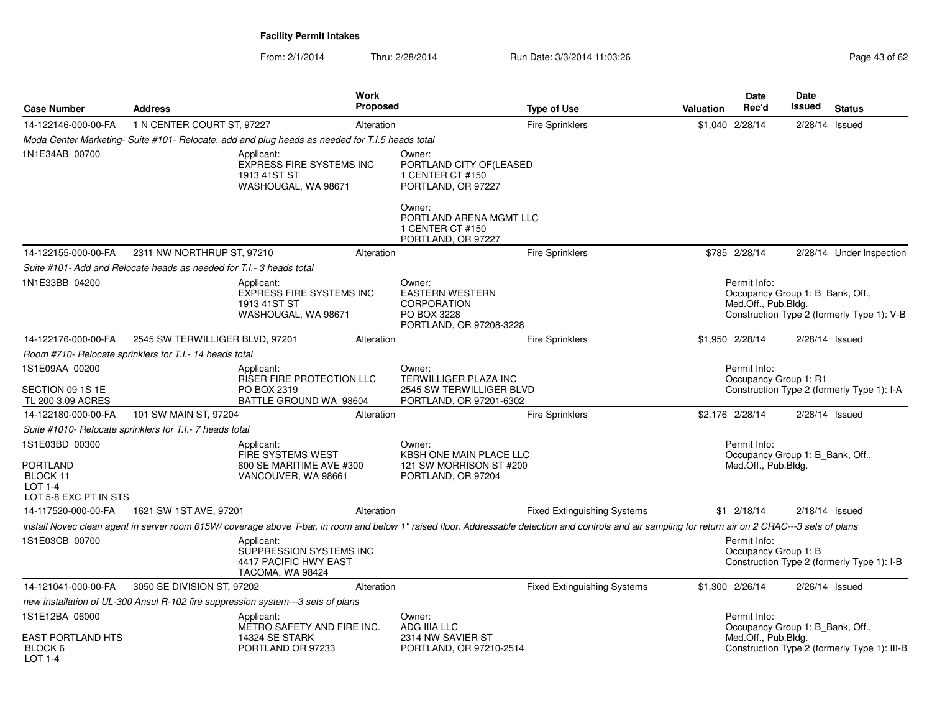| <b>Case Number</b>                                                                       | <b>Address</b>                                                       |                                                                                                | <b>Work</b><br><b>Proposed</b> |                                                                                                                                       | <b>Type of Use</b>                                                                                                                                                                                     | <b>Valuation</b> | <b>Date</b><br>Rec'd                                                    | <b>Date</b><br>Issued | <b>Status</b>                                |
|------------------------------------------------------------------------------------------|----------------------------------------------------------------------|------------------------------------------------------------------------------------------------|--------------------------------|---------------------------------------------------------------------------------------------------------------------------------------|--------------------------------------------------------------------------------------------------------------------------------------------------------------------------------------------------------|------------------|-------------------------------------------------------------------------|-----------------------|----------------------------------------------|
| 14-122146-000-00-FA                                                                      | 1 N CENTER COURT ST, 97227                                           |                                                                                                | Alteration                     |                                                                                                                                       | <b>Fire Sprinklers</b>                                                                                                                                                                                 |                  | \$1,040 2/28/14                                                         |                       | 2/28/14 Issued                               |
|                                                                                          |                                                                      | Moda Center Marketing-Suite #101- Relocate, add and plug heads as needed for T.I.5 heads total |                                |                                                                                                                                       |                                                                                                                                                                                                        |                  |                                                                         |                       |                                              |
| 1N1E34AB 00700                                                                           |                                                                      | Applicant:<br><b>EXPRESS FIRE SYSTEMS INC</b><br>1913 41ST ST<br>WASHOUGAL, WA 98671           |                                | Owner:<br>PORTLAND CITY OF (LEASED<br>1 CENTER CT #150<br>PORTLAND, OR 97227<br>Owner:<br>PORTLAND ARENA MGMT LLC<br>1 CENTER CT #150 |                                                                                                                                                                                                        |                  |                                                                         |                       |                                              |
| 14-122155-000-00-FA                                                                      | 2311 NW NORTHRUP ST, 97210                                           |                                                                                                | Alteration                     | PORTLAND, OR 97227                                                                                                                    | <b>Fire Sprinklers</b>                                                                                                                                                                                 |                  | \$785 2/28/14                                                           |                       | 2/28/14 Under Inspection                     |
|                                                                                          | Suite #101- Add and Relocate heads as needed for T.I.- 3 heads total |                                                                                                |                                |                                                                                                                                       |                                                                                                                                                                                                        |                  |                                                                         |                       |                                              |
| 1N1E33BB 04200                                                                           |                                                                      | Applicant:<br><b>EXPRESS FIRE SYSTEMS INC</b><br>1913 41ST ST<br>WASHOUGAL, WA 98671           |                                | Owner:<br><b>EASTERN WESTERN</b><br><b>CORPORATION</b><br>PO BOX 3228<br>PORTLAND, OR 97208-3228                                      |                                                                                                                                                                                                        |                  | Permit Info:<br>Occupancy Group 1: B Bank, Off.,<br>Med.Off., Pub.Bldg. |                       | Construction Type 2 (formerly Type 1): V-B   |
| 14-122176-000-00-FA                                                                      | 2545 SW TERWILLIGER BLVD, 97201                                      |                                                                                                | Alteration                     |                                                                                                                                       | <b>Fire Sprinklers</b>                                                                                                                                                                                 |                  | \$1,950 2/28/14                                                         |                       | $2/28/14$ Issued                             |
|                                                                                          | Room #710- Relocate sprinklers for T.I.- 14 heads total              |                                                                                                |                                |                                                                                                                                       |                                                                                                                                                                                                        |                  |                                                                         |                       |                                              |
| 1S1E09AA 00200<br>SECTION 09 1S 1E<br>TL 200 3.09 ACRES                                  |                                                                      | Applicant:<br><b>RISER FIRE PROTECTION LLC</b><br>PO BOX 2319<br>BATTLE GROUND WA 98604        |                                | Owner:<br>TERWILLIGER PLAZA INC<br>2545 SW TERWILLIGER BLVD<br>PORTLAND, OR 97201-6302                                                |                                                                                                                                                                                                        |                  | Permit Info:<br>Occupancy Group 1: R1                                   |                       | Construction Type 2 (formerly Type 1): I-A   |
| 14-122180-000-00-FA                                                                      | 101 SW MAIN ST, 97204                                                |                                                                                                | Alteration                     |                                                                                                                                       | Fire Sprinklers                                                                                                                                                                                        |                  | \$2,176 2/28/14                                                         |                       | $2/28/14$ Issued                             |
|                                                                                          | Suite #1010- Relocate sprinklers for T.I.- 7 heads total             |                                                                                                |                                |                                                                                                                                       |                                                                                                                                                                                                        |                  |                                                                         |                       |                                              |
| 1S1E03BD 00300<br><b>PORTLAND</b><br>BLOCK 11<br><b>LOT 1-4</b><br>LOT 5-8 EXC PT IN STS |                                                                      | Applicant:<br>FIRE SYSTEMS WEST<br>600 SE MARITIME AVE #300<br>VANCOUVER, WA 98661             |                                | Owner:<br><b>KBSH ONE MAIN PLACE LLC</b><br>121 SW MORRISON ST #200<br>PORTLAND, OR 97204                                             |                                                                                                                                                                                                        |                  | Permit Info:<br>Occupancy Group 1: B_Bank, Off.,<br>Med.Off., Pub.Bldg. |                       |                                              |
| 14-117520-000-00-FA                                                                      | 1621 SW 1ST AVE, 97201                                               |                                                                                                | Alteration                     |                                                                                                                                       | <b>Fixed Extinguishing Systems</b>                                                                                                                                                                     |                  | $$1 \t2/18/14$                                                          |                       | $2/18/14$ Issued                             |
|                                                                                          |                                                                      |                                                                                                |                                |                                                                                                                                       | install Novec clean agent in server room 615W/ coverage above T-bar, in room and below 1" raised floor. Addressable detection and controls and air sampling for return air on 2 CRAC---3 sets of plans |                  |                                                                         |                       |                                              |
| 1S1E03CB 00700                                                                           |                                                                      | Applicant:<br>SUPPRESSION SYSTEMS INC<br>4417 PACIFIC HWY EAST<br>TACOMA, WA 98424             |                                |                                                                                                                                       |                                                                                                                                                                                                        |                  | Permit Info:<br>Occupancy Group 1: B                                    |                       | Construction Type 2 (formerly Type 1): I-B   |
| 14-121041-000-00-FA                                                                      | 3050 SE DIVISION ST, 97202                                           |                                                                                                | Alteration                     |                                                                                                                                       | <b>Fixed Extinguishing Systems</b>                                                                                                                                                                     |                  | \$1,300 2/26/14                                                         |                       | $2/26/14$ Issued                             |
|                                                                                          |                                                                      | new installation of UL-300 Ansul R-102 fire suppression system---3 sets of plans               |                                |                                                                                                                                       |                                                                                                                                                                                                        |                  |                                                                         |                       |                                              |
| 1S1E12BA 06000<br><b>EAST PORTLAND HTS</b>                                               |                                                                      | Applicant:<br>METRO SAFETY AND FIRE INC.<br>14324 SE STARK                                     |                                | Owner:<br><b>ADG IIIA LLC</b><br>2314 NW SAVIER ST                                                                                    |                                                                                                                                                                                                        |                  | Permit Info:<br>Occupancy Group 1: B_Bank, Off.,<br>Med.Off., Pub.Bldg. |                       |                                              |
| BLOCK 6<br>LOT 1-4                                                                       |                                                                      | PORTLAND OR 97233                                                                              |                                | PORTLAND, OR 97210-2514                                                                                                               |                                                                                                                                                                                                        |                  |                                                                         |                       | Construction Type 2 (formerly Type 1): III-B |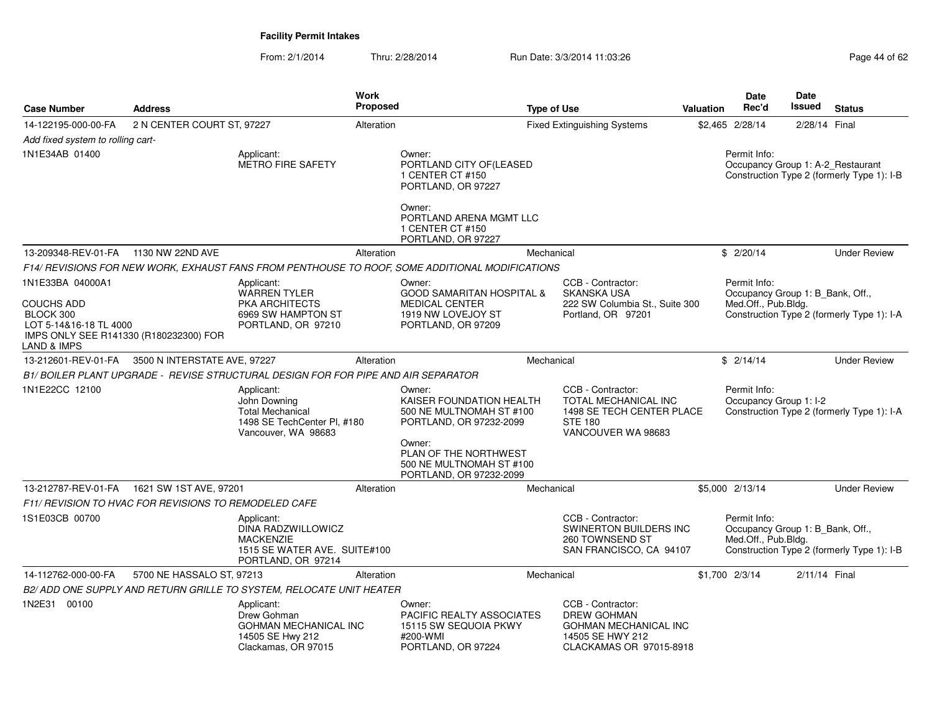| <b>Case Number</b>                                                                                                                    | <b>Address</b>                                        |                                                                                                             | <b>Work</b><br><b>Proposed</b> |                                                                                                                     | <b>Type of Use</b> |                                                                                                                        | Valuation | <b>Date</b><br>Rec'd                                                    | <b>Date</b><br>Issued | <b>Status</b>                                                                   |
|---------------------------------------------------------------------------------------------------------------------------------------|-------------------------------------------------------|-------------------------------------------------------------------------------------------------------------|--------------------------------|---------------------------------------------------------------------------------------------------------------------|--------------------|------------------------------------------------------------------------------------------------------------------------|-----------|-------------------------------------------------------------------------|-----------------------|---------------------------------------------------------------------------------|
| 14-122195-000-00-FA                                                                                                                   | 2 N CENTER COURT ST, 97227                            |                                                                                                             | Alteration                     |                                                                                                                     |                    | <b>Fixed Extinguishing Systems</b>                                                                                     |           | \$2,465 2/28/14                                                         | 2/28/14 Final         |                                                                                 |
| Add fixed system to rolling cart-                                                                                                     |                                                       |                                                                                                             |                                |                                                                                                                     |                    |                                                                                                                        |           |                                                                         |                       |                                                                                 |
| 1N1E34AB 01400                                                                                                                        |                                                       | Applicant:<br><b>METRO FIRE SAFETY</b>                                                                      |                                | Owner:<br>PORTLAND CITY OF(LEASED<br>1 CENTER CT #150<br>PORTLAND, OR 97227<br>Owner:                               |                    |                                                                                                                        |           | Permit Info:                                                            |                       | Occupancy Group 1: A-2 Restaurant<br>Construction Type 2 (formerly Type 1): I-B |
|                                                                                                                                       |                                                       |                                                                                                             |                                | PORTLAND ARENA MGMT LLC<br>1 CENTER CT #150<br>PORTLAND, OR 97227                                                   |                    |                                                                                                                        |           |                                                                         |                       |                                                                                 |
| 13-209348-REV-01-FA                                                                                                                   | 1130 NW 22ND AVE                                      |                                                                                                             | Alteration                     |                                                                                                                     | Mechanical         |                                                                                                                        |           | \$2/20/14                                                               |                       | <b>Under Review</b>                                                             |
|                                                                                                                                       |                                                       |                                                                                                             |                                | F14/ REVISIONS FOR NEW WORK, EXHAUST FANS FROM PENTHOUSE TO ROOF, SOME ADDITIONAL MODIFICATIONS                     |                    |                                                                                                                        |           |                                                                         |                       |                                                                                 |
| 1N1E33BA 04000A1<br><b>COUCHS ADD</b><br>BLOCK 300<br>LOT 5-14&16-18 TL 4000<br>IMPS ONLY SEE R141330 (R180232300) FOR<br>LAND & IMPS |                                                       | Applicant:<br><b>WARREN TYLER</b><br><b>PKA ARCHITECTS</b><br>6969 SW HAMPTON ST<br>PORTLAND, OR 97210      |                                | Owner:<br><b>GOOD SAMARITAN HOSPITAL &amp;</b><br><b>MEDICAL CENTER</b><br>1919 NW LOVEJOY ST<br>PORTLAND, OR 97209 |                    | CCB - Contractor:<br><b>SKANSKA USA</b><br>222 SW Columbia St., Suite 300<br>Portland, OR 97201                        |           | Permit Info:<br>Occupancy Group 1: B_Bank, Off.,<br>Med.Off., Pub.Bldg. |                       | Construction Type 2 (formerly Type 1): I-A                                      |
| 13-212601-REV-01-FA                                                                                                                   | 3500 N INTERSTATE AVE, 97227                          |                                                                                                             | Alteration                     |                                                                                                                     | Mechanical         |                                                                                                                        |           | \$2/14/14                                                               |                       | <b>Under Review</b>                                                             |
|                                                                                                                                       |                                                       | B1/ BOILER PLANT UPGRADE - REVISE STRUCTURAL DESIGN FOR FOR PIPE AND AIR SEPARATOR                          |                                |                                                                                                                     |                    |                                                                                                                        |           |                                                                         |                       |                                                                                 |
| 1N1E22CC 12100                                                                                                                        |                                                       | Applicant:<br>John Downing<br><b>Total Mechanical</b><br>1498 SE TechCenter PI, #180<br>Vancouver, WA 98683 |                                | Owner:<br>KAISER FOUNDATION HEALTH<br>500 NE MULTNOMAH ST #100<br>PORTLAND, OR 97232-2099<br>Owner:                 |                    | CCB - Contractor:<br>TOTAL MECHANICAL INC<br>1498 SE TECH CENTER PLACE<br><b>STE 180</b><br>VANCOUVER WA 98683         |           | Permit Info:<br>Occupancy Group 1: I-2                                  |                       | Construction Type 2 (formerly Type 1): I-A                                      |
|                                                                                                                                       |                                                       |                                                                                                             |                                | PLAN OF THE NORTHWEST<br>500 NE MULTNOMAH ST #100<br>PORTLAND, OR 97232-2099                                        |                    |                                                                                                                        |           |                                                                         |                       |                                                                                 |
|                                                                                                                                       | 13-212787-REV-01-FA   1621 SW 1ST AVE, 97201          |                                                                                                             | Alteration                     |                                                                                                                     | Mechanical         |                                                                                                                        |           | \$5,000 2/13/14                                                         |                       | <b>Under Review</b>                                                             |
|                                                                                                                                       | F11/ REVISION TO HVAC FOR REVISIONS TO REMODELED CAFE |                                                                                                             |                                |                                                                                                                     |                    |                                                                                                                        |           |                                                                         |                       |                                                                                 |
| 1S1E03CB 00700                                                                                                                        |                                                       | Applicant:<br>DINA RADZWILLOWICZ<br><b>MACKENZIE</b><br>1515 SE WATER AVE. SUITE#100<br>PORTLAND, OR 97214  |                                |                                                                                                                     |                    | CCB - Contractor:<br>SWINERTON BUILDERS INC<br>260 TOWNSEND ST<br>SAN FRANCISCO, CA 94107                              |           | Permit Info:<br>Occupancy Group 1: B_Bank, Off.,<br>Med.Off., Pub.Bldg. |                       | Construction Type 2 (formerly Type 1): I-B                                      |
| 14-112762-000-00-FA                                                                                                                   | 5700 NE HASSALO ST, 97213                             |                                                                                                             | Alteration                     |                                                                                                                     | Mechanical         |                                                                                                                        |           | \$1,700 2/3/14                                                          | 2/11/14 Final         |                                                                                 |
|                                                                                                                                       |                                                       | B2/ ADD ONE SUPPLY AND RETURN GRILLE TO SYSTEM, RELOCATE UNIT HEATER                                        |                                |                                                                                                                     |                    |                                                                                                                        |           |                                                                         |                       |                                                                                 |
| 1N2E31 00100                                                                                                                          |                                                       | Applicant:<br>Drew Gohman<br>GOHMAN MECHANICAL INC<br>14505 SE Hwy 212<br>Clackamas, OR 97015               |                                | Owner:<br>PACIFIC REALTY ASSOCIATES<br>15115 SW SEQUOIA PKWY<br>#200-WMI<br>PORTLAND, OR 97224                      |                    | CCB - Contractor:<br><b>DREW GOHMAN</b><br><b>GOHMAN MECHANICAL INC</b><br>14505 SE HWY 212<br>CLACKAMAS OR 97015-8918 |           |                                                                         |                       |                                                                                 |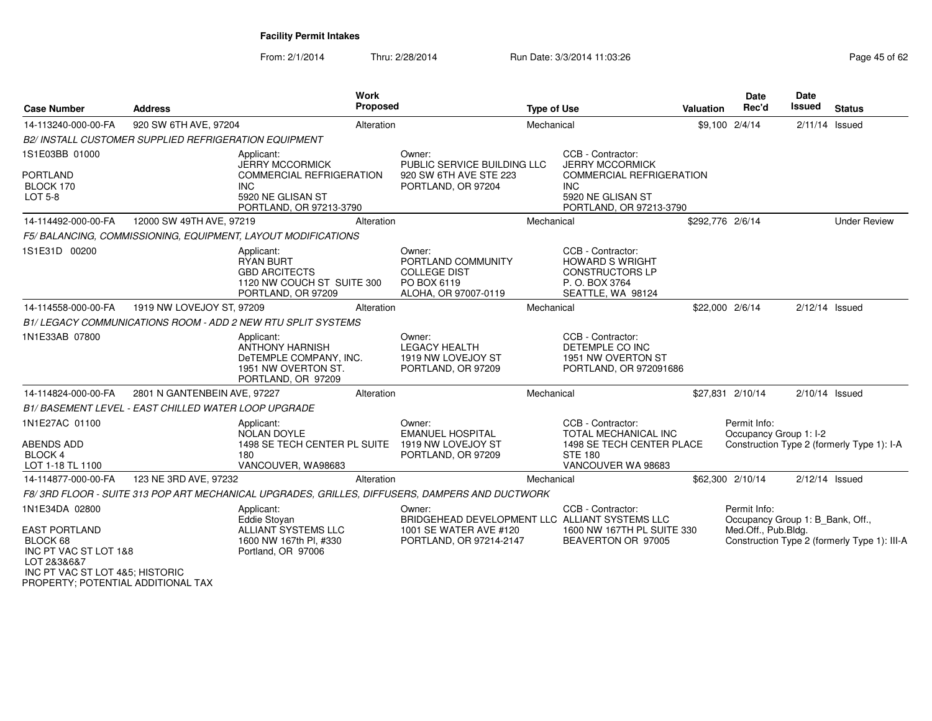| <b>Case Number</b>                                                                                                                                                  | <b>Address</b>                                               | <b>Work</b><br><b>Proposed</b>                                                                                                        |                                                                                                               | <b>Type of Use</b> |                                                                                                                                       | <b>Valuation</b> | Date<br>Rec'd                                                           | Date<br><b>Issued</b> | <b>Status</b>                                |
|---------------------------------------------------------------------------------------------------------------------------------------------------------------------|--------------------------------------------------------------|---------------------------------------------------------------------------------------------------------------------------------------|---------------------------------------------------------------------------------------------------------------|--------------------|---------------------------------------------------------------------------------------------------------------------------------------|------------------|-------------------------------------------------------------------------|-----------------------|----------------------------------------------|
| 14-113240-000-00-FA                                                                                                                                                 | 920 SW 6TH AVE, 97204                                        | Alteration                                                                                                                            |                                                                                                               | Mechanical         |                                                                                                                                       |                  | \$9,100 2/4/14                                                          | $2/11/14$ Issued      |                                              |
|                                                                                                                                                                     | <b>B2/ INSTALL CUSTOMER SUPPLIED REFRIGERATION EQUIPMENT</b> |                                                                                                                                       |                                                                                                               |                    |                                                                                                                                       |                  |                                                                         |                       |                                              |
| 1S1E03BB 01000<br><b>PORTLAND</b><br>BLOCK 170<br><b>LOT 5-8</b>                                                                                                    |                                                              | Applicant:<br><b>JERRY MCCORMICK</b><br><b>COMMERCIAL REFRIGERATION</b><br><b>INC</b><br>5920 NE GLISAN ST<br>PORTLAND, OR 97213-3790 | Owner:<br>PUBLIC SERVICE BUILDING LLC<br>920 SW 6TH AVE STE 223<br>PORTLAND, OR 97204                         |                    | CCB - Contractor:<br><b>JERRY MCCORMICK</b><br>COMMERCIAL REFRIGERATION<br><b>INC</b><br>5920 NE GLISAN ST<br>PORTLAND, OR 97213-3790 |                  |                                                                         |                       |                                              |
| 14-114492-000-00-FA                                                                                                                                                 | 12000 SW 49TH AVE, 97219                                     | Alteration                                                                                                                            |                                                                                                               | Mechanical         |                                                                                                                                       | \$292,776 2/6/14 |                                                                         |                       | <b>Under Review</b>                          |
|                                                                                                                                                                     |                                                              | F5/BALANCING, COMMISSIONING, EQUIPMENT, LAYOUT MODIFICATIONS                                                                          |                                                                                                               |                    |                                                                                                                                       |                  |                                                                         |                       |                                              |
| 1S1E31D 00200                                                                                                                                                       |                                                              | Applicant:<br><b>RYAN BURT</b><br><b>GBD ARCITECTS</b><br>1120 NW COUCH ST SUITE 300<br>PORTLAND, OR 97209                            | Owner:<br>PORTLAND COMMUNITY<br><b>COLLEGE DIST</b><br>PO BOX 6119<br>ALOHA, OR 97007-0119                    |                    | CCB - Contractor:<br><b>HOWARD S WRIGHT</b><br><b>CONSTRUCTORS LP</b><br>P. O. BOX 3764<br>SEATTLE, WA 98124                          |                  |                                                                         |                       |                                              |
| 14-114558-000-00-FA                                                                                                                                                 | 1919 NW LOVEJOY ST, 97209                                    | Alteration                                                                                                                            |                                                                                                               | Mechanical         |                                                                                                                                       | \$22,000 2/6/14  |                                                                         | 2/12/14 Issued        |                                              |
|                                                                                                                                                                     |                                                              | B1/LEGACY COMMUNICATIONS ROOM - ADD 2 NEW RTU SPLIT SYSTEMS                                                                           |                                                                                                               |                    |                                                                                                                                       |                  |                                                                         |                       |                                              |
| 1N1E33AB 07800                                                                                                                                                      |                                                              | Applicant:<br><b>ANTHONY HARNISH</b><br>DeTEMPLE COMPANY, INC.<br>1951 NW OVERTON ST.<br>PORTLAND, OR 97209                           | Owner:<br><b>LEGACY HEALTH</b><br>1919 NW LOVEJOY ST<br>PORTLAND, OR 97209                                    |                    | CCB - Contractor:<br>DETEMPLE CO INC<br>1951 NW OVERTON ST<br>PORTLAND, OR 972091686                                                  |                  |                                                                         |                       |                                              |
| 14-114824-000-00-FA                                                                                                                                                 | 2801 N GANTENBEIN AVE, 97227                                 | Alteration                                                                                                                            |                                                                                                               | Mechanical         |                                                                                                                                       |                  | \$27,831 2/10/14                                                        | $2/10/14$ Issued      |                                              |
|                                                                                                                                                                     | B1/BASEMENT LEVEL - EAST CHILLED WATER LOOP UPGRADE          |                                                                                                                                       |                                                                                                               |                    |                                                                                                                                       |                  |                                                                         |                       |                                              |
| 1N1E27AC 01100<br><b>ABENDS ADD</b><br>BLOCK 4<br>LOT 1-18 TL 1100                                                                                                  |                                                              | Applicant:<br><b>NOLAN DOYLE</b><br>1498 SE TECH CENTER PL SUITE<br>180<br>VANCOUVER, WA98683                                         | Owner:<br><b>EMANUEL HOSPITAL</b><br>1919 NW LOVEJOY ST<br>PORTLAND, OR 97209                                 |                    | CCB - Contractor:<br><b>TOTAL MECHANICAL INC</b><br>1498 SE TECH CENTER PLACE<br><b>STE 180</b><br>VANCOUVER WA 98683                 |                  | Permit Info:<br>Occupancy Group 1: I-2                                  |                       | Construction Type 2 (formerly Type 1): I-A   |
| 14-114877-000-00-FA                                                                                                                                                 | 123 NE 3RD AVE, 97232                                        | Alteration                                                                                                                            |                                                                                                               | Mechanical         |                                                                                                                                       |                  | \$62,300 2/10/14                                                        | $2/12/14$ Issued      |                                              |
|                                                                                                                                                                     |                                                              | F8/3RD FLOOR - SUITE 313 POP ART MECHANICAL UPGRADES, GRILLES, DIFFUSERS, DAMPERS AND DUCTWORK                                        |                                                                                                               |                    |                                                                                                                                       |                  |                                                                         |                       |                                              |
| 1N1E34DA 02800<br><b>EAST PORTLAND</b><br>BLOCK 68<br>INC PT VAC ST LOT 1&8<br>LOT 2&3&6&7<br>INC PT VAC ST LOT 4&5; HISTORIC<br>PROPERTY; POTENTIAL ADDITIONAL TAX |                                                              | Applicant:<br><b>Eddie Stovan</b><br>ALLIANT SYSTEMS LLC<br>1600 NW 167th Pl, #330<br>Portland, OR 97006                              | Owner:<br>BRIDGEHEAD DEVELOPMENT LLC ALLIANT SYSTEMS LLC<br>1001 SE WATER AVE #120<br>PORTLAND, OR 97214-2147 |                    | CCB - Contractor:<br>1600 NW 167TH PL SUITE 330<br>BEAVERTON OR 97005                                                                 |                  | Permit Info:<br>Occupancy Group 1: B Bank, Off.,<br>Med.Off., Pub.Bldg. |                       | Construction Type 2 (formerly Type 1): III-A |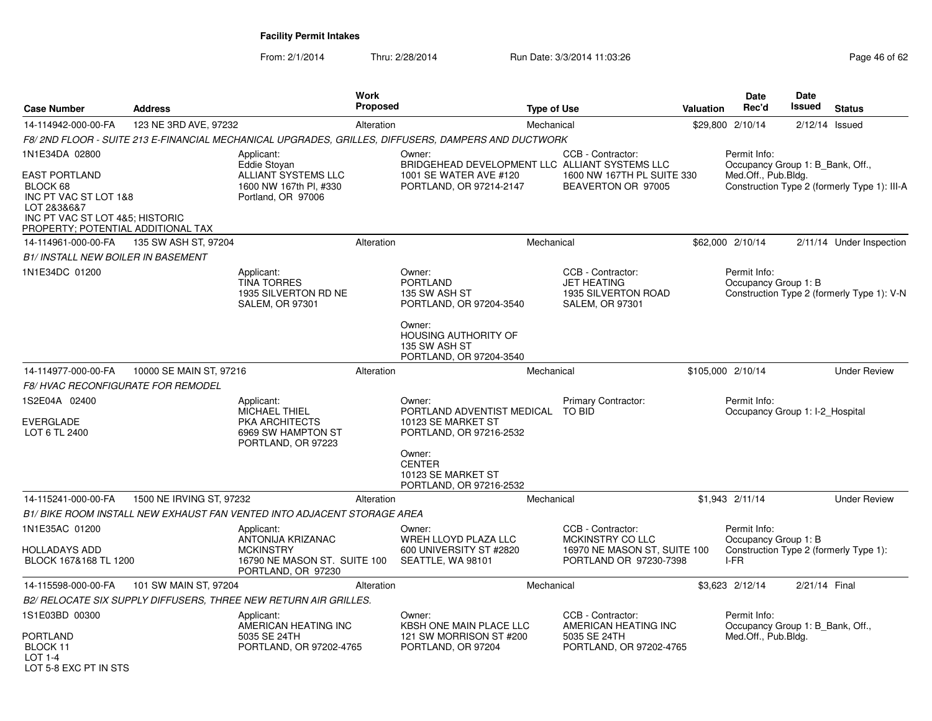| <b>Case Number</b>                                                                                                                                                  | <b>Address</b>           |                                                                                                           | <b>Work</b><br><b>Proposed</b> |                                                                                                                                 | <b>Type of Use</b> |                                                                                                 | Valuation | <b>Date</b><br>Rec'd                                                    | <b>Date</b><br>Issued | <b>Status</b>                                |
|---------------------------------------------------------------------------------------------------------------------------------------------------------------------|--------------------------|-----------------------------------------------------------------------------------------------------------|--------------------------------|---------------------------------------------------------------------------------------------------------------------------------|--------------------|-------------------------------------------------------------------------------------------------|-----------|-------------------------------------------------------------------------|-----------------------|----------------------------------------------|
| 14-114942-000-00-FA                                                                                                                                                 | 123 NE 3RD AVE, 97232    |                                                                                                           | Alteration                     |                                                                                                                                 | Mechanical         |                                                                                                 |           | \$29,800 2/10/14                                                        | 2/12/14               | Issued                                       |
|                                                                                                                                                                     |                          |                                                                                                           |                                | F8/ 2ND FLOOR - SUITE 213 E-FINANCIAL MECHANICAL UPGRADES, GRILLES, DIFFUSERS, DAMPERS AND DUCTWORK                             |                    |                                                                                                 |           |                                                                         |                       |                                              |
| 1N1E34DA 02800<br><b>EAST PORTLAND</b><br>BLOCK 68<br>INC PT VAC ST LOT 1&8<br>LOT 2&3&6&7<br>INC PT VAC ST LOT 4&5; HISTORIC<br>PROPERTY; POTENTIAL ADDITIONAL TAX |                          | Applicant:<br>Eddie Stoyan<br>ALLIANT SYSTEMS LLC<br>1600 NW 167th Pl. #330<br>Portland, OR 97006         |                                | Owner:<br>BRIDGEHEAD DEVELOPMENT LLC ALLIANT SYSTEMS LLC<br>1001 SE WATER AVE #120<br>PORTLAND, OR 97214-2147                   |                    | CCB - Contractor:<br>1600 NW 167TH PL SUITE 330<br>BEAVERTON OR 97005                           |           | Permit Info:<br>Occupancy Group 1: B_Bank, Off.,<br>Med.Off., Pub.Bldg. |                       | Construction Type 2 (formerly Type 1): III-A |
| 14-114961-000-00-FA                                                                                                                                                 | 135 SW ASH ST, 97204     |                                                                                                           | Alteration                     |                                                                                                                                 | Mechanical         |                                                                                                 |           | \$62,000 2/10/14                                                        |                       | 2/11/14 Under Inspection                     |
| B1/ INSTALL NEW BOILER IN BASEMENT                                                                                                                                  |                          |                                                                                                           |                                |                                                                                                                                 |                    |                                                                                                 |           |                                                                         |                       |                                              |
| 1N1E34DC 01200                                                                                                                                                      |                          | Applicant:<br><b>TINA TORRES</b><br>1935 SILVERTON RD NE<br><b>SALEM, OR 97301</b>                        |                                | Owner:<br><b>PORTLAND</b><br>135 SW ASH ST<br>PORTLAND, OR 97204-3540<br>Owner:<br><b>HOUSING AUTHORITY OF</b><br>135 SW ASH ST |                    | CCB - Contractor:<br><b>JET HEATING</b><br>1935 SILVERTON ROAD<br><b>SALEM, OR 97301</b>        |           | Permit Info:<br>Occupancy Group 1: B                                    |                       | Construction Type 2 (formerly Type 1): V-N   |
|                                                                                                                                                                     |                          |                                                                                                           |                                | PORTLAND, OR 97204-3540                                                                                                         |                    |                                                                                                 |           |                                                                         |                       |                                              |
| 14-114977-000-00-FA                                                                                                                                                 | 10000 SE MAIN ST, 97216  |                                                                                                           | Alteration                     |                                                                                                                                 | Mechanical         |                                                                                                 |           | \$105,000 2/10/14                                                       |                       | <b>Under Review</b>                          |
| <i>F8/ HVAC RECONFIGURATE FOR REMODEL</i>                                                                                                                           |                          |                                                                                                           |                                |                                                                                                                                 |                    |                                                                                                 |           |                                                                         |                       |                                              |
| 1S2E04A 02400<br>EVERGLADE<br>LOT 6 TL 2400                                                                                                                         |                          | Applicant:<br><b>MICHAEL THIEL</b><br>PKA ARCHITECTS<br>6969 SW HAMPTON ST<br>PORTLAND, OR 97223          |                                | Owner:<br>PORTLAND ADVENTIST MEDICAL<br>10123 SE MARKET ST<br>PORTLAND, OR 97216-2532                                           |                    | <b>Primary Contractor:</b><br>TO BID                                                            |           | Permit Info:<br>Occupancy Group 1: I-2 Hospital                         |                       |                                              |
|                                                                                                                                                                     |                          |                                                                                                           |                                | Owner:<br><b>CENTER</b><br>10123 SE MARKET ST<br>PORTLAND, OR 97216-2532                                                        |                    |                                                                                                 |           |                                                                         |                       |                                              |
| 14-115241-000-00-FA                                                                                                                                                 | 1500 NE IRVING ST, 97232 |                                                                                                           | Alteration                     |                                                                                                                                 | Mechanical         |                                                                                                 |           | \$1,943 2/11/14                                                         |                       | <b>Under Review</b>                          |
|                                                                                                                                                                     |                          | B1/ BIKE ROOM INSTALL NEW EXHAUST FAN VENTED INTO ADJACENT STORAGE AREA                                   |                                |                                                                                                                                 |                    |                                                                                                 |           |                                                                         |                       |                                              |
| 1N1E35AC 01200<br>HOLLADAYS ADD<br>BLOCK 167&168 TL 1200                                                                                                            |                          | Applicant:<br>ANTONIJA KRIZANAC<br><b>MCKINSTRY</b><br>16790 NE MASON ST. SUITE 100<br>PORTLAND, OR 97230 |                                | Owner:<br>WREH LLOYD PLAZA LLC<br>600 UNIVERSITY ST #2820<br>SEATTLE, WA 98101                                                  |                    | CCB - Contractor:<br>MCKINSTRY CO LLC<br>16970 NE MASON ST, SUITE 100<br>PORTLAND OR 97230-7398 |           | Permit Info:<br>Occupancy Group 1: B<br>I-FR                            |                       | Construction Type 2 (formerly Type 1):       |
| 14-115598-000-00-FA                                                                                                                                                 | 101 SW MAIN ST, 97204    |                                                                                                           | Alteration                     |                                                                                                                                 | Mechanical         |                                                                                                 |           | \$3,623 2/12/14                                                         | 2/21/14 Final         |                                              |
|                                                                                                                                                                     |                          | B2/ RELOCATE SIX SUPPLY DIFFUSERS. THREE NEW RETURN AIR GRILLES.                                          |                                |                                                                                                                                 |                    |                                                                                                 |           |                                                                         |                       |                                              |
| 1S1E03BD 00300<br>PORTLAND<br>BLOCK 11<br>$LOT 1-4$                                                                                                                 |                          | Applicant:<br>AMERICAN HEATING INC<br>5035 SE 24TH<br>PORTLAND, OR 97202-4765                             |                                | Owner:<br>KBSH ONE MAIN PLACE LLC<br>121 SW MORRISON ST #200<br>PORTLAND, OR 97204                                              |                    | CCB - Contractor:<br>AMERICAN HEATING INC<br>5035 SE 24TH<br>PORTLAND, OR 97202-4765            |           | Permit Info:<br>Occupancy Group 1: B_Bank, Off.,<br>Med.Off., Pub.Bldg. |                       |                                              |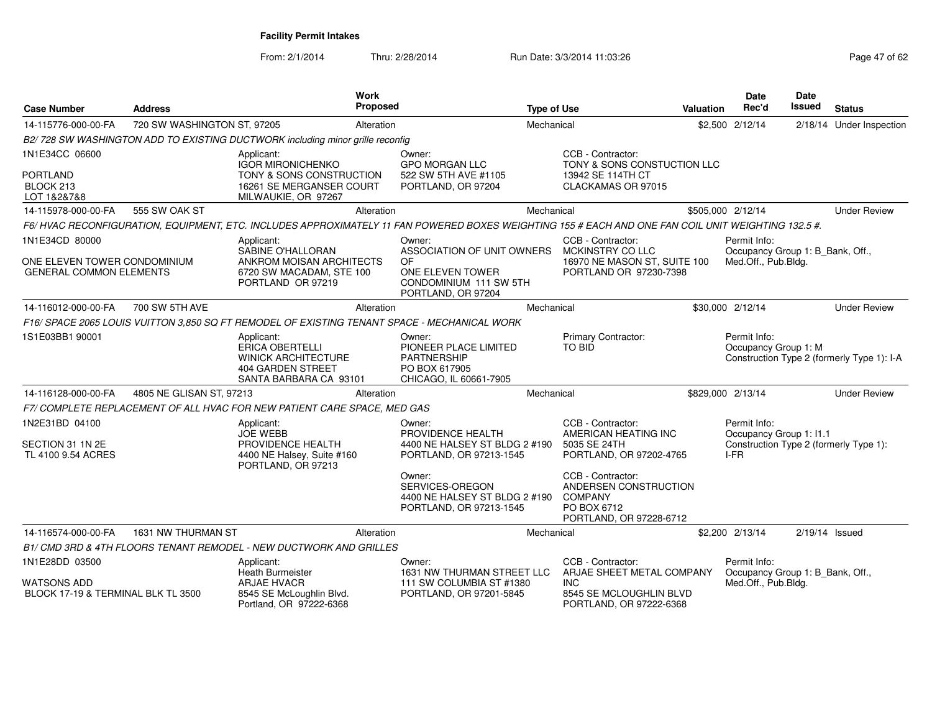| <b>Case Number</b>                                             | <b>Address</b>              | Work<br><b>Proposed</b>                                                                                                                            |                                                                                                  | <b>Type of Use</b> |                                                                                                        | <b>Valuation</b> | <b>Date</b><br>Rec'd                                    | <b>Date</b><br><b>Issued</b> | <b>Status</b>                              |
|----------------------------------------------------------------|-----------------------------|----------------------------------------------------------------------------------------------------------------------------------------------------|--------------------------------------------------------------------------------------------------|--------------------|--------------------------------------------------------------------------------------------------------|------------------|---------------------------------------------------------|------------------------------|--------------------------------------------|
| 14-115776-000-00-FA                                            | 720 SW WASHINGTON ST, 97205 | Alteration                                                                                                                                         |                                                                                                  | Mechanical         |                                                                                                        |                  | \$2,500 2/12/14                                         |                              | 2/18/14 Under Inspection                   |
|                                                                |                             | B2/ 728 SW WASHINGTON ADD TO EXISTING DUCTWORK including minor grille reconfig                                                                     |                                                                                                  |                    |                                                                                                        |                  |                                                         |                              |                                            |
| 1N1E34CC 06600<br><b>PORTLAND</b>                              |                             | Applicant:<br><b>IGOR MIRONICHENKO</b><br>TONY & SONS CONSTRUCTION                                                                                 | Owner:<br><b>GPO MORGAN LLC</b><br>522 SW 5TH AVE #1105                                          |                    | CCB - Contractor:<br>TONY & SONS CONSTUCTION LLC<br>13942 SE 114TH CT                                  |                  |                                                         |                              |                                            |
| BLOCK 213<br>LOT 1&2&7&8                                       |                             | 16261 SE MERGANSER COURT<br>MILWAUKIE, OR 97267                                                                                                    | PORTLAND, OR 97204                                                                               |                    | CLACKAMAS OR 97015                                                                                     |                  |                                                         |                              |                                            |
| 14-115978-000-00-FA                                            | 555 SW OAK ST               | Alteration                                                                                                                                         |                                                                                                  | Mechanical         |                                                                                                        |                  | \$505,000 2/12/14                                       |                              | <b>Under Review</b>                        |
|                                                                |                             | F6/HVAC RECONFIGURATION, EQUIPMENT, ETC. INCLUDES APPROXIMATELY 11 FAN POWERED BOXES WEIGHTING 155 # EACH AND ONE FAN COIL UNIT WEIGHTING 132.5 #. |                                                                                                  |                    |                                                                                                        |                  |                                                         |                              |                                            |
| 1N1E34CD 80000                                                 |                             | Applicant:<br>SABINE O'HALLORAN                                                                                                                    | Owner:<br>ASSOCIATION OF UNIT OWNERS                                                             |                    | CCB - Contractor:<br>MCKINSTRY CO LLC                                                                  |                  | Permit Info:<br>Occupancy Group 1: B_Bank, Off.,        |                              |                                            |
| ONE ELEVEN TOWER CONDOMINIUM<br><b>GENERAL COMMON ELEMENTS</b> |                             | ANKROM MOISAN ARCHITECTS<br>6720 SW MACADAM, STE 100<br>PORTLAND OR 97219                                                                          | OF<br>ONE ELEVEN TOWER<br>CONDOMINIUM 111 SW 5TH<br>PORTLAND, OR 97204                           |                    | 16970 NE MASON ST, SUITE 100<br>PORTLAND OR 97230-7398                                                 |                  | Med.Off., Pub.Bldg.                                     |                              |                                            |
| 14-116012-000-00-FA                                            | 700 SW 5TH AVE              | Alteration                                                                                                                                         |                                                                                                  | Mechanical         |                                                                                                        |                  | \$30,000 2/12/14                                        |                              | <b>Under Review</b>                        |
|                                                                |                             | F16/ SPACE 2065 LOUIS VUITTON 3.850 SQ FT REMODEL OF EXISTING TENANT SPACE - MECHANICAL WORK                                                       |                                                                                                  |                    |                                                                                                        |                  |                                                         |                              |                                            |
| 1S1E03BB1 90001                                                |                             | Applicant:<br><b>ERICA OBERTELLI</b><br><b>WINICK ARCHITECTURE</b><br>404 GARDEN STREET<br>SANTA BARBARA CA 93101                                  | Owner:<br>PIONEER PLACE LIMITED<br><b>PARTNERSHIP</b><br>PO BOX 617905<br>CHICAGO, IL 60661-7905 |                    | Primary Contractor:<br>TO BID                                                                          |                  | Permit Info:<br>Occupancy Group 1: M                    |                              | Construction Type 2 (formerly Type 1): I-A |
| 14-116128-000-00-FA                                            | 4805 NE GLISAN ST, 97213    | Alteration                                                                                                                                         |                                                                                                  | Mechanical         |                                                                                                        |                  | \$829,000 2/13/14                                       |                              | <b>Under Review</b>                        |
|                                                                |                             | F7/COMPLETE REPLACEMENT OF ALL HVAC FOR NEW PATIENT CARE SPACE, MED GAS                                                                            |                                                                                                  |                    |                                                                                                        |                  |                                                         |                              |                                            |
| 1N2E31BD 04100                                                 |                             | Applicant:<br><b>JOE WEBB</b>                                                                                                                      | Owner:<br>PROVIDENCE HEALTH                                                                      |                    | CCB - Contractor:<br>AMERICAN HEATING INC                                                              |                  | Permit Info:<br>Occupancy Group 1: I1.1                 |                              |                                            |
| SECTION 31 1N 2E<br>TL 4100 9.54 ACRES                         |                             | PROVIDENCE HEALTH<br>4400 NE Halsey, Suite #160<br>PORTLAND, OR 97213                                                                              | 4400 NE HALSEY ST BLDG 2 #190<br>PORTLAND, OR 97213-1545                                         |                    | 5035 SE 24TH<br>PORTLAND, OR 97202-4765                                                                |                  | I-FR                                                    |                              | Construction Type 2 (formerly Type 1):     |
|                                                                |                             |                                                                                                                                                    | Owner:<br>SERVICES-OREGON<br>4400 NE HALSEY ST BLDG 2 #190<br>PORTLAND, OR 97213-1545            |                    | CCB - Contractor:<br>ANDERSEN CONSTRUCTION<br><b>COMPANY</b><br>PO BOX 6712<br>PORTLAND, OR 97228-6712 |                  |                                                         |                              |                                            |
| 14-116574-000-00-FA                                            | 1631 NW THURMAN ST          | Alteration                                                                                                                                         |                                                                                                  | Mechanical         |                                                                                                        |                  | \$2,200 2/13/14                                         | $2/19/14$ Issued             |                                            |
|                                                                |                             | B1/ CMD 3RD & 4TH FLOORS TENANT REMODEL - NEW DUCTWORK AND GRILLES                                                                                 |                                                                                                  |                    |                                                                                                        |                  |                                                         |                              |                                            |
| 1N1E28DD 03500                                                 |                             | Applicant:<br><b>Heath Burmeister</b>                                                                                                              | Owner:<br>1631 NW THURMAN STREET LLC                                                             |                    | CCB - Contractor:<br>ARJAE SHEET METAL COMPANY                                                         |                  | Permit Info:                                            |                              |                                            |
| WATSONS ADD<br>BLOCK 17-19 & TERMINAL BLK TL 3500              |                             | <b>ARJAE HVACR</b><br>8545 SE McLoughlin Blvd.<br>Portland, OR 97222-6368                                                                          | 111 SW COLUMBIA ST #1380<br>PORTLAND, OR 97201-5845                                              |                    | <b>INC</b><br>8545 SE MCLOUGHLIN BLVD<br>PORTLAND, OR 97222-6368                                       |                  | Occupancy Group 1: B_Bank, Off.,<br>Med.Off., Pub.Bldg. |                              |                                            |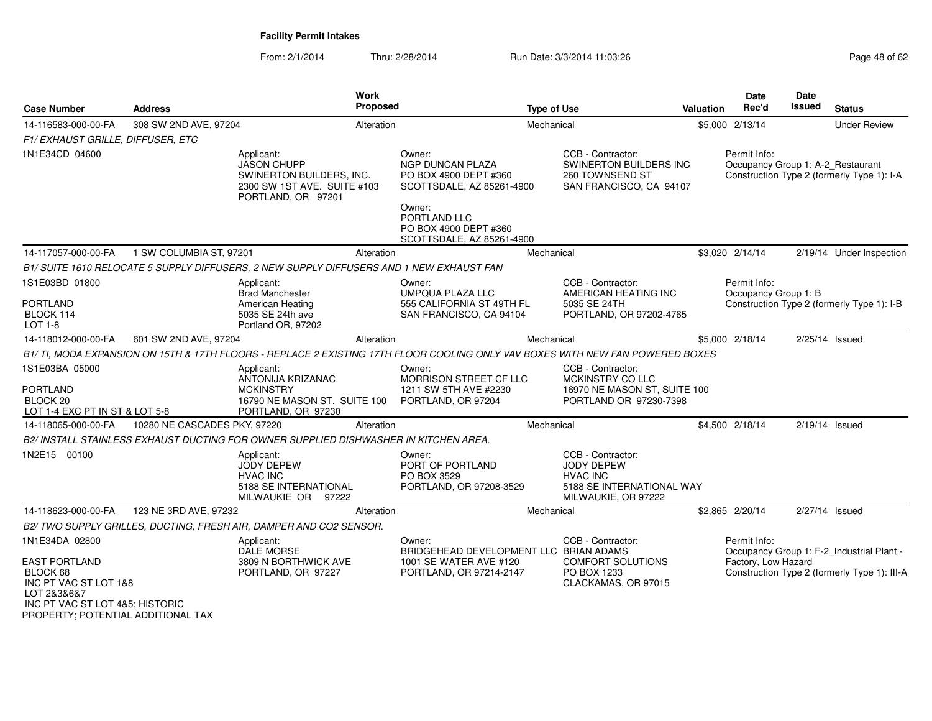| <b>Case Number</b>                                                                                                                                           | <b>Address</b>               |                                                                                                                   | <b>Work</b><br>Proposed |                                                                                                                               | <b>Type of Use</b> |                                                                                                               | Valuation | Date<br>Rec'd                        | Date<br>Issued | <b>Status</b>                                                                             |
|--------------------------------------------------------------------------------------------------------------------------------------------------------------|------------------------------|-------------------------------------------------------------------------------------------------------------------|-------------------------|-------------------------------------------------------------------------------------------------------------------------------|--------------------|---------------------------------------------------------------------------------------------------------------|-----------|--------------------------------------|----------------|-------------------------------------------------------------------------------------------|
| 14-116583-000-00-FA                                                                                                                                          | 308 SW 2ND AVE, 97204        |                                                                                                                   | Alteration              |                                                                                                                               | Mechanical         |                                                                                                               |           | \$5,000 2/13/14                      |                | <b>Under Review</b>                                                                       |
| F1/EXHAUST GRILLE, DIFFUSER, ETC                                                                                                                             |                              |                                                                                                                   |                         |                                                                                                                               |                    |                                                                                                               |           |                                      |                |                                                                                           |
| 1N1E34CD 04600                                                                                                                                               |                              | Applicant:<br><b>JASON CHUPP</b><br>SWINERTON BUILDERS, INC.<br>2300 SW 1ST AVE. SUITE #103<br>PORTLAND, OR 97201 |                         | Owner:<br>NGP DUNCAN PLAZA<br>PO BOX 4900 DEPT #360<br>SCOTTSDALE, AZ 85261-4900<br>Owner:                                    |                    | CCB - Contractor:<br>SWINERTON BUILDERS INC<br>260 TOWNSEND ST<br>SAN FRANCISCO, CA 94107                     |           | Permit Info:                         |                | Occupancy Group 1: A-2_Restaurant<br>Construction Type 2 (formerly Type 1): I-A           |
|                                                                                                                                                              |                              |                                                                                                                   |                         | PORTLAND LLC<br>PO BOX 4900 DEPT #360<br>SCOTTSDALE, AZ 85261-4900                                                            |                    |                                                                                                               |           |                                      |                |                                                                                           |
| 14-117057-000-00-FA                                                                                                                                          | 1 SW COLUMBIA ST, 97201      |                                                                                                                   | Alteration              |                                                                                                                               | Mechanical         |                                                                                                               |           | \$3,020 2/14/14                      |                | 2/19/14 Under Inspection                                                                  |
|                                                                                                                                                              |                              | B1/ SUITE 1610 RELOCATE 5 SUPPLY DIFFUSERS, 2 NEW SUPPLY DIFFUSERS AND 1 NEW EXHAUST FAN                          |                         |                                                                                                                               |                    |                                                                                                               |           |                                      |                |                                                                                           |
| 1S1E03BD 01800                                                                                                                                               |                              | Applicant:<br><b>Brad Manchester</b>                                                                              |                         | Owner:<br><b>UMPQUA PLAZA LLC</b>                                                                                             |                    | CCB - Contractor:<br>AMERICAN HEATING INC                                                                     |           | Permit Info:<br>Occupancy Group 1: B |                |                                                                                           |
| PORTLAND<br>BLOCK 114<br>$LOT 1-8$                                                                                                                           |                              | American Heating<br>5035 SE 24th ave<br>Portland OR, 97202                                                        |                         | 555 CALIFORNIA ST 49TH FL<br>SAN FRANCISCO, CA 94104                                                                          |                    | 5035 SE 24TH<br>PORTLAND, OR 97202-4765                                                                       |           |                                      |                | Construction Type 2 (formerly Type 1): I-B                                                |
| 14-118012-000-00-FA                                                                                                                                          | 601 SW 2ND AVE, 97204        |                                                                                                                   | Alteration              |                                                                                                                               | Mechanical         |                                                                                                               |           | \$5,000 2/18/14                      |                | $2/25/14$ Issued                                                                          |
|                                                                                                                                                              |                              |                                                                                                                   |                         | B1/TI, MODA EXPANSION ON 15TH & 17TH FLOORS - REPLACE 2 EXISTING 17TH FLOOR COOLING ONLY VAV BOXES WITH NEW FAN POWERED BOXES |                    |                                                                                                               |           |                                      |                |                                                                                           |
| 1S1E03BA 05000<br><b>PORTLAND</b><br>BLOCK <sub>20</sub><br>LOT 1-4 EXC PT IN ST & LOT 5-8                                                                   |                              | Applicant:<br>ANTONIJA KRIZANAC<br><b>MCKINSTRY</b><br>16790 NE MASON ST. SUITE 100<br>PORTLAND, OR 97230         |                         | Owner:<br>MORRISON STREET CF LLC<br>1211 SW 5TH AVE #2230<br>PORTLAND, OR 97204                                               |                    | CCB - Contractor:<br>MCKINSTRY CO LLC<br>16970 NE MASON ST, SUITE 100<br>PORTLAND OR 97230-7398               |           |                                      |                |                                                                                           |
| 14-118065-000-00-FA                                                                                                                                          | 10280 NE CASCADES PKY, 97220 |                                                                                                                   | Alteration              |                                                                                                                               | Mechanical         |                                                                                                               |           | \$4,500 2/18/14                      |                | $2/19/14$ Issued                                                                          |
|                                                                                                                                                              |                              | B2/INSTALL STAINLESS EXHAUST DUCTING FOR OWNER SUPPLIED DISHWASHER IN KITCHEN AREA.                               |                         |                                                                                                                               |                    |                                                                                                               |           |                                      |                |                                                                                           |
| 1N2E15 00100                                                                                                                                                 |                              | Applicant:<br><b>JODY DEPEW</b><br><b>HVAC INC</b><br>5188 SE INTERNATIONAL<br>MILWAUKIE OR 97222                 |                         | Owner:<br>PORT OF PORTLAND<br>PO BOX 3529<br>PORTLAND, OR 97208-3529                                                          |                    | CCB - Contractor:<br><b>JODY DEPEW</b><br><b>HVAC INC</b><br>5188 SE INTERNATIONAL WAY<br>MILWAUKIE, OR 97222 |           |                                      |                |                                                                                           |
| 14-118623-000-00-FA                                                                                                                                          | 123 NE 3RD AVE, 97232        |                                                                                                                   | Alteration              |                                                                                                                               | Mechanical         |                                                                                                               |           | \$2,865 2/20/14                      |                | 2/27/14 Issued                                                                            |
|                                                                                                                                                              |                              | B2/ TWO SUPPLY GRILLES, DUCTING, FRESH AIR, DAMPER AND CO2 SENSOR.                                                |                         |                                                                                                                               |                    |                                                                                                               |           |                                      |                |                                                                                           |
| 1N1E34DA 02800<br>EAST PORTLAND<br>BLOCK 68<br>INC PT VAC ST LOT 1&8<br>LOT 2&3&6&7<br>INC PT VAC ST LOT 4&5: HISTORIC<br>PROPERTY; POTENTIAL ADDITIONAL TAX |                              | Applicant:<br><b>DALE MORSE</b><br>3809 N BORTHWICK AVE<br>PORTLAND, OR 97227                                     |                         | Owner:<br>BRIDGEHEAD DEVELOPMENT LLC BRIAN ADAMS<br>1001 SE WATER AVE #120<br>PORTLAND, OR 97214-2147                         |                    | CCB - Contractor:<br><b>COMFORT SOLUTIONS</b><br>PO BOX 1233<br>CLACKAMAS, OR 97015                           |           | Permit Info:<br>Factory, Low Hazard  |                | Occupancy Group 1: F-2_Industrial Plant -<br>Construction Type 2 (formerly Type 1): III-A |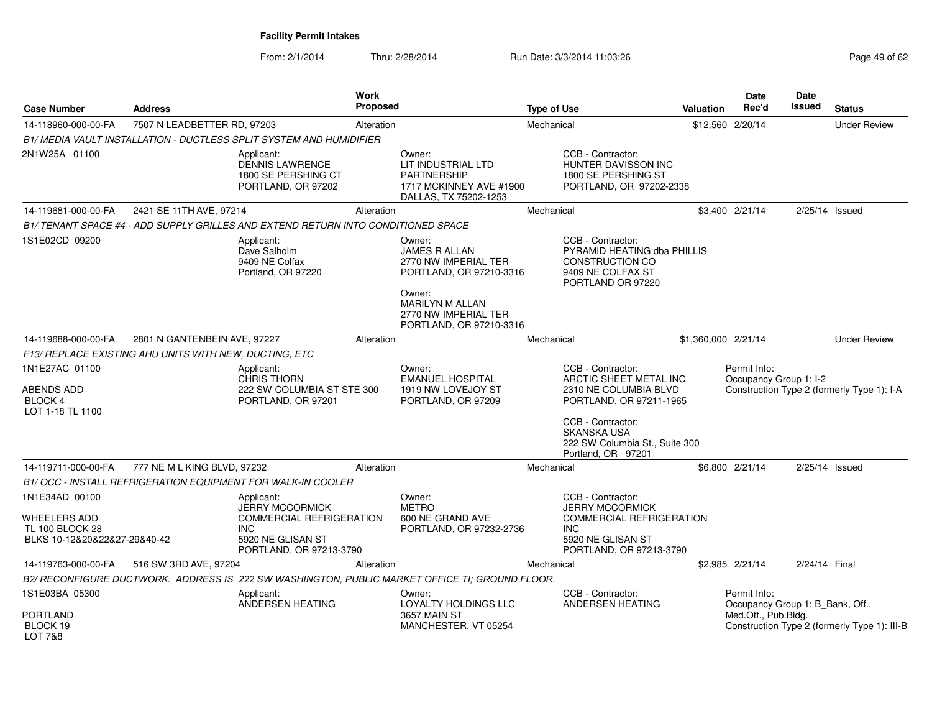| <b>Case Number</b>                                                                | <b>Address</b>                                         |                                                                                                                                       | <b>Work</b><br><b>Proposed</b> |                                                                                                 | <b>Type of Use</b> |                                                                                                                                       | Valuation | Date<br>Rec'd                                    | Date<br>Issued   | <b>Status</b>                                |
|-----------------------------------------------------------------------------------|--------------------------------------------------------|---------------------------------------------------------------------------------------------------------------------------------------|--------------------------------|-------------------------------------------------------------------------------------------------|--------------------|---------------------------------------------------------------------------------------------------------------------------------------|-----------|--------------------------------------------------|------------------|----------------------------------------------|
| 14-118960-000-00-FA                                                               | 7507 N LEADBETTER RD, 97203                            |                                                                                                                                       | Alteration                     |                                                                                                 | Mechanical         |                                                                                                                                       |           | \$12,560 2/20/14                                 |                  | <b>Under Review</b>                          |
|                                                                                   |                                                        | B1/ MEDIA VAULT INSTALLATION - DUCTLESS SPLIT SYSTEM AND HUMIDIFIER                                                                   |                                |                                                                                                 |                    |                                                                                                                                       |           |                                                  |                  |                                              |
| 2N1W25A 01100                                                                     |                                                        | Applicant:<br><b>DENNIS LAWRENCE</b><br>1800 SE PERSHING CT<br>PORTLAND, OR 97202                                                     |                                | Owner:<br>LIT INDUSTRIAL LTD<br>PARTNERSHIP<br>1717 MCKINNEY AVE #1900<br>DALLAS, TX 75202-1253 |                    | CCB - Contractor:<br>HUNTER DAVISSON INC<br>1800 SE PERSHING ST<br>PORTLAND, OR 97202-2338                                            |           |                                                  |                  |                                              |
| 14-119681-000-00-FA                                                               | 2421 SE 11TH AVE, 97214                                |                                                                                                                                       | Alteration                     |                                                                                                 | Mechanical         |                                                                                                                                       |           | \$3,400 2/21/14                                  | 2/25/14 Issued   |                                              |
|                                                                                   |                                                        | B1/ TENANT SPACE #4 - ADD SUPPLY GRILLES AND EXTEND RETURN INTO CONDITIONED SPACE                                                     |                                |                                                                                                 |                    |                                                                                                                                       |           |                                                  |                  |                                              |
| 1S1E02CD 09200                                                                    |                                                        | Applicant:<br>Dave Salholm<br>9409 NE Colfax<br>Portland, OR 97220                                                                    |                                | Owner:<br><b>JAMES R ALLAN</b><br>2770 NW IMPERIAL TER<br>PORTLAND, OR 97210-3316               |                    | CCB - Contractor:<br>PYRAMID HEATING dba PHILLIS<br><b>CONSTRUCTION CO</b><br>9409 NE COLFAX ST<br>PORTLAND OR 97220                  |           |                                                  |                  |                                              |
|                                                                                   |                                                        |                                                                                                                                       |                                | Owner:<br><b>MARILYN M ALLAN</b><br>2770 NW IMPERIAL TER<br>PORTLAND, OR 97210-3316             |                    |                                                                                                                                       |           |                                                  |                  |                                              |
| 14-119688-000-00-FA                                                               | 2801 N GANTENBEIN AVE, 97227                           |                                                                                                                                       | Alteration                     |                                                                                                 | Mechanical         |                                                                                                                                       |           | \$1,360,000 2/21/14                              |                  | <b>Under Review</b>                          |
|                                                                                   | F13/ REPLACE EXISTING AHU UNITS WITH NEW, DUCTING, ETC |                                                                                                                                       |                                |                                                                                                 |                    |                                                                                                                                       |           |                                                  |                  |                                              |
| 1N1E27AC 01100<br>ABENDS ADD<br>BLOCK 4<br>LOT 1-18 TL 1100                       |                                                        | Applicant:<br><b>CHRIS THORN</b><br>222 SW COLUMBIA ST STE 300<br>PORTLAND, OR 97201                                                  |                                | Owner:<br><b>EMANUEL HOSPITAL</b><br>1919 NW LOVEJOY ST<br>PORTLAND, OR 97209                   |                    | CCB - Contractor:<br>ARCTIC SHEET METAL INC<br>2310 NE COLUMBIA BLVD<br>PORTLAND, OR 97211-1965                                       |           | Permit Info:<br>Occupancy Group 1: I-2           |                  | Construction Type 2 (formerly Type 1): I-A   |
|                                                                                   |                                                        |                                                                                                                                       |                                |                                                                                                 |                    | CCB - Contractor:<br><b>SKANSKA USA</b><br>222 SW Columbia St., Suite 300<br>Portland, OR 97201                                       |           |                                                  |                  |                                              |
| 14-119711-000-00-FA                                                               | 777 NE M L KING BLVD, 97232                            |                                                                                                                                       | Alteration                     |                                                                                                 | Mechanical         |                                                                                                                                       |           | \$6,800 2/21/14                                  | $2/25/14$ Issued |                                              |
|                                                                                   |                                                        | B1/ OCC - INSTALL REFRIGERATION EQUIPMENT FOR WALK-IN COOLER                                                                          |                                |                                                                                                 |                    |                                                                                                                                       |           |                                                  |                  |                                              |
| 1N1E34AD 00100<br>WHEELERS ADD<br>TL 100 BLOCK 28<br>BLKS 10-12&20&22&27-29&40-42 |                                                        | Applicant:<br><b>JERRY MCCORMICK</b><br><b>COMMERCIAL REFRIGERATION</b><br><b>INC</b><br>5920 NE GLISAN ST<br>PORTLAND, OR 97213-3790 |                                | Owner:<br><b>METRO</b><br>600 NE GRAND AVE<br>PORTLAND, OR 97232-2736                           |                    | CCB - Contractor:<br><b>JERRY MCCORMICK</b><br>COMMERCIAL REFRIGERATION<br><b>INC</b><br>5920 NE GLISAN ST<br>PORTLAND, OR 97213-3790 |           |                                                  |                  |                                              |
| 14-119763-000-00-FA                                                               | 516 SW 3RD AVE, 97204                                  |                                                                                                                                       | Alteration                     |                                                                                                 | Mechanical         |                                                                                                                                       |           | \$2,985 2/21/14                                  | 2/24/14 Final    |                                              |
|                                                                                   |                                                        |                                                                                                                                       |                                | B2/ RECONFIGURE DUCTWORK. ADDRESS IS 222 SW WASHINGTON, PUBLIC MARKET OFFICE TI; GROUND FLOOR.  |                    |                                                                                                                                       |           |                                                  |                  |                                              |
| 1S1E03BA 05300                                                                    |                                                        | Applicant:<br>ANDERSEN HEATING                                                                                                        |                                | Owner:<br>LOYALTY HOLDINGS LLC                                                                  |                    | CCB - Contractor:<br>ANDERSEN HEATING                                                                                                 |           | Permit Info:<br>Occupancy Group 1: B_Bank, Off., |                  |                                              |
| <b>PORTLAND</b><br>BLOCK 19<br>LOT 7&8                                            |                                                        |                                                                                                                                       |                                | <b>3657 MAIN ST</b><br>MANCHESTER, VT 05254                                                     |                    |                                                                                                                                       |           | Med.Off., Pub.Bldg.                              |                  | Construction Type 2 (formerly Type 1): III-B |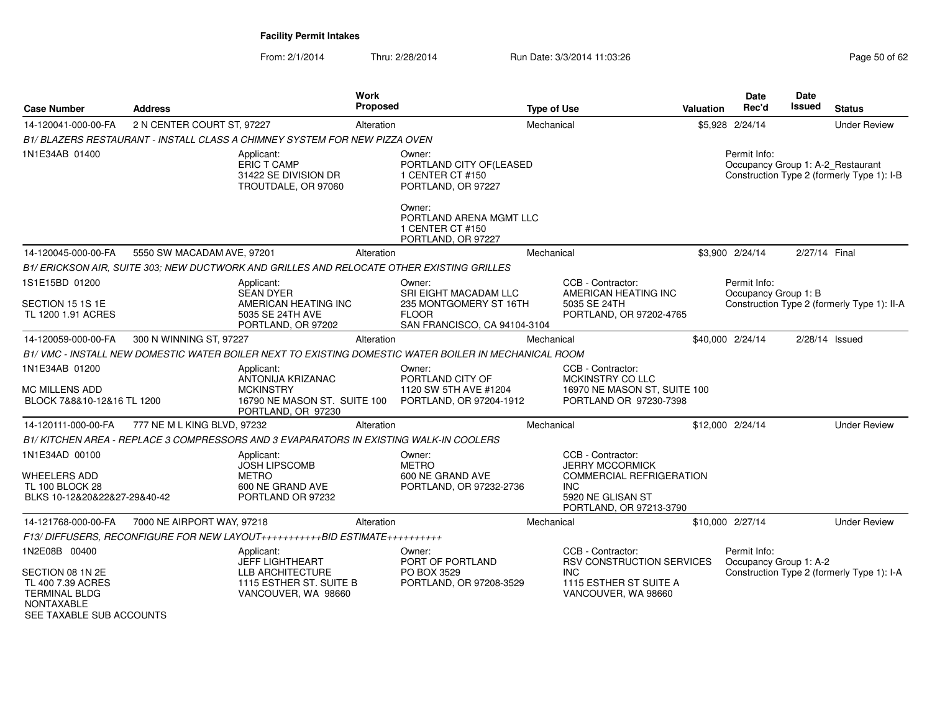| <b>Case Number</b>                                                                                                       | <b>Address</b>              |                                                                                                            | <b>Work</b><br><b>Proposed</b> |                                                                                                                                                            | <b>Type of Use</b> |                                                                                                                                              | <b>Valuation</b> | Date<br>Rec'd                          | <b>Date</b><br>Issued | <b>Status</b>                                                                   |
|--------------------------------------------------------------------------------------------------------------------------|-----------------------------|------------------------------------------------------------------------------------------------------------|--------------------------------|------------------------------------------------------------------------------------------------------------------------------------------------------------|--------------------|----------------------------------------------------------------------------------------------------------------------------------------------|------------------|----------------------------------------|-----------------------|---------------------------------------------------------------------------------|
| 14-120041-000-00-FA                                                                                                      | 2 N CENTER COURT ST, 97227  |                                                                                                            | Alteration                     |                                                                                                                                                            | Mechanical         |                                                                                                                                              |                  | \$5,928 2/24/14                        |                       | <b>Under Review</b>                                                             |
|                                                                                                                          |                             | B1/ BLAZERS RESTAURANT - INSTALL CLASS A CHIMNEY SYSTEM FOR NEW PIZZA OVEN                                 |                                |                                                                                                                                                            |                    |                                                                                                                                              |                  |                                        |                       |                                                                                 |
| 1N1E34AB 01400                                                                                                           |                             | Applicant:<br>ERIC T CAMP<br>31422 SE DIVISION DR<br>TROUTDALE, OR 97060                                   |                                | Owner:<br>PORTLAND CITY OF(LEASED<br>1 CENTER CT #150<br>PORTLAND, OR 97227<br>Owner:<br>PORTLAND ARENA MGMT LLC<br>1 CENTER CT #150<br>PORTLAND, OR 97227 |                    |                                                                                                                                              |                  | Permit Info:                           |                       | Occupancy Group 1: A-2_Restaurant<br>Construction Type 2 (formerly Type 1): I-B |
| 14-120045-000-00-FA                                                                                                      | 5550 SW MACADAM AVE, 97201  |                                                                                                            | Alteration                     |                                                                                                                                                            | Mechanical         |                                                                                                                                              |                  | \$3,900 2/24/14                        | 2/27/14 Final         |                                                                                 |
|                                                                                                                          |                             | B1/ERICKSON AIR, SUITE 303; NEW DUCTWORK AND GRILLES AND RELOCATE OTHER EXISTING GRILLES                   |                                |                                                                                                                                                            |                    |                                                                                                                                              |                  |                                        |                       |                                                                                 |
| 1S1E15BD 01200<br>SECTION 15 1S 1E<br>TL 1200 1.91 ACRES                                                                 |                             | Applicant:<br><b>SEAN DYER</b><br>AMERICAN HEATING INC<br>5035 SE 24TH AVE<br>PORTLAND, OR 97202           |                                | Owner:<br>SRI EIGHT MACADAM LLC<br>235 MONTGOMERY ST 16TH<br><b>FLOOR</b><br>SAN FRANCISCO, CA 94104-3104                                                  |                    | CCB - Contractor:<br>AMERICAN HEATING INC<br>5035 SE 24TH<br>PORTLAND, OR 97202-4765                                                         |                  | Permit Info:<br>Occupancy Group 1: B   |                       | Construction Type 2 (formerly Type 1): II-A                                     |
| 14-120059-000-00-FA                                                                                                      | 300 N WINNING ST, 97227     |                                                                                                            | Alteration                     |                                                                                                                                                            | Mechanical         |                                                                                                                                              |                  | \$40,000 2/24/14                       |                       | 2/28/14 Issued                                                                  |
|                                                                                                                          |                             |                                                                                                            |                                | B1/VMC - INSTALL NEW DOMESTIC WATER BOILER NEXT TO EXISTING DOMESTIC WATER BOILER IN MECHANICAL ROOM                                                       |                    |                                                                                                                                              |                  |                                        |                       |                                                                                 |
| 1N1E34AB 01200<br><b>MC MILLENS ADD</b><br>BLOCK 7&8&10-12&16 TL 1200                                                    |                             | Applicant:<br>ANTONIJA KRIZANAC<br><b>MCKINSTRY</b><br>16790 NE MASON ST. SUITE 100<br>PORTLAND, OR 97230  |                                | Owner:<br>PORTLAND CITY OF<br>1120 SW 5TH AVE #1204<br>PORTLAND, OR 97204-1912                                                                             |                    | CCB - Contractor:<br>MCKINSTRY CO LLC<br>16970 NE MASON ST, SUITE 100<br>PORTLAND OR 97230-7398                                              |                  |                                        |                       |                                                                                 |
| 14-120111-000-00-FA                                                                                                      | 777 NE M L KING BLVD, 97232 |                                                                                                            | Alteration                     |                                                                                                                                                            | Mechanical         |                                                                                                                                              |                  | \$12,000 2/24/14                       |                       | <b>Under Review</b>                                                             |
|                                                                                                                          |                             | B1/KITCHEN AREA - REPLACE 3 COMPRESSORS AND 3 EVAPARATORS IN EXISTING WALK-IN COOLERS                      |                                |                                                                                                                                                            |                    |                                                                                                                                              |                  |                                        |                       |                                                                                 |
| 1N1E34AD 00100<br><b>WHEELERS ADD</b><br><b>TL 100 BLOCK 28</b><br>BLKS 10-12&20&22&27-29&40-42                          |                             | Applicant:<br><b>JOSH LIPSCOMB</b><br><b>METRO</b><br>600 NE GRAND AVE<br>PORTLAND OR 97232                |                                | Owner:<br><b>METRO</b><br>600 NE GRAND AVE<br>PORTLAND, OR 97232-2736                                                                                      |                    | CCB - Contractor:<br><b>JERRY MCCORMICK</b><br><b>COMMERCIAL REFRIGERATION</b><br><b>INC</b><br>5920 NE GLISAN ST<br>PORTLAND, OR 97213-3790 |                  |                                        |                       |                                                                                 |
| 14-121768-000-00-FA                                                                                                      | 7000 NE AIRPORT WAY, 97218  |                                                                                                            | Alteration                     |                                                                                                                                                            | Mechanical         |                                                                                                                                              |                  | \$10,000 2/27/14                       |                       | <b>Under Review</b>                                                             |
|                                                                                                                          |                             | F13/DIFFUSERS, RECONFIGURE FOR NEW LAYOUT++++++++++++BID ESTIMATE+++++++++++                               |                                |                                                                                                                                                            |                    |                                                                                                                                              |                  |                                        |                       |                                                                                 |
| 1N2E08B 00400<br>SECTION 08 1N 2E<br>TL 400 7.39 ACRES<br><b>TERMINAL BLDG</b><br>NONTAXABLE<br>SEE TAXABLE SUB ACCOUNTS |                             | Applicant:<br>JEFF LIGHTHEART<br><b>LLB ARCHITECTURE</b><br>1115 ESTHER ST. SUITE B<br>VANCOUVER, WA 98660 |                                | Owner:<br>PORT OF PORTLAND<br>PO BOX 3529<br>PORTLAND, OR 97208-3529                                                                                       |                    | CCB - Contractor:<br><b>RSV CONSTRUCTION SERVICES</b><br><b>INC</b><br>1115 ESTHER ST SUITE A<br>VANCOUVER, WA 98660                         |                  | Permit Info:<br>Occupancy Group 1: A-2 |                       | Construction Type 2 (formerly Type 1): I-A                                      |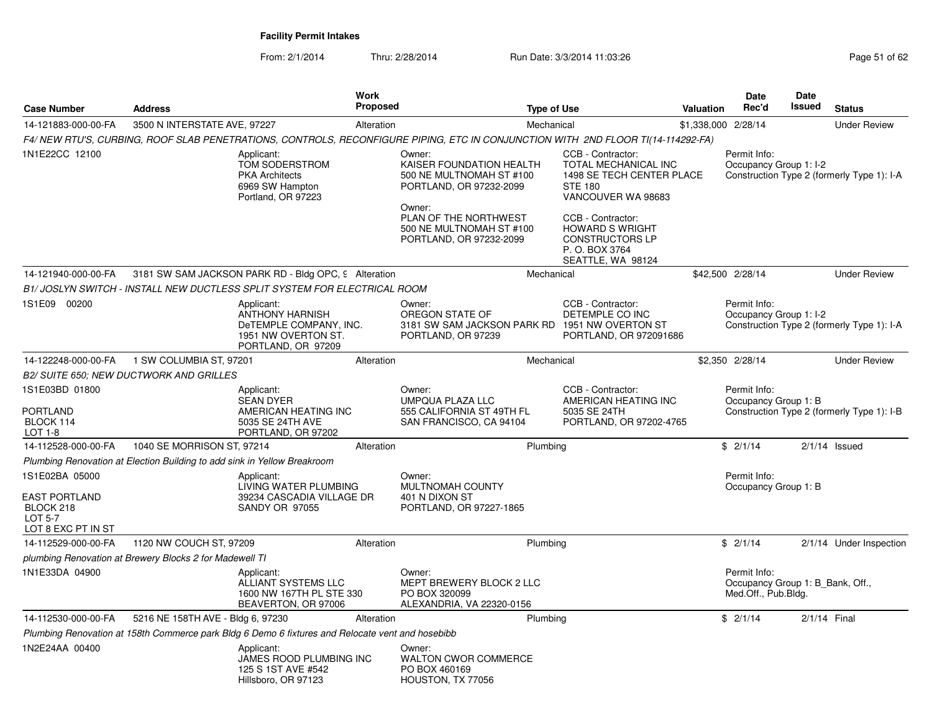| <b>Case Number</b>                                                                          | <b>Address</b>                                                           | Work<br>Proposed                                                                                                                | <b>Type of Use</b>                                                                                  |                                                                                                                | Valuation           | <b>Date</b><br>Rec'd                                                    | Date<br><b>Issued</b> | <b>Status</b>                              |
|---------------------------------------------------------------------------------------------|--------------------------------------------------------------------------|---------------------------------------------------------------------------------------------------------------------------------|-----------------------------------------------------------------------------------------------------|----------------------------------------------------------------------------------------------------------------|---------------------|-------------------------------------------------------------------------|-----------------------|--------------------------------------------|
| 14-121883-000-00-FA                                                                         | 3500 N INTERSTATE AVE, 97227                                             | Alteration                                                                                                                      | Mechanical                                                                                          |                                                                                                                | \$1,338,000 2/28/14 |                                                                         |                       | <b>Under Review</b>                        |
|                                                                                             |                                                                          | F4/NEW RTU'S, CURBING, ROOF SLAB PENETRATIONS, CONTROLS, RECONFIGURE PIPING, ETC IN CONJUNCTION WITH 2ND FLOOR TI(14-114292-FA) |                                                                                                     |                                                                                                                |                     |                                                                         |                       |                                            |
| 1N1E22CC 12100                                                                              |                                                                          | Applicant:<br>TOM SODERSTROM<br><b>PKA Architects</b><br>6969 SW Hampton<br>Portland, OR 97223                                  | Owner:<br>KAISER FOUNDATION HEALTH<br>500 NE MULTNOMAH ST #100<br>PORTLAND, OR 97232-2099<br>Owner: | CCB - Contractor:<br>TOTAL MECHANICAL INC<br>1498 SE TECH CENTER PLACE<br><b>STE 180</b><br>VANCOUVER WA 98683 |                     | Permit Info:<br>Occupancy Group 1: I-2                                  |                       | Construction Type 2 (formerly Type 1): I-A |
|                                                                                             |                                                                          |                                                                                                                                 | PLAN OF THE NORTHWEST<br>500 NE MULTNOMAH ST #100<br>PORTLAND, OR 97232-2099                        | CCB - Contractor:<br><b>HOWARD S WRIGHT</b><br><b>CONSTRUCTORS LP</b><br>P.O. BOX 3764<br>SEATTLE, WA 98124    |                     |                                                                         |                       |                                            |
| 14-121940-000-00-FA                                                                         |                                                                          | 3181 SW SAM JACKSON PARK RD - Bldg OPC, 9 Alteration                                                                            | Mechanical                                                                                          |                                                                                                                |                     | \$42,500 2/28/14                                                        |                       | <b>Under Review</b>                        |
|                                                                                             |                                                                          | B1/ JOSLYN SWITCH - INSTALL NEW DUCTLESS SPLIT SYSTEM FOR ELECTRICAL ROOM                                                       |                                                                                                     |                                                                                                                |                     |                                                                         |                       |                                            |
| 1S1E09 00200                                                                                |                                                                          | Applicant:<br><b>ANTHONY HARNISH</b><br>DeTEMPLE COMPANY, INC.<br>1951 NW OVERTON ST.<br>PORTLAND, OR 97209                     | Owner:<br>OREGON STATE OF<br>3181 SW SAM JACKSON PARK RD<br>PORTLAND, OR 97239                      | CCB - Contractor:<br>DETEMPLE CO INC<br>1951 NW OVERTON ST<br>PORTLAND, OR 972091686                           |                     | Permit Info:<br>Occupancy Group 1: I-2                                  |                       | Construction Type 2 (formerly Type 1): I-A |
| 14-122248-000-00-FA                                                                         | 1 SW COLUMBIA ST, 97201                                                  | Alteration                                                                                                                      | Mechanical                                                                                          |                                                                                                                |                     | \$2,350 2/28/14                                                         |                       | <b>Under Review</b>                        |
|                                                                                             | <b>B2/ SUITE 650; NEW DUCTWORK AND GRILLES</b>                           |                                                                                                                                 |                                                                                                     |                                                                                                                |                     |                                                                         |                       |                                            |
| 1S1E03BD 01800<br><b>PORTLAND</b><br>BLOCK 114<br>LOT 1-8                                   |                                                                          | Applicant:<br><b>SEAN DYER</b><br>AMERICAN HEATING INC<br>5035 SE 24TH AVE<br>PORTLAND, OR 97202                                | Owner:<br><b>UMPQUA PLAZA LLC</b><br>555 CALIFORNIA ST 49TH FL<br>SAN FRANCISCO, CA 94104           | CCB - Contractor:<br>AMERICAN HEATING INC<br>5035 SE 24TH<br>PORTLAND, OR 97202-4765                           |                     | Permit Info:<br>Occupancy Group 1: B                                    |                       | Construction Type 2 (formerly Type 1): I-B |
| 14-112528-000-00-FA                                                                         | 1040 SE MORRISON ST, 97214                                               | Alteration                                                                                                                      | Plumbing                                                                                            |                                                                                                                |                     | \$2/1/14                                                                |                       | $2/1/14$ Issued                            |
|                                                                                             | Plumbing Renovation at Election Building to add sink in Yellow Breakroom |                                                                                                                                 |                                                                                                     |                                                                                                                |                     |                                                                         |                       |                                            |
| 1S1E02BA 05000<br><b>EAST PORTLAND</b><br>BLOCK 218<br><b>LOT 5-7</b><br>LOT 8 EXC PT IN ST |                                                                          | Applicant:<br>LIVING WATER PLUMBING<br>39234 CASCADIA VILLAGE DR<br><b>SANDY OR 97055</b>                                       | Owner:<br>MULTNOMAH COUNTY<br>401 N DIXON ST<br>PORTLAND, OR 97227-1865                             |                                                                                                                |                     | Permit Info:<br>Occupancy Group 1: B                                    |                       |                                            |
| 14-112529-000-00-FA                                                                         | 1120 NW COUCH ST, 97209                                                  | Alteration                                                                                                                      | Plumbing                                                                                            |                                                                                                                |                     | \$2/1/14                                                                |                       | 2/1/14 Under Inspection                    |
|                                                                                             | plumbing Renovation at Brewery Blocks 2 for Madewell TI                  |                                                                                                                                 |                                                                                                     |                                                                                                                |                     |                                                                         |                       |                                            |
| 1N1E33DA 04900                                                                              |                                                                          | Applicant:<br>ALLIANT SYSTEMS LLC<br>1600 NW 167TH PL STE 330<br>BEAVERTON, OR 97006                                            | Owner:<br>MEPT BREWERY BLOCK 2 LLC<br>PO BOX 320099<br>ALEXANDRIA, VA 22320-0156                    |                                                                                                                |                     | Permit Info:<br>Occupancy Group 1: B Bank, Off.,<br>Med.Off., Pub.Bldg. |                       |                                            |
| 14-112530-000-00-FA                                                                         | 5216 NE 158TH AVE - Bldg 6, 97230                                        | Alteration                                                                                                                      | Plumbing                                                                                            |                                                                                                                |                     | \$2/1/14                                                                | 2/1/14 Final          |                                            |
|                                                                                             |                                                                          | Plumbing Renovation at 158th Commerce park Bldg 6 Demo 6 fixtures and Relocate vent and hosebibb                                |                                                                                                     |                                                                                                                |                     |                                                                         |                       |                                            |
| 1N2E24AA 00400                                                                              |                                                                          | Applicant:<br>JAMES ROOD PLUMBING INC<br>125 S 1ST AVE #542<br>Hillsboro, OR 97123                                              | Owner:<br><b>WALTON CWOR COMMERCE</b><br>PO BOX 460169<br>HOUSTON, TX 77056                         |                                                                                                                |                     |                                                                         |                       |                                            |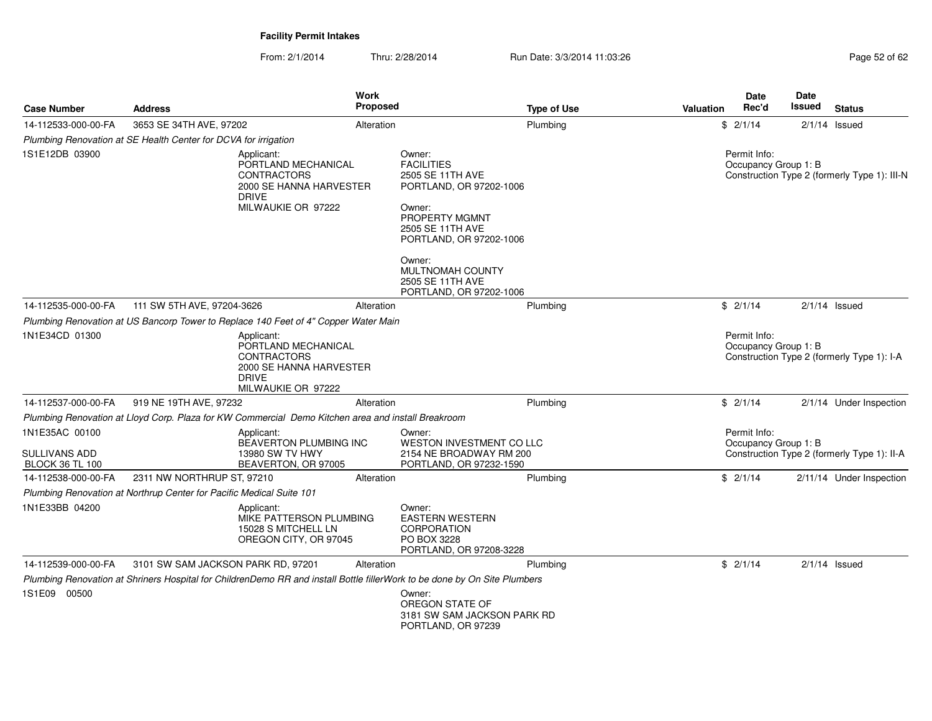| <b>Case Number</b>                                               | <b>Address</b>                                                                                                            | Work<br><b>Proposed</b>                                                                    |                                                                                                                                                              | <b>Type of Use</b> | <b>Valuation</b> | <b>Date</b><br>Rec'd                 | <b>Date</b><br>Issued | <b>Status</b>                                |
|------------------------------------------------------------------|---------------------------------------------------------------------------------------------------------------------------|--------------------------------------------------------------------------------------------|--------------------------------------------------------------------------------------------------------------------------------------------------------------|--------------------|------------------|--------------------------------------|-----------------------|----------------------------------------------|
| 14-112533-000-00-FA                                              | 3653 SE 34TH AVE, 97202                                                                                                   | Alteration                                                                                 |                                                                                                                                                              | Plumbing           |                  | \$2/1/14                             |                       | $2/1/14$ Issued                              |
|                                                                  | Plumbing Renovation at SE Health Center for DCVA for irrigation                                                           |                                                                                            |                                                                                                                                                              |                    |                  |                                      |                       |                                              |
| 1S1E12DB 03900                                                   | Applicant:<br><b>DRIVE</b>                                                                                                | PORTLAND MECHANICAL<br><b>CONTRACTORS</b><br>2000 SE HANNA HARVESTER<br>MILWAUKIE OR 97222 | Owner:<br><b>FACILITIES</b><br>2505 SE 11TH AVE<br>PORTLAND, OR 97202-1006<br>Owner:<br><b>PROPERTY MGMNT</b><br>2505 SE 11TH AVE<br>PORTLAND, OR 97202-1006 |                    |                  | Permit Info:<br>Occupancy Group 1: B |                       | Construction Type 2 (formerly Type 1): III-N |
|                                                                  |                                                                                                                           |                                                                                            | Owner:<br>MULTNOMAH COUNTY<br>2505 SE 11TH AVE<br>PORTLAND, OR 97202-1006                                                                                    |                    |                  |                                      |                       |                                              |
| 14-112535-000-00-FA                                              | 111 SW 5TH AVE, 97204-3626                                                                                                | Alteration                                                                                 |                                                                                                                                                              | Plumbing           |                  | \$2/1/14                             |                       | $2/1/14$ Issued                              |
|                                                                  | Plumbing Renovation at US Bancorp Tower to Replace 140 Feet of 4" Copper Water Main                                       |                                                                                            |                                                                                                                                                              |                    |                  |                                      |                       |                                              |
| 1N1E34CD 01300                                                   | Applicant:<br><b>DRIVE</b>                                                                                                | PORTLAND MECHANICAL<br><b>CONTRACTORS</b><br>2000 SE HANNA HARVESTER<br>MILWAUKIE OR 97222 |                                                                                                                                                              |                    |                  | Permit Info:<br>Occupancy Group 1: B |                       | Construction Type 2 (formerly Type 1): I-A   |
| 14-112537-000-00-FA                                              | 919 NE 19TH AVE, 97232                                                                                                    | Alteration                                                                                 |                                                                                                                                                              | Plumbing           |                  | \$2/1/14                             |                       | 2/1/14 Under Inspection                      |
|                                                                  | Plumbing Renovation at Lloyd Corp. Plaza for KW Commercial Demo Kitchen area and install Breakroom                        |                                                                                            |                                                                                                                                                              |                    |                  |                                      |                       |                                              |
| 1N1E35AC 00100<br><b>SULLIVANS ADD</b><br><b>BLOCK 36 TL 100</b> | Applicant:                                                                                                                | BEAVERTON PLUMBING INC<br>13980 SW TV HWY<br>BEAVERTON, OR 97005                           | Owner:<br>WESTON INVESTMENT CO LLC<br>2154 NE BROADWAY RM 200<br>PORTLAND, OR 97232-1590                                                                     |                    |                  | Permit Info:<br>Occupancy Group 1: B |                       | Construction Type 2 (formerly Type 1): II-A  |
| 14-112538-000-00-FA                                              | 2311 NW NORTHRUP ST, 97210                                                                                                | Alteration                                                                                 |                                                                                                                                                              | Plumbing           |                  | \$2/1/14                             |                       | 2/11/14 Under Inspection                     |
|                                                                  | Plumbing Renovation at Northrup Center for Pacific Medical Suite 101                                                      |                                                                                            |                                                                                                                                                              |                    |                  |                                      |                       |                                              |
| 1N1E33BB 04200                                                   | Applicant:                                                                                                                | MIKE PATTERSON PLUMBING<br>15028 S MITCHELL LN<br>OREGON CITY, OR 97045                    | Owner:<br><b>EASTERN WESTERN</b><br><b>CORPORATION</b><br>PO BOX 3228<br>PORTLAND, OR 97208-3228                                                             |                    |                  |                                      |                       |                                              |
| 14-112539-000-00-FA                                              | 3101 SW SAM JACKSON PARK RD, 97201                                                                                        | Alteration                                                                                 |                                                                                                                                                              | Plumbing           |                  | \$2/1/14                             |                       | $2/1/14$ Issued                              |
|                                                                  | Plumbing Renovation at Shriners Hospital for ChildrenDemo RR and install Bottle fillerWork to be done by On Site Plumbers |                                                                                            |                                                                                                                                                              |                    |                  |                                      |                       |                                              |
| 1S1E09 00500                                                     |                                                                                                                           |                                                                                            | Owner:<br>OREGON STATE OF<br>3181 SW SAM JACKSON PARK RD<br>PORTLAND, OR 97239                                                                               |                    |                  |                                      |                       |                                              |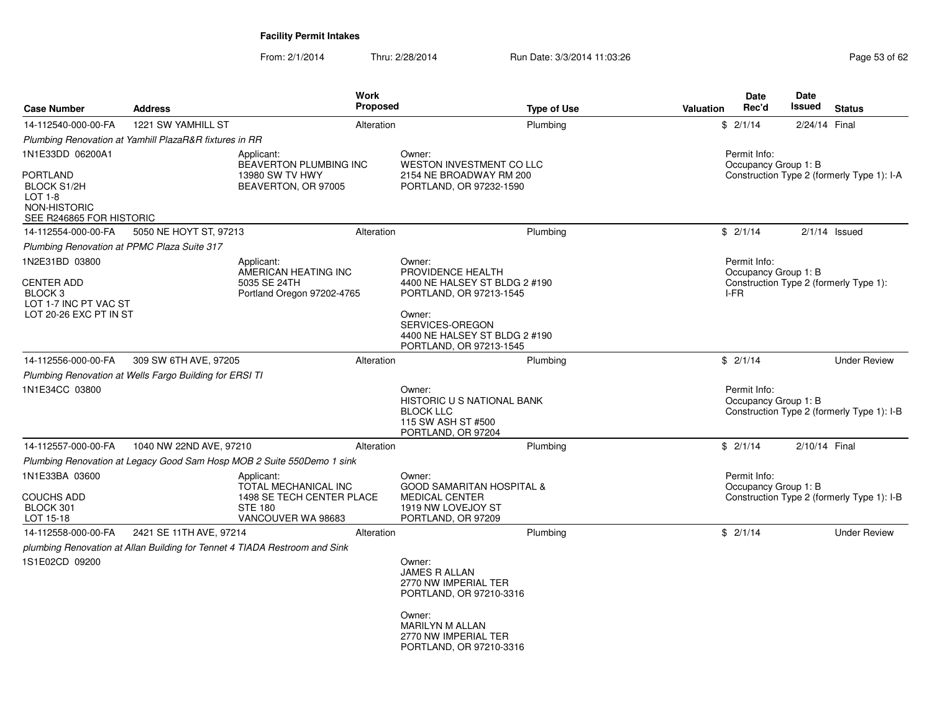| <b>Case Number</b>                                                                                               | <b>Address</b>                                          | <b>Work</b><br><b>Proposed</b>                                                                          |                                                                                                                                                                                  | <b>Type of Use</b> | <b>Valuation</b> | <b>Date</b><br>Rec'd                         | <b>Date</b><br>Issued | <b>Status</b>                              |
|------------------------------------------------------------------------------------------------------------------|---------------------------------------------------------|---------------------------------------------------------------------------------------------------------|----------------------------------------------------------------------------------------------------------------------------------------------------------------------------------|--------------------|------------------|----------------------------------------------|-----------------------|--------------------------------------------|
| 14-112540-000-00-FA                                                                                              | 1221 SW YAMHILL ST                                      | Alteration                                                                                              |                                                                                                                                                                                  | Plumbing           |                  | \$2/1/14                                     | 2/24/14 Final         |                                            |
|                                                                                                                  | Plumbing Renovation at Yamhill PlazaR&R fixtures in RR  |                                                                                                         |                                                                                                                                                                                  |                    |                  |                                              |                       |                                            |
| 1N1E33DD 06200A1<br>PORTLAND<br><b>BLOCK S1/2H</b><br>LOT 1-8<br><b>NON-HISTORIC</b><br>SEE R246865 FOR HISTORIC |                                                         | Applicant:<br>BEAVERTON PLUMBING INC<br>13980 SW TV HWY<br>BEAVERTON, OR 97005                          | Owner:<br>WESTON INVESTMENT CO LLC<br>2154 NE BROADWAY RM 200<br>PORTLAND, OR 97232-1590                                                                                         |                    |                  | Permit Info:<br>Occupancy Group 1: B         |                       | Construction Type 2 (formerly Type 1): I-A |
| 14-112554-000-00-FA                                                                                              | 5050 NE HOYT ST, 97213                                  | Alteration                                                                                              |                                                                                                                                                                                  | Plumbing           |                  | \$2/1/14                                     |                       | $2/1/14$ Issued                            |
| Plumbing Renovation at PPMC Plaza Suite 317                                                                      |                                                         |                                                                                                         |                                                                                                                                                                                  |                    |                  |                                              |                       |                                            |
| 1N2E31BD 03800<br>CENTER ADD<br>BLOCK 3<br>LOT 1-7 INC PT VAC ST<br>LOT 20-26 EXC PT IN ST                       |                                                         | Applicant:<br>AMERICAN HEATING INC<br>5035 SE 24TH<br>Portland Oregon 97202-4765                        | Owner:<br>PROVIDENCE HEALTH<br>4400 NE HALSEY ST BLDG 2 #190<br>PORTLAND, OR 97213-1545<br>Owner:<br>SERVICES-OREGON<br>4400 NE HALSEY ST BLDG 2 #190<br>PORTLAND, OR 97213-1545 |                    |                  | Permit Info:<br>Occupancy Group 1: B<br>I-FR |                       | Construction Type 2 (formerly Type 1):     |
| 14-112556-000-00-FA                                                                                              | 309 SW 6TH AVE, 97205                                   | Alteration                                                                                              |                                                                                                                                                                                  | Plumbing           |                  | \$2/1/14                                     |                       | <b>Under Review</b>                        |
|                                                                                                                  | Plumbing Renovation at Wells Fargo Building for ERSI TI |                                                                                                         |                                                                                                                                                                                  |                    |                  |                                              |                       |                                            |
| 1N1E34CC 03800                                                                                                   |                                                         |                                                                                                         | Owner:<br><b>HISTORIC U S NATIONAL BANK</b><br><b>BLOCK LLC</b><br>115 SW ASH ST #500<br>PORTLAND, OR 97204                                                                      |                    |                  | Permit Info:<br>Occupancy Group 1: B         |                       | Construction Type 2 (formerly Type 1): I-B |
| 14-112557-000-00-FA                                                                                              | 1040 NW 22ND AVE, 97210                                 | Alteration                                                                                              |                                                                                                                                                                                  | Plumbing           |                  | \$2/1/14                                     | 2/10/14 Final         |                                            |
|                                                                                                                  |                                                         | Plumbing Renovation at Legacy Good Sam Hosp MOB 2 Suite 550Demo 1 sink                                  |                                                                                                                                                                                  |                    |                  |                                              |                       |                                            |
| 1N1E33BA 03600<br>COUCHS ADD<br>BLOCK 301<br>LOT 15-18                                                           |                                                         | Applicant:<br>TOTAL MECHANICAL INC<br>1498 SE TECH CENTER PLACE<br><b>STE 180</b><br>VANCOUVER WA 98683 | Owner:<br><b>GOOD SAMARITAN HOSPITAL &amp;</b><br><b>MEDICAL CENTER</b><br>1919 NW LOVEJOY ST<br>PORTLAND, OR 97209                                                              |                    |                  | Permit Info:<br>Occupancy Group 1: B         |                       | Construction Type 2 (formerly Type 1): I-B |
| 14-112558-000-00-FA                                                                                              | 2421 SE 11TH AVE, 97214                                 | Alteration                                                                                              |                                                                                                                                                                                  | Plumbing           |                  | \$2/1/14                                     |                       | <b>Under Review</b>                        |
|                                                                                                                  |                                                         | plumbing Renovation at Allan Building for Tennet 4 TIADA Restroom and Sink                              |                                                                                                                                                                                  |                    |                  |                                              |                       |                                            |
| 1S1E02CD 09200                                                                                                   |                                                         |                                                                                                         | Owner:<br><b>JAMES R ALLAN</b><br>2770 NW IMPERIAL TER<br>PORTLAND, OR 97210-3316                                                                                                |                    |                  |                                              |                       |                                            |
|                                                                                                                  |                                                         |                                                                                                         | Owner:<br><b>MARILYN M ALLAN</b><br>2770 NW IMPERIAL TER<br>PORTLAND, OR 97210-3316                                                                                              |                    |                  |                                              |                       |                                            |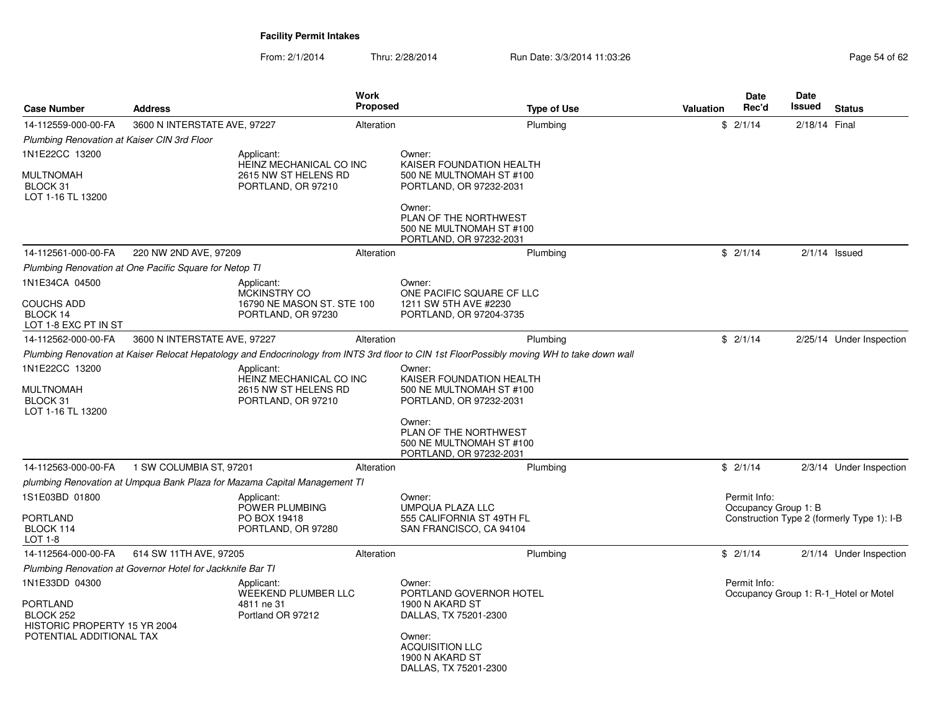| <b>Case Number</b>                                    | <b>Address</b>                                                            | <b>Work</b><br><b>Proposed</b>                      | <b>Type of Use</b>                                                                                                                          | Date<br>Rec'd<br><b>Valuation</b>    | Date<br>Issued<br><b>Status</b>            |
|-------------------------------------------------------|---------------------------------------------------------------------------|-----------------------------------------------------|---------------------------------------------------------------------------------------------------------------------------------------------|--------------------------------------|--------------------------------------------|
| 14-112559-000-00-FA                                   | 3600 N INTERSTATE AVE, 97227                                              | Alteration                                          | Plumbing                                                                                                                                    | \$2/1/14                             | 2/18/14 Final                              |
| Plumbing Renovation at Kaiser CIN 3rd Floor           |                                                                           |                                                     |                                                                                                                                             |                                      |                                            |
| 1N1E22CC 13200<br>MULTNOMAH                           | Applicant:<br>2615 NW ST HELENS RD                                        | Owner:<br>HEINZ MECHANICAL CO INC                   | KAISER FOUNDATION HEALTH<br>500 NE MULTNOMAH ST #100                                                                                        |                                      |                                            |
| BLOCK 31<br>LOT 1-16 TL 13200                         | PORTLAND, OR 97210                                                        |                                                     | PORTLAND, OR 97232-2031                                                                                                                     |                                      |                                            |
|                                                       |                                                                           | Owner:                                              | PLAN OF THE NORTHWEST<br>500 NE MULTNOMAH ST #100<br>PORTLAND, OR 97232-2031                                                                |                                      |                                            |
| 14-112561-000-00-FA                                   | 220 NW 2ND AVE, 97209                                                     | Alteration                                          | Plumbing                                                                                                                                    | \$2/1/14                             | $2/1/14$ Issued                            |
|                                                       | Plumbing Renovation at One Pacific Square for Netop TI                    |                                                     |                                                                                                                                             |                                      |                                            |
| 1N1E34CA 04500                                        | Applicant:<br>MCKINSTRY CO                                                | Owner:                                              | ONE PACIFIC SQUARE CF LLC                                                                                                                   |                                      |                                            |
| <b>COUCHS ADD</b><br>BLOCK 14<br>LOT 1-8 EXC PT IN ST | PORTLAND, OR 97230                                                        | 16790 NE MASON ST. STE 100                          | 1211 SW 5TH AVE #2230<br>PORTLAND, OR 97204-3735                                                                                            |                                      |                                            |
| 14-112562-000-00-FA                                   | 3600 N INTERSTATE AVE, 97227                                              | Alteration                                          | Plumbing                                                                                                                                    | \$2/1/14                             | 2/25/14 Under Inspection                   |
|                                                       |                                                                           |                                                     | Plumbing Renovation at Kaiser Relocat Hepatology and Endocrinology from INTS 3rd floor to CIN 1st FloorPossibly moving WH to take down wall |                                      |                                            |
| 1N1E22CC 13200                                        | Applicant:                                                                | Owner:<br>HEINZ MECHANICAL CO INC                   | KAISER FOUNDATION HEALTH                                                                                                                    |                                      |                                            |
| MULTNOMAH<br>BLOCK 31<br>LOT 1-16 TL 13200            | 2615 NW ST HELENS RD<br>PORTLAND, OR 97210                                |                                                     | 500 NE MULTNOMAH ST #100<br>PORTLAND, OR 97232-2031                                                                                         |                                      |                                            |
|                                                       |                                                                           | Owner:                                              | PLAN OF THE NORTHWEST<br>500 NE MULTNOMAH ST #100<br>PORTLAND, OR 97232-2031                                                                |                                      |                                            |
| 14-112563-000-00-FA                                   | 1 SW COLUMBIA ST, 97201                                                   | Alteration                                          | Plumbing                                                                                                                                    | \$2/1/14                             | 2/3/14 Under Inspection                    |
|                                                       | plumbing Renovation at Umpqua Bank Plaza for Mazama Capital Management TI |                                                     |                                                                                                                                             |                                      |                                            |
| 1S1E03BD 01800                                        | Applicant:<br>POWER PLUMBING                                              | Owner:                                              | UMPQUA PLAZA LLC                                                                                                                            | Permit Info:<br>Occupancy Group 1: B |                                            |
| PORTLAND                                              | PO BOX 19418                                                              |                                                     | 555 CALIFORNIA ST 49TH FL                                                                                                                   |                                      | Construction Type 2 (formerly Type 1): I-B |
| BLOCK 114<br>LOT 1-8                                  | PORTLAND, OR 97280                                                        |                                                     | SAN FRANCISCO, CA 94104                                                                                                                     |                                      |                                            |
| 14-112564-000-00-FA                                   | 614 SW 11TH AVE, 97205                                                    | Alteration                                          | Plumbing                                                                                                                                    | \$2/1/14                             | 2/1/14 Under Inspection                    |
|                                                       | Plumbing Renovation at Governor Hotel for Jackknife Bar TI                |                                                     |                                                                                                                                             |                                      |                                            |
| 1N1E33DD 04300                                        | Applicant:                                                                | Owner:                                              |                                                                                                                                             | Permit Info:                         |                                            |
| PORTLAND<br>BLOCK 252<br>HISTORIC PROPERTY 15 YR 2004 | 4811 ne 31<br>Portland OR 97212                                           | <b>WEEKEND PLUMBER LLC</b><br>1900 N AKARD ST       | PORTLAND GOVERNOR HOTEL<br>DALLAS, TX 75201-2300                                                                                            |                                      | Occupancy Group 1: R-1 Hotel or Motel      |
| POTENTIAL ADDITIONAL TAX                              |                                                                           | Owner:<br><b>ACQUISITION LLC</b><br>1900 N AKARD ST | DALLAS, TX 75201-2300                                                                                                                       |                                      |                                            |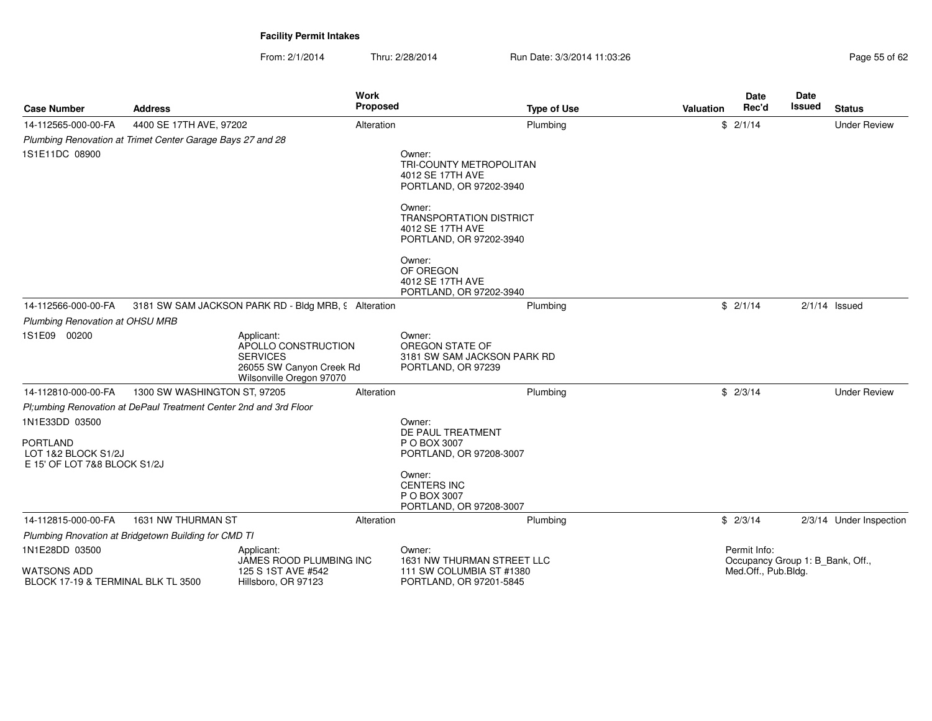| <b>Case Number</b>                                                                       | <b>Address</b>                                                     | <b>Work</b><br>Proposed                                                                                      |                                                                                         | <b>Type of Use</b>          | Valuation | <b>Date</b><br>Rec'd                | <b>Date</b><br>Issued            | <b>Status</b>           |
|------------------------------------------------------------------------------------------|--------------------------------------------------------------------|--------------------------------------------------------------------------------------------------------------|-----------------------------------------------------------------------------------------|-----------------------------|-----------|-------------------------------------|----------------------------------|-------------------------|
| 14-112565-000-00-FA                                                                      | 4400 SE 17TH AVE, 97202                                            | Alteration                                                                                                   |                                                                                         | Plumbing                    |           | \$2/1/14                            |                                  | <b>Under Review</b>     |
|                                                                                          | Plumbing Renovation at Trimet Center Garage Bays 27 and 28         |                                                                                                              |                                                                                         |                             |           |                                     |                                  |                         |
| 1S1E11DC 08900                                                                           |                                                                    |                                                                                                              | Owner:<br>TRI-COUNTY METROPOLITAN<br>4012 SE 17TH AVE<br>PORTLAND, OR 97202-3940        |                             |           |                                     |                                  |                         |
|                                                                                          |                                                                    |                                                                                                              | Owner:<br><b>TRANSPORTATION DISTRICT</b><br>4012 SE 17TH AVE<br>PORTLAND, OR 97202-3940 |                             |           |                                     |                                  |                         |
|                                                                                          |                                                                    |                                                                                                              | Owner:<br>OF OREGON<br>4012 SE 17TH AVE<br>PORTLAND, OR 97202-3940                      |                             |           |                                     |                                  |                         |
| 14-112566-000-00-FA                                                                      |                                                                    | 3181 SW SAM JACKSON PARK RD - Bldg MRB, 9 Alteration                                                         |                                                                                         | Plumbing                    |           | \$2/1/14                            |                                  | $2/1/14$ Issued         |
| <b>Plumbing Renovation at OHSU MRB</b>                                                   |                                                                    |                                                                                                              |                                                                                         |                             |           |                                     |                                  |                         |
| 1S1E09 00200                                                                             |                                                                    | Applicant:<br>APOLLO CONSTRUCTION<br><b>SERVICES</b><br>26055 SW Canyon Creek Rd<br>Wilsonville Oregon 97070 | Owner:<br>OREGON STATE OF<br>PORTLAND, OR 97239                                         | 3181 SW SAM JACKSON PARK RD |           |                                     |                                  |                         |
| 14-112810-000-00-FA                                                                      | 1300 SW WASHINGTON ST, 97205                                       | Alteration                                                                                                   |                                                                                         | Plumbing                    |           | \$2/3/14                            |                                  | <b>Under Review</b>     |
|                                                                                          | Pl; umbing Renovation at DePaul Treatment Center 2nd and 3rd Floor |                                                                                                              |                                                                                         |                             |           |                                     |                                  |                         |
| 1N1E33DD 03500<br><b>PORTLAND</b><br>LOT 1&2 BLOCK S1/2J<br>E 15' OF LOT 7&8 BLOCK S1/2J |                                                                    |                                                                                                              | Owner:<br>DE PAUL TREATMENT<br>P O BOX 3007<br>PORTLAND, OR 97208-3007                  |                             |           |                                     |                                  |                         |
|                                                                                          |                                                                    |                                                                                                              | Owner:<br><b>CENTERS INC</b><br>P O BOX 3007<br>PORTLAND, OR 97208-3007                 |                             |           |                                     |                                  |                         |
| 14-112815-000-00-FA                                                                      | 1631 NW THURMAN ST                                                 | Alteration                                                                                                   |                                                                                         | Plumbing                    |           | \$2/3/14                            |                                  | 2/3/14 Under Inspection |
|                                                                                          | Plumbing Rnovation at Bridgetown Building for CMD TI               |                                                                                                              |                                                                                         |                             |           |                                     |                                  |                         |
| 1N1E28DD 03500<br><b>WATSONS ADD</b><br>BLOCK 17-19 & TERMINAL BLK TL 3500               |                                                                    | Applicant:<br>JAMES ROOD PLUMBING INC<br>125 S 1ST AVE #542<br>Hillsboro, OR 97123                           | Owner:<br>111 SW COLUMBIA ST #1380<br>PORTLAND, OR 97201-5845                           | 1631 NW THURMAN STREET LLC  |           | Permit Info:<br>Med.Off., Pub.Bldg. | Occupancy Group 1: B_Bank, Off., |                         |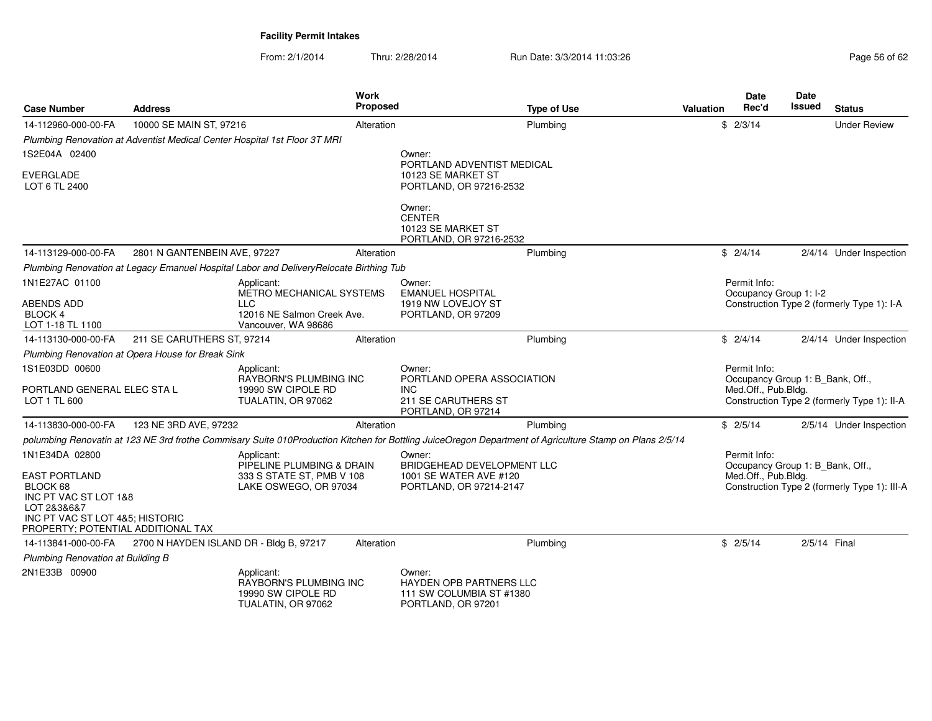| <b>Case Number</b>                                                                         | <b>Address</b>                                                                                                  |                                                                                                                                                         | <b>Work</b><br>Proposed |                                                                                                 | <b>Type of Use</b> | <b>Valuation</b> | <b>Date</b><br>Rec'd                | Date<br>Issued                                          | <b>Status</b>                                |
|--------------------------------------------------------------------------------------------|-----------------------------------------------------------------------------------------------------------------|---------------------------------------------------------------------------------------------------------------------------------------------------------|-------------------------|-------------------------------------------------------------------------------------------------|--------------------|------------------|-------------------------------------|---------------------------------------------------------|----------------------------------------------|
| 14-112960-000-00-FA                                                                        | 10000 SE MAIN ST, 97216                                                                                         |                                                                                                                                                         | Alteration              |                                                                                                 | Plumbing           |                  | \$2/3/14                            |                                                         | <b>Under Review</b>                          |
|                                                                                            |                                                                                                                 | Plumbing Renovation at Adventist Medical Center Hospital 1st Floor 3T MRI                                                                               |                         |                                                                                                 |                    |                  |                                     |                                                         |                                              |
| 1S2E04A 02400                                                                              |                                                                                                                 |                                                                                                                                                         |                         | Owner:                                                                                          |                    |                  |                                     |                                                         |                                              |
| <b>EVERGLADE</b><br>LOT 6 TL 2400                                                          |                                                                                                                 |                                                                                                                                                         |                         | PORTLAND ADVENTIST MEDICAL<br>10123 SE MARKET ST<br>PORTLAND, OR 97216-2532                     |                    |                  |                                     |                                                         |                                              |
|                                                                                            |                                                                                                                 |                                                                                                                                                         |                         | Owner:<br><b>CENTER</b><br>10123 SE MARKET ST<br>PORTLAND, OR 97216-2532                        |                    |                  |                                     |                                                         |                                              |
| 14-113129-000-00-FA                                                                        | 2801 N GANTENBEIN AVE, 97227                                                                                    |                                                                                                                                                         | Alteration              |                                                                                                 | Plumbing           |                  | \$2/4/14                            |                                                         | 2/4/14 Under Inspection                      |
|                                                                                            |                                                                                                                 | Plumbing Renovation at Legacy Emanuel Hospital Labor and DeliveryRelocate Birthing Tub                                                                  |                         |                                                                                                 |                    |                  |                                     |                                                         |                                              |
| 1N1E27AC 01100                                                                             |                                                                                                                 | Applicant:<br>METRO MECHANICAL SYSTEMS                                                                                                                  |                         | Owner:<br><b>EMANUEL HOSPITAL</b>                                                               |                    |                  | Permit Info:                        | Occupancy Group 1: I-2                                  |                                              |
| <b>ABENDS ADD</b><br><b>BLOCK 4</b><br>LOT 1-18 TL 1100                                    |                                                                                                                 | <b>LLC</b><br>12016 NE Salmon Creek Ave.<br>Vancouver, WA 98686                                                                                         |                         | 1919 NW LOVEJOY ST<br>PORTLAND, OR 97209                                                        |                    |                  |                                     |                                                         | Construction Type 2 (formerly Type 1): I-A   |
| 14-113130-000-00-FA                                                                        | 211 SE CARUTHERS ST. 97214                                                                                      |                                                                                                                                                         | Alteration              |                                                                                                 | Plumbing           |                  | \$2/4/14                            |                                                         | 2/4/14 Under Inspection                      |
|                                                                                            | Plumbing Renovation at Opera House for Break Sink                                                               |                                                                                                                                                         |                         |                                                                                                 |                    |                  |                                     |                                                         |                                              |
| 1S1E03DD 00600<br>LOT 1 TL 600                                                             | Applicant:<br>RAYBORN'S PLUMBING INC<br>PORTLAND GENERAL ELEC STA L<br>19990 SW CIPOLE RD<br>TUALATIN, OR 97062 |                                                                                                                                                         |                         | Owner:<br>PORTLAND OPERA ASSOCIATION<br><b>INC</b><br>211 SE CARUTHERS ST<br>PORTLAND, OR 97214 |                    |                  | Permit Info:<br>Med.Off., Pub.Bldg. | Occupancy Group 1: B_Bank, Off.,                        | Construction Type 2 (formerly Type 1): II-A  |
| 14-113830-000-00-FA                                                                        | 123 NE 3RD AVE, 97232                                                                                           |                                                                                                                                                         | Alteration              |                                                                                                 | Plumbing           |                  | \$2/5/14                            |                                                         | 2/5/14 Under Inspection                      |
|                                                                                            |                                                                                                                 | polumbing Renovatin at 123 NE 3rd frothe Commisary Suite 010Production Kitchen for Bottling JuiceOregon Department of Agriculture Stamp on Plans 2/5/14 |                         |                                                                                                 |                    |                  |                                     |                                                         |                                              |
| 1N1E34DA 02800<br><b>EAST PORTLAND</b><br>BLOCK 68<br>INC PT VAC ST LOT 1&8<br>LOT 2&3&6&7 |                                                                                                                 | Applicant:<br>PIPELINE PLUMBING & DRAIN<br>333 S STATE ST, PMB V 108<br>LAKE OSWEGO, OR 97034                                                           |                         | Owner:<br>BRIDGEHEAD DEVELOPMENT LLC<br>1001 SE WATER AVE #120<br>PORTLAND, OR 97214-2147       |                    |                  | Permit Info:                        | Occupancy Group 1: B Bank, Off.,<br>Med.Off., Pub.Bldg. | Construction Type 2 (formerly Type 1): III-A |
| INC PT VAC ST LOT 4&5; HISTORIC<br>PROPERTY; POTENTIAL ADDITIONAL TAX                      |                                                                                                                 |                                                                                                                                                         |                         |                                                                                                 |                    |                  |                                     |                                                         |                                              |
| 14-113841-000-00-FA                                                                        | 2700 N HAYDEN ISLAND DR - Bldg B, 97217                                                                         |                                                                                                                                                         | Alteration              |                                                                                                 | Plumbing           |                  | \$2/5/14                            | 2/5/14 Final                                            |                                              |
| Plumbing Renovation at Building B                                                          |                                                                                                                 |                                                                                                                                                         |                         |                                                                                                 |                    |                  |                                     |                                                         |                                              |
| 2N1E33B 00900                                                                              |                                                                                                                 | Applicant:<br>RAYBORN'S PLUMBING INC<br>19990 SW CIPOLE RD<br>TUALATIN, OR 97062                                                                        |                         | Owner:<br><b>HAYDEN OPB PARTNERS LLC</b><br>111 SW COLUMBIA ST #1380<br>PORTLAND, OR 97201      |                    |                  |                                     |                                                         |                                              |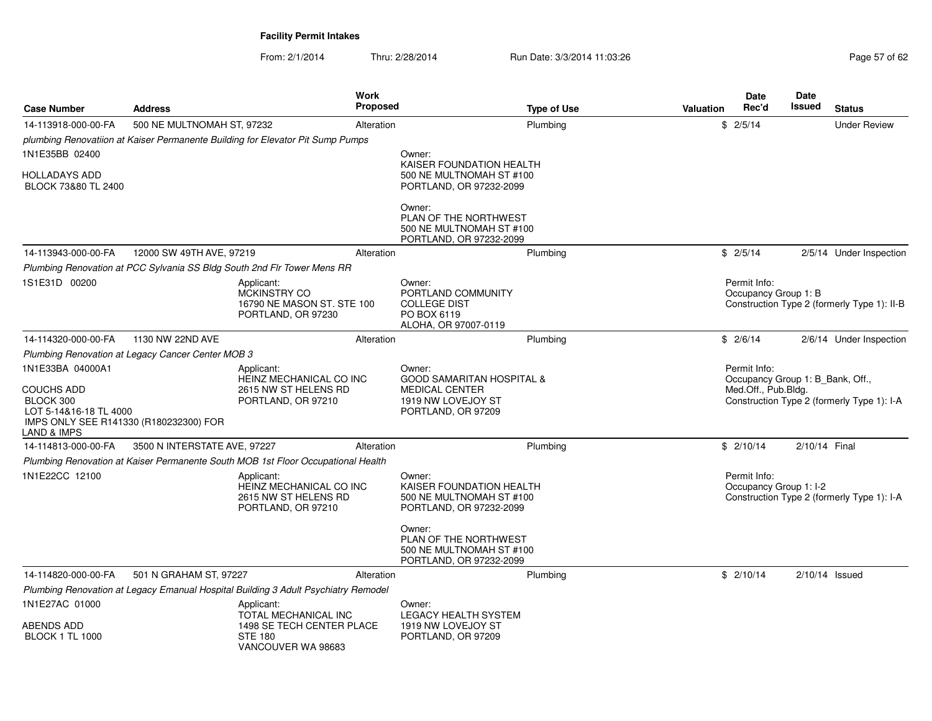| <b>Case Number</b>                                                           | <b>Address</b>                                                                                                                |                                                                                                                                                                         | Work<br>Proposed | <b>Type of Use</b>                                                                                                  | <b>Valuation</b> | <b>Date</b><br>Rec'd                                                                                                  | <b>Date</b><br>Issued | <b>Status</b>                               |  |
|------------------------------------------------------------------------------|-------------------------------------------------------------------------------------------------------------------------------|-------------------------------------------------------------------------------------------------------------------------------------------------------------------------|------------------|---------------------------------------------------------------------------------------------------------------------|------------------|-----------------------------------------------------------------------------------------------------------------------|-----------------------|---------------------------------------------|--|
| 14-113918-000-00-FA                                                          | 500 NE MULTNOMAH ST, 97232                                                                                                    |                                                                                                                                                                         | Alteration       | Plumbing                                                                                                            |                  | \$2/5/14                                                                                                              |                       | <b>Under Review</b>                         |  |
|                                                                              |                                                                                                                               | plumbing Renovatiion at Kaiser Permanente Building for Elevator Pit Sump Pumps                                                                                          |                  |                                                                                                                     |                  |                                                                                                                       |                       |                                             |  |
| 1N1E35BB 02400                                                               |                                                                                                                               |                                                                                                                                                                         |                  | Owner:                                                                                                              |                  |                                                                                                                       |                       |                                             |  |
| HOLLADAYS ADD<br>BLOCK 73&80 TL 2400                                         |                                                                                                                               |                                                                                                                                                                         |                  | KAISER FOUNDATION HEALTH<br>500 NE MULTNOMAH ST #100<br>PORTLAND, OR 97232-2099                                     |                  |                                                                                                                       |                       |                                             |  |
|                                                                              |                                                                                                                               |                                                                                                                                                                         |                  | Owner:<br>PLAN OF THE NORTHWEST<br>500 NE MULTNOMAH ST #100<br>PORTLAND, OR 97232-2099                              |                  |                                                                                                                       |                       |                                             |  |
| 14-113943-000-00-FA                                                          | 12000 SW 49TH AVE, 97219                                                                                                      |                                                                                                                                                                         | Alteration       | Plumbing                                                                                                            |                  | \$2/5/14                                                                                                              |                       | 2/5/14 Under Inspection                     |  |
|                                                                              |                                                                                                                               | Plumbing Renovation at PCC Sylvania SS Bldg South 2nd Flr Tower Mens RR                                                                                                 |                  |                                                                                                                     |                  |                                                                                                                       |                       |                                             |  |
| 1S1E31D 00200                                                                |                                                                                                                               | Applicant:<br><b>MCKINSTRY CO</b><br>16790 NE MASON ST, STE 100<br>PORTLAND, OR 97230                                                                                   |                  | Owner:<br>PORTLAND COMMUNITY<br><b>COLLEGE DIST</b><br>PO BOX 6119<br>ALOHA, OR 97007-0119                          |                  | Permit Info:<br>Occupancy Group 1: B                                                                                  |                       | Construction Type 2 (formerly Type 1): II-B |  |
| 14-114320-000-00-FA                                                          | 1130 NW 22ND AVE                                                                                                              |                                                                                                                                                                         | Alteration       | Plumbing                                                                                                            |                  | \$2/6/14                                                                                                              |                       | 2/6/14 Under Inspection                     |  |
| Plumbing Renovation at Legacy Cancer Center MOB 3                            |                                                                                                                               |                                                                                                                                                                         |                  |                                                                                                                     |                  |                                                                                                                       |                       |                                             |  |
| 1N1E33BA 04000A1<br><b>COUCHS ADD</b><br>BLOCK 300<br>LOT 5-14&16-18 TL 4000 | Applicant:<br>HEINZ MECHANICAL CO INC<br>2615 NW ST HELENS RD<br>PORTLAND, OR 97210<br>IMPS ONLY SEE R141330 (R180232300) FOR |                                                                                                                                                                         |                  | Owner:<br><b>GOOD SAMARITAN HOSPITAL &amp;</b><br><b>MEDICAL CENTER</b><br>1919 NW LOVEJOY ST<br>PORTLAND, OR 97209 |                  | Permit Info:<br>Occupancy Group 1: B_Bank, Off.,<br>Med.Off., Pub.Bldg.<br>Construction Type 2 (formerly Type 1): I-A |                       |                                             |  |
| LAND & IMPS                                                                  |                                                                                                                               |                                                                                                                                                                         |                  |                                                                                                                     |                  |                                                                                                                       |                       |                                             |  |
| 14-114813-000-00-FA                                                          | 3500 N INTERSTATE AVE, 97227                                                                                                  |                                                                                                                                                                         | Alteration       | Plumbing                                                                                                            |                  | \$2/10/14                                                                                                             | 2/10/14 Final         |                                             |  |
| 1N1E22CC 12100                                                               |                                                                                                                               | Plumbing Renovation at Kaiser Permanente South MOB 1st Floor Occupational Health<br>Applicant:<br>HEINZ MECHANICAL CO INC<br>2615 NW ST HELENS RD<br>PORTLAND, OR 97210 |                  | Owner:<br>KAISER FOUNDATION HEALTH<br>500 NE MULTNOMAH ST #100<br>PORTLAND, OR 97232-2099<br>Owner:                 |                  | Permit Info:<br>Occupancy Group 1: I-2                                                                                |                       | Construction Type 2 (formerly Type 1): I-A  |  |
|                                                                              |                                                                                                                               |                                                                                                                                                                         |                  | PLAN OF THE NORTHWEST<br>500 NE MULTNOMAH ST #100<br>PORTLAND, OR 97232-2099                                        |                  |                                                                                                                       |                       |                                             |  |
| 14-114820-000-00-FA                                                          | 501 N GRAHAM ST, 97227                                                                                                        |                                                                                                                                                                         | Alteration       | Plumbing                                                                                                            |                  | \$2/10/14                                                                                                             | $2/10/14$ Issued      |                                             |  |
|                                                                              |                                                                                                                               | Plumbing Renovation at Legacy Emanual Hospital Building 3 Adult Psychiatry Remodel                                                                                      |                  |                                                                                                                     |                  |                                                                                                                       |                       |                                             |  |
| 1N1E27AC 01000<br><b>ABENDS ADD</b><br><b>BLOCK 1 TL 1000</b>                |                                                                                                                               | Applicant:<br>TOTAL MECHANICAL INC<br>1498 SE TECH CENTER PLACE<br><b>STE 180</b><br>VANCOUVER WA 98683                                                                 |                  | Owner:<br>LEGACY HEALTH SYSTEM<br>1919 NW LOVEJOY ST<br>PORTLAND, OR 97209                                          |                  |                                                                                                                       |                       |                                             |  |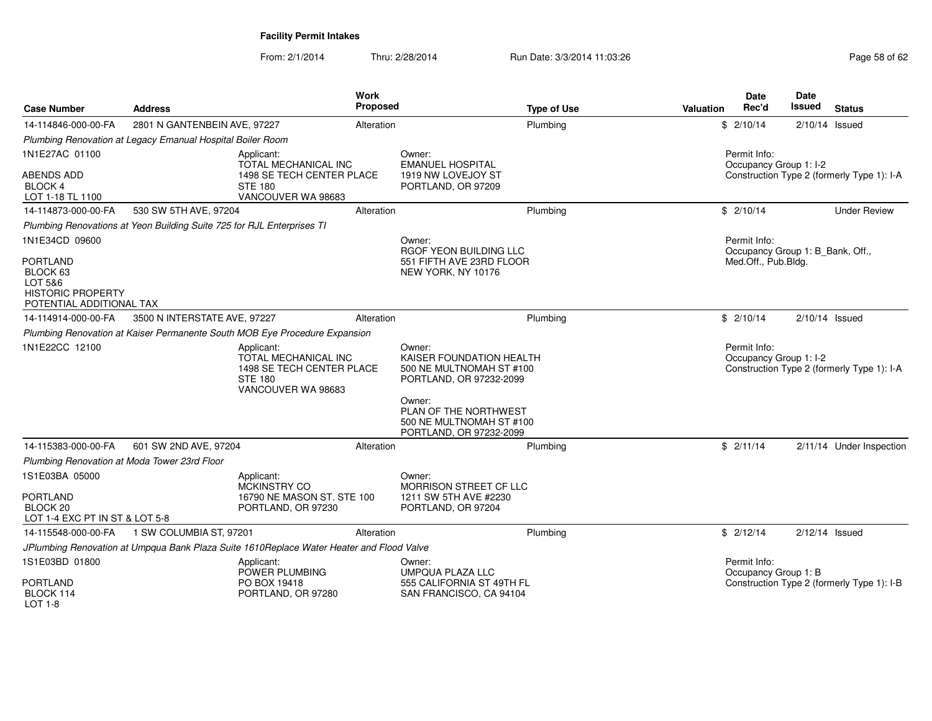| <b>Case Number</b>                                                                             | <b>Address</b>                                                                                          |                                                                                          | <b>Work</b><br>Proposed | <b>Type of Use</b>                                                                        | <b>Valuation</b> | <b>Date</b><br>Rec'd                   | <b>Date</b><br>Issued            | <b>Status</b>                              |
|------------------------------------------------------------------------------------------------|---------------------------------------------------------------------------------------------------------|------------------------------------------------------------------------------------------|-------------------------|-------------------------------------------------------------------------------------------|------------------|----------------------------------------|----------------------------------|--------------------------------------------|
| 14-114846-000-00-FA                                                                            | 2801 N GANTENBEIN AVE, 97227                                                                            |                                                                                          | Alteration              | Plumbing                                                                                  |                  | \$2/10/14                              | $2/10/14$ Issued                 |                                            |
|                                                                                                | Plumbing Renovation at Legacy Emanual Hospital Boiler Room                                              |                                                                                          |                         |                                                                                           |                  |                                        |                                  |                                            |
| 1N1E27AC 01100                                                                                 |                                                                                                         | Applicant:<br>TOTAL MECHANICAL INC                                                       |                         | Owner:<br><b>EMANUEL HOSPITAL</b>                                                         |                  | Permit Info:<br>Occupancy Group 1: I-2 |                                  |                                            |
| ABENDS ADD<br><b>BLOCK 4</b><br>LOT 1-18 TL 1100                                               |                                                                                                         | 1498 SE TECH CENTER PLACE<br><b>STE 180</b><br>VANCOUVER WA 98683                        |                         | 1919 NW LOVEJOY ST<br>PORTLAND, OR 97209                                                  |                  |                                        |                                  | Construction Type 2 (formerly Type 1): I-A |
| 14-114873-000-00-FA                                                                            | 530 SW 5TH AVE, 97204                                                                                   |                                                                                          | Alteration              | Plumbing                                                                                  |                  | \$2/10/14                              |                                  | <b>Under Review</b>                        |
|                                                                                                | Plumbing Renovations at Yeon Building Suite 725 for RJL Enterprises TI                                  |                                                                                          |                         |                                                                                           |                  |                                        |                                  |                                            |
| 1N1E34CD 09600                                                                                 |                                                                                                         |                                                                                          |                         | Owner:<br>RGOF YEON BUILDING LLC                                                          |                  | Permit Info:                           | Occupancy Group 1: B_Bank, Off., |                                            |
| <b>PORTLAND</b><br>BLOCK 63<br>LOT 5&6<br><b>HISTORIC PROPERTY</b><br>POTENTIAL ADDITIONAL TAX |                                                                                                         |                                                                                          |                         | 551 FIFTH AVE 23RD FLOOR<br>NEW YORK, NY 10176                                            |                  | Med.Off., Pub.Bldg.                    |                                  |                                            |
| 14-114914-000-00-FA                                                                            | 3500 N INTERSTATE AVE, 97227                                                                            |                                                                                          | Alteration              | Plumbing                                                                                  |                  | \$2/10/14                              | $2/10/14$ Issued                 |                                            |
|                                                                                                |                                                                                                         | Plumbing Renovation at Kaiser Permanente South MOB Eye Procedure Expansion               |                         |                                                                                           |                  |                                        |                                  |                                            |
| 1N1E22CC 12100                                                                                 | Applicant:<br>TOTAL MECHANICAL INC<br>1498 SE TECH CENTER PLACE<br><b>STE 180</b><br>VANCOUVER WA 98683 |                                                                                          |                         | Owner:<br>KAISER FOUNDATION HEALTH<br>500 NE MULTNOMAH ST #100<br>PORTLAND, OR 97232-2099 |                  | Permit Info:<br>Occupancy Group 1: I-2 |                                  | Construction Type 2 (formerly Type 1): I-A |
|                                                                                                |                                                                                                         |                                                                                          |                         | Owner:<br>PLAN OF THE NORTHWEST<br>500 NE MULTNOMAH ST #100<br>PORTLAND, OR 97232-2099    |                  |                                        |                                  |                                            |
| 14-115383-000-00-FA                                                                            | 601 SW 2ND AVE, 97204                                                                                   |                                                                                          | Alteration              | Plumbing                                                                                  |                  | \$2/11/14                              |                                  | 2/11/14 Under Inspection                   |
| Plumbing Renovation at Moda Tower 23rd Floor                                                   |                                                                                                         |                                                                                          |                         |                                                                                           |                  |                                        |                                  |                                            |
| 1S1E03BA 05000                                                                                 |                                                                                                         | Applicant:<br><b>MCKINSTRY CO</b>                                                        |                         | Owner:<br>MORRISON STREET CF LLC                                                          |                  |                                        |                                  |                                            |
| PORTLAND<br>BLOCK 20<br>LOT 1-4 EXC PT IN ST & LOT 5-8                                         |                                                                                                         | 16790 NE MASON ST. STE 100<br>PORTLAND, OR 97230                                         |                         | 1211 SW 5TH AVE #2230<br>PORTLAND, OR 97204                                               |                  |                                        |                                  |                                            |
| 14-115548-000-00-FA                                                                            | 1 SW COLUMBIA ST, 97201                                                                                 |                                                                                          | Alteration              | Plumbing                                                                                  |                  | \$2/12/14                              | $2/12/14$ Issued                 |                                            |
|                                                                                                |                                                                                                         | JPlumbing Renovation at Umpqua Bank Plaza Suite 1610Replace Water Heater and Flood Valve |                         |                                                                                           |                  |                                        |                                  |                                            |
| 1S1E03BD 01800                                                                                 |                                                                                                         | Applicant:<br>POWER PLUMBING                                                             |                         | Owner:<br><b>UMPQUA PLAZA LLC</b>                                                         |                  | Permit Info:<br>Occupancy Group 1: B   |                                  |                                            |
| <b>PORTLAND</b><br>BLOCK 114<br>LOT 1-8                                                        |                                                                                                         | PO BOX 19418<br>PORTLAND, OR 97280                                                       |                         | 555 CALIFORNIA ST 49TH FL<br>SAN FRANCISCO, CA 94104                                      |                  |                                        |                                  | Construction Type 2 (formerly Type 1): I-B |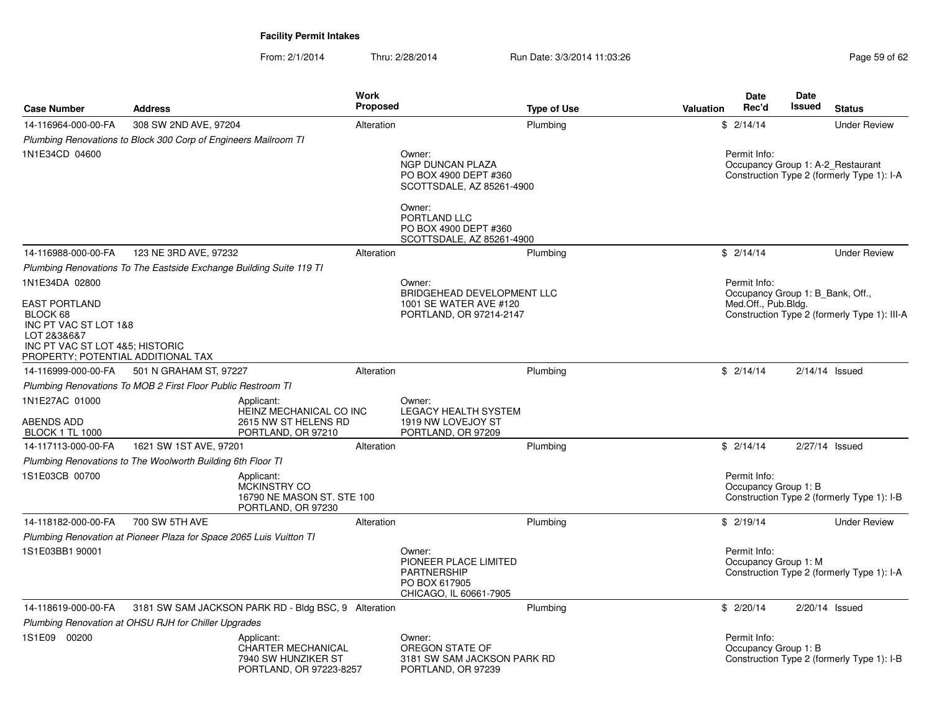| <b>Case Number</b>                                                                                                                                | <b>Address</b>                                                      |                                                                                           | <b>Work</b><br><b>Proposed</b> |                                                                                                                                     | <b>Type of Use</b> | <b>Valuation</b> | Date<br>Rec'd                        | <b>Date</b><br>Issued            | <b>Status</b>                                                                   |
|---------------------------------------------------------------------------------------------------------------------------------------------------|---------------------------------------------------------------------|-------------------------------------------------------------------------------------------|--------------------------------|-------------------------------------------------------------------------------------------------------------------------------------|--------------------|------------------|--------------------------------------|----------------------------------|---------------------------------------------------------------------------------|
| 14-116964-000-00-FA                                                                                                                               | 308 SW 2ND AVE, 97204                                               |                                                                                           | Alteration                     |                                                                                                                                     | Plumbing           |                  | \$2/14/14                            |                                  | <b>Under Review</b>                                                             |
|                                                                                                                                                   | Plumbing Renovations to Block 300 Corp of Engineers Mailroom TI     |                                                                                           |                                |                                                                                                                                     |                    |                  |                                      |                                  |                                                                                 |
| 1N1E34CD 04600                                                                                                                                    |                                                                     |                                                                                           |                                | Owner:<br>NGP DUNCAN PLAZA<br>PO BOX 4900 DEPT #360<br>SCOTTSDALE, AZ 85261-4900<br>Owner:<br>PORTLAND LLC<br>PO BOX 4900 DEPT #360 |                    |                  | Permit Info:                         |                                  | Occupancy Group 1: A-2 Restaurant<br>Construction Type 2 (formerly Type 1): I-A |
|                                                                                                                                                   |                                                                     |                                                                                           |                                | SCOTTSDALE, AZ 85261-4900                                                                                                           |                    |                  |                                      |                                  |                                                                                 |
| 14-116988-000-00-FA                                                                                                                               | 123 NE 3RD AVE, 97232                                               |                                                                                           | Alteration                     |                                                                                                                                     | Plumbing           |                  | \$2/14/14                            |                                  | <b>Under Review</b>                                                             |
|                                                                                                                                                   | Plumbing Renovations To The Eastside Exchange Building Suite 119 TI |                                                                                           |                                |                                                                                                                                     |                    |                  |                                      |                                  |                                                                                 |
| 1N1E34DA 02800                                                                                                                                    |                                                                     |                                                                                           |                                | Owner:                                                                                                                              |                    |                  | Permit Info:                         |                                  |                                                                                 |
| <b>EAST PORTLAND</b><br>BLOCK 68<br>INC PT VAC ST LOT 1&8<br>LOT 2&3&6&7<br>INC PT VAC ST LOT 4&5; HISTORIC<br>PROPERTY; POTENTIAL ADDITIONAL TAX |                                                                     |                                                                                           |                                | BRIDGEHEAD DEVELOPMENT LLC<br>1001 SE WATER AVE #120<br>PORTLAND, OR 97214-2147                                                     |                    |                  | Med.Off., Pub.Bldg.                  | Occupancy Group 1: B Bank, Off., | Construction Type 2 (formerly Type 1): III-A                                    |
| 14-116999-000-00-FA                                                                                                                               | 501 N GRAHAM ST, 97227                                              |                                                                                           | Alteration                     |                                                                                                                                     | Plumbing           |                  | \$2/14/14                            |                                  | $2/14/14$ Issued                                                                |
|                                                                                                                                                   | Plumbing Renovations To MOB 2 First Floor Public Restroom TI        |                                                                                           |                                |                                                                                                                                     |                    |                  |                                      |                                  |                                                                                 |
| 1N1E27AC 01000<br>ABENDS ADD<br><b>BLOCK 1 TL 1000</b>                                                                                            |                                                                     | Applicant:<br>HEINZ MECHANICAL CO INC<br>2615 NW ST HELENS RD<br>PORTLAND, OR 97210       |                                | Owner:<br><b>LEGACY HEALTH SYSTEM</b><br>1919 NW LOVEJOY ST<br>PORTLAND, OR 97209                                                   |                    |                  |                                      |                                  |                                                                                 |
| 14-117113-000-00-FA                                                                                                                               | 1621 SW 1ST AVE, 97201                                              |                                                                                           | Alteration                     |                                                                                                                                     | Plumbing           |                  | \$2/14/14                            |                                  | 2/27/14 Issued                                                                  |
|                                                                                                                                                   | Plumbing Renovations to The Woolworth Building 6th Floor TI         |                                                                                           |                                |                                                                                                                                     |                    |                  |                                      |                                  |                                                                                 |
| 1S1E03CB 00700                                                                                                                                    |                                                                     | Applicant:<br>MCKINSTRY CO<br>16790 NE MASON ST. STE 100<br>PORTLAND, OR 97230            |                                |                                                                                                                                     |                    |                  | Permit Info:<br>Occupancy Group 1: B |                                  | Construction Type 2 (formerly Type 1): I-B                                      |
| 14-118182-000-00-FA                                                                                                                               | 700 SW 5TH AVE                                                      |                                                                                           | Alteration                     |                                                                                                                                     | Plumbing           |                  | \$2/19/14                            |                                  | <b>Under Review</b>                                                             |
|                                                                                                                                                   | Plumbing Renovation at Pioneer Plaza for Space 2065 Luis Vuitton TI |                                                                                           |                                |                                                                                                                                     |                    |                  |                                      |                                  |                                                                                 |
| 1S1E03BB1 90001                                                                                                                                   |                                                                     |                                                                                           |                                | Owner:<br>PIONEER PLACE LIMITED<br><b>PARTNERSHIP</b><br>PO BOX 617905<br>CHICAGO, IL 60661-7905                                    |                    |                  | Permit Info:<br>Occupancy Group 1: M |                                  | Construction Type 2 (formerly Type 1): I-A                                      |
| 14-118619-000-00-FA                                                                                                                               |                                                                     | 3181 SW SAM JACKSON PARK RD - Bldg BSC, 9 Alteration                                      |                                |                                                                                                                                     | Plumbing           |                  | \$2/20/14                            |                                  | $2/20/14$ Issued                                                                |
|                                                                                                                                                   | Plumbing Renovation at OHSU RJH for Chiller Upgrades                |                                                                                           |                                |                                                                                                                                     |                    |                  |                                      |                                  |                                                                                 |
| 1S1E09 00200                                                                                                                                      |                                                                     | Applicant:<br><b>CHARTER MECHANICAL</b><br>7940 SW HUNZIKER ST<br>PORTLAND, OR 97223-8257 |                                | Owner:<br>OREGON STATE OF<br>3181 SW SAM JACKSON PARK RD<br>PORTLAND, OR 97239                                                      |                    |                  | Permit Info:<br>Occupancy Group 1: B |                                  | Construction Type 2 (formerly Type 1): I-B                                      |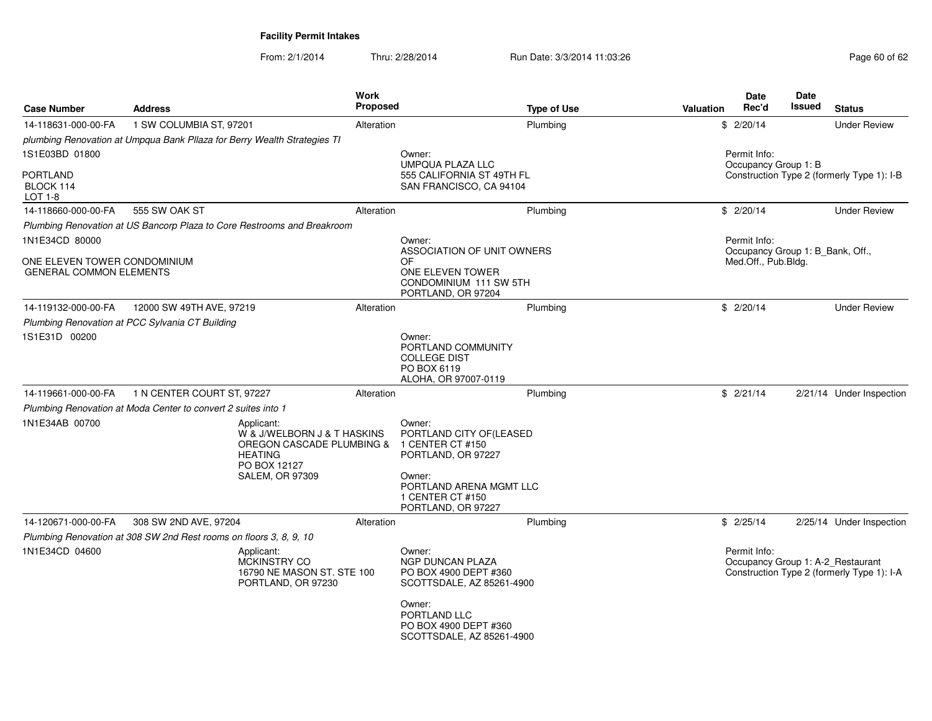| <b>Case Number</b>                                             | <b>Address</b>                                                                                                                     | Work<br>Proposed | <b>Type of Use</b>                                                                                                                     | <b>Valuation</b>                                                                                | Date<br>Rec'd                              | Date<br><b>Issued</b> | <b>Status</b>            |
|----------------------------------------------------------------|------------------------------------------------------------------------------------------------------------------------------------|------------------|----------------------------------------------------------------------------------------------------------------------------------------|-------------------------------------------------------------------------------------------------|--------------------------------------------|-----------------------|--------------------------|
| 14-118631-000-00-FA                                            | 1 SW COLUMBIA ST, 97201                                                                                                            | Alteration       | Plumbing                                                                                                                               |                                                                                                 | \$2/20/14                                  |                       | <b>Under Review</b>      |
|                                                                | plumbing Renovation at Umpqua Bank Pllaza for Berry Wealth Strategies TI                                                           |                  |                                                                                                                                        |                                                                                                 |                                            |                       |                          |
| 1S1E03BD 01800                                                 |                                                                                                                                    | Owner:           |                                                                                                                                        |                                                                                                 | Permit Info:                               |                       |                          |
| <b>PORTLAND</b><br>BLOCK 114<br>LOT 1-8                        |                                                                                                                                    |                  | <b>UMPQUA PLAZA LLC</b><br>555 CALIFORNIA ST 49TH FL<br>SAN FRANCISCO, CA 94104                                                        | Occupancy Group 1: B                                                                            | Construction Type 2 (formerly Type 1): I-B |                       |                          |
| 14-118660-000-00-FA                                            | 555 SW OAK ST                                                                                                                      | Alteration       | Plumbing                                                                                                                               |                                                                                                 | \$2/20/14                                  |                       | <b>Under Review</b>      |
|                                                                | Plumbing Renovation at US Bancorp Plaza to Core Restrooms and Breakroom                                                            |                  |                                                                                                                                        |                                                                                                 |                                            |                       |                          |
| 1N1E34CD 80000                                                 |                                                                                                                                    | Owner:           |                                                                                                                                        |                                                                                                 | Permit Info:                               |                       |                          |
| ONE ELEVEN TOWER CONDOMINIUM<br><b>GENERAL COMMON ELEMENTS</b> |                                                                                                                                    | OF               | ASSOCIATION OF UNIT OWNERS<br>ONE ELEVEN TOWER<br>CONDOMINIUM 111 SW 5TH<br>PORTLAND, OR 97204                                         | Med.Off., Pub.Bldg.                                                                             | Occupancy Group 1: B_Bank, Off.,           |                       |                          |
| 14-119132-000-00-FA                                            | 12000 SW 49TH AVE, 97219                                                                                                           | Alteration       | Plumbing                                                                                                                               |                                                                                                 | \$2/20/14                                  |                       | <b>Under Review</b>      |
|                                                                | Plumbing Renovation at PCC Sylvania CT Building                                                                                    |                  |                                                                                                                                        |                                                                                                 |                                            |                       |                          |
| 1S1E31D 00200                                                  |                                                                                                                                    | Owner:           | PORTLAND COMMUNITY<br><b>COLLEGE DIST</b><br>PO BOX 6119<br>ALOHA, OR 97007-0119                                                       |                                                                                                 |                                            |                       |                          |
| 14-119661-000-00-FA                                            | 1 N CENTER COURT ST, 97227                                                                                                         | Alteration       | Plumbing                                                                                                                               |                                                                                                 | \$2/21/14                                  |                       | 2/21/14 Under Inspection |
|                                                                | Plumbing Renovation at Moda Center to convert 2 suites into 1                                                                      |                  |                                                                                                                                        |                                                                                                 |                                            |                       |                          |
| 1N1E34AB 00700                                                 | Applicant:<br>W & J/WELBORN J & T HASKINS<br>OREGON CASCADE PLUMBING &<br><b>HEATING</b><br>PO BOX 12127<br><b>SALEM, OR 97309</b> | Owner:<br>Owner: | PORTLAND CITY OF(LEASED<br>1 CENTER CT #150<br>PORTLAND, OR 97227<br>PORTLAND ARENA MGMT LLC<br>1 CENTER CT #150<br>PORTLAND, OR 97227 |                                                                                                 |                                            |                       |                          |
| 14-120671-000-00-FA                                            | 308 SW 2ND AVE, 97204                                                                                                              | Alteration       | Plumbing                                                                                                                               |                                                                                                 | \$2/25/14                                  |                       | 2/25/14 Under Inspection |
|                                                                | Plumbing Renovation at 308 SW 2nd Rest rooms on floors 3, 8, 9, 10                                                                 |                  |                                                                                                                                        |                                                                                                 |                                            |                       |                          |
| 1N1E34CD 04600                                                 | Applicant:<br><b>MCKINSTRY CO</b><br>16790 NE MASON ST. STE 100<br>PORTLAND, OR 97230                                              | Owner:           | <b>NGP DUNCAN PLAZA</b><br>PO BOX 4900 DEPT #360<br>SCOTTSDALE, AZ 85261-4900                                                          | Permit Info:<br>Occupancy Group 1: A-2_Restaurant<br>Construction Type 2 (formerly Type 1): I-A |                                            |                       |                          |
|                                                                |                                                                                                                                    | Owner:           | PORTLAND LLC<br>PO BOX 4900 DEPT #360<br>SCOTTSDALE, AZ 85261-4900                                                                     |                                                                                                 |                                            |                       |                          |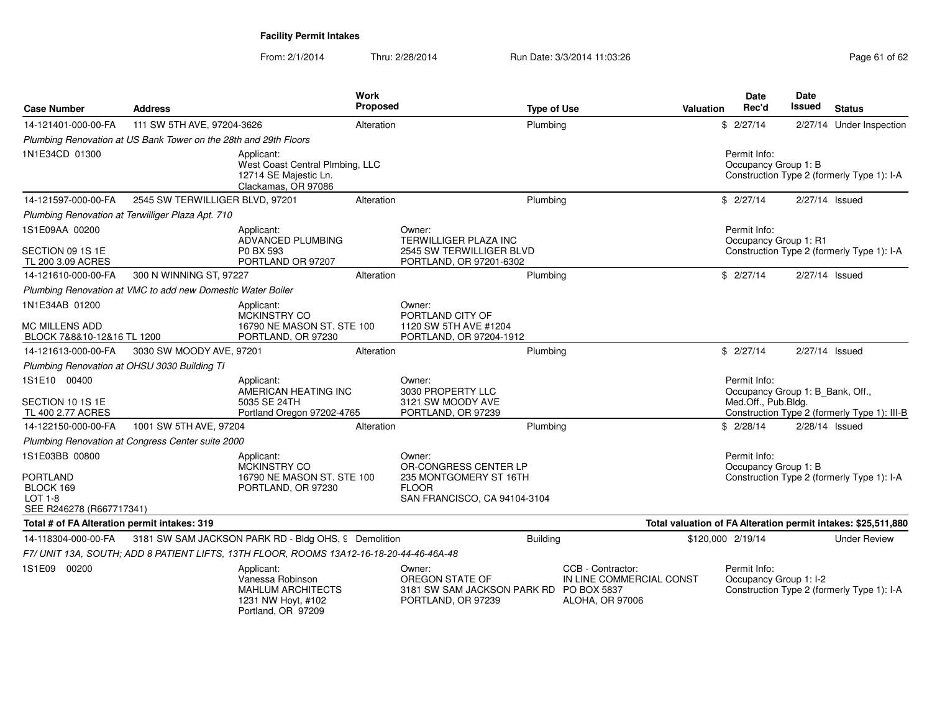| <b>Case Number</b>                                                                    | <b>Address</b>                                                   |                                                                                                        | Work<br>Proposed |                                                                                                           | <b>Type of Use</b>                                                      | Valuation         | <b>Date</b><br>Rec'd                                                    | <b>Date</b><br>Issued | <b>Status</b>                                                 |
|---------------------------------------------------------------------------------------|------------------------------------------------------------------|--------------------------------------------------------------------------------------------------------|------------------|-----------------------------------------------------------------------------------------------------------|-------------------------------------------------------------------------|-------------------|-------------------------------------------------------------------------|-----------------------|---------------------------------------------------------------|
| 14-121401-000-00-FA                                                                   | 111 SW 5TH AVE, 97204-3626                                       |                                                                                                        | Alteration       | Plumbing                                                                                                  |                                                                         |                   | \$2/27/14                                                               |                       | 2/27/14 Under Inspection                                      |
|                                                                                       | Plumbing Renovation at US Bank Tower on the 28th and 29th Floors |                                                                                                        |                  |                                                                                                           |                                                                         |                   |                                                                         |                       |                                                               |
| 1N1E34CD 01300                                                                        |                                                                  | Applicant:<br>West Coast Central Plmbing, LLC<br>12714 SE Majestic Ln.<br>Clackamas, OR 97086          |                  |                                                                                                           |                                                                         |                   | Permit Info:<br>Occupancy Group 1: B                                    |                       | Construction Type 2 (formerly Type 1): I-A                    |
| 14-121597-000-00-FA                                                                   | 2545 SW TERWILLIGER BLVD, 97201                                  |                                                                                                        | Alteration       | Plumbing                                                                                                  |                                                                         |                   | \$2/27/14                                                               | 2/27/14 Issued        |                                                               |
|                                                                                       | Plumbing Renovation at Terwilliger Plaza Apt. 710                |                                                                                                        |                  |                                                                                                           |                                                                         |                   |                                                                         |                       |                                                               |
| 1S1E09AA 00200<br>SECTION 09 1S 1E<br>TL 200 3.09 ACRES                               |                                                                  | Applicant:<br>ADVANCED PLUMBING<br>P0 BX 593<br>PORTLAND OR 97207                                      |                  | Owner:<br>TERWILLIGER PLAZA INC<br>2545 SW TERWILLIGER BLVD<br>PORTLAND, OR 97201-6302                    |                                                                         |                   | Permit Info:<br>Occupancy Group 1: R1                                   |                       | Construction Type 2 (formerly Type 1): I-A                    |
| 14-121610-000-00-FA                                                                   | 300 N WINNING ST, 97227                                          |                                                                                                        | Alteration       | Plumbing                                                                                                  |                                                                         |                   | \$2/27/14                                                               | 2/27/14 Issued        |                                                               |
|                                                                                       | Plumbing Renovation at VMC to add new Domestic Water Boiler      |                                                                                                        |                  |                                                                                                           |                                                                         |                   |                                                                         |                       |                                                               |
| 1N1E34AB 01200                                                                        |                                                                  | Applicant:<br><b>MCKINSTRY CO</b>                                                                      |                  | Owner:<br>PORTLAND CITY OF                                                                                |                                                                         |                   |                                                                         |                       |                                                               |
| MC MILLENS ADD<br>BLOCK 7&8&10-12&16 TL 1200                                          |                                                                  | 16790 NE MASON ST. STE 100<br>PORTLAND, OR 97230                                                       |                  | 1120 SW 5TH AVE #1204<br>PORTLAND, OR 97204-1912                                                          |                                                                         |                   |                                                                         |                       |                                                               |
| 14-121613-000-00-FA                                                                   | 3030 SW MOODY AVE, 97201                                         |                                                                                                        | Alteration       | Plumbina                                                                                                  |                                                                         |                   | \$2/27/14                                                               | 2/27/14 Issued        |                                                               |
| Plumbing Renovation at OHSU 3030 Building TI                                          |                                                                  |                                                                                                        |                  |                                                                                                           |                                                                         |                   |                                                                         |                       |                                                               |
| 1S1E10 00400<br>SECTION 10 1S 1E<br>TL 400 2.77 ACRES                                 |                                                                  | Applicant:<br>AMERICAN HEATING INC<br>5035 SE 24TH<br>Portland Oregon 97202-4765                       |                  | Owner:<br>3030 PROPERTY LLC<br>3121 SW MOODY AVE<br>PORTLAND, OR 97239                                    |                                                                         |                   | Permit Info:<br>Occupancy Group 1: B_Bank, Off.,<br>Med.Off., Pub.Bldg. |                       | Construction Type 2 (formerly Type 1): III-B                  |
| 14-122150-000-00-FA                                                                   | 1001 SW 5TH AVE, 97204                                           |                                                                                                        | Alteration       | Plumbing                                                                                                  |                                                                         |                   | \$2/28/14                                                               | $2/28/14$ Issued      |                                                               |
|                                                                                       | Plumbing Renovation at Congress Center suite 2000                |                                                                                                        |                  |                                                                                                           |                                                                         |                   |                                                                         |                       |                                                               |
| 1S1E03BB 00800<br>PORTLAND<br>BLOCK 169<br><b>LOT 1-8</b><br>SEE R246278 (R667717341) |                                                                  | Applicant:<br>MCKINSTRY CO<br>16790 NE MASON ST. STE 100<br>PORTLAND, OR 97230                         |                  | Owner:<br>OR-CONGRESS CENTER LP<br>235 MONTGOMERY ST 16TH<br><b>FLOOR</b><br>SAN FRANCISCO, CA 94104-3104 |                                                                         |                   | Permit Info:<br>Occupancy Group 1: B                                    |                       | Construction Type 2 (formerly Type 1): I-A                    |
| Total # of FA Alteration permit intakes: 319                                          |                                                                  |                                                                                                        |                  |                                                                                                           |                                                                         |                   |                                                                         |                       | Total valuation of FA Alteration permit intakes: \$25,511,880 |
| 14-118304-000-00-FA                                                                   |                                                                  | 3181 SW SAM JACKSON PARK RD - Bldg OHS, 9 Demolition                                                   |                  | <b>Building</b>                                                                                           |                                                                         | \$120,000 2/19/14 |                                                                         |                       | <b>Under Review</b>                                           |
|                                                                                       |                                                                  | F7/ UNIT 13A, SOUTH; ADD 8 PATIENT LIFTS, 13TH FLOOR, ROOMS 13A12-16-18-20-44-46-46A-48                |                  |                                                                                                           |                                                                         |                   |                                                                         |                       |                                                               |
| 1S1E09 00200                                                                          |                                                                  | Applicant:<br>Vanessa Robinson<br><b>MAHLUM ARCHITECTS</b><br>1231 NW Hoyt, #102<br>Portland, OR 97209 |                  | Owner:<br>OREGON STATE OF<br>3181 SW SAM JACKSON PARK RD PO BOX 5837<br>PORTLAND, OR 97239                | CCB - Contractor:<br>IN LINE COMMERCIAL CONST<br><b>ALOHA, OR 97006</b> |                   | Permit Info:<br>Occupancy Group 1: I-2                                  |                       | Construction Type 2 (formerly Type 1): I-A                    |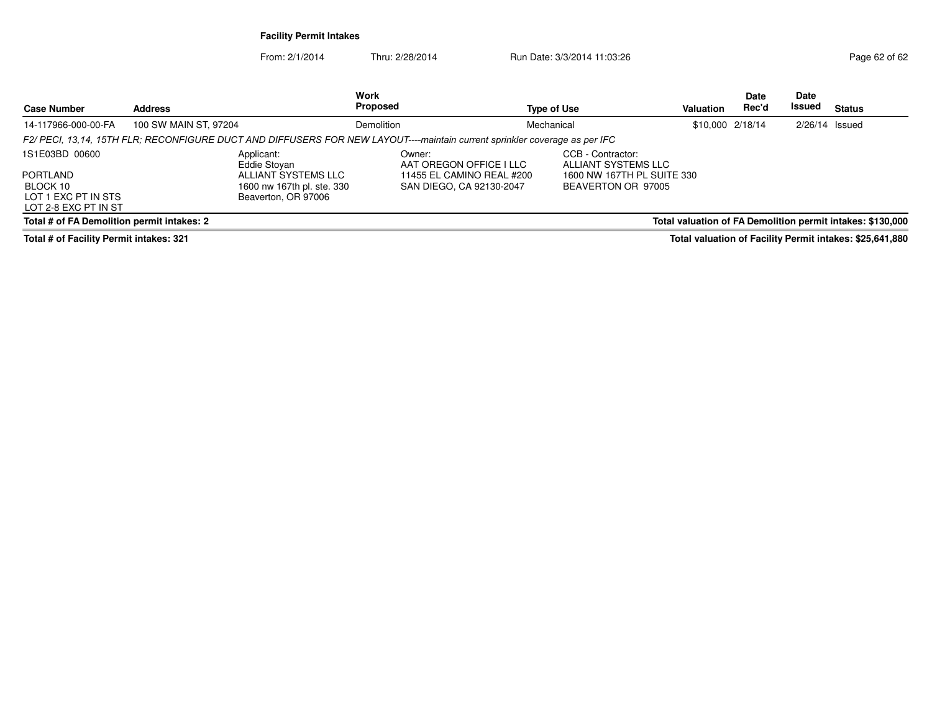| <b>Case Number</b>                                                                    | <b>Address</b>                                                                                                             |            | <b>Type of Use</b>                                                                                                                                                               | <b>Valuation</b> | Date<br>Rec'd    | <b>Date</b><br><b>Issued</b> | Status                                                     |
|---------------------------------------------------------------------------------------|----------------------------------------------------------------------------------------------------------------------------|------------|----------------------------------------------------------------------------------------------------------------------------------------------------------------------------------|------------------|------------------|------------------------------|------------------------------------------------------------|
| 14-117966-000-00-FA                                                                   | 100 SW MAIN ST, 97204                                                                                                      | Demolition | Mechanical                                                                                                                                                                       |                  | \$10,000 2/18/14 | $2/26/14$ Issued             |                                                            |
|                                                                                       | F2/ PECI, 13,14, 15TH FLR; RECONFIGURE DUCT AND DIFFUSERS FOR NEW LAYOUT----maintain current sprinkler coverage as per IFC |            |                                                                                                                                                                                  |                  |                  |                              |                                                            |
| 1S1E03BD 00600<br>PORTLAND<br>BLOCK 10<br>LOT 1 EXC PT IN STS<br>LOT 2-8 EXC PT IN ST | Applicant:<br>Eddie Stovan<br>ALLIANT SYSTEMS LLC<br>1600 nw 167th pl. ste. 330<br>Beaverton, OR 97006                     | Owner:     | CCB - Contractor:<br>AAT OREGON OFFICE I LLC<br>ALLIANT SYSTEMS LLC<br>11455 EL CAMINO REAL #200<br>1600 NW 167TH PL SUITE 330<br>SAN DIEGO, CA 92130-2047<br>BEAVERTON OR 97005 |                  |                  |                              |                                                            |
| Total # of FA Demolition permit intakes: 2                                            |                                                                                                                            |            |                                                                                                                                                                                  |                  |                  |                              | Total valuation of FA Demolition permit intakes: \$130,000 |
| Total # of Facility Permit intakes: 321                                               |                                                                                                                            |            |                                                                                                                                                                                  |                  |                  |                              | Total valuation of Facility Permit intakes: \$25,641,880   |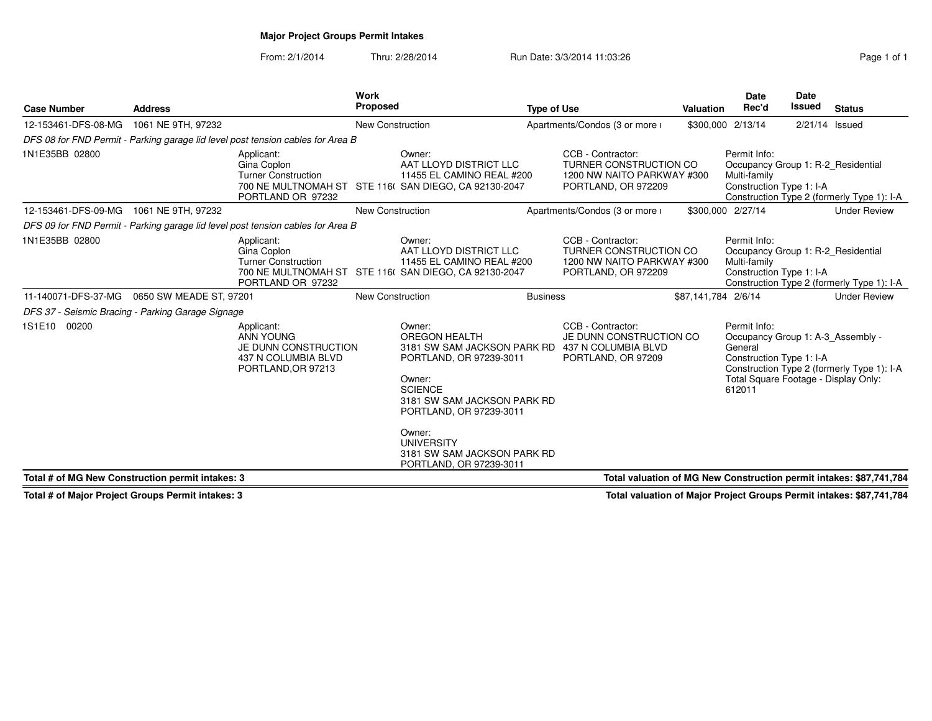# **Major Project Groups Permit Intakes**

From: 2/1/2014Thru: 2/28/2014 Run Date: 3/3/2014 11:03:26 Run Date: 3/3/2014 11:03:26

| <b>Case Number</b>                                                                             | <b>Address</b>                                                                                                         |                                                                                              |                         | Work<br><b>Proposed</b><br><b>Type of Use</b>                                                                                                                                                                                                                                        |  |                                                                                                  |                     | Date<br>Rec'd<br><b>Valuation</b>                                                                                                          | <b>Date</b><br><b>Issued</b> | <b>Status</b>                              |
|------------------------------------------------------------------------------------------------|------------------------------------------------------------------------------------------------------------------------|----------------------------------------------------------------------------------------------|-------------------------|--------------------------------------------------------------------------------------------------------------------------------------------------------------------------------------------------------------------------------------------------------------------------------------|--|--------------------------------------------------------------------------------------------------|---------------------|--------------------------------------------------------------------------------------------------------------------------------------------|------------------------------|--------------------------------------------|
| 12-153461-DFS-08-MG                                                                            | 1061 NE 9TH, 97232                                                                                                     |                                                                                              | <b>New Construction</b> |                                                                                                                                                                                                                                                                                      |  | Apartments/Condos (3 or more i                                                                   |                     | \$300,000 2/13/14                                                                                                                          | 2/21/14 Issued               |                                            |
|                                                                                                |                                                                                                                        | DFS 08 for FND Permit - Parking garage lid level post tension cables for Area B              |                         |                                                                                                                                                                                                                                                                                      |  |                                                                                                  |                     |                                                                                                                                            |                              |                                            |
| 1N1E35BB 02800                                                                                 | Applicant:<br>Gina Coplon<br><b>Turner Construction</b><br>PORTLAND OR 97232<br>12-153461-DFS-09-MG 1061 NE 9TH, 97232 |                                                                                              |                         | Owner:<br>AAT LLOYD DISTRICT LLC<br>11455 EL CAMINO REAL #200<br>700 NE MULTNOMAH ST STE 116( SAN DIEGO, CA 92130-2047                                                                                                                                                               |  | CCB - Contractor:<br>TURNER CONSTRUCTION CO<br>1200 NW NAITO PARKWAY #300<br>PORTLAND, OR 972209 |                     | Permit Info:<br>Occupancy Group 1: R-2 Residential<br>Multi-family<br>Construction Type 1: I-A                                             |                              | Construction Type 2 (formerly Type 1): I-A |
|                                                                                                |                                                                                                                        |                                                                                              | <b>New Construction</b> |                                                                                                                                                                                                                                                                                      |  | Apartments/Condos (3 or more i                                                                   |                     | \$300,000 2/27/14                                                                                                                          |                              | <b>Under Review</b>                        |
|                                                                                                |                                                                                                                        | DFS 09 for FND Permit - Parking garage lid level post tension cables for Area B              |                         |                                                                                                                                                                                                                                                                                      |  |                                                                                                  |                     |                                                                                                                                            |                              |                                            |
| 1N1E35BB 02800<br>Applicant:<br>Gina Coplon<br><b>Turner Construction</b><br>PORTLAND OR 97232 |                                                                                                                        |                                                                                              |                         | Owner:<br>AAT LLOYD DISTRICT LLC<br>11455 EL CAMINO REAL #200<br>700 NE MULTNOMAH ST STE 116( SAN DIEGO, CA 92130-2047                                                                                                                                                               |  | CCB - Contractor:<br>TURNER CONSTRUCTION CO<br>1200 NW NAITO PARKWAY #300<br>PORTLAND, OR 972209 |                     | Permit Info:<br>Occupancy Group 1: R-2 Residential<br>Multi-family<br>Construction Type 1: I-A                                             |                              | Construction Type 2 (formerly Type 1): I-A |
| 11-140071-DFS-37-MG   0650 SW MEADE ST, 97201                                                  |                                                                                                                        |                                                                                              |                         | <b>Business</b><br><b>New Construction</b>                                                                                                                                                                                                                                           |  |                                                                                                  | \$87,141,784 2/6/14 |                                                                                                                                            |                              | <b>Under Review</b>                        |
| DFS 37 - Seismic Bracing - Parking Garage Signage                                              |                                                                                                                        |                                                                                              |                         |                                                                                                                                                                                                                                                                                      |  |                                                                                                  |                     |                                                                                                                                            |                              |                                            |
| 1S1E10 00200                                                                                   |                                                                                                                        | Applicant:<br>ANN YOUNG<br>JE DUNN CONSTRUCTION<br>437 N COLUMBIA BLVD<br>PORTLAND, OR 97213 |                         | Owner:<br>OREGON HEALTH<br>3181 SW SAM JACKSON PARK RD 437 N COLUMBIA BLVD<br>PORTLAND, OR 97239-3011<br>Owner:<br><b>SCIENCE</b><br>3181 SW SAM JACKSON PARK RD<br>PORTLAND, OR 97239-3011<br>Owner:<br><b>UNIVERSITY</b><br>3181 SW SAM JACKSON PARK RD<br>PORTLAND, OR 97239-3011 |  | CCB - Contractor:<br>JE DUNN CONSTRUCTION CO<br>PORTLAND, OR 97209                               |                     | Permit Info:<br>Occupancy Group 1: A-3 Assembly -<br>General<br>Construction Type 1: I-A<br>Total Square Footage - Display Only:<br>612011 |                              | Construction Type 2 (formerly Type 1): I-A |
| Total # of MG New Construction permit intakes: 3                                               |                                                                                                                        |                                                                                              |                         |                                                                                                                                                                                                                                                                                      |  | Total valuation of MG New Construction permit intakes: \$87,741,784                              |                     |                                                                                                                                            |                              |                                            |

**Total # of Major Project Groups Permit intakes: 3**

**Total valuation of Major Project Groups Permit intakes: \$87,741,784**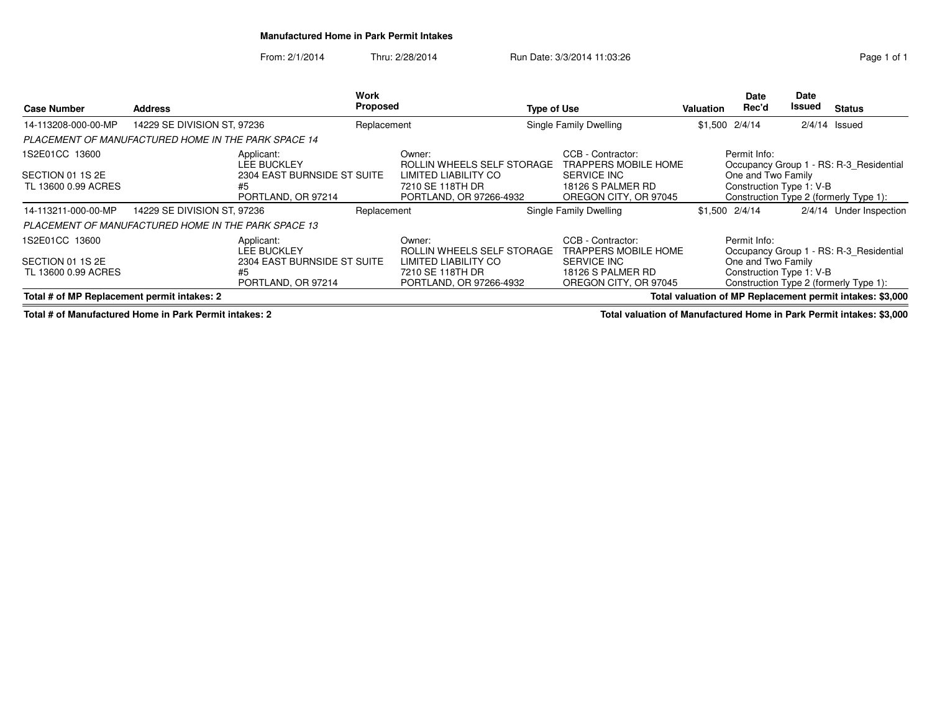### **Manufactured Home in Park Permit Intakes**

From: 2/1/2014Thru: 2/28/2014 Run Date: 3/3/2014 11:03:26 Run Date: 3/3/2014 11:03:26

| <b>Case Number</b>                                                                                                                                       | <b>Address</b>                                                                                           |                                                                                             |                                                                                                             | Work<br><b>Proposed</b>                                                                                     |                                                                                                               | <b>Type of Use</b>                                                                                     |                                                                | Date<br>Rec'd<br>Valuation                                     | Date<br>Issued                                                                    | <b>Status</b>                                                                     |
|----------------------------------------------------------------------------------------------------------------------------------------------------------|----------------------------------------------------------------------------------------------------------|---------------------------------------------------------------------------------------------|-------------------------------------------------------------------------------------------------------------|-------------------------------------------------------------------------------------------------------------|---------------------------------------------------------------------------------------------------------------|--------------------------------------------------------------------------------------------------------|----------------------------------------------------------------|----------------------------------------------------------------|-----------------------------------------------------------------------------------|-----------------------------------------------------------------------------------|
| 14-113208-000-00-MP                                                                                                                                      | 14229 SE DIVISION ST, 97236                                                                              |                                                                                             |                                                                                                             | Replacement                                                                                                 |                                                                                                               | Single Family Dwelling                                                                                 | \$1,500                                                        | 2/4/14                                                         |                                                                                   | $2/4/14$ Issued                                                                   |
|                                                                                                                                                          | <b>PLACEMENT OF MANUFACTURED HOME IN THE PARK SPACE 14</b>                                               |                                                                                             |                                                                                                             |                                                                                                             |                                                                                                               |                                                                                                        |                                                                |                                                                |                                                                                   |                                                                                   |
| 1S2E01CC 13600<br>Applicant:<br><b>LEE BUCKLEY</b><br>2304 EAST BURNSIDE ST SUITE<br>SECTION 01 1S 2E<br>TL 13600 0.99 ACRES<br>#5<br>PORTLAND, OR 97214 |                                                                                                          |                                                                                             | Owner:<br>ROLLIN WHEELS SELF STORAGE<br>LIMITED LIABILITY CO<br>7210 SE 118TH DR<br>PORTLAND, OR 97266-4932 |                                                                                                             | CCB - Contractor:<br><b>TRAPPERS MOBILE HOME</b><br>SERVICE INC<br>18126 S PALMER RD<br>OREGON CITY, OR 97045 |                                                                                                        | Permit Info:<br>One and Two Family<br>Construction Type 1: V-B |                                                                | Occupancy Group 1 - RS: R-3 Residential<br>Construction Type 2 (formerly Type 1): |                                                                                   |
| 14-113211-000-00-MP                                                                                                                                      | 14229 SE DIVISION ST, 97236                                                                              |                                                                                             | Replacement                                                                                                 |                                                                                                             |                                                                                                               | Single Family Dwelling                                                                                 |                                                                | $$1.500$ $2/4/14$                                              |                                                                                   | 2/4/14 Under Inspection                                                           |
|                                                                                                                                                          | PLACEMENT OF MANUFACTURED HOME IN THE PARK SPACE 13                                                      |                                                                                             |                                                                                                             |                                                                                                             |                                                                                                               |                                                                                                        |                                                                |                                                                |                                                                                   |                                                                                   |
| 1S2E01CC 13600<br>SECTION 01 1S 2E<br>TL 13600 0.99 ACRES                                                                                                |                                                                                                          | Applicant:<br><b>LEE BUCKLEY</b><br>2304 EAST BURNSIDE ST SUITE<br>#5<br>PORTLAND, OR 97214 |                                                                                                             | Owner:<br>ROLLIN WHEELS SELF STORAGE<br>LIMITED LIABILITY CO<br>7210 SE 118TH DR<br>PORTLAND, OR 97266-4932 |                                                                                                               | CCB - Contractor:<br>TRAPPERS MOBILE HOME<br>SERVICE INC<br>18126 S PALMER RD<br>OREGON CITY, OR 97045 |                                                                | Permit Info:<br>One and Two Family<br>Construction Type 1: V-B |                                                                                   | Occupancy Group 1 - RS: R-3 Residential<br>Construction Type 2 (formerly Type 1): |
|                                                                                                                                                          | Total valuation of MP Replacement permit intakes: \$3,000<br>Total # of MP Replacement permit intakes: 2 |                                                                                             |                                                                                                             |                                                                                                             |                                                                                                               |                                                                                                        |                                                                |                                                                |                                                                                   |                                                                                   |

**Total # of Manufactured Home in Park Permit intakes: 2**

**Total valuation of Manufactured Home in Park Permit intakes: \$3,000**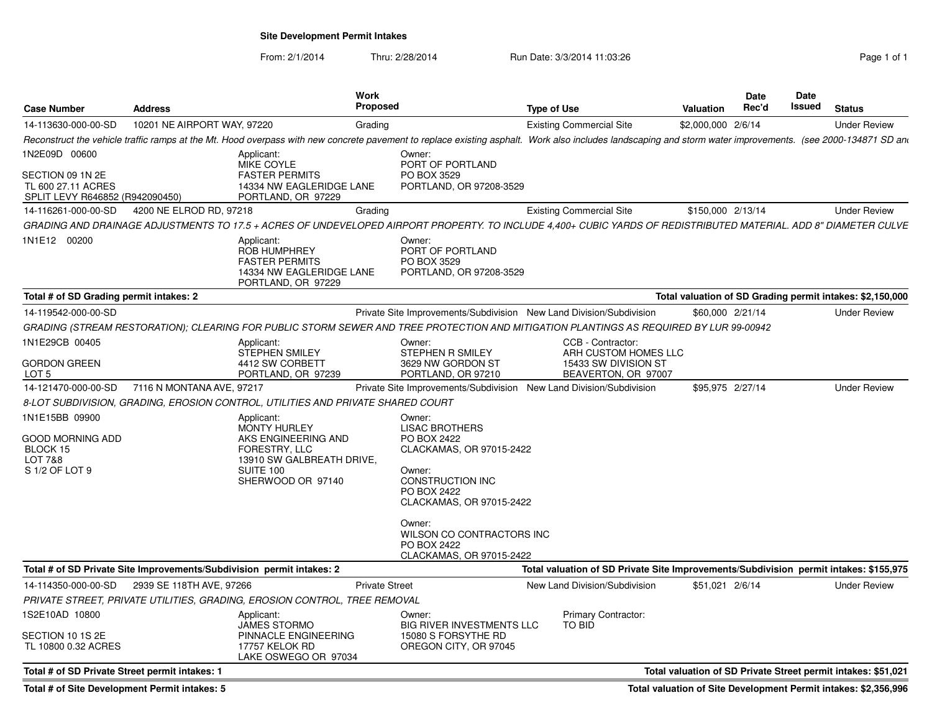**Site Development Permit Intakes**

From: 2/1/2014Thru: 2/28/2014 **Run Date: 3/3/2014 11:03:26** Page 1 of 1

| <b>Case Number</b>                                                                         | <b>Address</b>              | <b>Work</b><br><b>Proposed</b>                                                                                                                                                                              |                                                                                                                                                                                                                                              | <b>Type of Use</b>                                                                       | <b>Valuation</b>  | <b>Date</b><br>Rec'd | Date<br>Issued | <b>Status</b>                                                 |
|--------------------------------------------------------------------------------------------|-----------------------------|-------------------------------------------------------------------------------------------------------------------------------------------------------------------------------------------------------------|----------------------------------------------------------------------------------------------------------------------------------------------------------------------------------------------------------------------------------------------|------------------------------------------------------------------------------------------|-------------------|----------------------|----------------|---------------------------------------------------------------|
| 14-113630-000-00-SD                                                                        | 10201 NE AIRPORT WAY, 97220 | Grading                                                                                                                                                                                                     |                                                                                                                                                                                                                                              | <b>Existing Commercial Site</b>                                                          | \$2,000,000       | 2/6/14               |                | <b>Under Review</b>                                           |
|                                                                                            |                             | Reconstruct the vehicle traffic ramps at the Mt. Hood overpass with new concrete pavement to replace existing asphalt. Work also includes landscaping and storm water improvements. (see 2000-134871 SD and |                                                                                                                                                                                                                                              |                                                                                          |                   |                      |                |                                                               |
| 1N2E09D 00600<br>SECTION 09 1N 2E<br>TL 600 27.11 ACRES<br>SPLIT LEVY R646852 (R942090450) |                             | Applicant:<br><b>MIKE COYLE</b><br><b>FASTER PERMITS</b><br>14334 NW EAGLERIDGE LANE<br>PORTLAND, OR 97229                                                                                                  | Owner:<br>PORT OF PORTLAND<br>PO BOX 3529<br>PORTLAND, OR 97208-3529                                                                                                                                                                         |                                                                                          |                   |                      |                |                                                               |
| 14-116261-000-00-SD                                                                        | 4200 NE ELROD RD, 97218     | Grading                                                                                                                                                                                                     |                                                                                                                                                                                                                                              | <b>Existing Commercial Site</b>                                                          | \$150,000 2/13/14 |                      |                | <b>Under Review</b>                                           |
|                                                                                            |                             | GRADING AND DRAINAGE ADJUSTMENTS TO 17.5 + ACRES OF UNDEVELOPED AIRPORT PROPERTY. TO INCLUDE 4.400+ CUBIC YARDS OF REDISTRIBUTED MATERIAL. ADD 8" DIAMETER CULVE                                            |                                                                                                                                                                                                                                              |                                                                                          |                   |                      |                |                                                               |
| 1N1E12 00200                                                                               |                             | Applicant:<br><b>ROB HUMPHREY</b><br><b>FASTER PERMITS</b><br>14334 NW EAGLERIDGE LANE<br>PORTLAND, OR 97229                                                                                                | Owner:<br>PORT OF PORTLAND<br>PO BOX 3529<br>PORTLAND, OR 97208-3529                                                                                                                                                                         |                                                                                          |                   |                      |                |                                                               |
| Total # of SD Grading permit intakes: 2                                                    |                             |                                                                                                                                                                                                             |                                                                                                                                                                                                                                              |                                                                                          |                   |                      |                | Total valuation of SD Grading permit intakes: \$2,150,000     |
| 14-119542-000-00-SD                                                                        |                             |                                                                                                                                                                                                             | Private Site Improvements/Subdivision New Land Division/Subdivision                                                                                                                                                                          |                                                                                          | \$60,000 2/21/14  |                      |                | <b>Under Review</b>                                           |
|                                                                                            |                             | GRADING (STREAM RESTORATION); CLEARING FOR PUBLIC STORM SEWER AND TREE PROTECTION AND MITIGATION PLANTINGS AS REQUIRED BY LUR 99-00942                                                                      |                                                                                                                                                                                                                                              |                                                                                          |                   |                      |                |                                                               |
| 1N1E29CB 00405<br><b>GORDON GREEN</b><br>LOT 5                                             |                             | Applicant:<br>STEPHEN SMILEY<br>4412 SW CORBETT<br>PORTLAND, OR 97239                                                                                                                                       | Owner:<br>STEPHEN R SMILEY<br>3629 NW GORDON ST<br>PORTLAND, OR 97210                                                                                                                                                                        | CCB - Contractor:<br>ARH CUSTOM HOMES LLC<br>15433 SW DIVISION ST<br>BEAVERTON, OR 97007 |                   |                      |                |                                                               |
| 14-121470-000-00-SD                                                                        | 7116 N MONTANA AVE, 97217   |                                                                                                                                                                                                             | Private Site Improvements/Subdivision New Land Division/Subdivision                                                                                                                                                                          |                                                                                          | \$95,975 2/27/14  |                      |                | <b>Under Review</b>                                           |
|                                                                                            |                             | 8-LOT SUBDIVISION, GRADING, EROSION CONTROL, UTILITIES AND PRIVATE SHARED COURT                                                                                                                             |                                                                                                                                                                                                                                              |                                                                                          |                   |                      |                |                                                               |
| 1N1E15BB 09900<br>good Morning Add<br>BLOCK 15<br>LOT 7&8<br>S 1/2 OF LOT 9                |                             | Applicant:<br><b>MONTY HURLEY</b><br>AKS ENGINEERING AND<br>FORESTRY, LLC<br>13910 SW GALBREATH DRIVE,<br><b>SUITE 100</b><br>SHERWOOD OR 97140                                                             | Owner:<br><b>LISAC BROTHERS</b><br>PO BOX 2422<br>CLACKAMAS, OR 97015-2422<br>Owner:<br><b>CONSTRUCTION INC</b><br>PO BOX 2422<br>CLACKAMAS, OR 97015-2422<br>Owner:<br>WILSON CO CONTRACTORS INC<br>PO BOX 2422<br>CLACKAMAS, OR 97015-2422 |                                                                                          |                   |                      |                |                                                               |
|                                                                                            |                             | Total # of SD Private Site Improvements/Subdivision permit intakes: 2                                                                                                                                       |                                                                                                                                                                                                                                              | Total valuation of SD Private Site Improvements/Subdivision permit intakes: \$155,975    |                   |                      |                |                                                               |
| 14-114350-000-00-SD                                                                        | 2939 SE 118TH AVE, 97266    |                                                                                                                                                                                                             | <b>Private Street</b>                                                                                                                                                                                                                        | New Land Division/Subdivision                                                            | \$51,021 2/6/14   |                      |                | <b>Under Review</b>                                           |
|                                                                                            |                             | PRIVATE STREET, PRIVATE UTILITIES, GRADING, EROSION CONTROL, TREE REMOVAL                                                                                                                                   |                                                                                                                                                                                                                                              |                                                                                          |                   |                      |                |                                                               |
| 1S2E10AD 10800<br>SECTION 10 1S 2E<br>TL 10800 0.32 ACRES                                  |                             | Applicant:<br>JAMES STORMO<br>PINNACLE ENGINEERING<br>17757 KELOK RD<br>LAKE OSWEGO OR 97034                                                                                                                | Owner:<br><b>BIG RIVER INVESTMENTS LLC</b><br>15080 S FORSYTHE RD<br>OREGON CITY, OR 97045                                                                                                                                                   | Primary Contractor:<br>TO BID                                                            |                   |                      |                |                                                               |
| Total # of SD Private Street permit intakes: 1                                             |                             |                                                                                                                                                                                                             |                                                                                                                                                                                                                                              |                                                                                          |                   |                      |                | Total valuation of SD Private Street permit intakes: \$51,021 |
|                                                                                            |                             |                                                                                                                                                                                                             |                                                                                                                                                                                                                                              |                                                                                          |                   |                      |                |                                                               |

**Total # of Site Development Permit intakes: 5**

**Total valuation of Site Development Permit intakes: \$2,356,996**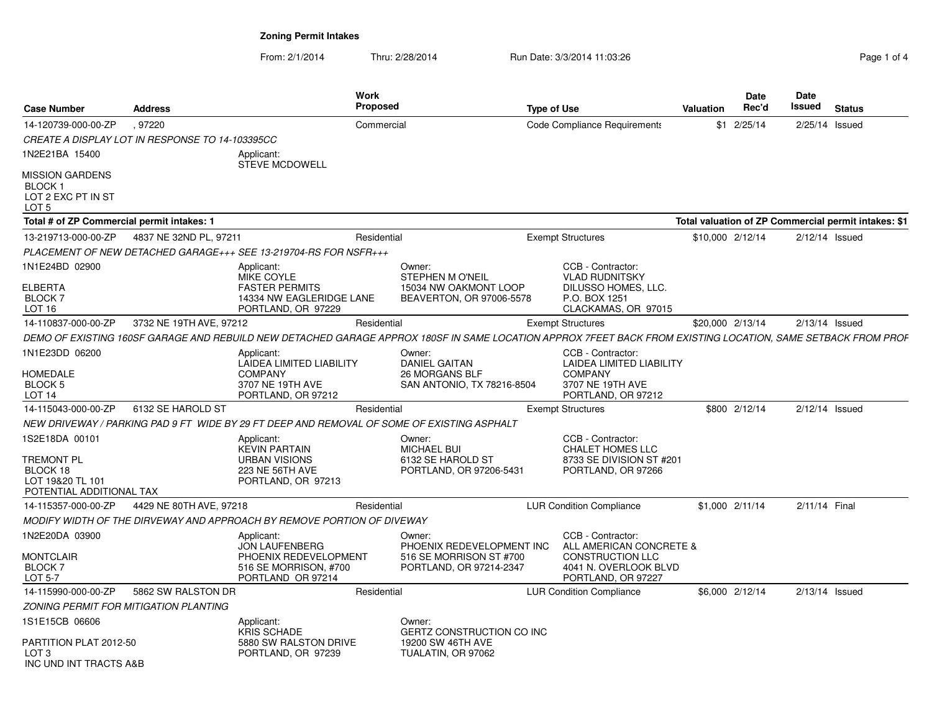From: 2/1/2014Thru: 2/28/2014 Run Date: 3/3/2014 11:03:26 Rege 1 of 4

| <b>Case Number</b>                                                                              | <b>Address</b>          |                                                                                                            | <b>Work</b><br><b>Proposed</b> |                                                                                                                                                              | <b>Type of Use</b> |                                                                                                                        | <b>Valuation</b> | Date<br>Rec'd   | <b>Date</b><br>Issued | <b>Status</b>                                        |
|-------------------------------------------------------------------------------------------------|-------------------------|------------------------------------------------------------------------------------------------------------|--------------------------------|--------------------------------------------------------------------------------------------------------------------------------------------------------------|--------------------|------------------------------------------------------------------------------------------------------------------------|------------------|-----------------|-----------------------|------------------------------------------------------|
| 14-120739-000-00-ZP                                                                             | .97220                  |                                                                                                            | Commercial                     |                                                                                                                                                              |                    | Code Compliance Requirements                                                                                           | \$1              | 2/25/14         | 2/25/14 Issued        |                                                      |
| <i>CREATE A DISPLAY LOT IN RESPONSE TO 14-103395CC</i>                                          |                         |                                                                                                            |                                |                                                                                                                                                              |                    |                                                                                                                        |                  |                 |                       |                                                      |
| 1N2E21BA 15400                                                                                  |                         | Applicant:<br><b>STEVE MCDOWELL</b>                                                                        |                                |                                                                                                                                                              |                    |                                                                                                                        |                  |                 |                       |                                                      |
| MISSION GARDENS<br>BLOCK 1<br>LOT 2 EXC PT IN ST<br>LOT <sub>5</sub>                            |                         |                                                                                                            |                                |                                                                                                                                                              |                    |                                                                                                                        |                  |                 |                       |                                                      |
| Total # of ZP Commercial permit intakes: 1                                                      |                         |                                                                                                            |                                |                                                                                                                                                              |                    |                                                                                                                        |                  |                 |                       | Total valuation of ZP Commercial permit intakes: \$1 |
| 13-219713-000-00-ZP                                                                             | 4837 NE 32ND PL, 97211  |                                                                                                            | Residential                    |                                                                                                                                                              |                    | <b>Exempt Structures</b>                                                                                               | \$10,000 2/12/14 |                 | $2/12/14$ Issued      |                                                      |
|                                                                                                 |                         | PLACEMENT OF NEW DETACHED GARAGE+++ SEE 13-219704-RS FOR NSFR+++                                           |                                |                                                                                                                                                              |                    |                                                                                                                        |                  |                 |                       |                                                      |
| 1N1E24BD 02900<br><b>ELBERTA</b><br><b>BLOCK7</b><br>LOT 16                                     |                         | Applicant:<br>MIKE COYLE<br><b>FASTER PERMITS</b><br>14334 NW EAGLERIDGE LANE<br>PORTLAND, OR 97229        |                                | Owner:<br><b>STEPHEN M O'NEIL</b><br>15034 NW OAKMONT LOOP<br>BEAVERTON, OR 97006-5578                                                                       |                    | CCB - Contractor:<br><b>VLAD RUDNITSKY</b><br>DILUSSO HOMES, LLC.<br>P.O. BOX 1251<br>CLACKAMAS, OR 97015              |                  |                 |                       |                                                      |
| 14-110837-000-00-ZP                                                                             | 3732 NE 19TH AVE, 97212 |                                                                                                            | Residential                    |                                                                                                                                                              |                    | <b>Exempt Structures</b>                                                                                               | \$20,000 2/13/14 |                 | $2/13/14$ Issued      |                                                      |
|                                                                                                 |                         |                                                                                                            |                                | DEMO OF EXISTING 160SF GARAGE AND REBUILD NEW DETACHED GARAGE APPROX 180SF IN SAME LOCATION APPROX 7FEET BACK FROM EXISTING LOCATION, SAME SETBACK FROM PROF |                    |                                                                                                                        |                  |                 |                       |                                                      |
| 1N1E23DD 06200<br>HOMEDALE<br>BLOCK 5<br>LOT <sub>14</sub>                                      |                         | Applicant:<br><b>LAIDEA LIMITED LIABILITY</b><br><b>COMPANY</b><br>3707 NE 19TH AVE<br>PORTLAND, OR 97212  |                                | Owner:<br><b>DANIEL GAITAN</b><br>26 MORGANS BLF<br>SAN ANTONIO, TX 78216-8504                                                                               |                    | CCB - Contractor:<br><b>LAIDEA LIMITED LIABILITY</b><br><b>COMPANY</b><br>3707 NE 19TH AVE<br>PORTLAND, OR 97212       |                  |                 |                       |                                                      |
| 14-115043-000-00-ZP                                                                             | 6132 SE HAROLD ST       |                                                                                                            | Residential                    |                                                                                                                                                              |                    | <b>Exempt Structures</b>                                                                                               |                  | \$800 2/12/14   | $2/12/14$ Issued      |                                                      |
|                                                                                                 |                         |                                                                                                            |                                | NEW DRIVEWAY / PARKING PAD 9 FT WIDE BY 29 FT DEEP AND REMOVAL OF SOME OF EXISTING ASPHALT                                                                   |                    |                                                                                                                        |                  |                 |                       |                                                      |
| 1S2E18DA 00101<br><b>TREMONT PL</b><br>BLOCK 18<br>LOT 19&20 TL 101<br>POTENTIAL ADDITIONAL TAX |                         | Applicant:<br><b>KEVIN PARTAIN</b><br><b>URBAN VISIONS</b><br>223 NE 56TH AVE<br>PORTLAND, OR 97213        |                                | Owner:<br><b>MICHAEL BUI</b><br>6132 SE HAROLD ST<br>PORTLAND, OR 97206-5431                                                                                 |                    | CCB - Contractor:<br><b>CHALET HOMES LLC</b><br>8733 SE DIVISION ST #201<br>PORTLAND, OR 97266                         |                  |                 |                       |                                                      |
| 14-115357-000-00-ZP                                                                             | 4429 NE 80TH AVE, 97218 |                                                                                                            | Residential                    |                                                                                                                                                              |                    | <b>LUR Condition Compliance</b>                                                                                        |                  | \$1,000 2/11/14 | 2/11/14 Final         |                                                      |
|                                                                                                 |                         | MODIFY WIDTH OF THE DIRVEWAY AND APPROACH BY REMOVE PORTION OF DIVEWAY                                     |                                |                                                                                                                                                              |                    |                                                                                                                        |                  |                 |                       |                                                      |
| 1N2E20DA 03900<br>MONTCLAIR<br><b>BLOCK7</b><br>LOT 5-7                                         |                         | Applicant:<br><b>JON LAUFENBERG</b><br>PHOENIX REDEVELOPMENT<br>516 SE MORRISON, #700<br>PORTLAND OR 97214 |                                | Owner:<br>PHOENIX REDEVELOPMENT INC<br>516 SE MORRISON ST #700<br>PORTLAND, OR 97214-2347                                                                    |                    | CCB - Contractor:<br>ALL AMERICAN CONCRETE &<br><b>CONSTRUCTION LLC</b><br>4041 N. OVERLOOK BLVD<br>PORTLAND, OR 97227 |                  |                 |                       |                                                      |
| 14-115990-000-00-ZP                                                                             | 5862 SW RALSTON DR      |                                                                                                            | Residential                    |                                                                                                                                                              |                    | <b>LUR Condition Compliance</b>                                                                                        |                  | \$6,000 2/12/14 | $2/13/14$ Issued      |                                                      |
| ZONING PERMIT FOR MITIGATION PLANTING                                                           |                         |                                                                                                            |                                |                                                                                                                                                              |                    |                                                                                                                        |                  |                 |                       |                                                      |
| 1S1E15CB 06606<br>PARTITION PLAT 2012-50<br>LOT 3<br>INC UND INT TRACTS A&B                     |                         | Applicant:<br><b>KRIS SCHADE</b><br>5880 SW RALSTON DRIVE<br>PORTLAND, OR 97239                            |                                | Owner:<br><b>GERTZ CONSTRUCTION CO INC</b><br>19200 SW 46TH AVE<br>TUALATIN, OR 97062                                                                        |                    |                                                                                                                        |                  |                 |                       |                                                      |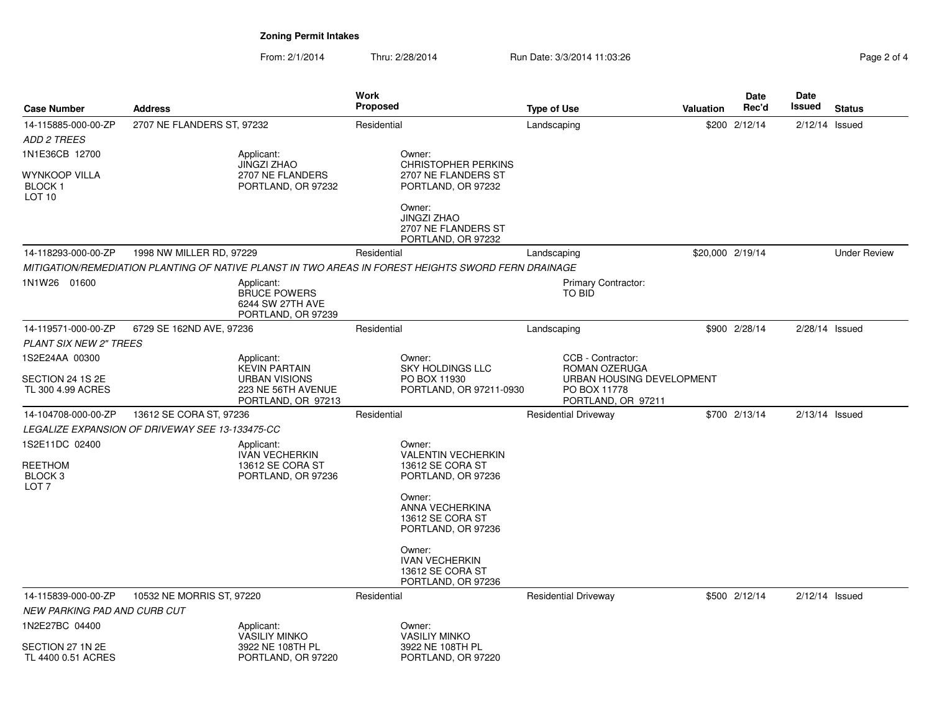From: 2/1/2014Thru: 2/28/2014 **Run Date: 3/3/2014 11:03:26** Pag

| Page 2 of 4 |  |  |
|-------------|--|--|
|             |  |  |

| <b>Case Number</b>                                                         | <b>Address</b>                                         |                                                                                          | Work<br><b>Proposed</b>                                                                             | <b>Type of Use</b>                                                               | <b>Valuation</b> | Date<br>Rec'd    | Date<br>Issued   | <b>Status</b>       |
|----------------------------------------------------------------------------|--------------------------------------------------------|------------------------------------------------------------------------------------------|-----------------------------------------------------------------------------------------------------|----------------------------------------------------------------------------------|------------------|------------------|------------------|---------------------|
| 14-115885-000-00-ZP                                                        | 2707 NE FLANDERS ST, 97232                             |                                                                                          | Residential                                                                                         | Landscaping                                                                      |                  | \$200 2/12/14    | $2/12/14$ Issued |                     |
| <b>ADD 2 TREES</b>                                                         |                                                        |                                                                                          |                                                                                                     |                                                                                  |                  |                  |                  |                     |
| 1N1E36CB 12700                                                             |                                                        | Applicant:                                                                               | Owner:                                                                                              |                                                                                  |                  |                  |                  |                     |
| WYNKOOP VILLA<br><b>BLOCK1</b><br>LOT <sub>10</sub>                        |                                                        | <b>JINGZI ZHAO</b><br>2707 NE FLANDERS<br>PORTLAND, OR 97232                             | <b>CHRISTOPHER PERKINS</b><br>2707 NE FLANDERS ST<br>PORTLAND, OR 97232                             |                                                                                  |                  |                  |                  |                     |
|                                                                            |                                                        |                                                                                          | Owner:<br><b>JINGZI ZHAO</b><br>2707 NE FLANDERS ST<br>PORTLAND, OR 97232                           |                                                                                  |                  |                  |                  |                     |
| 14-118293-000-00-ZP                                                        | 1998 NW MILLER RD, 97229                               |                                                                                          | Residential                                                                                         | Landscaping                                                                      |                  | \$20,000 2/19/14 |                  | <b>Under Review</b> |
|                                                                            |                                                        |                                                                                          | MITIGATION/REMEDIATION PLANTING OF NATIVE PLANST IN TWO AREAS IN FOREST HEIGHTS SWORD FERN DRAINAGE |                                                                                  |                  |                  |                  |                     |
| 1N1W26 01600                                                               |                                                        | Applicant:<br><b>BRUCE POWERS</b><br>6244 SW 27TH AVE<br>PORTLAND, OR 97239              |                                                                                                     | Primary Contractor:<br>TO BID                                                    |                  |                  |                  |                     |
| 14-119571-000-00-ZP                                                        | 6729 SE 162ND AVE, 97236                               |                                                                                          | Residential                                                                                         | Landscaping                                                                      |                  | \$900 2/28/14    | $2/28/14$ Issued |                     |
| <b>PLANT SIX NEW 2" TREES</b>                                              |                                                        |                                                                                          |                                                                                                     |                                                                                  |                  |                  |                  |                     |
| 1S2E24AA 00300                                                             |                                                        | Applicant:                                                                               | Owner:                                                                                              | CCB - Contractor:                                                                |                  |                  |                  |                     |
| SECTION 24 1S 2E<br>TL 300 4.99 ACRES                                      |                                                        | <b>KEVIN PARTAIN</b><br><b>URBAN VISIONS</b><br>223 NE 56TH AVENUE<br>PORTLAND, OR 97213 | <b>SKY HOLDINGS LLC</b><br>PO BOX 11930<br>PORTLAND, OR 97211-0930                                  | ROMAN OZERUGA<br>URBAN HOUSING DEVELOPMENT<br>PO BOX 11778<br>PORTLAND, OR 97211 |                  |                  |                  |                     |
| 14-104708-000-00-ZP                                                        | 13612 SE CORA ST, 97236                                |                                                                                          | Residential                                                                                         | <b>Residential Driveway</b>                                                      |                  | \$700 2/13/14    | $2/13/14$ Issued |                     |
|                                                                            | <b>LEGALIZE EXPANSION OF DRIVEWAY SEE 13-133475-CC</b> |                                                                                          |                                                                                                     |                                                                                  |                  |                  |                  |                     |
| 1S2E11DC 02400<br><b>REETHOM</b><br>BLOCK <sub>3</sub><br>LOT <sub>7</sub> |                                                        | Applicant:<br><b>IVAN VECHERKIN</b><br>13612 SE CORA ST<br>PORTLAND, OR 97236            | Owner:<br><b>VALENTIN VECHERKIN</b><br>13612 SE CORA ST<br>PORTLAND, OR 97236                       |                                                                                  |                  |                  |                  |                     |
|                                                                            |                                                        |                                                                                          | Owner:<br>ANNA VECHERKINA<br>13612 SE CORA ST<br>PORTLAND, OR 97236                                 |                                                                                  |                  |                  |                  |                     |
|                                                                            |                                                        |                                                                                          | Owner:<br><b>IVAN VECHERKIN</b><br>13612 SE CORA ST<br>PORTLAND, OR 97236                           |                                                                                  |                  |                  |                  |                     |
| 14-115839-000-00-ZP<br>NEW PARKING PAD AND CURB CUT                        | 10532 NE MORRIS ST, 97220                              |                                                                                          | Residential                                                                                         | <b>Residential Driveway</b>                                                      |                  | \$500 2/12/14    | $2/12/14$ Issued |                     |
| 1N2E27BC 04400                                                             |                                                        | Applicant:<br><b>VASILIY MINKO</b>                                                       | Owner:<br><b>VASILIY MINKO</b>                                                                      |                                                                                  |                  |                  |                  |                     |
| SECTION 27 1N 2E<br>TL 4400 0.51 ACRES                                     |                                                        | 3922 NE 108TH PL<br>PORTLAND, OR 97220                                                   | 3922 NE 108TH PL<br>PORTLAND, OR 97220                                                              |                                                                                  |                  |                  |                  |                     |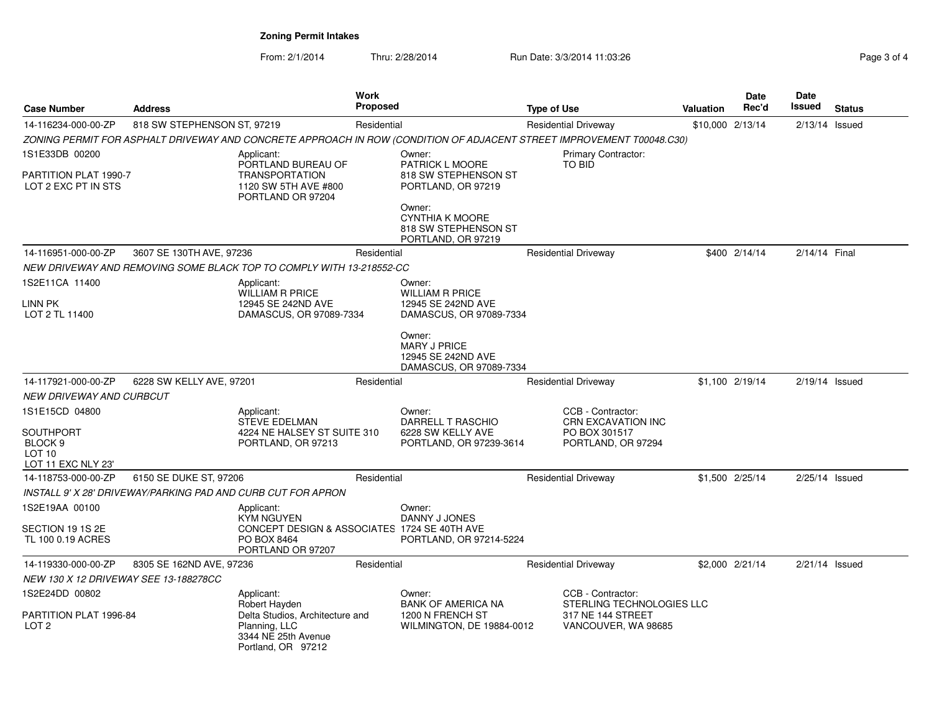From: 2/1/2014Thru: 2/28/2014 **Run Date: 3/3/2014 11:03:26** Page

| Page 3 of 4 |  |  |
|-------------|--|--|
|-------------|--|--|

| <b>Address</b><br><b>Case Number</b>         |                             |                                                                                                                | <b>Work</b><br>Proposed |                                                                                                                       | <b>Type of Use</b>                         |                                                  | Valuation | <b>Date</b><br>Rec'd | <b>Date</b><br>Issued | <b>Status</b> |
|----------------------------------------------|-----------------------------|----------------------------------------------------------------------------------------------------------------|-------------------------|-----------------------------------------------------------------------------------------------------------------------|--------------------------------------------|--------------------------------------------------|-----------|----------------------|-----------------------|---------------|
| 14-116234-000-00-ZP                          | 818 SW STEPHENSON ST, 97219 |                                                                                                                | Residential             |                                                                                                                       | <b>Residential Driveway</b>                |                                                  |           | \$10,000 2/13/14     | $2/13/14$ Issued      |               |
|                                              |                             |                                                                                                                |                         | ZONING PERMIT FOR ASPHALT DRIVEWAY AND CONCRETE APPROACH IN ROW (CONDITION OF ADJACENT STREET IMPROVEMENT T00048.C30) |                                            |                                                  |           |                      |                       |               |
| 1S1E33DB 00200                               |                             | Applicant:                                                                                                     |                         | Owner:                                                                                                                | Primary Contractor:                        |                                                  |           |                      |                       |               |
| PARTITION PLAT 1990-7<br>LOT 2 EXC PT IN STS |                             | PORTLAND BUREAU OF<br><b>TRANSPORTATION</b><br>1120 SW 5TH AVE #800<br>PORTLAND OR 97204                       |                         | <b>PATRICK L MOORE</b><br>818 SW STEPHENSON ST<br>PORTLAND, OR 97219                                                  | TO BID                                     |                                                  |           |                      |                       |               |
|                                              |                             |                                                                                                                |                         | Owner:<br><b>CYNTHIA K MOORE</b><br>818 SW STEPHENSON ST<br>PORTLAND, OR 97219                                        |                                            |                                                  |           |                      |                       |               |
| 14-116951-000-00-ZP                          | 3607 SE 130TH AVE, 97236    |                                                                                                                | Residential             |                                                                                                                       | <b>Residential Driveway</b>                |                                                  |           | \$400 2/14/14        | 2/14/14 Final         |               |
|                                              |                             | NEW DRIVEWAY AND REMOVING SOME BLACK TOP TO COMPLY WITH 13-218552-CC                                           |                         |                                                                                                                       |                                            |                                                  |           |                      |                       |               |
| 1S2E11CA 11400                               |                             | Applicant:                                                                                                     |                         | Owner:                                                                                                                |                                            |                                                  |           |                      |                       |               |
| LINN PK<br>LOT 2 TL 11400                    |                             | <b>WILLIAM R PRICE</b><br>12945 SE 242ND AVE<br>DAMASCUS, OR 97089-7334                                        |                         | <b>WILLIAM R PRICE</b><br>12945 SE 242ND AVE<br>DAMASCUS, OR 97089-7334                                               |                                            |                                                  |           |                      |                       |               |
|                                              |                             |                                                                                                                |                         | Owner:<br><b>MARY J PRICE</b><br>12945 SE 242ND AVE<br>DAMASCUS, OR 97089-7334                                        |                                            |                                                  |           |                      |                       |               |
| 14-117921-000-00-ZP                          | 6228 SW KELLY AVE, 97201    |                                                                                                                | Residential             |                                                                                                                       | <b>Residential Driveway</b>                |                                                  |           | \$1,100 2/19/14      | $2/19/14$ Issued      |               |
| NEW DRIVEWAY AND CURBCUT                     |                             |                                                                                                                |                         |                                                                                                                       |                                            |                                                  |           |                      |                       |               |
| 1S1E15CD 04800                               |                             | Applicant:                                                                                                     |                         | Owner:                                                                                                                | CCB - Contractor:                          |                                                  |           |                      |                       |               |
| <b>SOUTHPORT</b>                             |                             | <b>STEVE EDELMAN</b><br>4224 NE HALSEY ST SUITE 310                                                            |                         | DARRELL T RASCHIO<br>6228 SW KELLY AVE                                                                                | <b>CRN EXCAVATION INC</b><br>PO BOX 301517 |                                                  |           |                      |                       |               |
| BLOCK <sub>9</sub>                           |                             | PORTLAND, OR 97213                                                                                             |                         | PORTLAND, OR 97239-3614                                                                                               | PORTLAND, OR 97294                         |                                                  |           |                      |                       |               |
| LOT <sub>10</sub><br>LOT 11 EXC NLY 23'      |                             |                                                                                                                |                         |                                                                                                                       |                                            |                                                  |           |                      |                       |               |
| 14-118753-000-00-ZP                          | 6150 SE DUKE ST, 97206      |                                                                                                                | Residential             |                                                                                                                       | <b>Residential Driveway</b>                |                                                  |           | \$1,500 2/25/14      | $2/25/14$ Issued      |               |
|                                              |                             | INSTALL 9' X 28' DRIVEWAY/PARKING PAD AND CURB CUT FOR APRON                                                   |                         |                                                                                                                       |                                            |                                                  |           |                      |                       |               |
| 1S2E19AA 00100                               |                             | Applicant:<br><b>KYM NGUYEN</b>                                                                                |                         | Owner:<br>DANNY J JONES                                                                                               |                                            |                                                  |           |                      |                       |               |
| SECTION 19 1S 2E<br>TL 100 0.19 ACRES        |                             | CONCEPT DESIGN & ASSOCIATES 1724 SE 40TH AVE<br>PO BOX 8464<br>PORTLAND OR 97207                               |                         | PORTLAND, OR 97214-5224                                                                                               |                                            |                                                  |           |                      |                       |               |
| 14-119330-000-00-ZP                          | 8305 SE 162ND AVE, 97236    |                                                                                                                | Residential             |                                                                                                                       | <b>Residential Driveway</b>                |                                                  |           | \$2,000 2/21/14      | $2/21/14$ Issued      |               |
| NEW 130 X 12 DRIVEWAY SEE 13-188278CC        |                             |                                                                                                                |                         |                                                                                                                       |                                            |                                                  |           |                      |                       |               |
| 1S2E24DD 00802                               |                             | Applicant:                                                                                                     |                         | Owner:                                                                                                                | CCB - Contractor:                          |                                                  |           |                      |                       |               |
| PARTITION PLAT 1996-84<br>LOT <sub>2</sub>   |                             | Robert Hayden<br>Delta Studios, Architecture and<br>Planning, LLC<br>3344 NE 25th Avenue<br>Portland, OR 97212 |                         | <b>BANK OF AMERICA NA</b><br>1200 N FRENCH ST<br>WILMINGTON, DE 19884-0012                                            | 317 NE 144 STREET                          | STERLING TECHNOLOGIES LLC<br>VANCOUVER, WA 98685 |           |                      |                       |               |